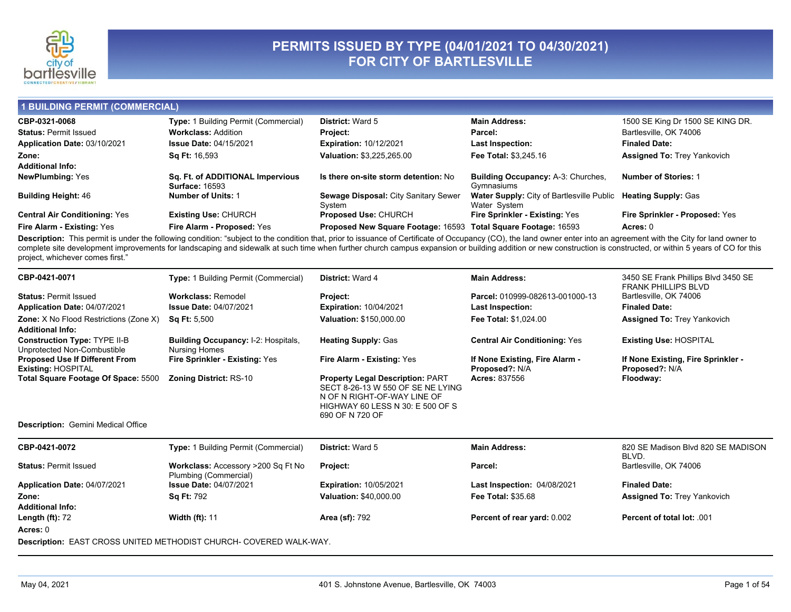

# PERMITS ISSUED BY TYPE (04/01/2021 TO 04/30/2021)<br>FOR CITY OF BARTLESVILLE

#### 1 BUILDING PERMIT (COMMERCIAL)

| CBP-0321-0068                        | Type: 1 Building Permit (Commercial)                      | <b>District: Ward 5</b>                                        | <b>Main Address:</b>                                                          | 1500 SE King Dr 1500 SE KING DR.   |
|--------------------------------------|-----------------------------------------------------------|----------------------------------------------------------------|-------------------------------------------------------------------------------|------------------------------------|
| <b>Status: Permit Issued</b>         | <b>Workclass: Addition</b>                                | <b>Project:</b>                                                | Parcel:                                                                       | Bartlesville, OK 74006             |
| Application Date: 03/10/2021         | <b>Issue Date: 04/15/2021</b>                             | <b>Expiration: 10/12/2021</b>                                  | Last Inspection:                                                              | <b>Finaled Date:</b>               |
| Zone:                                | <b>Sq Ft: 16,593</b>                                      | <b>Valuation: \$3,225,265.00</b>                               | <b>Fee Total: \$3,245.16</b>                                                  | <b>Assigned To: Trey Yankovich</b> |
| <b>Additional Info:</b>              |                                                           |                                                                |                                                                               |                                    |
| <b>NewPlumbing: Yes</b>              | Sq. Ft. of ADDITIONAL Impervious<br><b>Surface: 16593</b> | Is there on-site storm detention: No                           | <b>Building Occupancy: A-3: Churches.</b><br>Gymnasiums                       | <b>Number of Stories: 1</b>        |
| <b>Building Height: 46</b>           | <b>Number of Units: 1</b>                                 | Sewage Disposal: City Sanitary Sewer<br>Svstem                 | Water Supply: City of Bartlesville Public Heating Supply: Gas<br>Water System |                                    |
| <b>Central Air Conditioning: Yes</b> | <b>Existing Use: CHURCH</b>                               | <b>Proposed Use: CHURCH</b>                                    | <b>Fire Sprinkler - Existing: Yes</b>                                         | Fire Sprinkler - Proposed: Yes     |
| Fire Alarm - Existing: Yes           | Fire Alarm - Proposed: Yes                                | Proposed New Square Footage: 16593 Total Square Footage: 16593 |                                                                               | Acres: 0                           |

Description: This permit is under the following condition: "subject to the condition that, prior to issuance of Certificate of Occupancy (CO), the land owner enter into an agreement with the City for land owner to complete site development improvements for landscaping and sidewalk at such time when further church campus expansion or building addition or new construction is constructed, or within 5 years of CO for this project, whichever comes first."

| CBP-0421-0071                                                            | Type: 1 Building Permit (Commercial)                               | <b>District: Ward 4</b>                                                                                                                                            | <b>Main Address:</b>                             | 3450 SE Frank Phillips Blvd 3450 SE<br><b>FRANK PHILLIPS BLVD</b> |  |
|--------------------------------------------------------------------------|--------------------------------------------------------------------|--------------------------------------------------------------------------------------------------------------------------------------------------------------------|--------------------------------------------------|-------------------------------------------------------------------|--|
| <b>Status: Permit Issued</b>                                             | <b>Workclass: Remodel</b>                                          | Project:                                                                                                                                                           | Parcel: 010999-082613-001000-13                  | Bartlesville, OK 74006                                            |  |
| Application Date: 04/07/2021                                             | <b>Issue Date: 04/07/2021</b>                                      | <b>Expiration: 10/04/2021</b>                                                                                                                                      | Last Inspection:                                 | <b>Finaled Date:</b>                                              |  |
| <b>Zone:</b> X No Flood Restrictions (Zone X)<br><b>Additional Info:</b> | <b>Sq Ft: 5,500</b>                                                | Valuation: \$150,000.00                                                                                                                                            | <b>Fee Total: \$1,024.00</b>                     | <b>Assigned To: Trey Yankovich</b>                                |  |
| <b>Construction Type: TYPE II-B</b><br>Unprotected Non-Combustible       | <b>Building Occupancy: I-2: Hospitals,</b><br><b>Nursing Homes</b> | <b>Heating Supply: Gas</b>                                                                                                                                         | <b>Central Air Conditioning: Yes</b>             | <b>Existing Use: HOSPITAL</b>                                     |  |
| <b>Proposed Use If Different From</b><br><b>Existing: HOSPITAL</b>       | Fire Sprinkler - Existing: Yes                                     | Fire Alarm - Existing: Yes                                                                                                                                         | If None Existing, Fire Alarm -<br>Proposed?: N/A | If None Existing, Fire Sprinkler -<br>Proposed?: N/A              |  |
| Total Square Footage Of Space: 5500                                      | <b>Zoning District: RS-10</b>                                      | <b>Property Legal Description: PART</b><br>SECT 8-26-13 W 550 OF SE NE LYING<br>N OF N RIGHT-OF-WAY LINE OF<br>HIGHWAY 60 LESS N 30: E 500 OF S<br>690 OF N 720 OF | <b>Acres: 837556</b>                             | Floodway:                                                         |  |
| <b>Description:</b> Gemini Medical Office                                |                                                                    |                                                                                                                                                                    |                                                  |                                                                   |  |
| CBP-0421-0072                                                            | <b>Type: 1 Building Permit (Commercial)</b>                        | <b>District: Ward 5</b>                                                                                                                                            | <b>Main Address:</b>                             | 820 SE Madison Blvd 820 SE MADISON<br>BLVD.                       |  |
| <b>Status: Permit Issued</b>                                             | Workclass: Accessory >200 Sq Ft No<br>Plumbing (Commercial)        | Project:                                                                                                                                                           | Parcel:                                          | Bartlesville, OK 74006                                            |  |
| Application Date: 04/07/2021                                             | <b>Issue Date: 04/07/2021</b>                                      | <b>Expiration: 10/05/2021</b>                                                                                                                                      | Last Inspection: 04/08/2021                      | <b>Finaled Date:</b>                                              |  |
| Zone:                                                                    | <b>Sq Ft: 792</b>                                                  | <b>Valuation: \$40,000.00</b>                                                                                                                                      | <b>Fee Total: \$35.68</b>                        | <b>Assigned To: Trey Yankovich</b>                                |  |
| <b>Additional Info:</b>                                                  |                                                                    |                                                                                                                                                                    |                                                  |                                                                   |  |
| Length $(ft)$ : 72                                                       | <b>Width (ft): 11</b>                                              | <b>Area (sf): 792</b>                                                                                                                                              | Percent of rear yard: 0.002                      | Percent of total lot: .001                                        |  |
| Acres: 0                                                                 |                                                                    |                                                                                                                                                                    |                                                  |                                                                   |  |
|                                                                          | Because LACT CROCHINITED METUODICT CULIDOU, COMERED WALLY WAV      |                                                                                                                                                                    |                                                  |                                                                   |  |

**Description:** EAST CROSS UNITED METHODIST CHURCH- COVERED WALK-WAY.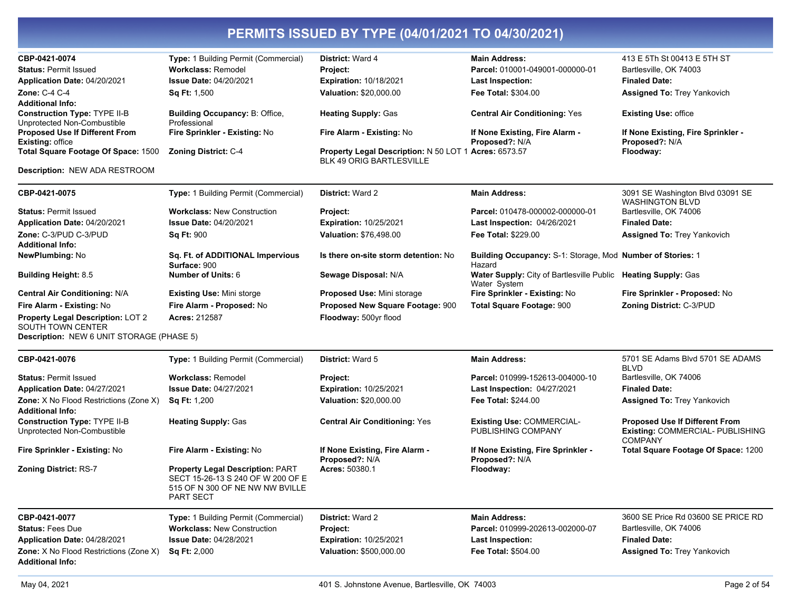| CBP-0421-0074<br><b>Status: Permit Issued</b><br>Application Date: 04/20/2021<br><b>Zone: C-4 C-4</b><br><b>Additional Info:</b><br><b>Construction Type: TYPE II-B</b><br>Unprotected Non-Combustible<br><b>Proposed Use If Different From</b><br><b>Existing: office</b><br>Total Square Footage Of Space: 1500<br>Description: NEW ADA RESTROOM                  | Type: 1 Building Permit (Commercial)<br><b>Workclass: Remodel</b><br><b>Issue Date: 04/20/2021</b><br><b>Sq Ft: 1,500</b><br><b>Building Occupancy: B: Office.</b><br>Professional<br>Fire Sprinkler - Existing: No<br>Zoning District: C-4                        | <b>District: Ward 4</b><br>Project:<br><b>Expiration: 10/18/2021</b><br>Valuation: \$20,000.00<br><b>Heating Supply: Gas</b><br>Fire Alarm - Existing: No<br>Property Legal Description: N 50 LOT 1 Acres: 6573.57<br>BLK 49 ORIG BARTLESVILLE | <b>Main Address:</b><br>Parcel: 010001-049001-000000-01<br><b>Last Inspection:</b><br>Fee Total: \$304.00<br><b>Central Air Conditioning: Yes</b><br>If None Existing, Fire Alarm -<br>Proposed?: N/A                                                                                                                      | 413 E 5Th St 00413 E 5TH ST<br>Bartlesville, OK 74003<br><b>Finaled Date:</b><br><b>Assigned To: Trey Yankovich</b><br><b>Existing Use: office</b><br>If None Existing, Fire Sprinkler -<br>Proposed?: N/A<br>Floodway: |
|---------------------------------------------------------------------------------------------------------------------------------------------------------------------------------------------------------------------------------------------------------------------------------------------------------------------------------------------------------------------|--------------------------------------------------------------------------------------------------------------------------------------------------------------------------------------------------------------------------------------------------------------------|------------------------------------------------------------------------------------------------------------------------------------------------------------------------------------------------------------------------------------------------|----------------------------------------------------------------------------------------------------------------------------------------------------------------------------------------------------------------------------------------------------------------------------------------------------------------------------|-------------------------------------------------------------------------------------------------------------------------------------------------------------------------------------------------------------------------|
| CBP-0421-0075                                                                                                                                                                                                                                                                                                                                                       | Type: 1 Building Permit (Commercial)                                                                                                                                                                                                                               | <b>District: Ward 2</b>                                                                                                                                                                                                                        | <b>Main Address:</b>                                                                                                                                                                                                                                                                                                       | 3091 SE Washington Blvd 03091 SE                                                                                                                                                                                        |
| <b>Status: Permit Issued</b><br>Application Date: 04/20/2021<br>Zone: C-3/PUD C-3/PUD<br><b>Additional Info:</b><br><b>NewPlumbing: No</b><br><b>Building Height: 8.5</b><br><b>Central Air Conditioning: N/A</b><br>Fire Alarm - Existing: No<br><b>Property Legal Description: LOT 2</b><br>SOUTH TOWN CENTER<br><b>Description: NEW 6 UNIT STORAGE (PHASE 5)</b> | <b>Workclass: New Construction</b><br><b>Issue Date: 04/20/2021</b><br><b>Sq Ft: 900</b><br>Sq. Ft. of ADDITIONAL Impervious<br>Surface: 900<br><b>Number of Units: 6</b><br><b>Existing Use: Mini storge</b><br>Fire Alarm - Proposed: No<br><b>Acres: 212587</b> | Project:<br><b>Expiration: 10/25/2021</b><br>Valuation: \$76,498.00<br>Is there on-site storm detention: No<br>Sewage Disposal: N/A<br><b>Proposed Use: Mini storage</b><br>Proposed New Square Footage: 900<br>Floodway: 500yr flood          | Parcel: 010478-000002-000000-01<br>Last Inspection: 04/26/2021<br><b>Fee Total: \$229.00</b><br>Building Occupancy: S-1: Storage, Mod Number of Stories: 1<br>Hazard<br>Water Supply: City of Bartlesville Public Heating Supply: Gas<br>Water System<br>Fire Sprinkler - Existing: No<br><b>Total Square Footage: 900</b> | <b>WASHINGTON BLVD</b><br>Bartlesville, OK 74006<br><b>Finaled Date:</b><br>Assigned To: Trey Yankovich<br>Fire Sprinkler - Proposed: No<br>Zoning District: C-3/PUD                                                    |
| CBP-0421-0076                                                                                                                                                                                                                                                                                                                                                       | Type: 1 Building Permit (Commercial)                                                                                                                                                                                                                               | District: Ward 5                                                                                                                                                                                                                               | <b>Main Address:</b>                                                                                                                                                                                                                                                                                                       | 5701 SE Adams Blvd 5701 SE ADAMS<br><b>BLVD</b>                                                                                                                                                                         |
| <b>Status: Permit Issued</b><br>Application Date: 04/27/2021<br>Zone: X No Flood Restrictions (Zone X)                                                                                                                                                                                                                                                              | <b>Workclass: Remodel</b><br><b>Issue Date: 04/27/2021</b><br><b>Sq Ft: 1,200</b>                                                                                                                                                                                  | Project:<br><b>Expiration: 10/25/2021</b><br>Valuation: \$20,000.00                                                                                                                                                                            | Parcel: 010999-152613-004000-10<br>Last Inspection: 04/27/2021<br><b>Fee Total: \$244.00</b>                                                                                                                                                                                                                               | Bartlesville, OK 74006<br><b>Finaled Date:</b><br><b>Assigned To: Trey Yankovich</b>                                                                                                                                    |
| <b>Additional Info:</b><br><b>Construction Type: TYPE II-B</b><br>Unprotected Non-Combustible                                                                                                                                                                                                                                                                       | <b>Heating Supply: Gas</b>                                                                                                                                                                                                                                         | <b>Central Air Conditioning: Yes</b>                                                                                                                                                                                                           | <b>Existing Use: COMMERCIAL-</b><br>PUBLISHING COMPANY                                                                                                                                                                                                                                                                     | <b>Proposed Use If Different From</b><br>Existing: COMMERCIAL- PUBLISHING<br><b>COMPANY</b>                                                                                                                             |
| Fire Sprinkler - Existing: No<br><b>Zoning District: RS-7</b>                                                                                                                                                                                                                                                                                                       | Fire Alarm - Existing: No<br><b>Property Legal Description: PART</b><br>SECT 15-26-13 S 240 OF W 200 OF E<br>515 OF N 300 OF NE NW NW BVILLE<br><b>PART SECT</b>                                                                                                   | If None Existing, Fire Alarm -<br>Proposed?: N/A<br>Acres: 50380.1                                                                                                                                                                             | If None Existing, Fire Sprinkler -<br>Proposed?: N/A<br>Floodway:                                                                                                                                                                                                                                                          | Total Square Footage Of Space: 1200                                                                                                                                                                                     |
| CBP-0421-0077<br><b>Status: Fees Due</b><br>Application Date: 04/28/2021<br><b>Zone:</b> X No Flood Restrictions (Zone X)<br><b>Additional Info:</b>                                                                                                                                                                                                                | Type: 1 Building Permit (Commercial)<br><b>Workclass: New Construction</b><br><b>Issue Date: 04/28/2021</b><br><b>Sq Ft: 2,000</b>                                                                                                                                 | District: Ward 2<br>Project:<br>Expiration: 10/25/2021<br>Valuation: \$500,000.00                                                                                                                                                              | <b>Main Address:</b><br>Parcel: 010999-202613-002000-07<br><b>Last Inspection:</b><br>Fee Total: \$504.00                                                                                                                                                                                                                  | 3600 SE Price Rd 03600 SE PRICE RD<br>Bartlesville, OK 74006<br><b>Finaled Date:</b><br><b>Assigned To: Trey Yankovich</b>                                                                                              |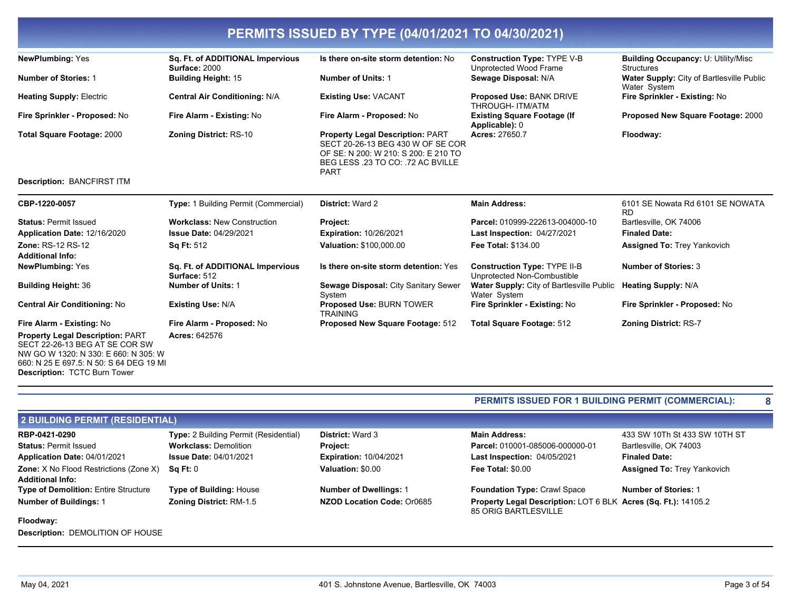| <b>NewPlumbing: Yes</b>                                                                                                                                      | Sq. Ft. of ADDITIONAL Impervious<br>Surface: 2000 | Is there on-site storm detention: No                                                                                                                                     | <b>Construction Type: TYPE V-B</b><br>Unprotected Wood Frame       | <b>Building Occupancy: U: Utility/Misc</b><br><b>Structures</b> |
|--------------------------------------------------------------------------------------------------------------------------------------------------------------|---------------------------------------------------|--------------------------------------------------------------------------------------------------------------------------------------------------------------------------|--------------------------------------------------------------------|-----------------------------------------------------------------|
| <b>Number of Stories: 1</b>                                                                                                                                  | <b>Building Height: 15</b>                        | <b>Number of Units: 1</b>                                                                                                                                                | Sewage Disposal: N/A                                               | Water Supply: City of Bartlesville Public<br>Water System       |
| <b>Heating Supply: Electric</b>                                                                                                                              | <b>Central Air Conditioning: N/A</b>              | <b>Existing Use: VACANT</b>                                                                                                                                              | <b>Proposed Use: BANK DRIVE</b><br>THROUGH- ITM/ATM                | Fire Sprinkler - Existing: No                                   |
| Fire Sprinkler - Proposed: No                                                                                                                                | Fire Alarm - Existing: No                         | Fire Alarm - Proposed: No                                                                                                                                                | <b>Existing Square Footage (If</b><br>Applicable): 0               | Proposed New Square Footage: 2000                               |
| <b>Total Square Footage: 2000</b>                                                                                                                            | <b>Zoning District: RS-10</b>                     | <b>Property Legal Description: PART</b><br>SECT 20-26-13 BEG 430 W OF SE COR<br>OF SE: N 200: W 210: S 200: E 210 TO<br>BEG LESS .23 TO CO: .72 AC BVILLE<br><b>PART</b> | <b>Acres: 27650.7</b>                                              | Floodway:                                                       |
| <b>Description: BANCFIRST ITM</b>                                                                                                                            |                                                   |                                                                                                                                                                          |                                                                    |                                                                 |
| CBP-1220-0057                                                                                                                                                | <b>Type: 1 Building Permit (Commercial)</b>       | <b>District: Ward 2</b>                                                                                                                                                  | <b>Main Address:</b>                                               | 6101 SE Nowata Rd 6101 SE NOWATA<br><b>RD</b>                   |
| <b>Status: Permit Issued</b>                                                                                                                                 | <b>Workclass: New Construction</b>                | Project:                                                                                                                                                                 | Parcel: 010999-222613-004000-10                                    | Bartlesville, OK 74006                                          |
| Application Date: 12/16/2020                                                                                                                                 | <b>Issue Date: 04/29/2021</b>                     | <b>Expiration: 10/26/2021</b>                                                                                                                                            | <b>Last Inspection: 04/27/2021</b>                                 | <b>Finaled Date:</b>                                            |
| Zone: RS-12 RS-12                                                                                                                                            | <b>Sq Ft: 512</b>                                 | Valuation: \$100,000.00                                                                                                                                                  | <b>Fee Total: \$134.00</b>                                         | <b>Assigned To: Trey Yankovich</b>                              |
| <b>Additional Info:</b>                                                                                                                                      |                                                   |                                                                                                                                                                          |                                                                    |                                                                 |
| <b>NewPlumbing: Yes</b>                                                                                                                                      | Sq. Ft. of ADDITIONAL Impervious<br>Surface: 512  | Is there on-site storm detention: Yes                                                                                                                                    | <b>Construction Type: TYPE II-B</b><br>Unprotected Non-Combustible | <b>Number of Stories: 3</b>                                     |
| <b>Building Height: 36</b>                                                                                                                                   | <b>Number of Units: 1</b>                         | Sewage Disposal: City Sanitary Sewer<br>System                                                                                                                           | Water Supply: City of Bartlesville Public<br>Water System          | <b>Heating Supply: N/A</b>                                      |
| <b>Central Air Conditioning: No</b>                                                                                                                          | <b>Existing Use: N/A</b>                          | <b>Proposed Use: BURN TOWER</b><br><b>TRAINING</b>                                                                                                                       | Fire Sprinkler - Existing: No                                      | Fire Sprinkler - Proposed: No                                   |
| Fire Alarm - Existing: No                                                                                                                                    | Fire Alarm - Proposed: No                         | Proposed New Square Footage: 512                                                                                                                                         | Total Square Footage: 512                                          | <b>Zoning District: RS-7</b>                                    |
| <b>Property Legal Description: PART</b><br>SECT 22-26-13 BEG AT SE COR SW<br>NW GO W 1320: N 330: E 660: N 305: W<br>660: N 25 E 697.5: N 50: S 64 DEG 19 MI | <b>Acres: 642576</b>                              |                                                                                                                                                                          |                                                                    |                                                                 |

#### PERMITS ISSUED FOR 1 BUILDING PERMIT (COMMERCIAL):

| 2 BUILDING PERMIT (RESIDENTIAL)               |                                              |                               |                                                                                        |                                    |  |
|-----------------------------------------------|----------------------------------------------|-------------------------------|----------------------------------------------------------------------------------------|------------------------------------|--|
| RBP-0421-0290                                 | <b>Type:</b> 2 Building Permit (Residential) | <b>District:</b> Ward 3       | <b>Main Address:</b>                                                                   | 433 SW 10Th St 433 SW 10TH ST      |  |
| <b>Status: Permit Issued</b>                  | <b>Workclass: Demolition</b>                 | <b>Project:</b>               | Parcel: 010001-085006-000000-01                                                        | Bartlesville, OK 74003             |  |
| Application Date: 04/01/2021                  | <b>Issue Date: 04/01/2021</b>                | <b>Expiration: 10/04/2021</b> | Last Inspection: 04/05/2021                                                            | <b>Finaled Date:</b>               |  |
| <b>Zone:</b> X No Flood Restrictions (Zone X) | Sq Ft: 0                                     | Valuation: \$0.00             | Fee Total: \$0.00                                                                      | <b>Assigned To: Trey Yankovich</b> |  |
| <b>Additional Info:</b>                       |                                              |                               |                                                                                        |                                    |  |
| <b>Type of Demolition: Entire Structure</b>   | <b>Type of Building: House</b>               | <b>Number of Dwellings: 1</b> | <b>Foundation Type: Crawl Space</b>                                                    | <b>Number of Stories: 1</b>        |  |
| <b>Number of Buildings: 1</b>                 | <b>Zoning District: RM-1.5</b>               | NZOD Location Code: Or0685    | Property Legal Description: LOT 6 BLK Acres (Sq. Ft.): 14105.2<br>85 ORIG BARTLESVILLE |                                    |  |
| Floodway:                                     |                                              |                               |                                                                                        |                                    |  |

Description: DEMOLITION OF HOUSE

Description: TCTC Burn Tower

 $\overline{\mathbf{8}}$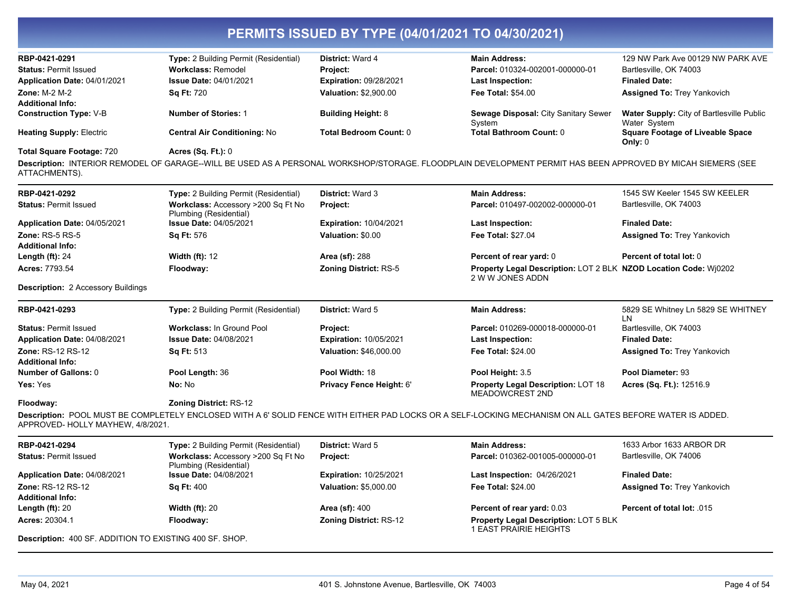| RBP-0421-0291                                           |                                                                    | <b>District: Ward 4</b>                   | <b>Main Address:</b>                                                                                                                                        | 129 NW Park Ave 00129 NW PARK AVE                    |
|---------------------------------------------------------|--------------------------------------------------------------------|-------------------------------------------|-------------------------------------------------------------------------------------------------------------------------------------------------------------|------------------------------------------------------|
| <b>Status: Permit Issued</b>                            | Type: 2 Building Permit (Residential)<br><b>Workclass: Remodel</b> |                                           | Parcel: 010324-002001-000000-01                                                                                                                             | Bartlesville, OK 74003                               |
| Application Date: 04/01/2021                            | <b>Issue Date: 04/01/2021</b>                                      | Project:<br><b>Expiration: 09/28/2021</b> |                                                                                                                                                             | <b>Finaled Date:</b>                                 |
|                                                         |                                                                    |                                           | Last Inspection:                                                                                                                                            |                                                      |
| Zone: M-2 M-2<br><b>Additional Info:</b>                | <b>Sq Ft: 720</b>                                                  | <b>Valuation: \$2,900.00</b>              | <b>Fee Total: \$54.00</b>                                                                                                                                   | <b>Assigned To: Trey Yankovich</b>                   |
| <b>Construction Type: V-B</b>                           | <b>Number of Stories: 1</b>                                        | <b>Building Height: 8</b>                 | Sewage Disposal: City Sanitary Sewer                                                                                                                        | <b>Water Supply: City of Bartlesville Public</b>     |
|                                                         |                                                                    |                                           | System                                                                                                                                                      | Water System                                         |
| <b>Heating Supply: Electric</b>                         | <b>Central Air Conditioning: No</b>                                | <b>Total Bedroom Count: 0</b>             | Total Bathroom Count: 0                                                                                                                                     | <b>Square Footage of Liveable Space</b><br>Only: $0$ |
| <b>Total Square Footage: 720</b>                        | <b>Acres (Sq. Ft.): 0</b>                                          |                                           |                                                                                                                                                             |                                                      |
| ATTACHMENTS).                                           |                                                                    |                                           | Description: INTERIOR REMODEL OF GARAGE--WILL BE USED AS A PERSONAL WORKSHOP/STORAGE. FLOODPLAIN DEVELOPMENT PERMIT HAS BEEN APPROVED BY MICAH SIEMERS (SEE |                                                      |
| RBP-0421-0292                                           | Type: 2 Building Permit (Residential)                              | <b>District: Ward 3</b>                   | <b>Main Address:</b>                                                                                                                                        | 1545 SW Keeler 1545 SW KEELER                        |
| <b>Status: Permit Issued</b>                            | Workclass: Accessory >200 Sq Ft No                                 | Project:                                  | Parcel: 010497-002002-000000-01                                                                                                                             | Bartlesville, OK 74003                               |
|                                                         | Plumbing (Residential)                                             |                                           |                                                                                                                                                             |                                                      |
| Application Date: 04/05/2021                            | <b>Issue Date: 04/05/2021</b>                                      | Expiration: 10/04/2021                    | <b>Last Inspection:</b>                                                                                                                                     | <b>Finaled Date:</b>                                 |
| Zone: RS-5 RS-5                                         | Sq Ft: 576                                                         | Valuation: \$0.00                         | Fee Total: \$27.04                                                                                                                                          | <b>Assigned To: Trey Yankovich</b>                   |
| <b>Additional Info:</b>                                 |                                                                    |                                           |                                                                                                                                                             |                                                      |
| Length $(ft)$ : 24                                      | <b>Width (ft): 12</b>                                              | <b>Area (sf): 288</b>                     | Percent of rear yard: 0                                                                                                                                     | Percent of total lot: 0                              |
| Acres: 7793.54                                          | Floodway:                                                          | <b>Zoning District: RS-5</b>              | Property Legal Description: LOT 2 BLK NZOD Location Code: Wj0202<br>2 W W JONES ADDN                                                                        |                                                      |
| <b>Description: 2 Accessory Buildings</b>               |                                                                    |                                           |                                                                                                                                                             |                                                      |
| RBP-0421-0293                                           | <b>Type:</b> 2 Building Permit (Residential)                       | District: Ward 5                          | <b>Main Address:</b>                                                                                                                                        | 5829 SE Whitney Ln 5829 SE WHITNEY<br>LN             |
| <b>Status: Permit Issued</b>                            | <b>Workclass: In Ground Pool</b>                                   | Project:                                  | Parcel: 010269-000018-000000-01                                                                                                                             | Bartlesville, OK 74003                               |
| Application Date: 04/08/2021                            | <b>Issue Date: 04/08/2021</b>                                      | Expiration: 10/05/2021                    | <b>Last Inspection:</b>                                                                                                                                     | <b>Finaled Date:</b>                                 |
| <b>Zone: RS-12 RS-12</b>                                | <b>Sq Ft: 513</b>                                                  | <b>Valuation: \$46,000.00</b>             | <b>Fee Total: \$24.00</b>                                                                                                                                   | <b>Assigned To: Trey Yankovich</b>                   |
| <b>Additional Info:</b>                                 |                                                                    |                                           |                                                                                                                                                             |                                                      |
| <b>Number of Gallons: 0</b>                             | Pool Length: 36                                                    | Pool Width: 18                            | Pool Height: 3.5                                                                                                                                            | Pool Diameter: 93                                    |
| Yes: Yes                                                | No: No                                                             | Privacy Fence Height: 6'                  | Property Legal Description: LOT 18<br><b>MEADOWCREST 2ND</b>                                                                                                | Acres (Sq. Ft.): 12516.9                             |
| Floodway:                                               | <b>Zoning District: RS-12</b>                                      |                                           |                                                                                                                                                             |                                                      |
| APPROVED- HOLLY MAYHEW, 4/8/2021.                       |                                                                    |                                           | Description: POOL MUST BE COMPLETELY ENCLOSED WITH A 6' SOLID FENCE WITH EITHER PAD LOCKS OR A SELF-LOCKING MECHANISM ON ALL GATES BEFORE WATER IS ADDED.   |                                                      |
| RBP-0421-0294                                           | Type: 2 Building Permit (Residential)                              | District: Ward 5                          | <b>Main Address:</b>                                                                                                                                        | 1633 Arbor 1633 ARBOR DR                             |
| <b>Status: Permit Issued</b>                            | Workclass: Accessory >200 Sq Ft No<br>Plumbing (Residential)       | Project:                                  | Parcel: 010362-001005-000000-01                                                                                                                             | Bartlesville, OK 74006                               |
| Application Date: 04/08/2021                            | <b>Issue Date: 04/08/2021</b>                                      | Expiration: 10/25/2021                    | <b>Last Inspection: 04/26/2021</b>                                                                                                                          | <b>Finaled Date:</b>                                 |
| Zone: RS-12 RS-12                                       | <b>Sq Ft: 400</b>                                                  | Valuation: \$5,000.00                     | <b>Fee Total: \$24.00</b>                                                                                                                                   | <b>Assigned To: Trey Yankovich</b>                   |
| <b>Additional Info:</b>                                 |                                                                    |                                           |                                                                                                                                                             |                                                      |
| Length $(ft)$ : 20                                      | <b>Width (ft): 20</b>                                              | <b>Area (sf): 400</b>                     | Percent of rear yard: 0.03                                                                                                                                  | Percent of total lot: 015                            |
| Acres: 20304.1                                          | Floodway:                                                          | <b>Zoning District: RS-12</b>             | <b>Property Legal Description: LOT 5 BLK</b><br>1 EAST PRAIRIE HEIGHTS                                                                                      |                                                      |
| Description: 400 SF. ADDITION TO EXISTING 400 SF. SHOP. |                                                                    |                                           |                                                                                                                                                             |                                                      |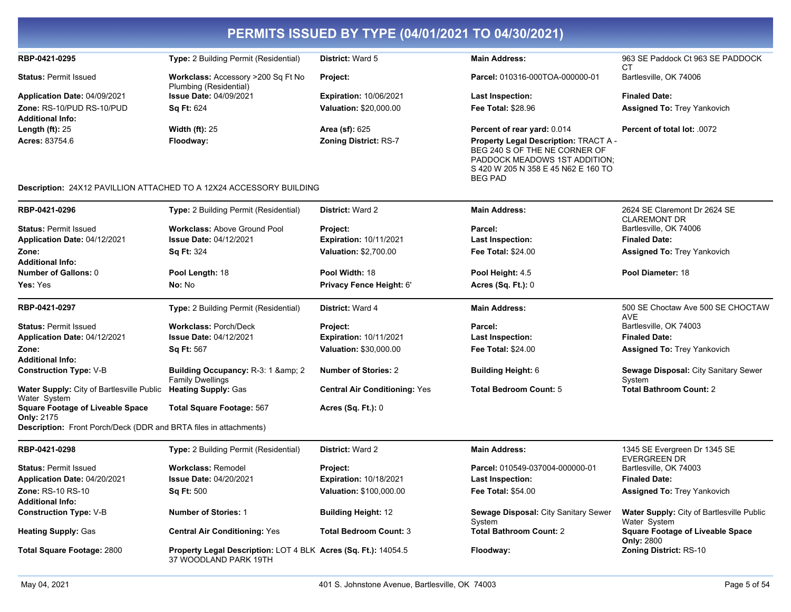| RBP-0421-0295                                                                 | Type: 2 Building Permit (Residential)                                                          | District: Ward 5                     | <b>Main Address:</b>                                                                                                                                             | 963 SE Paddock Ct 963 SE PADDOCK                          |
|-------------------------------------------------------------------------------|------------------------------------------------------------------------------------------------|--------------------------------------|------------------------------------------------------------------------------------------------------------------------------------------------------------------|-----------------------------------------------------------|
| <b>Status: Permit Issued</b>                                                  | Workclass: Accessory >200 Sq Ft No                                                             | Project:                             | Parcel: 010316-000TOA-000000-01                                                                                                                                  | СT<br>Bartlesville, OK 74006                              |
| Application Date: 04/09/2021                                                  | Plumbing (Residential)<br><b>Issue Date: 04/09/2021</b>                                        | <b>Expiration: 10/06/2021</b>        | <b>Last Inspection:</b>                                                                                                                                          | <b>Finaled Date:</b>                                      |
| Zone: RS-10/PUD RS-10/PUD                                                     | Sq Ft: 624                                                                                     | Valuation: \$20,000.00               | Fee Total: \$28.96                                                                                                                                               | <b>Assigned To: Trey Yankovich</b>                        |
| <b>Additional Info:</b>                                                       |                                                                                                |                                      |                                                                                                                                                                  |                                                           |
| Length $(ft)$ : 25                                                            | <b>Width (ft): 25</b>                                                                          | <b>Area (sf): 625</b>                | Percent of rear yard: 0.014                                                                                                                                      | Percent of total lot: .0072                               |
| Acres: 83754.6                                                                | Floodway:                                                                                      | <b>Zoning District: RS-7</b>         | Property Legal Description: TRACT A -<br>BEG 240 S OF THE NE CORNER OF<br>PADDOCK MEADOWS 1ST ADDITION;<br>S 420 W 205 N 358 E 45 N62 E 160 TO<br><b>BEG PAD</b> |                                                           |
|                                                                               | Description: 24X12 PAVILLION ATTACHED TO A 12X24 ACCESSORY BUILDING                            |                                      |                                                                                                                                                                  |                                                           |
| RBP-0421-0296                                                                 | Type: 2 Building Permit (Residential)                                                          | District: Ward 2                     | <b>Main Address:</b>                                                                                                                                             | 2624 SE Claremont Dr 2624 SE<br><b>CLAREMONT DR</b>       |
| <b>Status: Permit Issued</b>                                                  | <b>Workclass: Above Ground Pool</b>                                                            | Project:                             | Parcel:                                                                                                                                                          | Bartlesville, OK 74006                                    |
| Application Date: 04/12/2021                                                  | Issue Date: 04/12/2021                                                                         | <b>Expiration: 10/11/2021</b>        | <b>Last Inspection:</b>                                                                                                                                          | <b>Finaled Date:</b>                                      |
| Zone:                                                                         | <b>Sq Ft: 324</b>                                                                              | Valuation: \$2,700.00                | Fee Total: \$24.00                                                                                                                                               | Assigned To: Trey Yankovich                               |
| <b>Additional Info:</b>                                                       |                                                                                                |                                      |                                                                                                                                                                  |                                                           |
| <b>Number of Gallons: 0</b>                                                   | Pool Length: 18                                                                                | Pool Width: 18                       | Pool Height: 4.5                                                                                                                                                 | Pool Diameter: 18                                         |
| Yes: Yes                                                                      | No: No                                                                                         | Privacy Fence Height: 6'             | <b>Acres (Sq. Ft.): 0</b>                                                                                                                                        |                                                           |
| RBP-0421-0297                                                                 | Type: 2 Building Permit (Residential)                                                          | <b>District: Ward 4</b>              | <b>Main Address:</b>                                                                                                                                             | 500 SE Choctaw Ave 500 SE CHOCTAW<br><b>AVE</b>           |
| <b>Status: Permit Issued</b>                                                  | <b>Workclass: Porch/Deck</b>                                                                   | Project:                             | Parcel:                                                                                                                                                          | Bartlesville, OK 74003                                    |
| Application Date: 04/12/2021                                                  | <b>Issue Date: 04/12/2021</b>                                                                  | <b>Expiration: 10/11/2021</b>        | Last Inspection:                                                                                                                                                 | <b>Finaled Date:</b>                                      |
| Zone:                                                                         | <b>Sq Ft: 567</b>                                                                              | Valuation: \$30,000.00               | Fee Total: \$24.00                                                                                                                                               | <b>Assigned To: Trey Yankovich</b>                        |
| <b>Additional Info:</b>                                                       |                                                                                                |                                      |                                                                                                                                                                  |                                                           |
| <b>Construction Type: V-B</b>                                                 | <b>Building Occupancy: R-3: 1 &amp; amp; 2</b><br><b>Family Dwellings</b>                      | <b>Number of Stories: 2</b>          | <b>Building Height: 6</b>                                                                                                                                        | Sewage Disposal: City Sanitary Sewer<br>System            |
| Water Supply: City of Bartlesville Public Heating Supply: Gas<br>Water System |                                                                                                | <b>Central Air Conditioning: Yes</b> | <b>Total Bedroom Count: 5</b>                                                                                                                                    | <b>Total Bathroom Count: 2</b>                            |
| <b>Square Footage of Liveable Space</b><br>Only: 2175                         | <b>Total Square Footage: 567</b>                                                               | <b>Acres (Sq. Ft.): 0</b>            |                                                                                                                                                                  |                                                           |
| Description: Front Porch/Deck (DDR and BRTA files in attachments)             |                                                                                                |                                      |                                                                                                                                                                  |                                                           |
| RBP-0421-0298                                                                 | Type: 2 Building Permit (Residential)                                                          | District: Ward 2                     | <b>Main Address:</b>                                                                                                                                             | 1345 SE Evergreen Dr 1345 SE<br><b>EVERGREEN DR</b>       |
| <b>Status: Permit Issued</b>                                                  | <b>Workclass: Remodel</b>                                                                      | <b>Project:</b>                      | Parcel: 010549-037004-000000-01                                                                                                                                  | Bartlesville, OK 74003                                    |
| Application Date: 04/20/2021                                                  | Issue Date: 04/20/2021                                                                         | <b>Expiration: 10/18/2021</b>        | <b>Last Inspection:</b>                                                                                                                                          | <b>Finaled Date:</b>                                      |
| Zone: RS-10 RS-10                                                             | Sq Ft: 500                                                                                     | Valuation: \$100,000.00              | Fee Total: \$54.00                                                                                                                                               | <b>Assigned To: Trey Yankovich</b>                        |
| <b>Additional Info:</b>                                                       |                                                                                                |                                      |                                                                                                                                                                  |                                                           |
| <b>Construction Type: V-B</b>                                                 | <b>Number of Stories: 1</b>                                                                    | <b>Building Height: 12</b>           | Sewage Disposal: City Sanitary Sewer<br>System                                                                                                                   | Water Supply: City of Bartlesville Public<br>Water System |
| <b>Heating Supply: Gas</b>                                                    | <b>Central Air Conditioning: Yes</b>                                                           | <b>Total Bedroom Count: 3</b>        | <b>Total Bathroom Count: 2</b>                                                                                                                                   | <b>Square Footage of Liveable Space</b><br>Only: 2800     |
| Total Square Footage: 2800                                                    | <b>Property Legal Description: LOT 4 BLK Acres (Sq. Ft.): 14054.5</b><br>37 WOODLAND PARK 19TH |                                      | Floodway:                                                                                                                                                        | <b>Zoning District: RS-10</b>                             |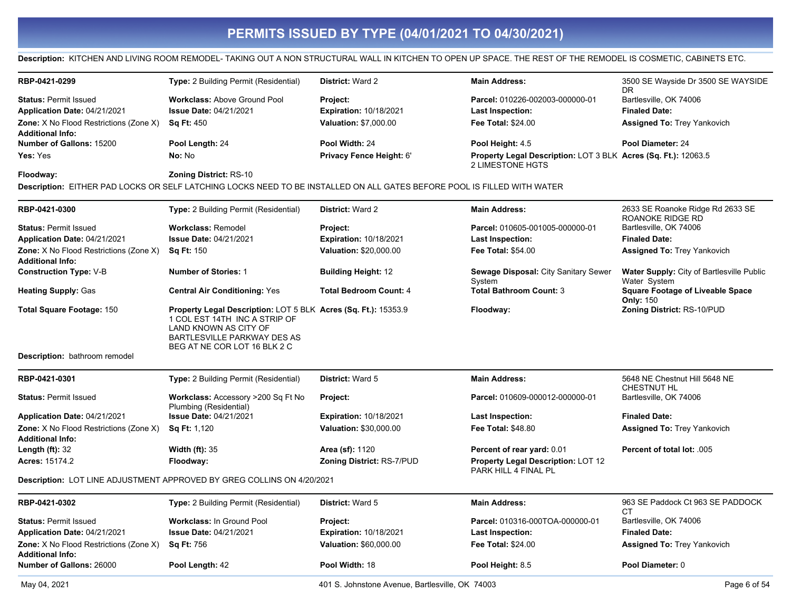### Description: KITCHEN AND LIVING ROOM REMODEL- TAKING OUT A NON STRUCTURAL WALL IN KITCHEN TO OPEN UP SPACE. THE REST OF THE REMODEL IS COSMETIC, CABINETS ETC.

| RBP-0421-0299                                                            | <b>Type:</b> 2 Building Permit (Residential)                                                                                                                                            | <b>District: Ward 2</b>          | <b>Main Address:</b>                                                               | 3500 SE Wayside Dr 3500 SE WAYSIDE<br>DR.                        |
|--------------------------------------------------------------------------|-----------------------------------------------------------------------------------------------------------------------------------------------------------------------------------------|----------------------------------|------------------------------------------------------------------------------------|------------------------------------------------------------------|
| <b>Status: Permit Issued</b>                                             | <b>Workclass: Above Ground Pool</b>                                                                                                                                                     | <b>Project:</b>                  | Parcel: 010226-002003-000000-01                                                    | Bartlesville, OK 74006                                           |
| Application Date: 04/21/2021                                             | <b>Issue Date: 04/21/2021</b>                                                                                                                                                           | <b>Expiration: 10/18/2021</b>    | Last Inspection:                                                                   | <b>Finaled Date:</b>                                             |
| <b>Zone:</b> X No Flood Restrictions (Zone X)                            | <b>Sq Ft: 450</b>                                                                                                                                                                       | <b>Valuation: \$7,000.00</b>     | <b>Fee Total: \$24.00</b>                                                          | <b>Assigned To: Trey Yankovich</b>                               |
| <b>Additional Info:</b>                                                  |                                                                                                                                                                                         |                                  |                                                                                    |                                                                  |
| <b>Number of Gallons: 15200</b>                                          | Pool Length: 24                                                                                                                                                                         | Pool Width: 24                   | Pool Height: 4.5                                                                   | Pool Diameter: 24                                                |
| Yes: Yes                                                                 | No: No                                                                                                                                                                                  | Privacy Fence Height: 6'         | Property Legal Description: LOT 3 BLK Acres (Sq. Ft.): 12063.5<br>2 LIMESTONE HGTS |                                                                  |
| Floodway:                                                                | <b>Zoning District: RS-10</b>                                                                                                                                                           |                                  |                                                                                    |                                                                  |
|                                                                          | Description: EITHER PAD LOCKS OR SELF LATCHING LOCKS NEED TO BE INSTALLED ON ALL GATES BEFORE POOL IS FILLED WITH WATER                                                                 |                                  |                                                                                    |                                                                  |
| RBP-0421-0300                                                            | <b>Type:</b> 2 Building Permit (Residential)                                                                                                                                            | <b>District: Ward 2</b>          | <b>Main Address:</b>                                                               | 2633 SE Roanoke Ridge Rd 2633 SE<br>ROANOKE RIDGE RD             |
| <b>Status: Permit Issued</b>                                             | <b>Workclass: Remodel</b>                                                                                                                                                               | <b>Project:</b>                  | Parcel: 010605-001005-000000-01                                                    | Bartlesville, OK 74006                                           |
| Application Date: 04/21/2021                                             | <b>Issue Date: 04/21/2021</b>                                                                                                                                                           | <b>Expiration: 10/18/2021</b>    | <b>Last Inspection:</b>                                                            | <b>Finaled Date:</b>                                             |
| <b>Zone:</b> X No Flood Restrictions (Zone X)<br><b>Additional Info:</b> | <b>Sq Ft: 150</b>                                                                                                                                                                       | Valuation: \$20,000.00           | <b>Fee Total: \$54.00</b>                                                          | <b>Assigned To: Trey Yankovich</b>                               |
| <b>Construction Type: V-B</b>                                            | <b>Number of Stories: 1</b>                                                                                                                                                             | <b>Building Height: 12</b>       | Sewage Disposal: City Sanitary Sewer<br>System                                     | <b>Water Supply:</b> City of Bartlesville Public<br>Water System |
| <b>Heating Supply: Gas</b>                                               | <b>Central Air Conditioning: Yes</b>                                                                                                                                                    | <b>Total Bedroom Count: 4</b>    | <b>Total Bathroom Count: 3</b>                                                     | <b>Square Footage of Liveable Space</b><br><b>Only: 150</b>      |
| <b>Total Square Footage: 150</b>                                         | Property Legal Description: LOT 5 BLK Acres (Sq. Ft.): 15353.9<br>1 COL EST 14TH INC A STRIP OF<br>LAND KNOWN AS CITY OF<br>BARTLESVILLE PARKWAY DES AS<br>BEG AT NE COR LOT 16 BLK 2 C |                                  | Floodway:                                                                          | Zoning District: RS-10/PUD                                       |
| Description: bathroom remodel                                            |                                                                                                                                                                                         |                                  |                                                                                    |                                                                  |
| RBP-0421-0301                                                            | Type: 2 Building Permit (Residential)                                                                                                                                                   | District: Ward 5                 | <b>Main Address:</b>                                                               | 5648 NE Chestnut Hill 5648 NE<br>CHESTNUT HL                     |
| <b>Status: Permit Issued</b>                                             | Workclass: Accessory >200 Sq Ft No<br>Plumbing (Residential)                                                                                                                            | Project:                         | Parcel: 010609-000012-000000-01                                                    | Bartlesville, OK 74006                                           |
| Application Date: 04/21/2021                                             | <b>Issue Date: 04/21/2021</b>                                                                                                                                                           | <b>Expiration: 10/18/2021</b>    | Last Inspection:                                                                   | <b>Finaled Date:</b>                                             |
| Zone: X No Flood Restrictions (Zone X)<br><b>Additional Info:</b>        | Sq Ft: 1,120                                                                                                                                                                            | Valuation: \$30,000.00           | <b>Fee Total: \$48.80</b>                                                          | <b>Assigned To: Trey Yankovich</b>                               |
| Length $(ft)$ : 32                                                       | Width $(ft)$ : 35                                                                                                                                                                       | Area (sf): 1120                  | Percent of rear yard: 0.01                                                         | Percent of total lot: .005                                       |
| <b>Acres: 15174.2</b>                                                    | Floodway:                                                                                                                                                                               | <b>Zoning District: RS-7/PUD</b> | <b>Property Legal Description: LOT 12</b><br>PARK HILL 4 FINAL PL                  |                                                                  |
|                                                                          | Description: LOT LINE ADJUSTMENT APPROVED BY GREG COLLINS ON 4/20/2021                                                                                                                  |                                  |                                                                                    |                                                                  |
| RBP-0421-0302                                                            | Type: 2 Building Permit (Residential)                                                                                                                                                   | <b>District: Ward 5</b>          | <b>Main Address:</b>                                                               | 963 SE Paddock Ct 963 SE PADDOCK<br>СT                           |
| <b>Status: Permit Issued</b>                                             | Workclass: In Ground Pool                                                                                                                                                               | <b>Project:</b>                  | Parcel: 010316-000TOA-000000-01                                                    | Bartlesville, OK 74006                                           |
| Application Date: 04/21/2021                                             | <b>Issue Date: 04/21/2021</b>                                                                                                                                                           | <b>Expiration: 10/18/2021</b>    | Last Inspection:                                                                   | <b>Finaled Date:</b>                                             |
| <b>Zone:</b> X No Flood Restrictions (Zone X)<br><b>Additional Info:</b> | <b>Sq Ft: 756</b>                                                                                                                                                                       | Valuation: \$60,000.00           | <b>Fee Total: \$24.00</b>                                                          | <b>Assigned To: Trey Yankovich</b>                               |
| <b>Number of Gallons: 26000</b>                                          | Pool Length: 42                                                                                                                                                                         | Pool Width: 18                   | Pool Height: 8.5                                                                   | Pool Diameter: 0                                                 |
|                                                                          |                                                                                                                                                                                         |                                  |                                                                                    |                                                                  |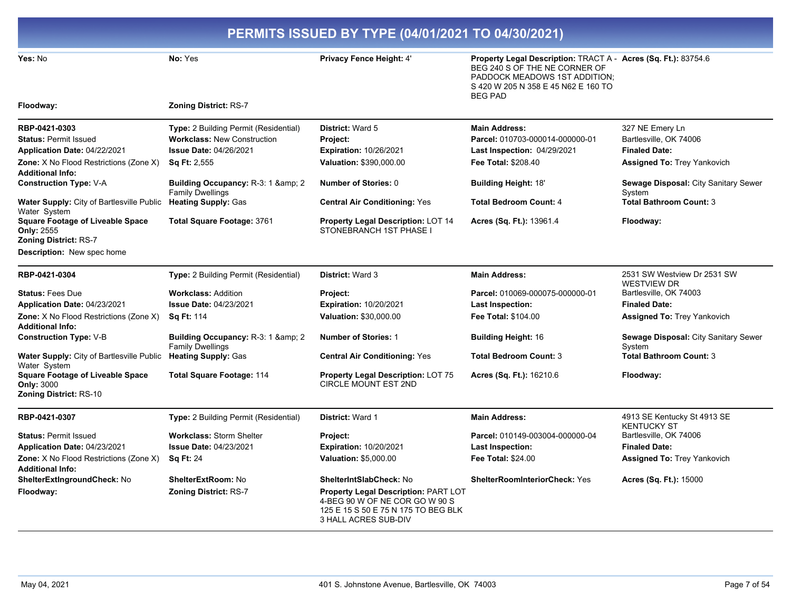| PERMITS ISSUED BY TYPE (04/01/2021 TO 04/30/2021)                                      |                                                                |                                                                                                                                              |                                                                                                                                                                                           |                                                   |
|----------------------------------------------------------------------------------------|----------------------------------------------------------------|----------------------------------------------------------------------------------------------------------------------------------------------|-------------------------------------------------------------------------------------------------------------------------------------------------------------------------------------------|---------------------------------------------------|
| Yes: No                                                                                | No: Yes                                                        | Privacy Fence Height: 4'                                                                                                                     | Property Legal Description: TRACT A - Acres (Sq. Ft.): 83754.6<br>BEG 240 S OF THE NE CORNER OF<br>PADDOCK MEADOWS 1ST ADDITION;<br>S 420 W 205 N 358 E 45 N62 E 160 TO<br><b>BEG PAD</b> |                                                   |
| Floodway:                                                                              | <b>Zoning District: RS-7</b>                                   |                                                                                                                                              |                                                                                                                                                                                           |                                                   |
| RBP-0421-0303                                                                          | Type: 2 Building Permit (Residential)                          | <b>District: Ward 5</b>                                                                                                                      | <b>Main Address:</b>                                                                                                                                                                      | 327 NE Emery Ln                                   |
| <b>Status: Permit Issued</b>                                                           | <b>Workclass: New Construction</b>                             | Project:                                                                                                                                     | Parcel: 010703-000014-000000-01                                                                                                                                                           | Bartlesville, OK 74006                            |
| Application Date: 04/22/2021                                                           | <b>Issue Date: 04/26/2021</b>                                  | <b>Expiration: 10/26/2021</b>                                                                                                                | <b>Last Inspection: 04/29/2021</b>                                                                                                                                                        | <b>Finaled Date:</b>                              |
| Zone: X No Flood Restrictions (Zone X)<br><b>Additional Info:</b>                      | <b>Sq Ft: 2,555</b>                                            | Valuation: \$390,000.00                                                                                                                      | Fee Total: \$208.40                                                                                                                                                                       | Assigned To: Trey Yankovich                       |
| <b>Construction Type: V-A</b>                                                          | Building Occupancy: R-3: 1 & amp; 2<br><b>Family Dwellings</b> | <b>Number of Stories: 0</b>                                                                                                                  | <b>Building Height: 18'</b>                                                                                                                                                               | Sewage Disposal: City Sanitary Sewer<br>System    |
| Water Supply: City of Bartlesville Public<br>Water System                              | <b>Heating Supply: Gas</b>                                     | <b>Central Air Conditioning: Yes</b>                                                                                                         | <b>Total Bedroom Count: 4</b>                                                                                                                                                             | <b>Total Bathroom Count: 3</b>                    |
| <b>Square Footage of Liveable Space</b><br>Only: 2555<br><b>Zoning District: RS-7</b>  | Total Square Footage: 3761                                     | <b>Property Legal Description: LOT 14</b><br>STONEBRANCH 1ST PHASE I                                                                         | Acres (Sq. Ft.): 13961.4                                                                                                                                                                  | Floodway:                                         |
| <b>Description:</b> New spec home                                                      |                                                                |                                                                                                                                              |                                                                                                                                                                                           |                                                   |
| RBP-0421-0304                                                                          | Type: 2 Building Permit (Residential)                          | District: Ward 3                                                                                                                             | <b>Main Address:</b>                                                                                                                                                                      | 2531 SW Westview Dr 2531 SW<br><b>WESTVIEW DR</b> |
| <b>Status: Fees Due</b>                                                                | <b>Workclass: Addition</b>                                     | Project:                                                                                                                                     | Parcel: 010069-000075-000000-01                                                                                                                                                           | Bartlesville, OK 74003                            |
| Application Date: 04/23/2021                                                           | <b>Issue Date: 04/23/2021</b>                                  | Expiration: 10/20/2021                                                                                                                       | Last Inspection:                                                                                                                                                                          | <b>Finaled Date:</b>                              |
| <b>Zone:</b> X No Flood Restrictions (Zone X)<br><b>Additional Info:</b>               | <b>Sq Ft: 114</b>                                              | Valuation: \$30,000.00                                                                                                                       | <b>Fee Total: \$104.00</b>                                                                                                                                                                | <b>Assigned To: Trey Yankovich</b>                |
| <b>Construction Type: V-B</b>                                                          | Building Occupancy: R-3: 1 & amp; 2<br><b>Family Dwellings</b> | <b>Number of Stories: 1</b>                                                                                                                  | <b>Building Height: 16</b>                                                                                                                                                                | Sewage Disposal: City Sanitary Sewer<br>System    |
| Water Supply: City of Bartlesville Public<br>Water System                              | <b>Heating Supply: Gas</b>                                     | <b>Central Air Conditioning: Yes</b>                                                                                                         | <b>Total Bedroom Count: 3</b>                                                                                                                                                             | <b>Total Bathroom Count: 3</b>                    |
| <b>Square Footage of Liveable Space</b><br><b>Only: 3000</b><br>Zoning District: RS-10 | <b>Total Square Footage: 114</b>                               | <b>Property Legal Description: LOT 75</b><br><b>CIRCLE MOUNT EST 2ND</b>                                                                     | Acres (Sq. Ft.): 16210.6                                                                                                                                                                  | Floodway:                                         |
| RBP-0421-0307                                                                          | Type: 2 Building Permit (Residential)                          | District: Ward 1                                                                                                                             | <b>Main Address:</b>                                                                                                                                                                      | 4913 SE Kentucky St 4913 SE<br><b>KENTUCKY ST</b> |
| <b>Status: Permit Issued</b>                                                           | <b>Workclass: Storm Shelter</b>                                | Project:                                                                                                                                     | Parcel: 010149-003004-000000-04                                                                                                                                                           | Bartlesville, OK 74006                            |
| Application Date: 04/23/2021                                                           | <b>Issue Date: 04/23/2021</b>                                  | Expiration: 10/20/2021                                                                                                                       | Last Inspection:                                                                                                                                                                          | <b>Finaled Date:</b>                              |
| <b>Zone:</b> X No Flood Restrictions (Zone X)<br><b>Additional Info:</b>               | <b>Sq Ft: 24</b>                                               | <b>Valuation: \$5,000.00</b>                                                                                                                 | <b>Fee Total: \$24.00</b>                                                                                                                                                                 | Assigned To: Trey Yankovich                       |
| <b>ShelterExtIngroundCheck: No</b>                                                     | <b>ShelterExtRoom: No</b>                                      | <b>ShelterIntSlabCheck: No</b>                                                                                                               | <b>ShelterRoomInteriorCheck: Yes</b>                                                                                                                                                      | <b>Acres (Sq. Ft.): 15000</b>                     |
| Floodway:                                                                              | <b>Zoning District: RS-7</b>                                   | <b>Property Legal Description: PART LOT</b><br>4-BEG 90 W OF NE COR GO W 90 S<br>125 E 15 S 50 E 75 N 175 TO BEG BLK<br>3 HALL ACRES SUB-DIV |                                                                                                                                                                                           |                                                   |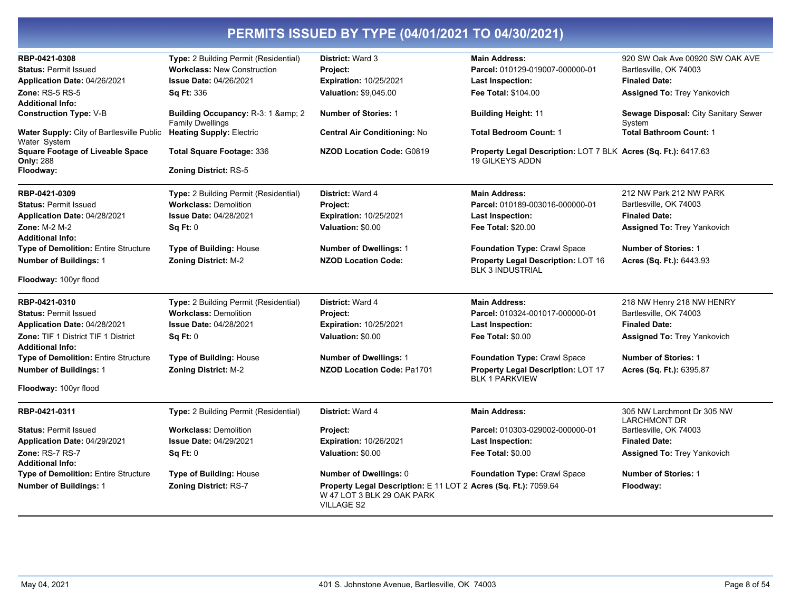| RBP-0421-0308                                                  | Type: 2 Building Permit (Residential)                     | District: Ward 3                                                                                                   | <b>Main Address:</b>                                                                     | 920 SW Oak Ave 00920 SW OAK AVE                   |
|----------------------------------------------------------------|-----------------------------------------------------------|--------------------------------------------------------------------------------------------------------------------|------------------------------------------------------------------------------------------|---------------------------------------------------|
| <b>Status: Permit Issued</b>                                   | <b>Workclass: New Construction</b>                        | Project:                                                                                                           | Parcel: 010129-019007-000000-01                                                          | Bartlesville, OK 74003                            |
| Application Date: 04/26/2021                                   | <b>Issue Date: 04/26/2021</b>                             | <b>Expiration: 10/25/2021</b>                                                                                      | <b>Last Inspection:</b>                                                                  | <b>Finaled Date:</b>                              |
| <b>Zone: RS-5 RS-5</b>                                         | <b>Sq Ft: 336</b>                                         | Valuation: \$9,045.00                                                                                              | Fee Total: \$104.00                                                                      | <b>Assigned To: Trey Yankovich</b>                |
| Additional Info:                                               |                                                           |                                                                                                                    |                                                                                          |                                                   |
| <b>Construction Type:</b> V-B                                  | Building Occupancy: R-3: 1 & 2<br><b>Family Dwellings</b> | <b>Number of Stories: 1</b>                                                                                        | <b>Building Height: 11</b>                                                               | Sewage Disposal: City Sanitary Sewer<br>System    |
| Water Supply: City of Bartlesville Public<br>Water System      | <b>Heating Supply: Electric</b>                           | <b>Central Air Conditioning: No</b>                                                                                | <b>Total Bedroom Count: 1</b>                                                            | <b>Total Bathroom Count: 1</b>                    |
| <b>Square Footage of Liveable Space</b><br><b>Only: 288</b>    | <b>Total Square Footage: 336</b>                          | <b>NZOD Location Code: G0819</b>                                                                                   | Property Legal Description: LOT 7 BLK Acres (Sq. Ft.): 6417.63<br><b>19 GILKEYS ADDN</b> |                                                   |
| Floodway:                                                      | <b>Zoning District: RS-5</b>                              |                                                                                                                    |                                                                                          |                                                   |
| RBP-0421-0309                                                  | Type: 2 Building Permit (Residential)                     | District: Ward 4                                                                                                   | <b>Main Address:</b>                                                                     | 212 NW Park 212 NW PARK                           |
| <b>Status: Permit Issued</b>                                   | <b>Workclass: Demolition</b>                              | Project:                                                                                                           | Parcel: 010189-003016-000000-01                                                          | Bartlesville, OK 74003                            |
| Application Date: 04/28/2021                                   | <b>Issue Date: 04/28/2021</b>                             | <b>Expiration: 10/25/2021</b>                                                                                      | Last Inspection:                                                                         | <b>Finaled Date:</b>                              |
| Zone: M-2 M-2                                                  | <b>Sq Ft: 0</b>                                           | Valuation: \$0.00                                                                                                  | Fee Total: \$20.00                                                                       | <b>Assigned To: Trey Yankovich</b>                |
| Additional Info:                                               |                                                           |                                                                                                                    |                                                                                          |                                                   |
| <b>Type of Demolition: Entire Structure</b>                    | <b>Type of Building: House</b>                            | <b>Number of Dwellings: 1</b>                                                                                      | Foundation Type: Crawl Space                                                             | <b>Number of Stories: 1</b>                       |
| <b>Number of Buildings: 1</b>                                  | <b>Zoning District: M-2</b>                               | <b>NZOD Location Code:</b>                                                                                         | <b>Property Legal Description: LOT 16</b><br><b>BLK 3 INDUSTRIAL</b>                     | Acres (Sq. Ft.): 6443.93                          |
| Floodway: 100yr flood                                          |                                                           |                                                                                                                    |                                                                                          |                                                   |
| RBP-0421-0310                                                  | Type: 2 Building Permit (Residential)                     | District: Ward 4                                                                                                   | <b>Main Address:</b>                                                                     | 218 NW Henry 218 NW HENRY                         |
| <b>Status: Permit Issued</b>                                   | <b>Workclass: Demolition</b>                              | Project:                                                                                                           | Parcel: 010324-001017-000000-01                                                          | Bartlesville, OK 74003                            |
| Application Date: 04/28/2021                                   | <b>Issue Date: 04/28/2021</b>                             | <b>Expiration: 10/25/2021</b>                                                                                      | Last Inspection:                                                                         | <b>Finaled Date:</b>                              |
| Zone: TIF 1 District TIF 1 District<br><b>Additional Info:</b> | <b>Sq Ft: 0</b>                                           | Valuation: \$0.00                                                                                                  | <b>Fee Total: \$0.00</b>                                                                 | <b>Assigned To: Trey Yankovich</b>                |
| Type of Demolition: Entire Structure                           | <b>Type of Building: House</b>                            | <b>Number of Dwellings: 1</b>                                                                                      | Foundation Type: Crawl Space                                                             | <b>Number of Stories: 1</b>                       |
| <b>Number of Buildings: 1</b>                                  | <b>Zoning District: M-2</b>                               | <b>NZOD Location Code: Pa1701</b>                                                                                  | <b>Property Legal Description: LOT 17</b><br><b>BLK 1 PARKVIEW</b>                       | Acres (Sq. Ft.): 6395.87                          |
| Floodway: 100yr flood                                          |                                                           |                                                                                                                    |                                                                                          |                                                   |
| RBP-0421-0311                                                  | Type: 2 Building Permit (Residential)                     | District: Ward 4                                                                                                   | <b>Main Address:</b>                                                                     | 305 NW Larchmont Dr 305 NW<br><b>LARCHMONT DR</b> |
| <b>Status: Permit Issued</b>                                   | <b>Workclass: Demolition</b>                              | Project:                                                                                                           | Parcel: 010303-029002-000000-01                                                          | Bartlesville, OK 74003                            |
| Application Date: 04/29/2021                                   | <b>Issue Date: 04/29/2021</b>                             | <b>Expiration: 10/26/2021</b>                                                                                      | <b>Last Inspection:</b>                                                                  | <b>Finaled Date:</b>                              |
| Zone: RS-7 RS-7                                                | Sq Ft: 0                                                  | Valuation: \$0.00                                                                                                  | <b>Fee Total: \$0.00</b>                                                                 | <b>Assigned To: Trey Yankovich</b>                |
| <b>Additional Info:</b>                                        |                                                           |                                                                                                                    |                                                                                          |                                                   |
| Type of Demolition: Entire Structure                           | Type of Building: House                                   | Number of Dwellings: 0                                                                                             | Foundation Type: Crawl Space                                                             | <b>Number of Stories: 1</b>                       |
| <b>Number of Buildings: 1</b>                                  | <b>Zoning District: RS-7</b>                              | Property Legal Description: E 11 LOT 2 Acres (Sq. Ft.): 7059.64<br>W 47 LOT 3 BLK 29 OAK PARK<br><b>VILLAGE S2</b> |                                                                                          | Floodway:                                         |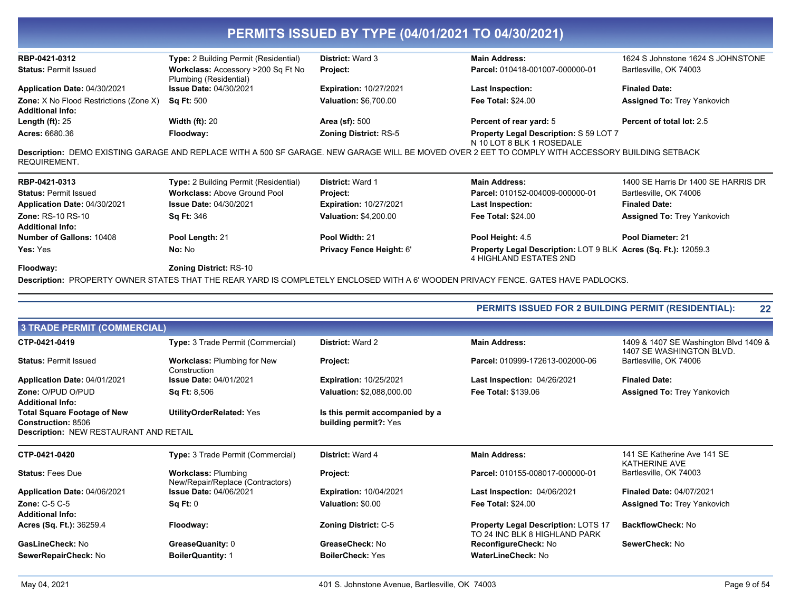| RBP-0421-0312                                                            | <b>Type:</b> 2 Building Permit (Residential)                 | <b>District: Ward 3</b>       | <b>Main Address:</b>                                                                                                                              | 1624 S Johnstone 1624 S JOHNSTONE   |
|--------------------------------------------------------------------------|--------------------------------------------------------------|-------------------------------|---------------------------------------------------------------------------------------------------------------------------------------------------|-------------------------------------|
| <b>Status: Permit Issued</b>                                             | Workclass: Accessory >200 Sq Ft No<br>Plumbing (Residential) | <b>Project:</b>               | Parcel: 010418-001007-000000-01                                                                                                                   | Bartlesville, OK 74003              |
| Application Date: 04/30/2021                                             | <b>Issue Date: 04/30/2021</b>                                | <b>Expiration: 10/27/2021</b> | Last Inspection:                                                                                                                                  | <b>Finaled Date:</b>                |
| <b>Zone:</b> X No Flood Restrictions (Zone X)<br><b>Additional Info:</b> | <b>Sq Ft: 500</b>                                            | <b>Valuation: \$6,700.00</b>  | <b>Fee Total: \$24.00</b>                                                                                                                         | <b>Assigned To: Trey Yankovich</b>  |
| Length $(ft)$ : 25                                                       | Width $(ft)$ : 20                                            | <b>Area (sf): 500</b>         | Percent of rear yard: 5                                                                                                                           | Percent of total lot: 2.5           |
| <b>Acres: 6680.36</b>                                                    | Floodway:                                                    | <b>Zoning District: RS-5</b>  | Property Legal Description: S 59 LOT 7<br>N 10 LOT 8 BLK 1 ROSEDALE                                                                               |                                     |
| REQUIREMENT.                                                             |                                                              |                               | Description: DEMO EXISTING GARAGE AND REPLACE WITH A 500 SF GARAGE. NEW GARAGE WILL BE MOVED OVER 2 EET TO COMPLY WITH ACCESSORY BUILDING SETBACK |                                     |
| RBP-0421-0313                                                            | <b>Type:</b> 2 Building Permit (Residential)                 | <b>District: Ward 1</b>       | <b>Main Address:</b>                                                                                                                              | 1400 SE Harris Dr 1400 SE HARRIS DR |
| <b>Status: Permit Issued</b>                                             | <b>Workclass: Above Ground Pool</b>                          | <b>Project:</b>               | Parcel: 010152-004009-000000-01                                                                                                                   | Bartlesville, OK 74006              |
| Application Date: 04/30/2021                                             | <b>Issue Date: 04/30/2021</b>                                | <b>Expiration: 10/27/2021</b> | <b>Last Inspection:</b>                                                                                                                           | <b>Finaled Date:</b>                |
| <b>Zone: RS-10 RS-10</b><br><b>Additional Info:</b>                      | <b>Sq Ft: 346</b>                                            | <b>Valuation: \$4,200.00</b>  | <b>Fee Total: \$24.00</b>                                                                                                                         | Assigned To: Trey Yankovich         |
| <b>Number of Gallons: 10408</b>                                          | Pool Lenath: 21                                              | Pool Width: 21                | Pool Height: 4.5                                                                                                                                  | Pool Diameter: 21                   |

Property Legal Description: LOT 9 BLK Acres (Sq. Ft.): 12059.3<br>4 HIGHLAND ESTATES 2ND

Zoning District: RS-10

No: No

Description: PROPERTY OWNER STATES THAT THE REAR YARD IS COMPLETELY ENCLOSED WITH A 6' WOODEN PRIVACY FENCE. GATES HAVE PADLOCKS.

Privacy Fence Height: 6'

|                                                                 |                                                                | <b>PERMITS ISSUED FOR 2 BUILDING PERMIT (RESIDENTIAL):</b> |                                                                      | 22                                                                |
|-----------------------------------------------------------------|----------------------------------------------------------------|------------------------------------------------------------|----------------------------------------------------------------------|-------------------------------------------------------------------|
| <b>3 TRADE PERMIT (COMMERCIAL)</b>                              |                                                                |                                                            |                                                                      |                                                                   |
| CTP-0421-0419                                                   | Type: 3 Trade Permit (Commercial)                              | <b>District: Ward 2</b>                                    | <b>Main Address:</b>                                                 | 1409 & 1407 SE Washington Blvd 1409 &<br>1407 SE WASHINGTON BLVD. |
| <b>Status: Permit Issued</b>                                    | <b>Workclass: Plumbing for New</b><br>Construction             | Project:                                                   | Parcel: 010999-172613-002000-06                                      | Bartlesville, OK 74006                                            |
| Application Date: 04/01/2021                                    | <b>Issue Date: 04/01/2021</b>                                  | <b>Expiration: 10/25/2021</b>                              | <b>Last Inspection: 04/26/2021</b>                                   | <b>Finaled Date:</b>                                              |
| Zone: O/PUD O/PUD<br><b>Additional Info:</b>                    | <b>Sq Ft: 8,506</b>                                            | <b>Valuation: \$2,088,000.00</b>                           | <b>Fee Total: \$139.06</b>                                           | Assigned To: Trey Yankovich                                       |
| <b>Total Square Footage of New</b><br><b>Construction: 8506</b> | UtilityOrderRelated: Yes                                       | Is this permit accompanied by a<br>building permit?: Yes   |                                                                      |                                                                   |
| <b>Description: NEW RESTAURANT AND RETAIL</b>                   |                                                                |                                                            |                                                                      |                                                                   |
| CTP-0421-0420                                                   | Type: 3 Trade Permit (Commercial)                              | District: Ward 4                                           | <b>Main Address:</b>                                                 | 141 SE Katherine Ave 141 SE<br><b>KATHERINE AVE</b>               |
| <b>Status: Fees Due</b>                                         | <b>Workclass: Plumbing</b><br>New/Repair/Replace (Contractors) | Project:                                                   | Parcel: 010155-008017-000000-01                                      | Bartlesville, OK 74003                                            |
| Application Date: 04/06/2021                                    | <b>Issue Date: 04/06/2021</b>                                  | <b>Expiration: 10/04/2021</b>                              | <b>Last Inspection: 04/06/2021</b>                                   | <b>Finaled Date: 04/07/2021</b>                                   |
| Zone: C-5 C-5                                                   | Sq Ft: 0                                                       | Valuation: \$0.00                                          | <b>Fee Total: \$24.00</b>                                            | <b>Assigned To: Trey Yankovich</b>                                |
| <b>Additional Info:</b>                                         |                                                                |                                                            |                                                                      |                                                                   |
| Acres (Sq. Ft.): 36259.4                                        | Floodway:                                                      | <b>Zoning District: C-5</b>                                | Property Legal Description: LOTS 17<br>TO 24 INC BLK 8 HIGHLAND PARK | <b>BackflowCheck: No</b>                                          |
| GasLineCheck: No                                                | GreaseQuanity: 0                                               | GreaseCheck: No                                            | ReconfigureCheck: No                                                 | SewerCheck: No                                                    |
| SewerRepairCheck: No                                            | <b>BoilerQuantity: 1</b>                                       | <b>BoilerCheck: Yes</b>                                    | <b>WaterLineCheck: No</b>                                            |                                                                   |

Yes: Yes

Floodway: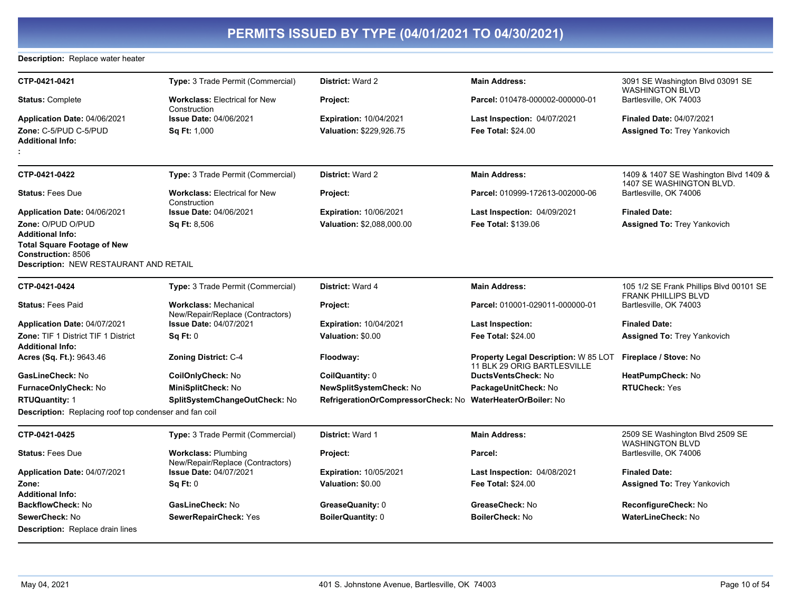#### Description: Replace water heater

| CTP-0421-0421                                                       | <b>Type: 3 Trade Permit (Commercial)</b>                         | <b>District: Ward 2</b>                                    | <b>Main Address:</b>                                                | 3091 SE Washington Blvd 03091 SE                                      |
|---------------------------------------------------------------------|------------------------------------------------------------------|------------------------------------------------------------|---------------------------------------------------------------------|-----------------------------------------------------------------------|
| <b>Status: Complete</b>                                             | <b>Workclass: Electrical for New</b><br>Construction             | Project:                                                   | Parcel: 010478-000002-000000-01                                     | <b>WASHINGTON BLVD</b><br>Bartlesville, OK 74003                      |
| Application Date: 04/06/2021                                        | <b>Issue Date: 04/06/2021</b>                                    | <b>Expiration: 10/04/2021</b>                              | Last Inspection: 04/07/2021                                         | Finaled Date: 04/07/2021                                              |
| Zone: C-5/PUD C-5/PUD                                               | Sq Ft: 1,000                                                     | Valuation: \$229,926.75                                    | <b>Fee Total: \$24.00</b>                                           | <b>Assigned To: Trey Yankovich</b>                                    |
| <b>Additional Info:</b>                                             |                                                                  |                                                            |                                                                     |                                                                       |
|                                                                     |                                                                  |                                                            |                                                                     |                                                                       |
| CTP-0421-0422                                                       | Type: 3 Trade Permit (Commercial)                                | <b>District: Ward 2</b>                                    | <b>Main Address:</b>                                                | 1409 & 1407 SE Washington Blvd 1409 &<br>1407 SE WASHINGTON BLVD.     |
| <b>Status: Fees Due</b>                                             | <b>Workclass: Electrical for New</b><br>Construction             | Project:                                                   | Parcel: 010999-172613-002000-06                                     | Bartlesville, OK 74006                                                |
| <b>Application Date: 04/06/2021</b>                                 | <b>Issue Date: 04/06/2021</b>                                    | <b>Expiration: 10/06/2021</b>                              | <b>Last Inspection: 04/09/2021</b>                                  | <b>Finaled Date:</b>                                                  |
| Zone: O/PUD O/PUD                                                   | <b>Sq Ft: 8,506</b>                                              | Valuation: \$2,088,000.00                                  | <b>Fee Total: \$139.06</b>                                          | Assigned To: Trey Yankovich                                           |
| Additional Info:                                                    |                                                                  |                                                            |                                                                     |                                                                       |
| <b>Total Square Footage of New</b>                                  |                                                                  |                                                            |                                                                     |                                                                       |
| <b>Construction: 8506</b><br>Description: NEW RESTAURANT AND RETAIL |                                                                  |                                                            |                                                                     |                                                                       |
|                                                                     |                                                                  |                                                            |                                                                     |                                                                       |
| CTP-0421-0424                                                       | Type: 3 Trade Permit (Commercial)                                | <b>District: Ward 4</b>                                    | <b>Main Address:</b>                                                | 105 1/2 SE Frank Phillips Blvd 00101 SE<br><b>FRANK PHILLIPS BLVD</b> |
| <b>Status: Fees Paid</b>                                            | <b>Workclass: Mechanical</b><br>New/Repair/Replace (Contractors) | Project:                                                   | Parcel: 010001-029011-000000-01                                     | Bartlesville, OK 74003                                                |
| Application Date: 04/07/2021                                        | <b>Issue Date: 04/07/2021</b>                                    | <b>Expiration: 10/04/2021</b>                              | <b>Last Inspection:</b>                                             | <b>Finaled Date:</b>                                                  |
| <b>Zone: TIF 1 District TIF 1 District</b>                          | SqFt:0                                                           | Valuation: \$0.00                                          | <b>Fee Total: \$24.00</b>                                           | <b>Assigned To: Trey Yankovich</b>                                    |
| Additional Info:                                                    |                                                                  |                                                            |                                                                     |                                                                       |
| Acres (Sq. Ft.): 9643.46                                            | <b>Zoning District: C-4</b>                                      | Floodway:                                                  | Property Legal Description: W 85 LOT<br>11 BLK 29 ORIG BARTLESVILLE | Fireplace / Stove: No                                                 |
| GasLineCheck: No                                                    | CoilOnlyCheck: No                                                | CoilQuantity: 0                                            | DuctsVentsCheck: No                                                 | HeatPumpCheck: No                                                     |
| FurnaceOnlyCheck: No                                                | MiniSplitCheck: No                                               | <b>NewSplitSystemCheck: No</b>                             | PackageUnitCheck: No                                                | <b>RTUCheck: Yes</b>                                                  |
| <b>RTUQuantity: 1</b>                                               | SplitSystemChangeOutCheck: No                                    | RefrigerationOrCompressorCheck: No WaterHeaterOrBoiler: No |                                                                     |                                                                       |
| Description: Replacing roof top condenser and fan coil              |                                                                  |                                                            |                                                                     |                                                                       |
| CTP-0421-0425                                                       | Type: 3 Trade Permit (Commercial)                                | District: Ward 1                                           | <b>Main Address:</b>                                                | 2509 SE Washington Blvd 2509 SE<br><b>WASHINGTON BLVD</b>             |
| <b>Status: Fees Due</b>                                             | <b>Workclass: Plumbing</b><br>New/Repair/Replace (Contractors)   | Project:                                                   | Parcel:                                                             | Bartlesville, OK 74006                                                |
| Application Date: 04/07/2021                                        | <b>Issue Date: 04/07/2021</b>                                    | <b>Expiration: 10/05/2021</b>                              | Last Inspection: 04/08/2021                                         | <b>Finaled Date:</b>                                                  |
| Zone:                                                               | Sq Ft: 0                                                         | Valuation: \$0.00                                          | <b>Fee Total: \$24.00</b>                                           | <b>Assigned To: Trey Yankovich</b>                                    |
| Additional Info:                                                    |                                                                  |                                                            |                                                                     |                                                                       |
| BackflowCheck: No                                                   | GasLineCheck: No                                                 | GreaseQuanity: 0                                           | GreaseCheck: No                                                     | ReconfigureCheck: No                                                  |
| SewerCheck: No                                                      | SewerRepairCheck: Yes                                            | <b>BoilerQuantity: 0</b>                                   | <b>BoilerCheck: No</b>                                              | <b>WaterLineCheck: No</b>                                             |
| Description: Replace drain lines                                    |                                                                  |                                                            |                                                                     |                                                                       |
|                                                                     |                                                                  |                                                            |                                                                     |                                                                       |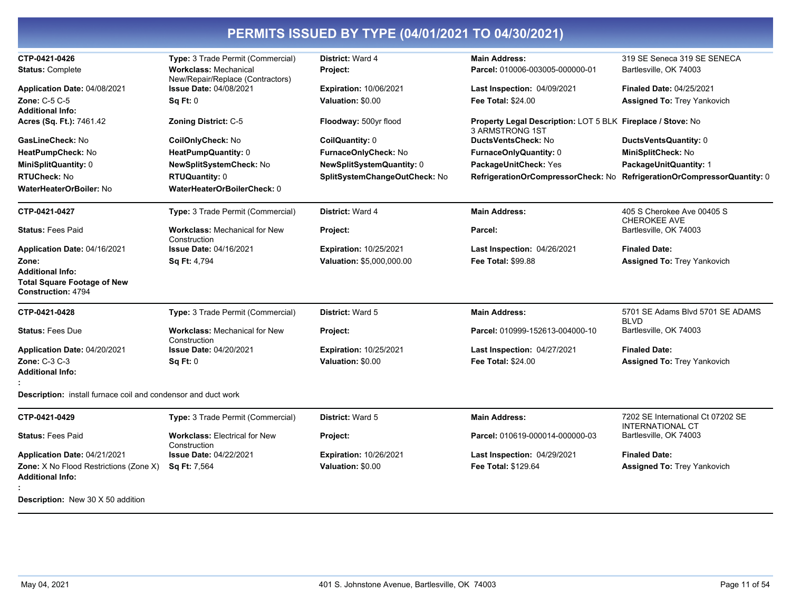| CTP-0421-0426                                                 | Type: 3 Trade Permit (Commercial)                    | District: Ward 4              | <b>Main Address:</b>                                                           | 319 SE Seneca 319 SE SENECA                       |
|---------------------------------------------------------------|------------------------------------------------------|-------------------------------|--------------------------------------------------------------------------------|---------------------------------------------------|
| <b>Status: Complete</b>                                       | <b>Workclass: Mechanical</b>                         | Project:                      | Parcel: 010006-003005-000000-01                                                | Bartlesville, OK 74003                            |
|                                                               | New/Repair/Replace (Contractors)                     |                               |                                                                                |                                                   |
| Application Date: 04/08/2021                                  | <b>Issue Date: 04/08/2021</b>                        | <b>Expiration: 10/06/2021</b> | <b>Last Inspection: 04/09/2021</b>                                             | <b>Finaled Date: 04/25/2021</b>                   |
| Zone: C-5 C-5                                                 | <b>Sq Ft: 0</b>                                      | Valuation: \$0.00             | <b>Fee Total: \$24.00</b>                                                      | <b>Assigned To: Trey Yankovich</b>                |
| Additional Info:                                              |                                                      |                               |                                                                                |                                                   |
| Acres (Sq. Ft.): 7461.42                                      | <b>Zoning District: C-5</b>                          | Floodway: 500yr flood         | Property Legal Description: LOT 5 BLK Fireplace / Stove: No<br>3 ARMSTRONG 1ST |                                                   |
| GasLineCheck: No                                              | CoilOnlyCheck: No                                    | CoilQuantity: 0               | <b>DuctsVentsCheck: No</b>                                                     | DuctsVentsQuantity: 0                             |
| HeatPumpCheck: No                                             | HeatPumpQuantity: 0                                  | FurnaceOnlyCheck: No          | FurnaceOnlyQuantity: 0                                                         | MiniSplitCheck: No                                |
| MiniSplitQuantity: 0                                          | NewSplitSystemCheck: No                              | NewSplitSystemQuantity: 0     | PackageUnitCheck: Yes                                                          | PackageUnitQuantity: 1                            |
| <b>RTUCheck: No</b>                                           | <b>RTUQuantity: 0</b>                                | SplitSystemChangeOutCheck: No | RefrigerationOrCompressorCheck: No                                             | RefrigerationOrCompressorQuantity: 0              |
| WaterHeaterOrBoiler: No                                       | WaterHeaterOrBoilerCheck: 0                          |                               |                                                                                |                                                   |
|                                                               |                                                      |                               |                                                                                |                                                   |
| CTP-0421-0427                                                 | Type: 3 Trade Permit (Commercial)                    | District: Ward 4              | <b>Main Address:</b>                                                           | 405 S Cherokee Ave 00405 S<br><b>CHEROKEE AVE</b> |
| <b>Status: Fees Paid</b>                                      | <b>Workclass: Mechanical for New</b><br>Construction | Project:                      | Parcel:                                                                        | Bartlesville, OK 74003                            |
| Application Date: 04/16/2021                                  | <b>Issue Date: 04/16/2021</b>                        | <b>Expiration: 10/25/2021</b> | <b>Last Inspection: 04/26/2021</b>                                             | <b>Finaled Date:</b>                              |
| Zone:                                                         | Sq Ft: 4,794                                         | Valuation: \$5,000,000.00     | <b>Fee Total: \$99.88</b>                                                      | <b>Assigned To: Trey Yankovich</b>                |
| <b>Additional Info:</b>                                       |                                                      |                               |                                                                                |                                                   |
| <b>Total Square Footage of New</b>                            |                                                      |                               |                                                                                |                                                   |
| <b>Construction: 4794</b>                                     |                                                      |                               |                                                                                |                                                   |
| CTP-0421-0428                                                 | Type: 3 Trade Permit (Commercial)                    | District: Ward 5              | <b>Main Address:</b>                                                           | 5701 SE Adams Blvd 5701 SE ADAMS                  |
|                                                               |                                                      |                               |                                                                                | <b>BLVD</b>                                       |
| <b>Status: Fees Due</b>                                       | <b>Workclass: Mechanical for New</b><br>Construction | Project:                      | Parcel: 010999-152613-004000-10                                                | Bartlesville, OK 74003                            |
| Application Date: 04/20/2021                                  | <b>Issue Date: 04/20/2021</b>                        | <b>Expiration: 10/25/2021</b> | Last Inspection: 04/27/2021                                                    | <b>Finaled Date:</b>                              |
| <b>Zone: C-3 C-3</b>                                          | Sq Ft: 0                                             | Valuation: \$0.00             | <b>Fee Total: \$24.00</b>                                                      | <b>Assigned To: Trey Yankovich</b>                |
| Additional Info:                                              |                                                      |                               |                                                                                |                                                   |
|                                                               |                                                      |                               |                                                                                |                                                   |
| Description: install furnace coil and condensor and duct work |                                                      |                               |                                                                                |                                                   |
| CTP-0421-0429                                                 | Type: 3 Trade Permit (Commercial)                    | District: Ward 5              | <b>Main Address:</b>                                                           | 7202 SE International Ct 07202 SE                 |
| <b>Status: Fees Paid</b>                                      | <b>Workclass: Electrical for New</b><br>Construction | Project:                      | Parcel: 010619-000014-000000-03                                                | <b>INTERNATIONAL CT</b><br>Bartlesville, OK 74003 |
| Application Date: 04/21/2021                                  | <b>Issue Date: 04/22/2021</b>                        | <b>Expiration: 10/26/2021</b> | Last Inspection: 04/29/2021                                                    | <b>Finaled Date:</b>                              |
| <b>Zone:</b> X No Flood Restrictions (Zone X)                 | Sq Ft: 7,564                                         | Valuation: \$0.00             | Fee Total: \$129.64                                                            | <b>Assigned To: Trey Yankovich</b>                |
| Additional Info:                                              |                                                      |                               |                                                                                |                                                   |
| <b>Description:</b> New 30 X 50 addition                      |                                                      |                               |                                                                                |                                                   |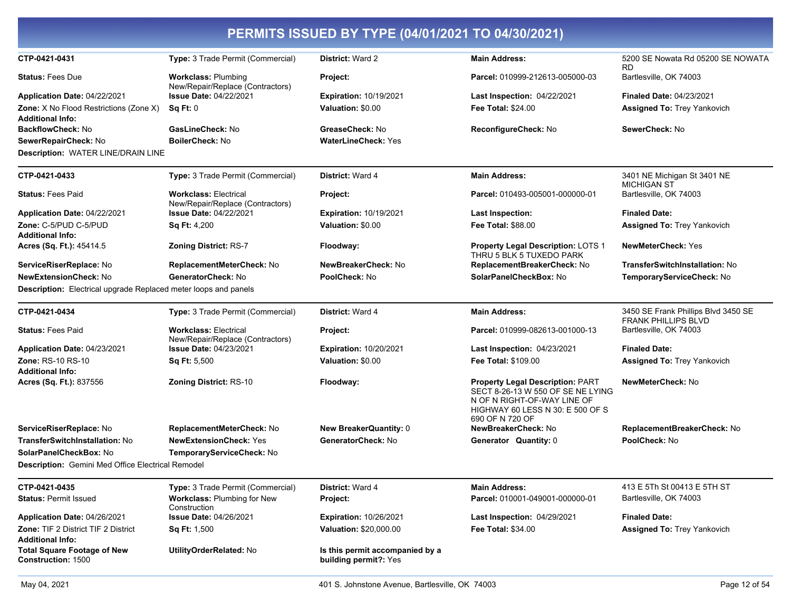| PERMITS ISSUED BY TYPE (04/01/2021 TO 04/30/2021)                                                        |                                                                               |                                                          |                                                                                                                                                                    |                                                                       |  |
|----------------------------------------------------------------------------------------------------------|-------------------------------------------------------------------------------|----------------------------------------------------------|--------------------------------------------------------------------------------------------------------------------------------------------------------------------|-----------------------------------------------------------------------|--|
| CTP-0421-0431                                                                                            | Type: 3 Trade Permit (Commercial)                                             | District: Ward 2                                         | <b>Main Address:</b>                                                                                                                                               | 5200 SE Nowata Rd 05200 SE NOWATA<br>RD.                              |  |
| <b>Status: Fees Due</b>                                                                                  | <b>Workclass: Plumbing</b>                                                    | Project:                                                 | Parcel: 010999-212613-005000-03                                                                                                                                    | Bartlesville, OK 74003                                                |  |
| Application Date: 04/22/2021<br><b>Zone:</b> X No Flood Restrictions (Zone X)<br><b>Additional Info:</b> | New/Repair/Replace (Contractors)<br><b>Issue Date: 04/22/2021</b><br>Sq Ft: 0 | <b>Expiration: 10/19/2021</b><br>Valuation: \$0.00       | <b>Last Inspection: 04/22/2021</b><br><b>Fee Total: \$24.00</b>                                                                                                    | <b>Finaled Date: 04/23/2021</b><br><b>Assigned To: Trey Yankovich</b> |  |
| <b>BackflowCheck: No</b>                                                                                 | GasLineCheck: No                                                              | GreaseCheck: No                                          | ReconfigureCheck: No                                                                                                                                               | SewerCheck: No                                                        |  |
| SewerRepairCheck: No<br><b>Description: WATER LINE/DRAIN LINE</b>                                        | <b>BoilerCheck: No</b>                                                        | <b>WaterLineCheck: Yes</b>                               |                                                                                                                                                                    |                                                                       |  |
| CTP-0421-0433                                                                                            | Type: 3 Trade Permit (Commercial)                                             | <b>District: Ward 4</b>                                  | <b>Main Address:</b>                                                                                                                                               | 3401 NE Michigan St 3401 NE<br><b>MICHIGAN ST</b>                     |  |
| <b>Status: Fees Paid</b>                                                                                 | <b>Workclass: Electrical</b><br>New/Repair/Replace (Contractors)              | Project:                                                 | Parcel: 010493-005001-000000-01                                                                                                                                    | Bartlesville, OK 74003                                                |  |
| Application Date: 04/22/2021                                                                             | <b>Issue Date: 04/22/2021</b>                                                 | <b>Expiration: 10/19/2021</b>                            | <b>Last Inspection:</b>                                                                                                                                            | <b>Finaled Date:</b>                                                  |  |
| Zone: C-5/PUD C-5/PUD<br><b>Additional Info:</b>                                                         | <b>Sq Ft: 4,200</b>                                                           | Valuation: \$0.00                                        | <b>Fee Total: \$88.00</b>                                                                                                                                          | <b>Assigned To: Trey Yankovich</b>                                    |  |
| Acres (Sq. Ft.): 45414.5                                                                                 | <b>Zoning District: RS-7</b>                                                  | Floodway:                                                | Property Legal Description: LOTS 1<br>THRU 5 BLK 5 TUXEDO PARK                                                                                                     | <b>NewMeterCheck: Yes</b>                                             |  |
| ServiceRiserReplace: No                                                                                  | ReplacementMeterCheck: No                                                     | NewBreakerCheck: No                                      | ReplacementBreakerCheck: No                                                                                                                                        | <b>TransferSwitchInstallation: No</b>                                 |  |
| <b>NewExtensionCheck: No</b>                                                                             | GeneratorCheck: No                                                            | PoolCheck: No                                            | SolarPanelCheckBox: No                                                                                                                                             | TemporaryServiceCheck: No                                             |  |
| Description: Electrical upgrade Replaced meter loops and panels                                          |                                                                               |                                                          |                                                                                                                                                                    |                                                                       |  |
| CTP-0421-0434                                                                                            | Type: 3 Trade Permit (Commercial)                                             | District: Ward 4                                         | <b>Main Address:</b>                                                                                                                                               | 3450 SE Frank Phillips Blvd 3450 SE<br><b>FRANK PHILLIPS BLVD</b>     |  |
| <b>Status: Fees Paid</b>                                                                                 | <b>Workclass: Electrical</b><br>New/Repair/Replace (Contractors)              | Project:                                                 | Parcel: 010999-082613-001000-13                                                                                                                                    | Bartlesville, OK 74003                                                |  |
| Application Date: 04/23/2021                                                                             | Issue Date: 04/23/2021                                                        | <b>Expiration: 10/20/2021</b>                            | <b>Last Inspection: 04/23/2021</b>                                                                                                                                 | <b>Finaled Date:</b>                                                  |  |
| Zone: RS-10 RS-10<br><b>Additional Info:</b>                                                             | Sq Ft: 5,500                                                                  | Valuation: \$0.00                                        | Fee Total: \$109.00                                                                                                                                                | <b>Assigned To: Trey Yankovich</b>                                    |  |
| Acres (Sq. Ft.): 837556                                                                                  | <b>Zoning District: RS-10</b>                                                 | Floodway:                                                | <b>Property Legal Description: PART</b><br>SECT 8-26-13 W 550 OF SE NE LYING<br>N OF N RIGHT-OF-WAY LINE OF<br>HIGHWAY 60 LESS N 30: E 500 OF S<br>690 OF N 720 OF | NewMeterCheck: No                                                     |  |
| ServiceRiserReplace: No                                                                                  | ReplacementMeterCheck: No                                                     | <b>New BreakerQuantity: 0</b>                            | NewBreakerCheck: No                                                                                                                                                | ReplacementBreakerCheck: No                                           |  |
| TransferSwitchInstallation: No                                                                           | <b>NewExtensionCheck: Yes</b>                                                 | GeneratorCheck: No                                       | <b>Generator Quantity: 0</b>                                                                                                                                       | PoolCheck: No                                                         |  |
| SolarPanelCheckBox: No                                                                                   | TemporaryServiceCheck: No                                                     |                                                          |                                                                                                                                                                    |                                                                       |  |
| <b>Description:</b> Gemini Med Office Electrical Remodel                                                 |                                                                               |                                                          |                                                                                                                                                                    |                                                                       |  |
| CTP-0421-0435                                                                                            | Type: 3 Trade Permit (Commercial)                                             | District: Ward 4                                         | <b>Main Address:</b>                                                                                                                                               | 413 E 5Th St 00413 E 5TH ST                                           |  |
| <b>Status: Permit Issued</b>                                                                             | <b>Workclass: Plumbing for New</b><br>Construction                            | Project:                                                 | Parcel: 010001-049001-000000-01                                                                                                                                    | Bartlesville, OK 74003                                                |  |
| Application Date: 04/26/2021                                                                             | <b>Issue Date: 04/26/2021</b>                                                 | <b>Expiration: 10/26/2021</b>                            | Last Inspection: 04/29/2021                                                                                                                                        | <b>Finaled Date:</b>                                                  |  |
| <b>Zone: TIF 2 District TIF 2 District</b><br><b>Additional Info:</b>                                    | <b>Sq Ft: 1,500</b>                                                           | Valuation: \$20,000.00                                   | <b>Fee Total: \$34.00</b>                                                                                                                                          | <b>Assigned To: Trey Yankovich</b>                                    |  |
| <b>Total Square Footage of New</b><br><b>Construction: 1500</b>                                          | UtilityOrderRelated: No                                                       | Is this permit accompanied by a<br>building permit?: Yes |                                                                                                                                                                    |                                                                       |  |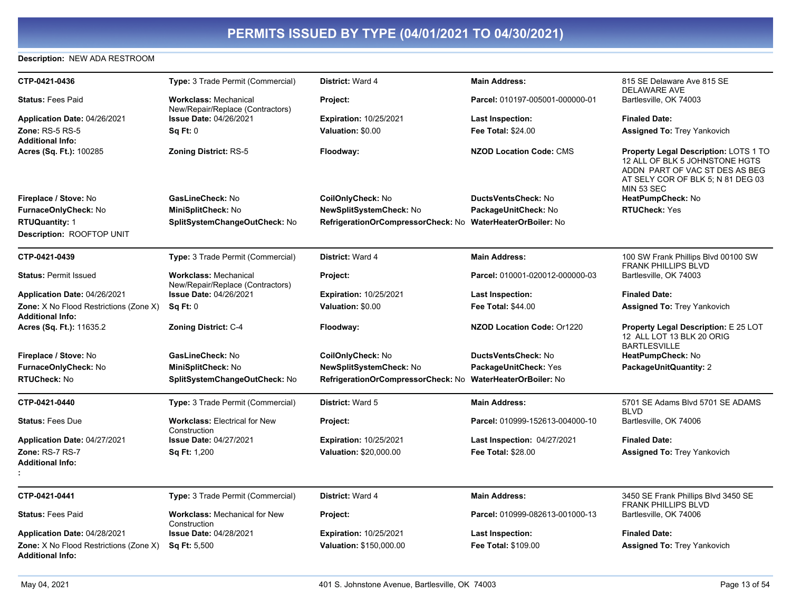#### **Description: NEW ADA RESTROOM**

| CTP-0421-0436                                                            | Type: 3 Trade Permit (Commercial)                                | District: Ward 4                                           | <b>Main Address:</b>               | 815 SE Delaware Ave 815 SE<br><b>DELAWARE AVE</b>                                                                                                                          |
|--------------------------------------------------------------------------|------------------------------------------------------------------|------------------------------------------------------------|------------------------------------|----------------------------------------------------------------------------------------------------------------------------------------------------------------------------|
| <b>Status: Fees Paid</b>                                                 | <b>Workclass: Mechanical</b><br>New/Repair/Replace (Contractors) | Project:                                                   | Parcel: 010197-005001-000000-01    | Bartlesville, OK 74003                                                                                                                                                     |
| Application Date: 04/26/2021                                             | Issue Date: 04/26/2021                                           | Expiration: 10/25/2021                                     | Last Inspection:                   | <b>Finaled Date:</b>                                                                                                                                                       |
| <b>Zone: RS-5 RS-5</b>                                                   | Sq Ft: 0                                                         | Valuation: \$0.00                                          | Fee Total: \$24.00                 | <b>Assigned To: Trey Yankovich</b>                                                                                                                                         |
| <b>Additional Info:</b>                                                  |                                                                  |                                                            |                                    |                                                                                                                                                                            |
| Acres (Sq. Ft.): 100285                                                  | <b>Zoning District: RS-5</b>                                     | Floodway:                                                  | <b>NZOD Location Code: CMS</b>     | <b>Property Legal Description: LOTS 1 TO</b><br>12 ALL OF BLK 5 JOHNSTONE HGTS<br>ADDN PART OF VAC ST DES AS BEG<br>AT SELY COR OF BLK 5: N 81 DEG 03<br><b>MIN 53 SEC</b> |
| Fireplace / Stove: No                                                    | GasLineCheck: No                                                 | CoilOnlyCheck: No                                          | <b>DuctsVentsCheck: No</b>         | HeatPumpCheck: No                                                                                                                                                          |
| FurnaceOnlyCheck: No                                                     | MiniSplitCheck: No                                               | <b>NewSplitSystemCheck: No</b>                             | PackageUnitCheck: No               | <b>RTUCheck: Yes</b>                                                                                                                                                       |
| <b>RTUQuantity: 1</b>                                                    | SplitSystemChangeOutCheck: No                                    | RefrigerationOrCompressorCheck: No WaterHeaterOrBoiler: No |                                    |                                                                                                                                                                            |
| Description: ROOFTOP UNIT                                                |                                                                  |                                                            |                                    |                                                                                                                                                                            |
| CTP-0421-0439                                                            | <b>Type: 3 Trade Permit (Commercial)</b>                         | District: Ward 4                                           | <b>Main Address:</b>               | 100 SW Frank Phillips Blvd 00100 SW<br><b>FRANK PHILLIPS BLVD</b>                                                                                                          |
| <b>Status: Permit Issued</b>                                             | <b>Workclass: Mechanical</b><br>New/Repair/Replace (Contractors) | Project:                                                   | Parcel: 010001-020012-000000-03    | Bartlesville, OK 74003                                                                                                                                                     |
| Application Date: 04/26/2021                                             | Issue Date: 04/26/2021                                           | <b>Expiration: 10/25/2021</b>                              | <b>Last Inspection:</b>            | <b>Finaled Date:</b>                                                                                                                                                       |
| <b>Zone:</b> X No Flood Restrictions (Zone X)<br><b>Additional Info:</b> | Sq Ft: 0                                                         | Valuation: \$0.00                                          | <b>Fee Total: \$44.00</b>          | Assigned To: Trey Yankovich                                                                                                                                                |
| Acres (Sq. Ft.): 11635.2                                                 | <b>Zoning District: C-4</b>                                      | Floodway:                                                  | NZOD Location Code: Or1220         | <b>Property Legal Description: E 25 LOT</b><br>12 ALL LOT 13 BLK 20 ORIG<br><b>BARTLESVILLE</b>                                                                            |
| Fireplace / Stove: No                                                    | GasLineCheck: No                                                 | CoilOnlyCheck: No                                          | <b>DuctsVentsCheck: No</b>         | HeatPumpCheck: No                                                                                                                                                          |
| FurnaceOnlyCheck: No                                                     | MiniSplitCheck: No                                               | <b>NewSplitSystemCheck: No</b>                             | PackageUnitCheck: Yes              | PackageUnitQuantity: 2                                                                                                                                                     |
| <b>RTUCheck: No</b>                                                      | SplitSystemChangeOutCheck: No                                    | RefrigerationOrCompressorCheck: No WaterHeaterOrBoiler: No |                                    |                                                                                                                                                                            |
| CTP-0421-0440                                                            | Type: 3 Trade Permit (Commercial)                                | <b>District: Ward 5</b>                                    | <b>Main Address:</b>               | 5701 SE Adams Blvd 5701 SE ADAMS<br><b>BLVD</b>                                                                                                                            |
| <b>Status: Fees Due</b>                                                  | <b>Workclass: Electrical for New</b><br>Construction             | Project:                                                   | Parcel: 010999-152613-004000-10    | Bartlesville, OK 74006                                                                                                                                                     |
| Application Date: 04/27/2021                                             | <b>Issue Date: 04/27/2021</b>                                    | <b>Expiration: 10/25/2021</b>                              | <b>Last Inspection: 04/27/2021</b> | <b>Finaled Date:</b>                                                                                                                                                       |
| Zone: RS-7 RS-7                                                          | <b>Sq Ft: 1,200</b>                                              | Valuation: \$20,000.00                                     | <b>Fee Total: \$28.00</b>          | Assigned To: Trey Yankovich                                                                                                                                                |
| <b>Additional Info:</b>                                                  |                                                                  |                                                            |                                    |                                                                                                                                                                            |
|                                                                          |                                                                  |                                                            |                                    |                                                                                                                                                                            |
| CTP-0421-0441                                                            | <b>Type: 3 Trade Permit (Commercial)</b>                         | District: Ward 4                                           | <b>Main Address:</b>               | 3450 SE Frank Phillips Blvd 3450 SE<br><b>FRANK PHILLIPS BLVD</b>                                                                                                          |
| <b>Status: Fees Paid</b>                                                 | <b>Workclass: Mechanical for New</b><br>Construction             | Project:                                                   | Parcel: 010999-082613-001000-13    | Bartlesville, OK 74006                                                                                                                                                     |
| Application Date: 04/28/2021                                             | <b>Issue Date: 04/28/2021</b>                                    | <b>Expiration: 10/25/2021</b>                              | <b>Last Inspection:</b>            | <b>Finaled Date:</b>                                                                                                                                                       |
| <b>Zone:</b> X No Flood Restrictions (Zone X)<br><b>Additional Info:</b> | Sq Ft: 5,500                                                     | Valuation: \$150,000.00                                    | <b>Fee Total: \$109.00</b>         | <b>Assigned To: Trey Yankovich</b>                                                                                                                                         |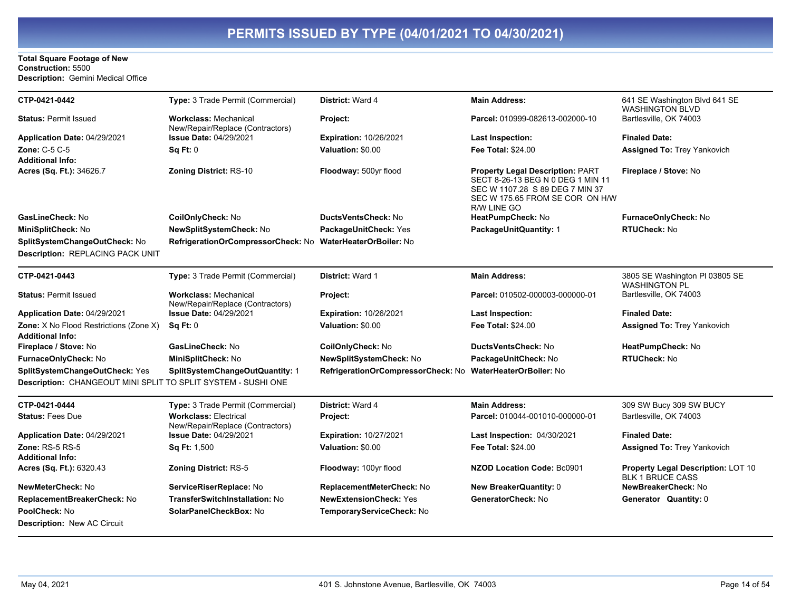#### **Total Square Footage of New** Construction: 5500 Description: Gemini Medical Office

| CTP-0421-0442                                                                                   | Type: 3 Trade Permit (Commercial)                                | <b>District: Ward 4</b>                                    | <b>Main Address:</b>                                                                                                                                              | 641 SE Washington Blvd 641 SE<br><b>WASHINGTON BLVD</b>       |
|-------------------------------------------------------------------------------------------------|------------------------------------------------------------------|------------------------------------------------------------|-------------------------------------------------------------------------------------------------------------------------------------------------------------------|---------------------------------------------------------------|
| <b>Status: Permit Issued</b>                                                                    | <b>Workclass: Mechanical</b><br>New/Repair/Replace (Contractors) | Project:                                                   | Parcel: 010999-082613-002000-10                                                                                                                                   | Bartlesville, OK 74003                                        |
| Application Date: 04/29/2021                                                                    | <b>Issue Date: 04/29/2021</b>                                    | <b>Expiration: 10/26/2021</b>                              | <b>Last Inspection:</b>                                                                                                                                           | <b>Finaled Date:</b>                                          |
| <b>Zone: C-5 C-5</b><br><b>Additional Info:</b>                                                 | Sq Ft: 0                                                         | Valuation: \$0.00                                          | <b>Fee Total: \$24.00</b>                                                                                                                                         | <b>Assigned To: Trey Yankovich</b>                            |
| Acres (Sq. Ft.): 34626.7                                                                        | <b>Zoning District: RS-10</b>                                    | Floodway: 500yr flood                                      | <b>Property Legal Description: PART</b><br>SECT 8-26-13 BEG N 0 DEG 1 MIN 11<br>SEC W 1107.28 S 89 DEG 7 MIN 37<br>SEC W 175.65 FROM SE COR ON H/W<br>R/W LINE GO | Fireplace / Stove: No                                         |
| GasLineCheck: No                                                                                | CoilOnlyCheck: No                                                | DuctsVentsCheck: No                                        | HeatPumpCheck: No                                                                                                                                                 | FurnaceOnlyCheck: No                                          |
| MiniSplitCheck: No                                                                              | NewSplitSystemCheck: No                                          | PackageUnitCheck: Yes                                      | PackageUnitQuantity: 1                                                                                                                                            | <b>RTUCheck: No</b>                                           |
| SplitSystemChangeOutCheck: No<br>Description: REPLACING PACK UNIT                               | RefrigerationOrCompressorCheck: No WaterHeaterOrBoiler: No       |                                                            |                                                                                                                                                                   |                                                               |
| CTP-0421-0443                                                                                   | Type: 3 Trade Permit (Commercial)                                | <b>District: Ward 1</b>                                    | <b>Main Address:</b>                                                                                                                                              | 3805 SE Washington PI 03805 SE<br><b>WASHINGTON PL</b>        |
| <b>Status: Permit Issued</b>                                                                    | <b>Workclass: Mechanical</b><br>New/Repair/Replace (Contractors) | Project:                                                   | Parcel: 010502-000003-000000-01                                                                                                                                   | Bartlesville, OK 74003                                        |
| Application Date: 04/29/2021                                                                    | <b>Issue Date: 04/29/2021</b>                                    | <b>Expiration: 10/26/2021</b>                              | <b>Last Inspection:</b>                                                                                                                                           | <b>Finaled Date:</b>                                          |
| <b>Zone:</b> X No Flood Restrictions (Zone X)<br><b>Additional Info:</b>                        | Sq Ft: 0                                                         | Valuation: \$0.00                                          | <b>Fee Total: \$24.00</b>                                                                                                                                         | <b>Assigned To: Trey Yankovich</b>                            |
| Fireplace / Stove: No                                                                           | GasLineCheck: No                                                 | CoilOnlyCheck: No                                          | DuctsVentsCheck: No                                                                                                                                               | HeatPumpCheck: No                                             |
| FurnaceOnlyCheck: No                                                                            | MiniSplitCheck: No                                               | NewSplitSystemCheck: No                                    | PackageUnitCheck: No                                                                                                                                              | <b>RTUCheck: No</b>                                           |
| SplitSystemChangeOutCheck: Yes<br>Description: CHANGEOUT MINI SPLIT TO SPLIT SYSTEM - SUSHI ONE | SplitSystemChangeOutQuantity: 1                                  | RefrigerationOrCompressorCheck: No WaterHeaterOrBoiler: No |                                                                                                                                                                   |                                                               |
| CTP-0421-0444                                                                                   | Type: 3 Trade Permit (Commercial)                                | District: Ward 4                                           | <b>Main Address:</b>                                                                                                                                              | 309 SW Bucy 309 SW BUCY                                       |
| <b>Status: Fees Due</b>                                                                         | <b>Workclass: Electrical</b><br>New/Repair/Replace (Contractors) | Project:                                                   | Parcel: 010044-001010-000000-01                                                                                                                                   | Bartlesville, OK 74003                                        |
| Application Date: 04/29/2021                                                                    | <b>Issue Date: 04/29/2021</b>                                    | <b>Expiration: 10/27/2021</b>                              | Last Inspection: 04/30/2021                                                                                                                                       | <b>Finaled Date:</b>                                          |
| Zone: RS-5 RS-5                                                                                 | Sq Ft: 1,500                                                     | Valuation: \$0.00                                          | <b>Fee Total: \$24.00</b>                                                                                                                                         | <b>Assigned To: Trey Yankovich</b>                            |
| <b>Additional Info:</b>                                                                         |                                                                  |                                                            |                                                                                                                                                                   |                                                               |
| Acres (Sq. Ft.): 6320.43                                                                        | <b>Zoning District: RS-5</b>                                     | Floodway: 100yr flood                                      | <b>NZOD Location Code: Bc0901</b>                                                                                                                                 | Property Legal Description: LOT 10<br><b>BLK 1 BRUCE CASS</b> |
| NewMeterCheck: No                                                                               | ServiceRiserReplace: No                                          | ReplacementMeterCheck: No                                  | <b>New BreakerQuantity: 0</b>                                                                                                                                     | NewBreakerCheck: No                                           |
| ReplacementBreakerCheck: No<br>PoolCheck: No<br>Description: New AC Circuit                     | TransferSwitchInstallation: No<br>SolarPanelCheckBox: No         | <b>NewExtensionCheck: Yes</b><br>TemporaryServiceCheck: No | GeneratorCheck: No                                                                                                                                                | Generator Quantity: 0                                         |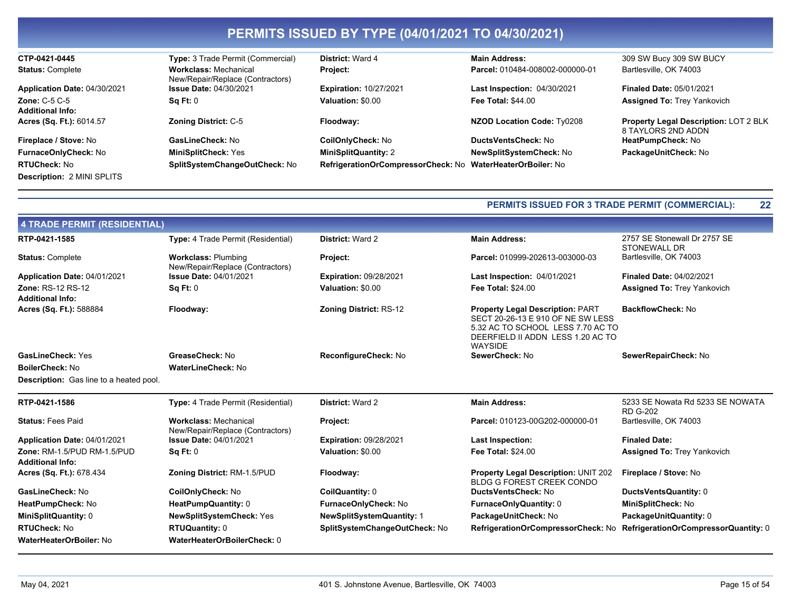| CTP-0421-0445                     | <b>Type: 3 Trade Permit (Commercial)</b>                         | <b>District: Ward 4</b>                                    | <b>Main Address:</b>               | 309 SW Bucy 309 SW BUCY                                            |
|-----------------------------------|------------------------------------------------------------------|------------------------------------------------------------|------------------------------------|--------------------------------------------------------------------|
| <b>Status: Complete</b>           | <b>Workclass: Mechanical</b><br>New/Repair/Replace (Contractors) | Project:                                                   | Parcel: 010484-008002-000000-01    | Bartlesville, OK 74003                                             |
| Application Date: 04/30/2021      | <b>Issue Date: 04/30/2021</b>                                    | <b>Expiration: 10/27/2021</b>                              | <b>Last Inspection: 04/30/2021</b> | <b>Finaled Date: 05/01/2021</b>                                    |
| Zone: $C-5$ $C-5$                 | Sq Ft: 0                                                         | Valuation: \$0.00                                          | <b>Fee Total: \$44.00</b>          | <b>Assigned To: Trey Yankovich</b>                                 |
| <b>Additional Info:</b>           |                                                                  |                                                            |                                    |                                                                    |
| Acres (Sq. Ft.): 6014.57          | <b>Zoning District: C-5</b>                                      | Floodway:                                                  | NZOD Location Code: Ty0208         | <b>Property Legal Description: LOT 2 BLK</b><br>8 TAYLORS 2ND ADDN |
| Fireplace / Stove: No             | GasLineCheck: No                                                 | <b>CoilOnlyCheck: No</b>                                   | DuctsVentsCheck: No                | HeatPumpCheck: No                                                  |
| <b>FurnaceOnlyCheck: No</b>       | <b>MiniSplitCheck: Yes</b>                                       | <b>MiniSplitQuantity: 2</b>                                | NewSplitSystemCheck: No            | PackageUnitCheck: No                                               |
| <b>RTUCheck: No</b>               | SplitSystemChangeOutCheck: No                                    | RefrigerationOrCompressorCheck: No WaterHeaterOrBoiler: No |                                    |                                                                    |
| <b>Description: 2 MINI SPLITS</b> |                                                                  |                                                            |                                    |                                                                    |

#### PERMITS ISSUED FOR 3 TRADE PERMIT (COMMERCIAL): 22

| 4 TRADE PERMIT (RESIDENTIAL)                           |                                                                  |                                  |                                                                                                                                                                          |                                                     |  |  |
|--------------------------------------------------------|------------------------------------------------------------------|----------------------------------|--------------------------------------------------------------------------------------------------------------------------------------------------------------------------|-----------------------------------------------------|--|--|
| RTP-0421-1585                                          | <b>Type:</b> 4 Trade Permit (Residential)                        | <b>District: Ward 2</b>          | <b>Main Address:</b>                                                                                                                                                     | 2757 SE Stonewall Dr 2757 SE<br><b>STONEWALL DR</b> |  |  |
| <b>Status: Complete</b>                                | <b>Workclass: Plumbing</b><br>New/Repair/Replace (Contractors)   | Project:                         | Parcel: 010999-202613-003000-03                                                                                                                                          | Bartlesville, OK 74003                              |  |  |
| Application Date: 04/01/2021                           | <b>Issue Date: 04/01/2021</b>                                    | <b>Expiration: 09/28/2021</b>    | <b>Last Inspection: 04/01/2021</b>                                                                                                                                       | <b>Finaled Date: 04/02/2021</b>                     |  |  |
| <b>Zone: RS-12 RS-12</b><br><b>Additional Info:</b>    | Sq Ft: 0                                                         | Valuation: \$0.00                | <b>Fee Total: \$24.00</b>                                                                                                                                                | <b>Assigned To: Trey Yankovich</b>                  |  |  |
| Acres (Sq. Ft.): 588884                                | Floodway:                                                        | <b>Zoning District: RS-12</b>    | <b>Property Legal Description: PART</b><br>SECT 20-26-13 E 910 OF NE SW LESS<br>5.32 AC TO SCHOOL LESS 7.70 AC TO<br>DEERFIELD II ADDN LESS 1.20 AC TO<br><b>WAYSIDE</b> | <b>BackflowCheck: No</b>                            |  |  |
| <b>GasLineCheck: Yes</b>                               | GreaseCheck: No                                                  | ReconfigureCheck: No             | SewerCheck: No                                                                                                                                                           | SewerRepairCheck: No                                |  |  |
| BoilerCheck: No                                        | WaterLineCheck: No                                               |                                  |                                                                                                                                                                          |                                                     |  |  |
| <b>Description:</b> Gas line to a heated pool.         |                                                                  |                                  |                                                                                                                                                                          |                                                     |  |  |
| RTP-0421-1586                                          | <b>Type:</b> 4 Trade Permit (Residential)                        | <b>District: Ward 2</b>          | <b>Main Address:</b>                                                                                                                                                     | 5233 SE Nowata Rd 5233 SE NOWATA<br><b>RD G-202</b> |  |  |
| <b>Status: Fees Paid</b>                               | <b>Workclass: Mechanical</b><br>New/Repair/Replace (Contractors) | Project:                         | Parcel: 010123-00G202-000000-01                                                                                                                                          | Bartlesville, OK 74003                              |  |  |
| Application Date: 04/01/2021                           | <b>Issue Date: 04/01/2021</b>                                    | <b>Expiration: 09/28/2021</b>    | Last Inspection:                                                                                                                                                         | <b>Finaled Date:</b>                                |  |  |
| Zone: RM-1.5/PUD RM-1.5/PUD<br><b>Additional Info:</b> | Sq Ft: 0                                                         | Valuation: \$0.00                | <b>Fee Total: \$24.00</b>                                                                                                                                                | <b>Assigned To: Trey Yankovich</b>                  |  |  |
| Acres (Sq. Ft.): 678.434                               | Zoning District: RM-1.5/PUD                                      | Floodway:                        | Property Legal Description: UNIT 202<br><b>BLDG G FOREST CREEK CONDO</b>                                                                                                 | Fireplace / Stove: No                               |  |  |
| GasLineCheck: No                                       | CoilOnlyCheck: No                                                | CoilQuantity: 0                  | <b>DuctsVentsCheck: No</b>                                                                                                                                               | DuctsVentsQuantity: 0                               |  |  |
| HeatPumpCheck: No                                      | HeatPumpQuantity: 0                                              | FurnaceOnlyCheck: No             | <b>FurnaceOnlyQuantity: 0</b>                                                                                                                                            | MiniSplitCheck: No                                  |  |  |
| MiniSplitQuantity: 0                                   | <b>NewSplitSystemCheck: Yes</b>                                  | <b>NewSplitSystemQuantity: 1</b> | PackageUnitCheck: No                                                                                                                                                     | PackageUnitQuantity: 0                              |  |  |
| <b>RTUCheck: No</b>                                    | <b>RTUQuantity: 0</b>                                            | SplitSystemChangeOutCheck: No    | RefrigerationOrCompressorCheck: No                                                                                                                                       | RefrigerationOrCompressorQuantity: 0                |  |  |
| <b>WaterHeaterOrBoiler: No</b>                         | WaterHeaterOrBoilerCheck: 0                                      |                                  |                                                                                                                                                                          |                                                     |  |  |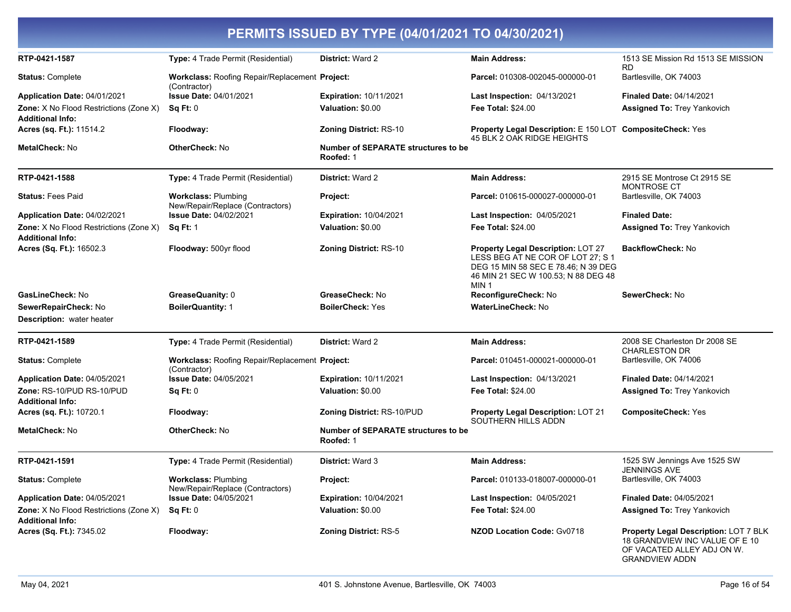| RTP-0421-1587                                                     | <b>Type:</b> 4 Trade Permit (Residential)                             | <b>District: Ward 2</b>                                 | <b>Main Address:</b>                                                                                                                                                             | 1513 SE Mission Rd 1513 SE MISSION                                                                   |
|-------------------------------------------------------------------|-----------------------------------------------------------------------|---------------------------------------------------------|----------------------------------------------------------------------------------------------------------------------------------------------------------------------------------|------------------------------------------------------------------------------------------------------|
|                                                                   |                                                                       |                                                         |                                                                                                                                                                                  | RD.                                                                                                  |
| <b>Status: Complete</b>                                           | Workclass: Roofing Repair/Replacement Project:<br>(Contractor)        |                                                         | Parcel: 010308-002045-000000-01                                                                                                                                                  | Bartlesville, OK 74003                                                                               |
| Application Date: 04/01/2021                                      | <b>Issue Date: 04/01/2021</b>                                         | <b>Expiration: 10/11/2021</b>                           | <b>Last Inspection: 04/13/2021</b>                                                                                                                                               | Finaled Date: 04/14/2021                                                                             |
| Zone: X No Flood Restrictions (Zone X)                            | SqFt:0                                                                | Valuation: \$0.00                                       | <b>Fee Total: \$24.00</b>                                                                                                                                                        | <b>Assigned To: Trey Yankovich</b>                                                                   |
| <b>Additional Info:</b>                                           |                                                                       |                                                         |                                                                                                                                                                                  |                                                                                                      |
| Acres (sq. Ft.): 11514.2                                          | Floodway:                                                             | <b>Zoning District: RS-10</b>                           | <b>Property Legal Description: E 150 LOT CompositeCheck: Yes</b><br>45 BLK 2 OAK RIDGE HEIGHTS                                                                                   |                                                                                                      |
| MetalCheck: No                                                    | OtherCheck: No                                                        | <b>Number of SEPARATE structures to be</b><br>Roofed: 1 |                                                                                                                                                                                  |                                                                                                      |
| RTP-0421-1588                                                     | <b>Type:</b> 4 Trade Permit (Residential)                             | <b>District: Ward 2</b>                                 | <b>Main Address:</b>                                                                                                                                                             | 2915 SE Montrose Ct 2915 SE<br><b>MONTROSE CT</b>                                                    |
| <b>Status: Fees Paid</b>                                          | <b>Workclass: Plumbing</b><br>New/Repair/Replace (Contractors)        | Project:                                                | Parcel: 010615-000027-000000-01                                                                                                                                                  | Bartlesville, OK 74003                                                                               |
| Application Date: 04/02/2021                                      | <b>Issue Date: 04/02/2021</b>                                         | <b>Expiration: 10/04/2021</b>                           | <b>Last Inspection: 04/05/2021</b>                                                                                                                                               | <b>Finaled Date:</b>                                                                                 |
| Zone: X No Flood Restrictions (Zone X)<br><b>Additional Info:</b> | <b>Sq Ft: 1</b>                                                       | Valuation: \$0.00                                       | <b>Fee Total: \$24.00</b>                                                                                                                                                        | <b>Assigned To: Trey Yankovich</b>                                                                   |
| Acres (Sq. Ft.): 16502.3                                          | Floodway: 500yr flood                                                 | <b>Zoning District: RS-10</b>                           | <b>Property Legal Description: LOT 27</b><br>LESS BEG AT NE COR OF LOT 27; S 1<br>DEG 15 MIN 58 SEC E 78.46; N 39 DEG<br>46 MIN 21 SEC W 100.53; N 88 DEG 48<br>MIN <sub>1</sub> | <b>BackflowCheck: No</b>                                                                             |
| GasLineCheck: No                                                  | GreaseQuanity: 0                                                      | GreaseCheck: No                                         | ReconfigureCheck: No                                                                                                                                                             | SewerCheck: No                                                                                       |
| SewerRepairCheck: No                                              | <b>BoilerQuantity: 1</b>                                              | <b>BoilerCheck: Yes</b>                                 | <b>WaterLineCheck: No</b>                                                                                                                                                        |                                                                                                      |
| <b>Description:</b> water heater                                  |                                                                       |                                                         |                                                                                                                                                                                  |                                                                                                      |
| RTP-0421-1589                                                     | <b>Type:</b> 4 Trade Permit (Residential)                             | District: Ward 2                                        | <b>Main Address:</b>                                                                                                                                                             | 2008 SE Charleston Dr 2008 SE<br><b>CHARLESTON DR</b>                                                |
| <b>Status: Complete</b>                                           | <b>Workclass: Roofing Repair/Replacement Project:</b><br>(Contractor) |                                                         | Parcel: 010451-000021-000000-01                                                                                                                                                  | Bartlesville, OK 74006                                                                               |
| <b>Application Date: 04/05/2021</b>                               | <b>Issue Date: 04/05/2021</b>                                         | <b>Expiration: 10/11/2021</b>                           | <b>Last Inspection: 04/13/2021</b>                                                                                                                                               | Finaled Date: 04/14/2021                                                                             |
| Zone: RS-10/PUD RS-10/PUD<br><b>Additional Info:</b>              | Sq Ft: 0                                                              | Valuation: \$0.00                                       | <b>Fee Total: \$24.00</b>                                                                                                                                                        | <b>Assigned To: Trey Yankovich</b>                                                                   |
| <b>Acres (sq. Ft.): 10720.1</b>                                   | Floodway:                                                             | Zoning District: RS-10/PUD                              | <b>Property Legal Description: LOT 21</b><br>SOUTHERN HILLS ADDN                                                                                                                 | <b>CompositeCheck: Yes</b>                                                                           |
| MetalCheck: No                                                    | OtherCheck: No                                                        | Number of SEPARATE structures to be<br>Roofed: 1        |                                                                                                                                                                                  |                                                                                                      |
| RTP-0421-1591                                                     | Type: 4 Trade Permit (Residential)                                    | <b>District: Ward 3</b>                                 | <b>Main Address:</b>                                                                                                                                                             | 1525 SW Jennings Ave 1525 SW<br><b>JENNINGS AVE</b>                                                  |
| <b>Status: Complete</b>                                           | <b>Workclass: Plumbing</b><br>New/Repair/Replace (Contractors)        | Project:                                                | Parcel: 010133-018007-000000-01                                                                                                                                                  | Bartlesville, OK 74003                                                                               |
| Application Date: 04/05/2021                                      | <b>Issue Date: 04/05/2021</b>                                         | <b>Expiration: 10/04/2021</b>                           | <b>Last Inspection: 04/05/2021</b>                                                                                                                                               | <b>Finaled Date: 04/05/2021</b>                                                                      |
| Zone: X No Flood Restrictions (Zone X)<br><b>Additional Info:</b> | Sq Ft: 0                                                              | Valuation: \$0.00                                       | <b>Fee Total: \$24.00</b>                                                                                                                                                        | <b>Assigned To: Trey Yankovich</b>                                                                   |
| Acres (Sq. Ft.): 7345.02                                          | Floodway:                                                             | <b>Zoning District: RS-5</b>                            | <b>NZOD Location Code: Gv0718</b>                                                                                                                                                | Property Legal Description: LOT 7 BLK<br>18 GRANDVIEW INC VALUE OF E 10<br>OF VACATED ALLEY ADJ ON W |

**GRANDVIEW ADDN**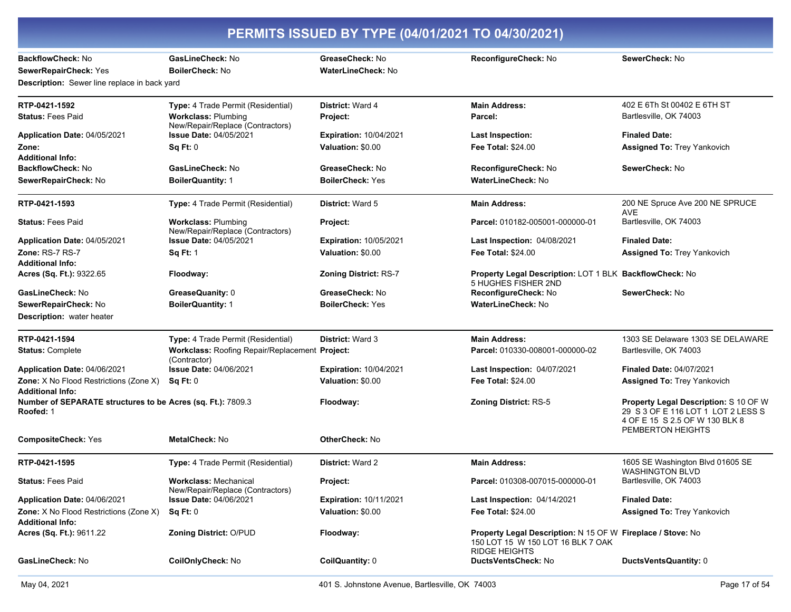| <b>BackflowCheck: No</b>                                                 | GasLineCheck: No                                                 | GreaseCheck: No               | ReconfigureCheck: No                                                                                                     | SewerCheck: No                                                                                                                     |
|--------------------------------------------------------------------------|------------------------------------------------------------------|-------------------------------|--------------------------------------------------------------------------------------------------------------------------|------------------------------------------------------------------------------------------------------------------------------------|
| SewerRepairCheck: Yes                                                    | BoilerCheck: No                                                  | <b>WaterLineCheck: No</b>     |                                                                                                                          |                                                                                                                                    |
| Description: Sewer line replace in back yard                             |                                                                  |                               |                                                                                                                          |                                                                                                                                    |
| RTP-0421-1592                                                            | Type: 4 Trade Permit (Residential)                               | District: Ward 4              | <b>Main Address:</b>                                                                                                     | 402 E 6Th St 00402 E 6TH ST                                                                                                        |
| <b>Status: Fees Paid</b>                                                 | <b>Workclass: Plumbing</b><br>New/Repair/Replace (Contractors)   | Project:                      | Parcel:                                                                                                                  | Bartlesville, OK 74003                                                                                                             |
| Application Date: 04/05/2021                                             | <b>Issue Date: 04/05/2021</b>                                    | <b>Expiration: 10/04/2021</b> | <b>Last Inspection:</b>                                                                                                  | <b>Finaled Date:</b>                                                                                                               |
| Zone:                                                                    | Sq Ft: 0                                                         | Valuation: \$0.00             | <b>Fee Total: \$24.00</b>                                                                                                | <b>Assigned To: Trey Yankovich</b>                                                                                                 |
| <b>Additional Info:</b>                                                  |                                                                  |                               |                                                                                                                          |                                                                                                                                    |
| BackflowCheck: No                                                        | GasLineCheck: No                                                 | GreaseCheck: No               | ReconfigureCheck: No                                                                                                     | SewerCheck: No                                                                                                                     |
| SewerRepairCheck: No                                                     | <b>BoilerQuantity: 1</b>                                         | <b>BoilerCheck: Yes</b>       | WaterLineCheck: No                                                                                                       |                                                                                                                                    |
| RTP-0421-1593                                                            | Type: 4 Trade Permit (Residential)                               | <b>District: Ward 5</b>       | <b>Main Address:</b>                                                                                                     | 200 NE Spruce Ave 200 NE SPRUCE<br><b>AVE</b>                                                                                      |
| <b>Status: Fees Paid</b>                                                 | <b>Workclass: Plumbing</b><br>New/Repair/Replace (Contractors)   | Project:                      | Parcel: 010182-005001-000000-01                                                                                          | Bartlesville, OK 74003                                                                                                             |
| Application Date: 04/05/2021                                             | <b>Issue Date: 04/05/2021</b>                                    | <b>Expiration: 10/05/2021</b> | Last Inspection: 04/08/2021                                                                                              | <b>Finaled Date:</b>                                                                                                               |
| Zone: RS-7 RS-7                                                          | <b>Sq Ft: 1</b>                                                  | Valuation: \$0.00             | <b>Fee Total: \$24.00</b>                                                                                                | <b>Assigned To: Trey Yankovich</b>                                                                                                 |
| <b>Additional Info:</b>                                                  |                                                                  |                               |                                                                                                                          |                                                                                                                                    |
| Acres (Sq. Ft.): 9322.65                                                 | Floodway:                                                        | <b>Zoning District: RS-7</b>  | Property Legal Description: LOT 1 BLK BackflowCheck: No<br>5 HUGHES FISHER 2ND                                           |                                                                                                                                    |
| GasLineCheck: No                                                         | GreaseQuanity: 0                                                 | GreaseCheck: No               | ReconfigureCheck: No                                                                                                     | SewerCheck: No                                                                                                                     |
| SewerRepairCheck: No                                                     | <b>BoilerQuantity: 1</b>                                         | <b>BoilerCheck: Yes</b>       | WaterLineCheck: No                                                                                                       |                                                                                                                                    |
| <b>Description:</b> water heater                                         |                                                                  |                               |                                                                                                                          |                                                                                                                                    |
| RTP-0421-1594                                                            | Type: 4 Trade Permit (Residential)                               | District: Ward 3              | <b>Main Address:</b>                                                                                                     | 1303 SE Delaware 1303 SE DELAWARE                                                                                                  |
| <b>Status: Complete</b>                                                  | Workclass: Roofing Repair/Replacement Project:<br>(Contractor)   |                               | Parcel: 010330-008001-000000-02                                                                                          | Bartlesville, OK 74003                                                                                                             |
| Application Date: 04/06/2021                                             | <b>Issue Date: 04/06/2021</b>                                    | <b>Expiration: 10/04/2021</b> | Last Inspection: 04/07/2021                                                                                              | <b>Finaled Date: 04/07/2021</b>                                                                                                    |
| Zone: X No Flood Restrictions (Zone X)<br><b>Additional Info:</b>        | Sq Ft: 0                                                         | Valuation: \$0.00             | <b>Fee Total: \$24.00</b>                                                                                                | <b>Assigned To: Trey Yankovich</b>                                                                                                 |
| Number of SEPARATE structures to be Acres (sq. Ft.): 7809.3<br>Roofed: 1 |                                                                  | Floodway:                     | Zoning District: RS-5                                                                                                    | Property Legal Description: S 10 OF W<br>29 S 3 OF E 116 LOT 1 LOT 2 LESS S<br>4 OF E 15 S 2.5 OF W 130 BLK 8<br>PEMBERTON HEIGHTS |
| <b>CompositeCheck: Yes</b>                                               | <b>MetalCheck: No</b>                                            | <b>OtherCheck: No</b>         |                                                                                                                          |                                                                                                                                    |
| RTP-0421-1595                                                            | Type: 4 Trade Permit (Residential)                               | <b>District: Ward 2</b>       | <b>Main Address:</b>                                                                                                     | 1605 SE Washington Blvd 01605 SE<br><b>WASHINGTON BLVD</b>                                                                         |
| <b>Status: Fees Paid</b>                                                 | <b>Workclass: Mechanical</b><br>New/Repair/Replace (Contractors) | Project:                      | Parcel: 010308-007015-000000-01                                                                                          | Bartlesville, OK 74003                                                                                                             |
| Application Date: 04/06/2021                                             | <b>Issue Date: 04/06/2021</b>                                    | <b>Expiration: 10/11/2021</b> | Last Inspection: 04/14/2021                                                                                              | <b>Finaled Date:</b>                                                                                                               |
| <b>Zone:</b> X No Flood Restrictions (Zone X)<br><b>Additional Info:</b> | Sq Ft: 0                                                         | Valuation: \$0.00             | <b>Fee Total: \$24.00</b>                                                                                                | Assigned To: Trey Yankovich                                                                                                        |
| Acres (Sq. Ft.): 9611.22                                                 | <b>Zoning District: O/PUD</b>                                    | Floodway:                     | Property Legal Description: N 15 OF W Fireplace / Stove: No<br>150 LOT 15 W 150 LOT 16 BLK 7 OAK<br><b>RIDGE HEIGHTS</b> |                                                                                                                                    |
| GasLineCheck: No                                                         | CoilOnlyCheck: No                                                | CoilQuantity: 0               | DuctsVentsCheck: No                                                                                                      | DuctsVentsQuantity: 0                                                                                                              |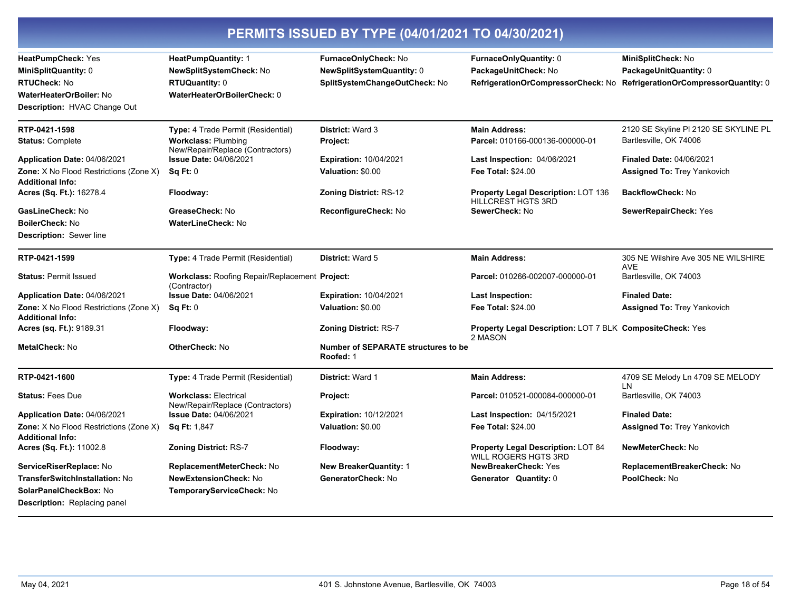| PERMITS ISSUED BY TYPE (04/01/2021 TO 04/30/2021)                        |                                                                       |                                                         |                                                                      |                                                   |  |
|--------------------------------------------------------------------------|-----------------------------------------------------------------------|---------------------------------------------------------|----------------------------------------------------------------------|---------------------------------------------------|--|
| HeatPumpCheck: Yes                                                       | <b>HeatPumpQuantity: 1</b>                                            | FurnaceOnlyCheck: No                                    | FurnaceOnlyQuantity: 0                                               | MiniSplitCheck: No                                |  |
| <b>MiniSplitQuantity: 0</b>                                              | NewSplitSystemCheck: No                                               | NewSplitSystemQuantity: 0                               | PackageUnitCheck: No                                                 | PackageUnitQuantity: 0                            |  |
| <b>RTUCheck: No</b>                                                      | RTUQuantity: 0                                                        | SplitSystemChangeOutCheck: No                           | RefrigerationOrCompressorCheck: No                                   | RefrigerationOrCompressorQuantity: 0              |  |
| <b>WaterHeaterOrBoiler: No</b>                                           | WaterHeaterOrBoilerCheck: 0                                           |                                                         |                                                                      |                                                   |  |
| <b>Description: HVAC Change Out</b>                                      |                                                                       |                                                         |                                                                      |                                                   |  |
| RTP-0421-1598                                                            | Type: 4 Trade Permit (Residential)                                    | <b>District: Ward 3</b>                                 | <b>Main Address:</b>                                                 | 2120 SE Skyline PI 2120 SE SKYLINE PL             |  |
| <b>Status: Complete</b>                                                  | <b>Workclass: Plumbing</b><br>New/Repair/Replace (Contractors)        | Project:                                                | Parcel: 010166-000136-000000-01                                      | Bartlesville, OK 74006                            |  |
| Application Date: 04/06/2021                                             | <b>Issue Date: 04/06/2021</b>                                         | <b>Expiration: 10/04/2021</b>                           | Last Inspection: 04/06/2021                                          | <b>Finaled Date: 04/06/2021</b>                   |  |
| <b>Zone:</b> X No Flood Restrictions (Zone X)<br><b>Additional Info:</b> | <b>Sq Ft: 0</b>                                                       | Valuation: \$0.00                                       | <b>Fee Total: \$24.00</b>                                            | <b>Assigned To: Trey Yankovich</b>                |  |
| Acres (Sq. Ft.): 16278.4                                                 | Floodway:                                                             | <b>Zoning District: RS-12</b>                           | Property Legal Description: LOT 136<br><b>HILLCREST HGTS 3RD</b>     | <b>BackflowCheck: No</b>                          |  |
| GasLineCheck: No                                                         | GreaseCheck: No                                                       | ReconfigureCheck: No                                    | SewerCheck: No                                                       | SewerRepairCheck: Yes                             |  |
| <b>BoilerCheck: No</b>                                                   | <b>WaterLineCheck: No</b>                                             |                                                         |                                                                      |                                                   |  |
| <b>Description: Sewer line</b>                                           |                                                                       |                                                         |                                                                      |                                                   |  |
| RTP-0421-1599                                                            | Type: 4 Trade Permit (Residential)                                    | District: Ward 5                                        | <b>Main Address:</b>                                                 | 305 NE Wilshire Ave 305 NE WILSHIRE<br><b>AVE</b> |  |
| <b>Status: Permit Issued</b>                                             | <b>Workclass: Roofing Repair/Replacement Project:</b><br>(Contractor) |                                                         | Parcel: 010266-002007-000000-01                                      | Bartlesville, OK 74003                            |  |
| <b>Application Date: 04/06/2021</b>                                      | <b>Issue Date: 04/06/2021</b>                                         | <b>Expiration: 10/04/2021</b>                           | <b>Last Inspection:</b>                                              | <b>Finaled Date:</b>                              |  |
| <b>Zone:</b> X No Flood Restrictions (Zone X)<br><b>Additional Info:</b> | Sq Ft: 0                                                              | Valuation: \$0.00                                       | Fee Total: \$24.00                                                   | <b>Assigned To: Trey Yankovich</b>                |  |
| Acres (sq. Ft.): 9189.31                                                 | Floodway:                                                             | <b>Zoning District: RS-7</b>                            | Property Legal Description: LOT 7 BLK CompositeCheck: Yes<br>2 MASON |                                                   |  |
| <b>MetalCheck: No</b>                                                    | <b>OtherCheck: No</b>                                                 | <b>Number of SEPARATE structures to be</b><br>Roofed: 1 |                                                                      |                                                   |  |
| RTP-0421-1600                                                            | <b>Type:</b> 4 Trade Permit (Residential)                             | <b>District: Ward 1</b>                                 | <b>Main Address:</b>                                                 | 4709 SE Melody Ln 4709 SE MELODY<br>LN            |  |
| <b>Status: Fees Due</b>                                                  | <b>Workclass: Electrical</b><br>New/Repair/Replace (Contractors)      | Project:                                                | Parcel: 010521-000084-000000-01                                      | Bartlesville, OK 74003                            |  |
| Application Date: 04/06/2021                                             | <b>Issue Date: 04/06/2021</b>                                         | <b>Expiration: 10/12/2021</b>                           | Last Inspection: 04/15/2021                                          | <b>Finaled Date:</b>                              |  |
| <b>Zone:</b> X No Flood Restrictions (Zone X)<br><b>Additional Info:</b> | <b>Sq Ft: 1,847</b>                                                   | Valuation: \$0.00                                       | <b>Fee Total: \$24.00</b>                                            | <b>Assigned To: Trey Yankovich</b>                |  |
| Acres (Sq. Ft.): 11002.8                                                 | Zoning District: RS-7                                                 | Floodway:                                               | Property Legal Description: LOT 84<br><b>WILL ROGERS HGTS 3RD</b>    | NewMeterCheck: No                                 |  |
| ServiceRiserReplace: No                                                  | ReplacementMeterCheck: No                                             | <b>New BreakerQuantity: 1</b>                           | <b>NewBreakerCheck: Yes</b>                                          | ReplacementBreakerCheck: No                       |  |
| <b>TransferSwitchInstallation: No</b>                                    | <b>NewExtensionCheck: No</b>                                          | GeneratorCheck: No                                      | Generator Quantity: 0                                                | PoolCheck: No                                     |  |
| SolarPanelCheckBox: No                                                   | TemporaryServiceCheck: No                                             |                                                         |                                                                      |                                                   |  |
| Description: Replacing panel                                             |                                                                       |                                                         |                                                                      |                                                   |  |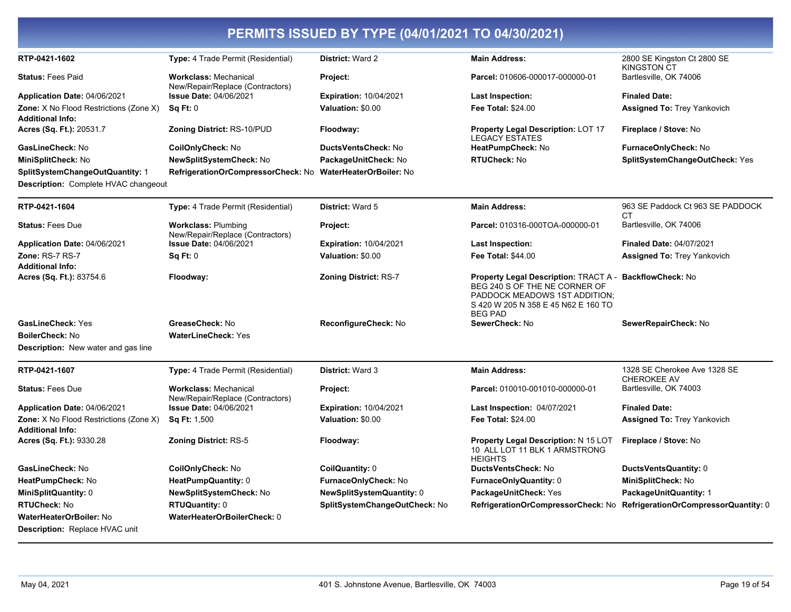|                                                                          |                                                                  | PERMITS ISSUED BY TYPE (04/01/2021 TO 04/30/2021) |                                                                                                                                                                         |                                                    |
|--------------------------------------------------------------------------|------------------------------------------------------------------|---------------------------------------------------|-------------------------------------------------------------------------------------------------------------------------------------------------------------------------|----------------------------------------------------|
| RTP-0421-1602                                                            | Type: 4 Trade Permit (Residential)                               | District: Ward 2                                  | <b>Main Address:</b>                                                                                                                                                    | 2800 SE Kingston Ct 2800 SE<br>KINGSTON CT         |
| <b>Status: Fees Paid</b>                                                 | <b>Workclass: Mechanical</b><br>New/Repair/Replace (Contractors) | Project:                                          | Parcel: 010606-000017-000000-01                                                                                                                                         | Bartlesville, OK 74006                             |
| Application Date: 04/06/2021                                             | <b>Issue Date: 04/06/2021</b>                                    | <b>Expiration: 10/04/2021</b>                     | Last Inspection:                                                                                                                                                        | <b>Finaled Date:</b>                               |
| <b>Zone:</b> X No Flood Restrictions (Zone X)                            | Sq Ft: 0                                                         | Valuation: \$0.00                                 | <b>Fee Total: \$24.00</b>                                                                                                                                               | <b>Assigned To: Trey Yankovich</b>                 |
| <b>Additional Info:</b>                                                  |                                                                  |                                                   |                                                                                                                                                                         |                                                    |
| Acres (Sq. Ft.): 20531.7                                                 | <b>Zoning District: RS-10/PUD</b>                                | Floodway:                                         | <b>Property Legal Description: LOT 17</b><br><b>LEGACY ESTATES</b>                                                                                                      | Fireplace / Stove: No                              |
| GasLineCheck: No                                                         | CoilOnlyCheck: No                                                | DuctsVentsCheck: No                               | HeatPumpCheck: No                                                                                                                                                       | FurnaceOnlyCheck: No                               |
| MiniSplitCheck: No                                                       | NewSplitSystemCheck: No                                          | PackageUnitCheck: No                              | RTUCheck: No                                                                                                                                                            | SplitSystemChangeOutCheck: Yes                     |
| <b>SplitSystemChangeOutQuantity: 1</b>                                   | RefrigerationOrCompressorCheck: No WaterHeaterOrBoiler: No       |                                                   |                                                                                                                                                                         |                                                    |
| <b>Description:</b> Complete HVAC changeout                              |                                                                  |                                                   |                                                                                                                                                                         |                                                    |
| RTP-0421-1604                                                            | Type: 4 Trade Permit (Residential)                               | District: Ward 5                                  | <b>Main Address:</b>                                                                                                                                                    | 963 SE Paddock Ct 963 SE PADDOCK<br>СT             |
| <b>Status: Fees Due</b>                                                  | <b>Workclass: Plumbing</b><br>New/Repair/Replace (Contractors)   | Project:                                          | Parcel: 010316-000TOA-000000-01                                                                                                                                         | Bartlesville, OK 74006                             |
| Application Date: 04/06/2021                                             | <b>Issue Date: 04/06/2021</b>                                    | <b>Expiration: 10/04/2021</b>                     | Last Inspection:                                                                                                                                                        | <b>Finaled Date: 04/07/2021</b>                    |
| Zone: RS-7 RS-7                                                          | Sq Ft: 0                                                         | Valuation: \$0.00                                 | <b>Fee Total: \$44.00</b>                                                                                                                                               | <b>Assigned To: Trey Yankovich</b>                 |
| <b>Additional Info:</b>                                                  |                                                                  |                                                   |                                                                                                                                                                         |                                                    |
| Acres (Sq. Ft.): 83754.6                                                 | Floodway:                                                        | <b>Zoning District: RS-7</b>                      | <b>Property Legal Description: TRACT A -</b><br>BEG 240 S OF THE NE CORNER OF<br>PADDOCK MEADOWS 1ST ADDITION;<br>S 420 W 205 N 358 E 45 N62 E 160 TO<br><b>BEG PAD</b> | <b>BackflowCheck: No</b>                           |
| <b>GasLineCheck: Yes</b>                                                 | GreaseCheck: No                                                  | ReconfigureCheck: No                              | SewerCheck: No                                                                                                                                                          | SewerRepairCheck: No                               |
| <b>BoilerCheck: No</b>                                                   | <b>WaterLineCheck: Yes</b>                                       |                                                   |                                                                                                                                                                         |                                                    |
| <b>Description:</b> New water and gas line                               |                                                                  |                                                   |                                                                                                                                                                         |                                                    |
| RTP-0421-1607                                                            | <b>Type:</b> 4 Trade Permit (Residential)                        | District: Ward 3                                  | <b>Main Address:</b>                                                                                                                                                    | 1328 SE Cherokee Ave 1328 SE<br><b>CHEROKEE AV</b> |
| <b>Status: Fees Due</b>                                                  | <b>Workclass: Mechanical</b><br>New/Repair/Replace (Contractors) | Project:                                          | Parcel: 010010-001010-000000-01                                                                                                                                         | Bartlesville, OK 74003                             |
| Application Date: 04/06/2021                                             | <b>Issue Date: 04/06/2021</b>                                    | <b>Expiration: 10/04/2021</b>                     | <b>Last Inspection: 04/07/2021</b>                                                                                                                                      | <b>Finaled Date:</b>                               |
| <b>Zone:</b> X No Flood Restrictions (Zone X)<br><b>Additional Info:</b> | <b>Sq Ft: 1,500</b>                                              | Valuation: \$0.00                                 | <b>Fee Total: \$24.00</b>                                                                                                                                               | <b>Assigned To: Trey Yankovich</b>                 |
| Acres (Sq. Ft.): 9330.28                                                 | <b>Zoning District: RS-5</b>                                     | Floodway:                                         | <b>Property Legal Description: N 15 LOT</b><br>10 ALL LOT 11 BLK 1 ARMSTRONG<br><b>HEIGHTS</b>                                                                          | Fireplace / Stove: No                              |
| GasLineCheck: No                                                         | CoilOnlyCheck: No                                                | CoilQuantity: 0                                   | <b>DuctsVentsCheck: No</b>                                                                                                                                              | DuctsVentsQuantity: 0                              |
| HeatPumpCheck: No                                                        | HeatPumpQuantity: 0                                              | FurnaceOnlyCheck: No                              | <b>FurnaceOnlyQuantity: 0</b>                                                                                                                                           | MiniSplitCheck: No                                 |
| <b>MiniSplitQuantity: 0</b>                                              | NewSplitSystemCheck: No                                          | <b>NewSplitSystemQuantity: 0</b>                  | PackageUnitCheck: Yes                                                                                                                                                   | <b>PackageUnitQuantity: 1</b>                      |
| <b>RTUCheck: No</b>                                                      | <b>RTUQuantity: 0</b>                                            | SplitSystemChangeOutCheck: No                     | RefrigerationOrCompressorCheck: No                                                                                                                                      | RefrigerationOrCompressorQuantity: 0               |
| <b>WaterHeaterOrBoiler: No</b>                                           | WaterHeaterOrBoilerCheck: 0                                      |                                                   |                                                                                                                                                                         |                                                    |
| <b>Description: Replace HVAC unit</b>                                    |                                                                  |                                                   |                                                                                                                                                                         |                                                    |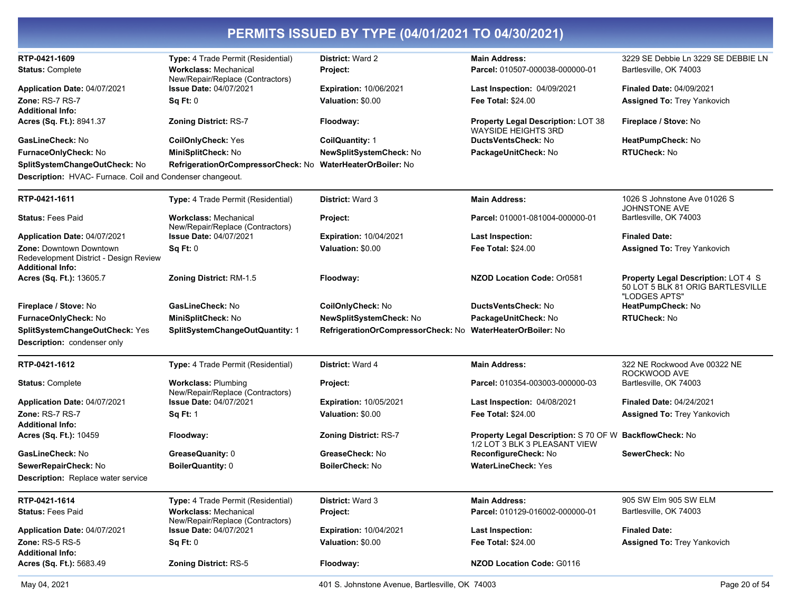| RTP-0421-1609                                                                                | Type: 4 Trade Permit (Residential)                                | <b>District: Ward 2</b>            | <b>Main Address:</b>                                                                     | 3229 SE Debbie Ln 3229 SE DEBBIE LN                                                              |
|----------------------------------------------------------------------------------------------|-------------------------------------------------------------------|------------------------------------|------------------------------------------------------------------------------------------|--------------------------------------------------------------------------------------------------|
| <b>Status: Complete</b>                                                                      | <b>Workclass: Mechanical</b><br>New/Repair/Replace (Contractors)  | Project:                           | Parcel: 010507-000038-000000-01                                                          | Bartlesville, OK 74003                                                                           |
| Application Date: 04/07/2021                                                                 | <b>Issue Date: 04/07/2021</b>                                     | <b>Expiration: 10/06/2021</b>      | <b>Last Inspection: 04/09/2021</b>                                                       | Finaled Date: 04/09/2021                                                                         |
| <b>Zone: RS-7 RS-7</b>                                                                       | Sq Ft: 0                                                          | Valuation: \$0.00                  | Fee Total: \$24.00                                                                       | <b>Assigned To: Trey Yankovich</b>                                                               |
| <b>Additional Info:</b>                                                                      |                                                                   |                                    |                                                                                          |                                                                                                  |
| <b>Acres (Sq. Ft.): 8941.37</b>                                                              | <b>Zoning District: RS-7</b>                                      | Floodway:                          | <b>Property Legal Description: LOT 38</b><br><b>WAYSIDE HEIGHTS 3RD</b>                  | Fireplace / Stove: No                                                                            |
| GasLineCheck: No                                                                             | <b>CoilOnlyCheck: Yes</b>                                         | <b>CoilQuantity: 1</b>             | <b>DuctsVentsCheck: No</b>                                                               | HeatPumpCheck: No                                                                                |
| FurnaceOnlyCheck: No                                                                         | MiniSplitCheck: No                                                | NewSplitSystemCheck: No            | PackageUnitCheck: No                                                                     | <b>RTUCheck: No</b>                                                                              |
| SplitSystemChangeOutCheck: No                                                                | RefrigerationOrCompressorCheck: No WaterHeaterOrBoiler: No        |                                    |                                                                                          |                                                                                                  |
| Description: HVAC- Furnace. Coil and Condenser changeout.                                    |                                                                   |                                    |                                                                                          |                                                                                                  |
| RTP-0421-1611                                                                                | Type: 4 Trade Permit (Residential)                                | District: Ward 3                   | <b>Main Address:</b>                                                                     | 1026 S Johnstone Ave 01026 S                                                                     |
| <b>Status: Fees Paid</b>                                                                     | <b>Workclass: Mechanical</b>                                      | Project:                           | Parcel: 010001-081004-000000-01                                                          | <b>JOHNSTONE AVE</b><br>Bartlesville, OK 74003                                                   |
|                                                                                              | New/Repair/Replace (Contractors)<br><b>Issue Date: 04/07/2021</b> | <b>Expiration: 10/04/2021</b>      |                                                                                          | <b>Finaled Date:</b>                                                                             |
| Application Date: 04/07/2021                                                                 |                                                                   |                                    | <b>Last Inspection:</b>                                                                  |                                                                                                  |
| Zone: Downtown Downtown<br>Redevelopment District - Design Review<br><b>Additional Info:</b> | Sq Ft: 0                                                          | Valuation: \$0.00                  | <b>Fee Total: \$24.00</b>                                                                | Assigned To: Trey Yankovich                                                                      |
| Acres (Sq. Ft.): 13605.7                                                                     | <b>Zoning District: RM-1.5</b>                                    | Floodway:                          | NZOD Location Code: Or0581                                                               | <b>Property Legal Description: LOT 4 S</b><br>50 LOT 5 BLK 81 ORIG BARTLESVILLE<br>"LODGES APTS" |
| Fireplace / Stove: No                                                                        | GasLineCheck: No                                                  | CoilOnlyCheck: No                  | <b>DuctsVentsCheck: No</b>                                                               | HeatPumpCheck: No                                                                                |
| FurnaceOnlyCheck: No                                                                         | MiniSplitCheck: No                                                | NewSplitSystemCheck: No            | PackageUnitCheck: No                                                                     | <b>RTUCheck: No</b>                                                                              |
| SplitSystemChangeOutCheck: Yes                                                               | SplitSystemChangeOutQuantity: 1                                   | RefrigerationOrCompressorCheck: No | <b>WaterHeaterOrBoiler: No</b>                                                           |                                                                                                  |
| <b>Description:</b> condenser only                                                           |                                                                   |                                    |                                                                                          |                                                                                                  |
| RTP-0421-1612                                                                                | Type: 4 Trade Permit (Residential)                                | <b>District: Ward 4</b>            | <b>Main Address:</b>                                                                     | 322 NE Rockwood Ave 00322 NE<br>ROCKWOOD AVE                                                     |
| <b>Status: Complete</b>                                                                      | <b>Workclass: Plumbing</b><br>New/Repair/Replace (Contractors)    | Project:                           | Parcel: 010354-003003-000000-03                                                          | Bartlesville, OK 74003                                                                           |
| Application Date: 04/07/2021                                                                 | <b>Issue Date: 04/07/2021</b>                                     | <b>Expiration: 10/05/2021</b>      | Last Inspection: 04/08/2021                                                              | <b>Finaled Date: 04/24/2021</b>                                                                  |
| Zone: RS-7 RS-7                                                                              | <b>Sq Ft: 1</b>                                                   | Valuation: \$0.00                  | <b>Fee Total: \$24.00</b>                                                                | <b>Assigned To: Trey Yankovich</b>                                                               |
| <b>Additional Info:</b>                                                                      |                                                                   |                                    |                                                                                          |                                                                                                  |
| Acres (Sq. Ft.): 10459                                                                       | Floodway:                                                         | Zoning District: RS-7              | Property Legal Description: S 70 OF W BackflowCheck: No<br>1/2 LOT 3 BLK 3 PLEASANT VIEW |                                                                                                  |
| GasLineCheck: No                                                                             | GreaseQuanity: 0                                                  | GreaseCheck: No                    | ReconfigureCheck: No                                                                     | SewerCheck: No                                                                                   |
| SewerRepairCheck: No                                                                         | <b>BoilerQuantity: 0</b>                                          | BoilerCheck: No                    | <b>WaterLineCheck: Yes</b>                                                               |                                                                                                  |
| Description: Replace water service                                                           |                                                                   |                                    |                                                                                          |                                                                                                  |
| RTP-0421-1614                                                                                | Type: 4 Trade Permit (Residential)                                | <b>District: Ward 3</b>            | <b>Main Address:</b>                                                                     | 905 SW Elm 905 SW ELM                                                                            |
| <b>Status: Fees Paid</b>                                                                     | <b>Workclass: Mechanical</b><br>New/Repair/Replace (Contractors)  | Project:                           | Parcel: 010129-016002-000000-01                                                          | Bartlesville, OK 74003                                                                           |
| Application Date: 04/07/2021                                                                 | <b>Issue Date: 04/07/2021</b>                                     | <b>Expiration: 10/04/2021</b>      | <b>Last Inspection:</b>                                                                  | <b>Finaled Date:</b>                                                                             |
| <b>Zone: RS-5 RS-5</b><br><b>Additional Info:</b>                                            | Sq Ft: 0                                                          | Valuation: \$0.00                  | Fee Total: \$24.00                                                                       | Assigned To: Trey Yankovich                                                                      |
| Acres (Sq. Ft.): 5683.49                                                                     | Zoning District: RS-5                                             | Floodway:                          | <b>NZOD Location Code: G0116</b>                                                         |                                                                                                  |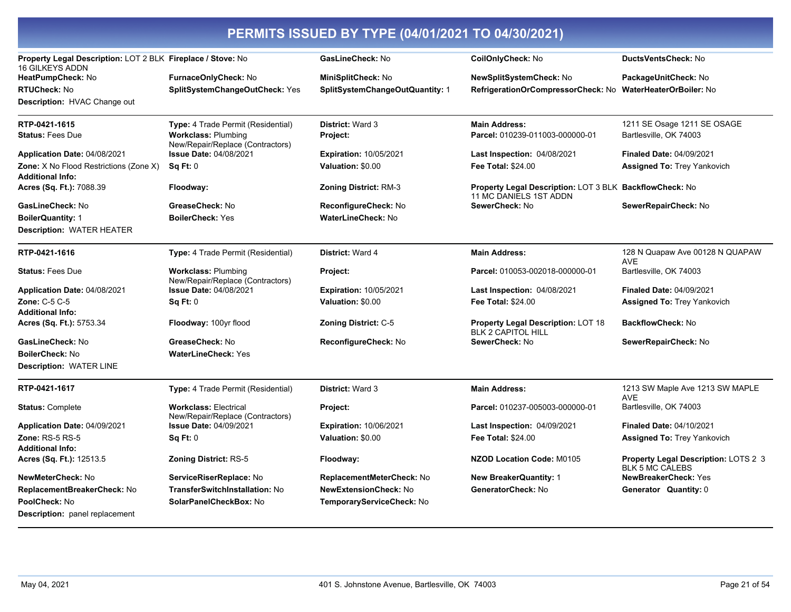| Property Legal Description: LOT 2 BLK Fireplace / Stove: No<br><b>16 GILKEYS ADDN</b> |                                                                  | GasLineCheck: No                       | CoilOnlyCheck: No                                                                        | <b>DuctsVentsCheck: No</b>                                     |
|---------------------------------------------------------------------------------------|------------------------------------------------------------------|----------------------------------------|------------------------------------------------------------------------------------------|----------------------------------------------------------------|
| HeatPumpCheck: No                                                                     | FurnaceOnlyCheck: No                                             | <b>MiniSplitCheck: No</b>              | <b>NewSplitSystemCheck: No</b>                                                           | PackageUnitCheck: No                                           |
| <b>RTUCheck:</b> No                                                                   | SplitSystemChangeOutCheck: Yes                                   | <b>SplitSystemChangeOutQuantity: 1</b> | RefrigerationOrCompressorCheck: No                                                       | <b>WaterHeaterOrBoiler: No</b>                                 |
| Description: HVAC Change out                                                          |                                                                  |                                        |                                                                                          |                                                                |
|                                                                                       |                                                                  |                                        |                                                                                          |                                                                |
| RTP-0421-1615                                                                         | <b>Type:</b> 4 Trade Permit (Residential)                        | <b>District: Ward 3</b>                | <b>Main Address:</b>                                                                     | 1211 SE Osage 1211 SE OSAGE                                    |
| <b>Status:</b> Fees Due                                                               | <b>Workclass: Plumbing</b><br>New/Repair/Replace (Contractors)   | Project:                               | Parcel: 010239-011003-000000-01                                                          | Bartlesville, OK 74003                                         |
| Application Date: 04/08/2021                                                          | <b>Issue Date: 04/08/2021</b>                                    | <b>Expiration: 10/05/2021</b>          | Last Inspection: 04/08/2021                                                              | Finaled Date: 04/09/2021                                       |
| Zone: X No Flood Restrictions (Zone X)                                                | $Sa$ Ft: $0$                                                     | Valuation: \$0.00                      | <b>Fee Total: \$24.00</b>                                                                | <b>Assigned To:</b> Trey Yankovich                             |
| <b>Additional Info:</b>                                                               |                                                                  |                                        |                                                                                          |                                                                |
| Acres (Sq. Ft.): 7088.39                                                              | Floodway:                                                        | <b>Zoning District: RM-3</b>           | <b>Property Legal Description: LOT 3 BLK BackflowCheck: No</b><br>11 MC DANIELS 1ST ADDN |                                                                |
| <b>GasLineCheck:</b> No                                                               | GreaseCheck: No                                                  | <b>ReconfigureCheck: No</b>            | SewerCheck: No                                                                           | SewerRepairCheck: No                                           |
| <b>BoilerQuantity: 1</b>                                                              | <b>BoilerCheck: Yes</b>                                          | <b>WaterLineCheck: No</b>              |                                                                                          |                                                                |
| Description: WATER HEATER                                                             |                                                                  |                                        |                                                                                          |                                                                |
| RTP-0421-1616                                                                         | Type: 4 Trade Permit (Residential)                               | <b>District: Ward 4</b>                | <b>Main Address:</b>                                                                     | 128 N Quapaw Ave 00128 N QUAPAW<br><b>AVE</b>                  |
| <b>Status:</b> Fees Due                                                               | <b>Workclass: Plumbing</b><br>New/Repair/Replace (Contractors)   | Project:                               | Parcel: 010053-002018-000000-01                                                          | Bartlesville, OK 74003                                         |
| <b>Application Date: 04/08/2021</b>                                                   | <b>Issue Date: 04/08/2021</b>                                    | <b>Expiration: 10/05/2021</b>          | Last Inspection: 04/08/2021                                                              | <b>Finaled Date: 04/09/2021</b>                                |
| <b>Zone: C-5 C-5</b>                                                                  | Sq Ft: 0                                                         | Valuation: \$0.00                      | <b>Fee Total: \$24.00</b>                                                                | <b>Assigned To: Trey Yankovich</b>                             |
| Additional Info:                                                                      |                                                                  |                                        |                                                                                          |                                                                |
| Acres (Sq. Ft.): 5753.34                                                              | Floodway: 100yr flood                                            | <b>Zoning District: C-5</b>            | <b>Property Legal Description: LOT 18</b><br><b>BLK 2 CAPITOL HILL</b>                   | <b>BackflowCheck: No</b>                                       |
| <b>GasLineCheck: No</b>                                                               | GreaseCheck: No                                                  | ReconfigureCheck: No                   | SewerCheck: No                                                                           | SewerRepairCheck: No                                           |
| BoilerCheck: No                                                                       | <b>WaterLineCheck: Yes</b>                                       |                                        |                                                                                          |                                                                |
| Description: WATER LINE                                                               |                                                                  |                                        |                                                                                          |                                                                |
| RTP-0421-1617                                                                         | Type: 4 Trade Permit (Residential)                               | District: Ward 3                       | <b>Main Address:</b>                                                                     | 1213 SW Maple Ave 1213 SW MAPLE<br><b>AVE</b>                  |
| <b>Status: Complete</b>                                                               | <b>Workclass: Electrical</b><br>New/Repair/Replace (Contractors) | Project:                               | <b>Parcel: 010237-005003-000000-01</b>                                                   | Bartlesville, OK 74003                                         |
| Application Date: 04/09/2021                                                          | <b>Issue Date: 04/09/2021</b>                                    | <b>Expiration: 10/06/2021</b>          | Last Inspection: 04/09/2021                                                              | <b>Finaled Date: 04/10/2021</b>                                |
| <b>Zone: RS-5 RS-5</b>                                                                | Sq Ft: 0                                                         | Valuation: \$0.00                      | <b>Fee Total: \$24.00</b>                                                                | <b>Assigned To: Trey Yankovich</b>                             |
| <b>Additional Info:</b>                                                               |                                                                  |                                        |                                                                                          |                                                                |
| <b>Acres (Sq. Ft.):</b> 12513.5                                                       | Zoning District: RS-5                                            | Floodway:                              | NZOD Location Code: M0105                                                                | Property Legal Description: LOTS 2 3<br><b>BLK 5 MC CALEBS</b> |
| NewMeterCheck: No                                                                     | ServiceRiserReplace: No                                          | ReplacementMeterCheck: No              | <b>New BreakerQuantity: 1</b>                                                            | <b>NewBreakerCheck: Yes</b>                                    |
| ReplacementBreakerCheck: No                                                           | <b>TransferSwitchInstallation: No</b>                            | <b>NewExtensionCheck: No</b>           | GeneratorCheck: No                                                                       | Generator Quantity: 0                                          |
| <b>PoolCheck:</b> No                                                                  | SolarPanelCheckBox: No                                           | TemporaryServiceCheck: No              |                                                                                          |                                                                |
| <b>Description:</b> panel replacement                                                 |                                                                  |                                        |                                                                                          |                                                                |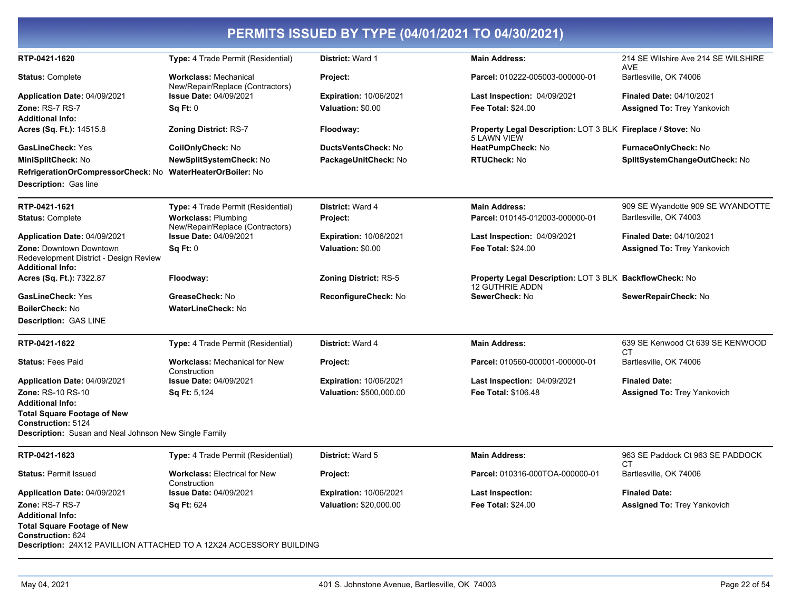|                                                                                                     |                                                                  | PERMITS ISSUED BY TYPE (04/01/2021 TO 04/30/2021) |                                                                                   |                                                   |
|-----------------------------------------------------------------------------------------------------|------------------------------------------------------------------|---------------------------------------------------|-----------------------------------------------------------------------------------|---------------------------------------------------|
| RTP-0421-1620                                                                                       | <b>Type:</b> 4 Trade Permit (Residential)                        | <b>District: Ward 1</b>                           | <b>Main Address:</b>                                                              | 214 SE Wilshire Ave 214 SE WILSHIRE<br><b>AVE</b> |
| <b>Status: Complete</b>                                                                             | <b>Workclass: Mechanical</b><br>New/Repair/Replace (Contractors) | Project:                                          | Parcel: 010222-005003-000000-01                                                   | Bartlesville, OK 74006                            |
| Application Date: 04/09/2021                                                                        | <b>Issue Date: 04/09/2021</b>                                    | <b>Expiration: 10/06/2021</b>                     | Last Inspection: 04/09/2021                                                       | <b>Finaled Date: 04/10/2021</b>                   |
| Zone: RS-7 RS-7                                                                                     | SqFt:0                                                           | Valuation: \$0.00                                 | Fee Total: \$24.00                                                                | <b>Assigned To: Trey Yankovich</b>                |
| <b>Additional Info:</b>                                                                             |                                                                  |                                                   |                                                                                   |                                                   |
| Acres (Sq. Ft.): 14515.8                                                                            | <b>Zoning District: RS-7</b>                                     | Floodway:                                         | Property Legal Description: LOT 3 BLK Fireplace / Stove: No<br>5 LAWN VIEW        |                                                   |
| GasLineCheck: Yes                                                                                   | CoilOnlyCheck: No                                                | DuctsVentsCheck: No                               | HeatPumpCheck: No                                                                 | FurnaceOnlyCheck: No                              |
| MiniSplitCheck: No                                                                                  | <b>NewSplitSystemCheck: No</b>                                   | PackageUnitCheck: No                              | <b>RTUCheck: No</b>                                                               | SplitSystemChangeOutCheck: No                     |
| RefrigerationOrCompressorCheck: No                                                                  | WaterHeaterOrBoiler: No                                          |                                                   |                                                                                   |                                                   |
| <b>Description: Gas line</b>                                                                        |                                                                  |                                                   |                                                                                   |                                                   |
| RTP-0421-1621                                                                                       | Type: 4 Trade Permit (Residential)                               | <b>District: Ward 4</b>                           | <b>Main Address:</b>                                                              | 909 SE Wyandotte 909 SE WYANDOTTE                 |
| <b>Status: Complete</b>                                                                             | <b>Workclass: Plumbing</b><br>New/Repair/Replace (Contractors)   | <b>Project:</b>                                   | Parcel: 010145-012003-000000-01                                                   | Bartlesville, OK 74003                            |
| Application Date: 04/09/2021                                                                        | <b>Issue Date: 04/09/2021</b>                                    | <b>Expiration: 10/06/2021</b>                     | Last Inspection: 04/09/2021                                                       | <b>Finaled Date: 04/10/2021</b>                   |
| <b>Zone: Downtown Downtown</b><br>Redevelopment District - Design Review<br><b>Additional Info:</b> | Sq Ft: 0                                                         | Valuation: \$0.00                                 | Fee Total: \$24.00                                                                | <b>Assigned To: Trey Yankovich</b>                |
| Acres (Sq. Ft.): 7322.87                                                                            | Floodway:                                                        | <b>Zoning District: RS-5</b>                      | Property Legal Description: LOT 3 BLK BackflowCheck: No<br><b>12 GUTHRIE ADDN</b> |                                                   |
| <b>GasLineCheck: Yes</b>                                                                            | GreaseCheck: No                                                  | ReconfigureCheck: No                              | SewerCheck: No                                                                    | SewerRepairCheck: No                              |
| <b>BoilerCheck: No</b>                                                                              | <b>WaterLineCheck: No</b>                                        |                                                   |                                                                                   |                                                   |
| <b>Description: GAS LINE</b>                                                                        |                                                                  |                                                   |                                                                                   |                                                   |
| RTP-0421-1622                                                                                       | Type: 4 Trade Permit (Residential)                               | District: Ward 4                                  | <b>Main Address:</b>                                                              | 639 SE Kenwood Ct 639 SE KENWOOD<br>СT            |
| <b>Status: Fees Paid</b>                                                                            | <b>Workclass: Mechanical for New</b><br>Construction             | <b>Project:</b>                                   | Parcel: 010560-000001-000000-01                                                   | Bartlesville, OK 74006                            |
| Application Date: 04/09/2021                                                                        | Issue Date: 04/09/2021                                           | <b>Expiration: 10/06/2021</b>                     | <b>Last Inspection: 04/09/2021</b>                                                | <b>Finaled Date:</b>                              |
| Zone: RS-10 RS-10                                                                                   | Sq Ft: 5,124                                                     | Valuation: \$500,000.00                           | Fee Total: \$106.48                                                               | <b>Assigned To: Trey Yankovich</b>                |
| <b>Additional Info:</b>                                                                             |                                                                  |                                                   |                                                                                   |                                                   |
| <b>Total Square Footage of New</b><br>Construction: 5124                                            |                                                                  |                                                   |                                                                                   |                                                   |
| <b>Description:</b> Susan and Neal Johnson New Single Family                                        |                                                                  |                                                   |                                                                                   |                                                   |
| RTP-0421-1623                                                                                       | <b>Type:</b> 4 Trade Permit (Residential)                        | <b>District: Ward 5</b>                           | <b>Main Address:</b>                                                              | 963 SE Paddock Ct 963 SE PADDOCK                  |
| <b>Status: Permit Issued</b>                                                                        | <b>Workclass: Electrical for New</b><br>Construction             | Project:                                          | Parcel: 010316-000TOA-000000-01                                                   | СT<br>Bartlesville, OK 74006                      |
| Application Date: 04/09/2021                                                                        | <b>Issue Date: 04/09/2021</b>                                    | <b>Expiration: 10/06/2021</b>                     | Last Inspection:                                                                  | <b>Finaled Date:</b>                              |
| Zone: RS-7 RS-7                                                                                     | <b>Sq Ft: 624</b>                                                | Valuation: \$20,000.00                            | Fee Total: \$24.00                                                                | <b>Assigned To: Trey Yankovich</b>                |
| <b>Additional Info:</b>                                                                             |                                                                  |                                                   |                                                                                   |                                                   |
| <b>Total Square Footage of New</b><br><b>Construction: 624</b>                                      |                                                                  |                                                   |                                                                                   |                                                   |
| Description: 24X12 PAVILLION ATTACHED TO A 12X24 ACCESSORY BUILDING                                 |                                                                  |                                                   |                                                                                   |                                                   |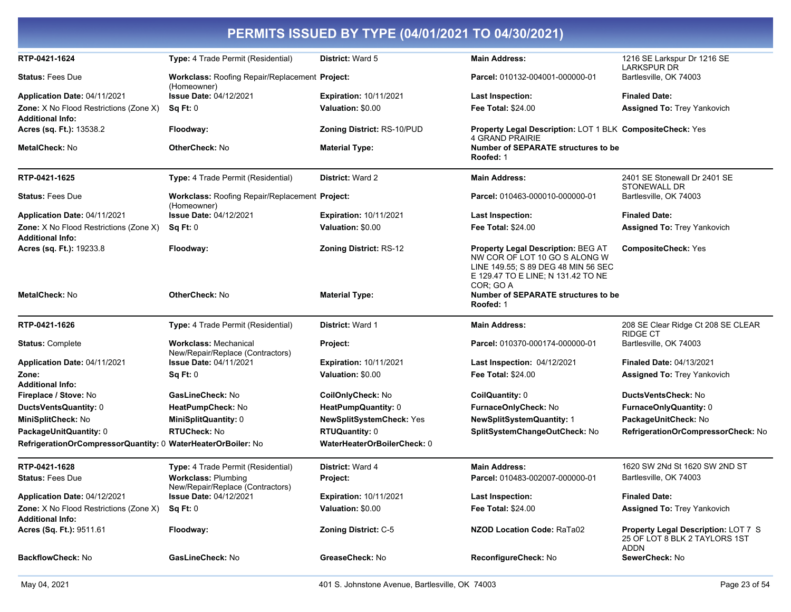| RTP-0421-1624                                                     | Type: 4 Trade Permit (Residential)                                   | <b>District: Ward 5</b>         | <b>Main Address:</b>                                                                                                                                                 | 1216 SE Larkspur Dr 1216 SE<br><b>LARKSPUR DR</b>                                          |
|-------------------------------------------------------------------|----------------------------------------------------------------------|---------------------------------|----------------------------------------------------------------------------------------------------------------------------------------------------------------------|--------------------------------------------------------------------------------------------|
| <b>Status: Fees Due</b>                                           | Workclass: Roofing Repair/Replacement Project:<br>(Homeowner)        |                                 | Parcel: 010132-004001-000000-01                                                                                                                                      | Bartlesville, OK 74003                                                                     |
| <b>Application Date: 04/11/2021</b>                               | <b>Issue Date: 04/12/2021</b>                                        | <b>Expiration: 10/11/2021</b>   | <b>Last Inspection:</b>                                                                                                                                              | <b>Finaled Date:</b>                                                                       |
| <b>Zone:</b> X No Flood Restrictions (Zone X)<br>Additional Info: | Sq Ft: 0                                                             | Valuation: \$0.00               | <b>Fee Total: \$24.00</b>                                                                                                                                            | Assigned To: Trey Yankovich                                                                |
| Acres (sq. Ft.): 13538.2                                          | Floodway:                                                            | Zoning District: RS-10/PUD      | Property Legal Description: LOT 1 BLK CompositeCheck: Yes<br><b>4 GRAND PRAIRIE</b>                                                                                  |                                                                                            |
| MetalCheck: No                                                    | OtherCheck: No                                                       | <b>Material Type:</b>           | Number of SEPARATE structures to be<br>Roofed: 1                                                                                                                     |                                                                                            |
| RTP-0421-1625                                                     | Type: 4 Trade Permit (Residential)                                   | District: Ward 2                | <b>Main Address:</b>                                                                                                                                                 | 2401 SE Stonewall Dr 2401 SE<br>STONEWALL DR                                               |
| <b>Status: Fees Due</b>                                           | <b>Workclass: Roofing Repair/Replacement Project:</b><br>(Homeowner) |                                 | Parcel: 010463-000010-000000-01                                                                                                                                      | Bartlesville, OK 74003                                                                     |
| Application Date: 04/11/2021                                      | <b>Issue Date: 04/12/2021</b>                                        | <b>Expiration: 10/11/2021</b>   | <b>Last Inspection:</b>                                                                                                                                              | <b>Finaled Date:</b>                                                                       |
| <b>Zone:</b> X No Flood Restrictions (Zone X)<br>Additional Info: | Sq Ft: 0                                                             | Valuation: \$0.00               | <b>Fee Total: \$24.00</b>                                                                                                                                            | Assigned To: Trey Yankovich                                                                |
| Acres (sq. Ft.): 19233.8                                          | Floodway:                                                            | <b>Zoning District: RS-12</b>   | <b>Property Legal Description: BEG AT</b><br>NW COR OF LOT 10 GO S ALONG W<br>LINE 149.55: S 89 DEG 48 MIN 56 SEC<br>E 129.47 TO E LINE; N 131.42 TO NE<br>COR; GO A | <b>CompositeCheck: Yes</b>                                                                 |
| <b>MetalCheck: No</b>                                             | OtherCheck: No                                                       | <b>Material Type:</b>           | Number of SEPARATE structures to be<br>Roofed: 1                                                                                                                     |                                                                                            |
| RTP-0421-1626                                                     | Type: 4 Trade Permit (Residential)                                   | District: Ward 1                | <b>Main Address:</b>                                                                                                                                                 | 208 SE Clear Ridge Ct 208 SE CLEAR<br>RIDGE CT                                             |
| <b>Status:</b> Complete                                           | <b>Workclass: Mechanical</b><br>New/Repair/Replace (Contractors)     | Project:                        | Parcel: 010370-000174-000000-01                                                                                                                                      | Bartlesville, OK 74003                                                                     |
| Application Date: 04/11/2021                                      | <b>Issue Date: 04/11/2021</b>                                        | <b>Expiration: 10/11/2021</b>   | Last Inspection: 04/12/2021                                                                                                                                          | <b>Finaled Date: 04/13/2021</b>                                                            |
| Zone:                                                             | Sq Ft: 0                                                             | Valuation: \$0.00               | <b>Fee Total: \$24.00</b>                                                                                                                                            | <b>Assigned To: Trey Yankovich</b>                                                         |
| Additional Info:                                                  |                                                                      |                                 |                                                                                                                                                                      |                                                                                            |
| Fireplace / Stove: No                                             | GasLineCheck: No                                                     | CoilOnlyCheck: No               | CoilQuantity: 0                                                                                                                                                      | <b>DuctsVentsCheck:</b> No                                                                 |
| DuctsVentsQuantity: 0                                             | HeatPumpCheck: No                                                    | HeatPumpQuantity: 0             | <b>FurnaceOnlyCheck: No</b>                                                                                                                                          | <b>FurnaceOnlyQuantity: 0</b>                                                              |
| MiniSplitCheck: No                                                | MiniSplitQuantity: 0                                                 | <b>NewSplitSystemCheck: Yes</b> | <b>NewSplitSystemQuantity: 1</b>                                                                                                                                     | PackageUnitCheck: No                                                                       |
| PackageUnitQuantity: 0                                            | <b>RTUCheck: No</b>                                                  | <b>RTUQuantity: 0</b>           | SplitSystemChangeOutCheck: No                                                                                                                                        | RefrigerationOrCompressorCheck: No                                                         |
| RefrigerationOrCompressorQuantity: 0 WaterHeaterOrBoiler: No      |                                                                      | WaterHeaterOrBoilerCheck: 0     |                                                                                                                                                                      |                                                                                            |
| RTP-0421-1628                                                     | Type: 4 Trade Permit (Residential)                                   | District: Ward 4                | <b>Main Address:</b>                                                                                                                                                 | 1620 SW 2Nd St 1620 SW 2ND ST                                                              |
| <b>Status: Fees Due</b>                                           | <b>Workclass: Plumbing</b><br>New/Repair/Replace (Contractors)       | Project:                        | Parcel: 010483-002007-000000-01                                                                                                                                      | Bartlesville, OK 74003                                                                     |
| Application Date: 04/12/2021                                      | <b>Issue Date: 04/12/2021</b>                                        | Expiration: 10/11/2021          | Last Inspection:                                                                                                                                                     | <b>Finaled Date:</b>                                                                       |
| <b>Zone:</b> X No Flood Restrictions (Zone X)<br>Additional Info: | Sq Ft: 0                                                             | Valuation: \$0.00               | <b>Fee Total: \$24.00</b>                                                                                                                                            | <b>Assigned To: Trey Yankovich</b>                                                         |
| Acres (Sq. Ft.): 9511.61                                          | Floodway:                                                            | Zoning District: C-5            | NZOD Location Code: RaTa02                                                                                                                                           | <b>Property Legal Description: LOT 7 S</b><br>25 OF LOT 8 BLK 2 TAYLORS 1ST<br><b>ADDN</b> |
| <b>BackflowCheck: No</b>                                          | GasLineCheck: No                                                     | GreaseCheck: No                 | ReconfigureCheck: No                                                                                                                                                 | SewerCheck: No                                                                             |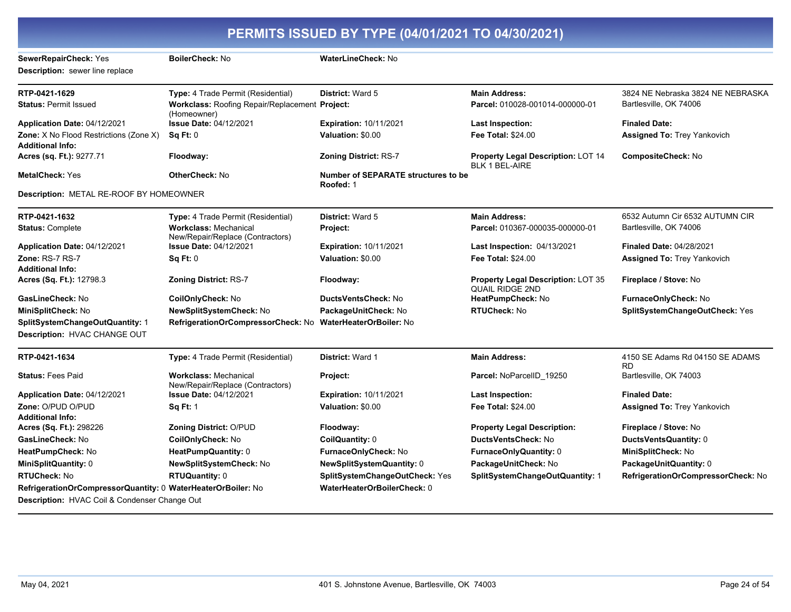| PERMITS ISSUED BY TYPE (04/01/2021 TO 04/30/2021)                        |                                                                  |                                                         |                                                                     |                                              |
|--------------------------------------------------------------------------|------------------------------------------------------------------|---------------------------------------------------------|---------------------------------------------------------------------|----------------------------------------------|
| SewerRepairCheck: Yes                                                    | BoilerCheck: No                                                  | WaterLineCheck: No                                      |                                                                     |                                              |
| <b>Description:</b> sewer line replace                                   |                                                                  |                                                         |                                                                     |                                              |
| RTP-0421-1629                                                            | Type: 4 Trade Permit (Residential)                               | District: Ward 5                                        | <b>Main Address:</b>                                                | 3824 NE Nebraska 3824 NE NEBRASKA            |
| <b>Status: Permit Issued</b>                                             | Workclass: Roofing Repair/Replacement Project:<br>(Homeowner)    |                                                         | Parcel: 010028-001014-000000-01                                     | Bartlesville, OK 74006                       |
| Application Date: 04/12/2021                                             | <b>Issue Date: 04/12/2021</b>                                    | <b>Expiration: 10/11/2021</b>                           | <b>Last Inspection:</b>                                             | <b>Finaled Date:</b>                         |
| <b>Zone:</b> X No Flood Restrictions (Zone X)<br><b>Additional Info:</b> | Sq Ft: 0                                                         | Valuation: \$0.00                                       | <b>Fee Total: \$24.00</b>                                           | <b>Assigned To: Trey Yankovich</b>           |
| Acres (sq. Ft.): 9277.71                                                 | Floodway:                                                        | <b>Zoning District: RS-7</b>                            | <b>Property Legal Description: LOT 14</b><br><b>BLK 1 BEL-AIRE</b>  | CompositeCheck: No                           |
| <b>MetalCheck: Yes</b>                                                   | <b>OtherCheck: No</b>                                            | <b>Number of SEPARATE structures to be</b><br>Roofed: 1 |                                                                     |                                              |
| Description: METAL RE-ROOF BY HOMEOWNER                                  |                                                                  |                                                         |                                                                     |                                              |
| RTP-0421-1632                                                            | Type: 4 Trade Permit (Residential)                               | District: Ward 5                                        | <b>Main Address:</b>                                                | 6532 Autumn Cir 6532 AUTUMN CIR              |
| <b>Status: Complete</b>                                                  | <b>Workclass: Mechanical</b><br>New/Repair/Replace (Contractors) | Project:                                                | Parcel: 010367-000035-000000-01                                     | Bartlesville, OK 74006                       |
| Application Date: 04/12/2021                                             | Issue Date: 04/12/2021                                           | <b>Expiration: 10/11/2021</b>                           | <b>Last Inspection: 04/13/2021</b>                                  | <b>Finaled Date: 04/28/2021</b>              |
| Zone: RS-7 RS-7                                                          | Sq Ft: 0                                                         | Valuation: \$0.00                                       | <b>Fee Total: \$24.00</b>                                           | <b>Assigned To: Trey Yankovich</b>           |
| <b>Additional Info:</b>                                                  |                                                                  |                                                         |                                                                     |                                              |
| Acres (Sq. Ft.): 12798.3                                                 | <b>Zoning District: RS-7</b>                                     | Floodway:                                               | <b>Property Legal Description: LOT 35</b><br><b>QUAIL RIDGE 2ND</b> | Fireplace / Stove: No                        |
| GasLineCheck: No                                                         | CoilOnlyCheck: No                                                | DuctsVentsCheck: No                                     | HeatPumpCheck: No                                                   | FurnaceOnlyCheck: No                         |
| MiniSplitCheck: No                                                       | NewSplitSystemCheck: No                                          | PackageUnitCheck: No                                    | <b>RTUCheck: No</b>                                                 | SplitSystemChangeOutCheck: Yes               |
| SplitSystemChangeOutQuantity: 1                                          | RefrigerationOrCompressorCheck: No                               | <b>WaterHeaterOrBoiler: No</b>                          |                                                                     |                                              |
| Description: HVAC CHANGE OUT                                             |                                                                  |                                                         |                                                                     |                                              |
| RTP-0421-1634                                                            | Type: 4 Trade Permit (Residential)                               | District: Ward 1                                        | <b>Main Address:</b>                                                | 4150 SE Adams Rd 04150 SE ADAMS<br><b>RD</b> |
| <b>Status: Fees Paid</b>                                                 | <b>Workclass: Mechanical</b><br>New/Repair/Replace (Contractors) | Project:                                                | Parcel: NoParcelID_19250                                            | Bartlesville, OK 74003                       |
| Application Date: 04/12/2021                                             | <b>Issue Date: 04/12/2021</b>                                    | <b>Expiration: 10/11/2021</b>                           | Last Inspection:                                                    | <b>Finaled Date:</b>                         |
| Zone: O/PUD O/PUD                                                        | <b>Sq Ft: 1</b>                                                  | Valuation: \$0.00                                       | <b>Fee Total: \$24.00</b>                                           | <b>Assigned To: Trey Yankovich</b>           |
| <b>Additional Info:</b>                                                  |                                                                  |                                                         |                                                                     |                                              |
| Acres (Sq. Ft.): 298226                                                  | Zoning District: O/PUD                                           | Floodway:                                               | <b>Property Legal Description:</b>                                  | Fireplace / Stove: No                        |
| GasLineCheck: No                                                         | CoilOnlyCheck: No                                                | CoilQuantity: 0                                         | <b>DuctsVentsCheck: No</b>                                          | DuctsVentsQuantity: 0                        |
| HeatPumpCheck: No                                                        | HeatPumpQuantity: 0                                              | FurnaceOnlyCheck: No                                    | FurnaceOnlyQuantity: 0                                              | MiniSplitCheck: No                           |
| MiniSplitQuantity: 0                                                     | NewSplitSystemCheck: No                                          | NewSplitSystemQuantity: 0                               | PackageUnitCheck: No                                                | PackageUnitQuantity: 0                       |
| <b>RTUCheck: No</b>                                                      | <b>RTUQuantity: 0</b>                                            | SplitSystemChangeOutCheck: Yes                          | SplitSystemChangeOutQuantity: 1                                     | RefrigerationOrCompressorCheck: No           |
| RefrigerationOrCompressorQuantity: 0 WaterHeaterOrBoiler: No             |                                                                  | WaterHeaterOrBoilerCheck: 0                             |                                                                     |                                              |
| Description: HVAC Coil & Condenser Change Out                            |                                                                  |                                                         |                                                                     |                                              |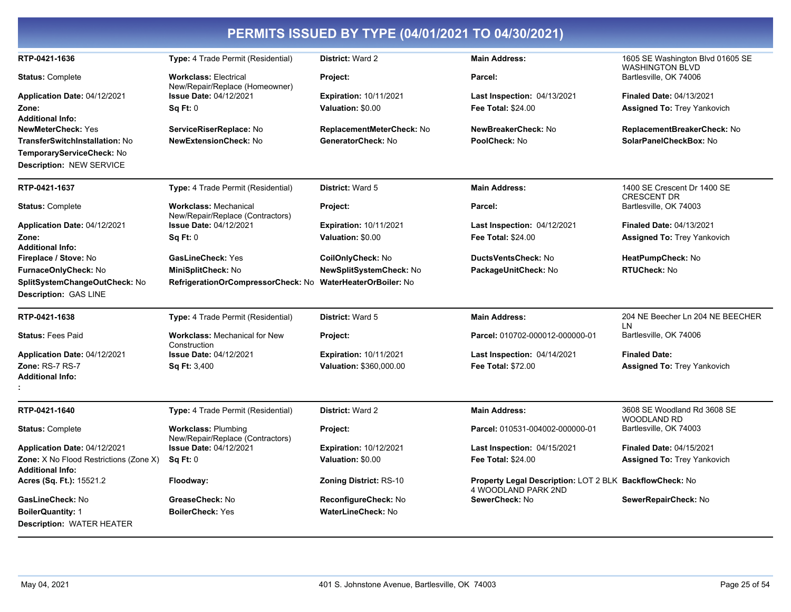| PERMITS ISSUED BY TYPE (04/01/2021 TO 04/30/2021)                 |                                                                  |                                |                                                                                |                                                            |
|-------------------------------------------------------------------|------------------------------------------------------------------|--------------------------------|--------------------------------------------------------------------------------|------------------------------------------------------------|
| RTP-0421-1636                                                     | Type: 4 Trade Permit (Residential)                               | District: Ward 2               | <b>Main Address:</b>                                                           | 1605 SE Washington Blvd 01605 SE<br><b>WASHINGTON BLVD</b> |
| <b>Status: Complete</b>                                           | <b>Workclass: Electrical</b><br>New/Repair/Replace (Homeowner)   | Project:                       | Parcel:                                                                        | Bartlesville, OK 74006                                     |
| Application Date: 04/12/2021                                      | <b>Issue Date: 04/12/2021</b>                                    | <b>Expiration: 10/11/2021</b>  | <b>Last Inspection: 04/13/2021</b>                                             | <b>Finaled Date: 04/13/2021</b>                            |
| Zone:                                                             | Sq Ft: 0                                                         | Valuation: \$0.00              | <b>Fee Total: \$24.00</b>                                                      | <b>Assigned To: Trey Yankovich</b>                         |
| <b>Additional Info:</b>                                           |                                                                  |                                |                                                                                |                                                            |
| <b>NewMeterCheck: Yes</b>                                         | ServiceRiserReplace: No                                          | ReplacementMeterCheck: No      | NewBreakerCheck: No                                                            | ReplacementBreakerCheck: No                                |
| <b>TransferSwitchInstallation: No</b>                             | <b>NewExtensionCheck: No</b>                                     | GeneratorCheck: No             | PoolCheck: No                                                                  | SolarPanelCheckBox: No                                     |
| TemporaryServiceCheck: No                                         |                                                                  |                                |                                                                                |                                                            |
| Description: NEW SERVICE                                          |                                                                  |                                |                                                                                |                                                            |
| RTP-0421-1637                                                     | Type: 4 Trade Permit (Residential)                               | District: Ward 5               | <b>Main Address:</b>                                                           | 1400 SE Crescent Dr 1400 SE<br><b>CRESCENT DR</b>          |
| <b>Status: Complete</b>                                           | <b>Workclass: Mechanical</b><br>New/Repair/Replace (Contractors) | Project:                       | Parcel:                                                                        | Bartlesville, OK 74003                                     |
| <b>Application Date: 04/12/2021</b>                               | <b>Issue Date: 04/12/2021</b>                                    | <b>Expiration: 10/11/2021</b>  | <b>Last Inspection: 04/12/2021</b>                                             | Finaled Date: 04/13/2021                                   |
| Zone:                                                             | Sq Ft: 0                                                         | Valuation: \$0.00              | <b>Fee Total: \$24.00</b>                                                      | <b>Assigned To: Trey Yankovich</b>                         |
| <b>Additional Info:</b>                                           |                                                                  |                                |                                                                                |                                                            |
| Fireplace / Stove: No                                             | <b>GasLineCheck: Yes</b>                                         | CoilOnlyCheck: No              | <b>DuctsVentsCheck: No</b>                                                     | HeatPumpCheck: No                                          |
| FurnaceOnlyCheck: No                                              | MiniSplitCheck: No                                               | <b>NewSplitSystemCheck: No</b> | PackageUnitCheck: No                                                           | RTUCheck: No                                               |
| SplitSystemChangeOutCheck: No                                     | RefrigerationOrCompressorCheck: No WaterHeaterOrBoiler: No       |                                |                                                                                |                                                            |
| Description: GAS LINE                                             |                                                                  |                                |                                                                                |                                                            |
| RTP-0421-1638                                                     | Type: 4 Trade Permit (Residential)                               | <b>District: Ward 5</b>        | <b>Main Address:</b>                                                           | 204 NE Beecher Ln 204 NE BEECHER<br>LN.                    |
| <b>Status: Fees Paid</b>                                          | <b>Workclass: Mechanical for New</b><br>Construction             | Project:                       | Parcel: 010702-000012-000000-01                                                | Bartlesville, OK 74006                                     |
| Application Date: 04/12/2021                                      | <b>Issue Date: 04/12/2021</b>                                    | <b>Expiration: 10/11/2021</b>  | Last Inspection: 04/14/2021                                                    | <b>Finaled Date:</b>                                       |
| Zone: RS-7 RS-7                                                   | <b>Sq Ft: 3,400</b>                                              | Valuation: \$360,000.00        | <b>Fee Total: \$72.00</b>                                                      | <b>Assigned To: Trey Yankovich</b>                         |
| <b>Additional Info:</b>                                           |                                                                  |                                |                                                                                |                                                            |
|                                                                   |                                                                  |                                |                                                                                |                                                            |
| RTP-0421-1640                                                     | Type: 4 Trade Permit (Residential)                               | <b>District: Ward 2</b>        | <b>Main Address:</b>                                                           | 3608 SE Woodland Rd 3608 SE<br><b>WOODLAND RD</b>          |
| <b>Status: Complete</b>                                           | <b>Workclass: Plumbing</b><br>New/Repair/Replace (Contractors)   | Project:                       | Parcel: 010531-004002-000000-01                                                | Bartlesville, OK 74003                                     |
| Application Date: 04/12/2021                                      | <b>Issue Date: 04/12/2021</b>                                    | <b>Expiration: 10/12/2021</b>  | Last Inspection: 04/15/2021                                                    | <b>Finaled Date: 04/15/2021</b>                            |
| Zone: X No Flood Restrictions (Zone X)<br><b>Additional Info:</b> | Sq Ft: 0                                                         | Valuation: \$0.00              | <b>Fee Total: \$24.00</b>                                                      | Assigned To: Trey Yankovich                                |
| Acres (Sq. Ft.): 15521.2                                          | Floodway:                                                        | <b>Zoning District: RS-10</b>  | Property Legal Description: LOT 2 BLK BackflowCheck: No<br>4 WOODLAND PARK 2ND |                                                            |
| GasLineCheck: No                                                  | GreaseCheck: No                                                  | ReconfigureCheck: No           | SewerCheck: No                                                                 | SewerRepairCheck: No                                       |
| <b>BoilerQuantity: 1</b>                                          | <b>BoilerCheck: Yes</b>                                          | <b>WaterLineCheck: No</b>      |                                                                                |                                                            |
| Description: WATER HEATER                                         |                                                                  |                                |                                                                                |                                                            |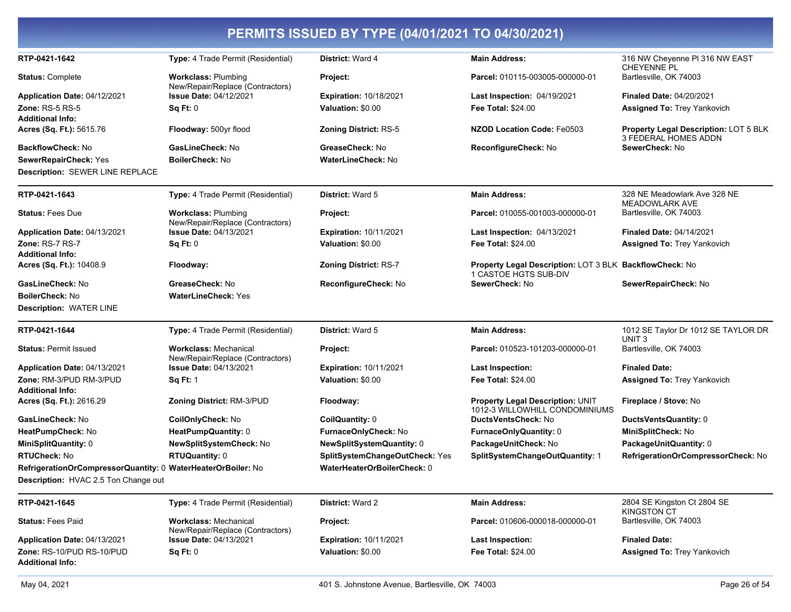| PERMITS ISSUED BY TYPE (04/01/2021 TO 04/30/2021)                                                    |                                                                  |                                |                                                                                  |                                                               |
|------------------------------------------------------------------------------------------------------|------------------------------------------------------------------|--------------------------------|----------------------------------------------------------------------------------|---------------------------------------------------------------|
| RTP-0421-1642                                                                                        | Type: 4 Trade Permit (Residential)                               | District: Ward 4               | <b>Main Address:</b>                                                             | 316 NW Cheyenne PI 316 NW EAST<br><b>CHEYENNE PL</b>          |
| <b>Status: Complete</b>                                                                              | <b>Workclass: Plumbing</b><br>New/Repair/Replace (Contractors)   | Project:                       | Parcel: 010115-003005-000000-01                                                  | Bartlesville, OK 74003                                        |
| Application Date: 04/12/2021                                                                         | <b>Issue Date: 04/12/2021</b>                                    | <b>Expiration: 10/18/2021</b>  | <b>Last Inspection: 04/19/2021</b>                                               | <b>Finaled Date: 04/20/2021</b>                               |
| <b>Zone: RS-5 RS-5</b><br><b>Additional Info:</b>                                                    | Sq Ft: 0                                                         | Valuation: \$0.00              | <b>Fee Total: \$24.00</b>                                                        | <b>Assigned To: Trey Yankovich</b>                            |
| Acres (Sq. Ft.): 5615.76                                                                             | Floodway: 500yr flood                                            | <b>Zoning District: RS-5</b>   | <b>NZOD Location Code: Fe0503</b>                                                | Property Legal Description: LOT 5 BLK<br>3 FEDERAL HOMES ADDN |
| BackflowCheck: No                                                                                    | GasLineCheck: No                                                 | GreaseCheck: No                | ReconfigureCheck: No                                                             | SewerCheck: No                                                |
| SewerRepairCheck: Yes                                                                                | <b>BoilerCheck: No</b>                                           | <b>WaterLineCheck: No</b>      |                                                                                  |                                                               |
| <b>Description: SEWER LINE REPLACE</b>                                                               |                                                                  |                                |                                                                                  |                                                               |
| RTP-0421-1643                                                                                        | Type: 4 Trade Permit (Residential)                               | District: Ward 5               | <b>Main Address:</b>                                                             | 328 NE Meadowlark Ave 328 NE<br><b>MEADOWLARK AVE</b>         |
| <b>Status: Fees Due</b>                                                                              | <b>Workclass: Plumbing</b><br>New/Repair/Replace (Contractors)   | Project:                       | Parcel: 010055-001003-000000-01                                                  | Bartlesville, OK 74003                                        |
| Application Date: 04/13/2021                                                                         | <b>Issue Date: 04/13/2021</b>                                    | <b>Expiration: 10/11/2021</b>  | Last Inspection: 04/13/2021                                                      | <b>Finaled Date: 04/14/2021</b>                               |
| Zone: RS-7 RS-7                                                                                      | Sq Ft: 0                                                         | Valuation: \$0.00              | <b>Fee Total: \$24.00</b>                                                        | <b>Assigned To: Trey Yankovich</b>                            |
| <b>Additional Info:</b><br>Acres (Sq. Ft.): 10408.9                                                  | Floodway:                                                        | Zoning District: RS-7          | Property Legal Description: LOT 3 BLK BackflowCheck: No<br>1 CASTOE HGTS SUB-DIV |                                                               |
| GasLineCheck: No                                                                                     | GreaseCheck: No                                                  | ReconfigureCheck: No           | SewerCheck: No                                                                   | SewerRepairCheck: No                                          |
| <b>BoilerCheck: No</b>                                                                               | <b>WaterLineCheck: Yes</b>                                       |                                |                                                                                  |                                                               |
| <b>Description: WATER LINE</b>                                                                       |                                                                  |                                |                                                                                  |                                                               |
| RTP-0421-1644                                                                                        | Type: 4 Trade Permit (Residential)                               | <b>District: Ward 5</b>        | <b>Main Address:</b>                                                             | 1012 SE Taylor Dr 1012 SE TAYLOR DR<br>UNIT <sub>3</sub>      |
| <b>Status: Permit Issued</b>                                                                         | <b>Workclass: Mechanical</b><br>New/Repair/Replace (Contractors) | Project:                       | Parcel: 010523-101203-000000-01                                                  | Bartlesville, OK 74003                                        |
| <b>Application Date: 04/13/2021</b>                                                                  | <b>Issue Date: 04/13/2021</b>                                    | <b>Expiration: 10/11/2021</b>  | <b>Last Inspection:</b>                                                          | <b>Finaled Date:</b>                                          |
| Zone: RM-3/PUD RM-3/PUD<br><b>Additional Info:</b>                                                   | <b>Sq Ft: 1</b>                                                  | Valuation: \$0.00              | <b>Fee Total: \$24.00</b>                                                        | <b>Assigned To: Trey Yankovich</b>                            |
| Acres (Sq. Ft.): 2616.29                                                                             | Zoning District: RM-3/PUD                                        | Floodway:                      | <b>Property Legal Description: UNIT</b><br>1012-3 WILLOWHILL CONDOMINIUMS        | Fireplace / Stove: No                                         |
| GasLineCheck: No                                                                                     | CoilOnlyCheck: No                                                | CoilQuantity: 0                | DuctsVentsCheck: No                                                              | DuctsVentsQuantity: 0                                         |
| HeatPumpCheck: No                                                                                    | HeatPumpQuantity: 0                                              | FurnaceOnlyCheck: No           | FurnaceOnlyQuantity: 0                                                           | MiniSplitCheck: No                                            |
| MiniSplitQuantity: 0                                                                                 | NewSplitSystemCheck: No                                          | NewSplitSystemQuantity: 0      | PackageUnitCheck: No                                                             | PackageUnitQuantity: 0                                        |
| <b>RTUCheck: No</b>                                                                                  | <b>RTUQuantity: 0</b>                                            | SplitSystemChangeOutCheck: Yes | SplitSystemChangeOutQuantity: 1                                                  | RefrigerationOrCompressorCheck: No                            |
| RefrigerationOrCompressorQuantity: 0 WaterHeaterOrBoiler: No<br>Description: HVAC 2.5 Ton Change out |                                                                  | WaterHeaterOrBoilerCheck: 0    |                                                                                  |                                                               |
| RTP-0421-1645                                                                                        | Type: 4 Trade Permit (Residential)                               | District: Ward 2               | <b>Main Address:</b>                                                             | 2804 SE Kingston Ct 2804 SE<br><b>KINGSTON CT</b>             |
| <b>Status: Fees Paid</b>                                                                             | <b>Workclass: Mechanical</b><br>New/Repair/Replace (Contractors) | Project:                       | Parcel: 010606-000018-000000-01                                                  | Bartlesville, OK 74003                                        |
| Application Date: 04/13/2021                                                                         | <b>Issue Date: 04/13/2021</b>                                    | <b>Expiration: 10/11/2021</b>  | Last Inspection:                                                                 | <b>Finaled Date:</b>                                          |
| Zone: RS-10/PUD RS-10/PUD<br><b>Additional Info:</b>                                                 | Sq Ft: 0                                                         | Valuation: \$0.00              | <b>Fee Total: \$24.00</b>                                                        | <b>Assigned To: Trey Yankovich</b>                            |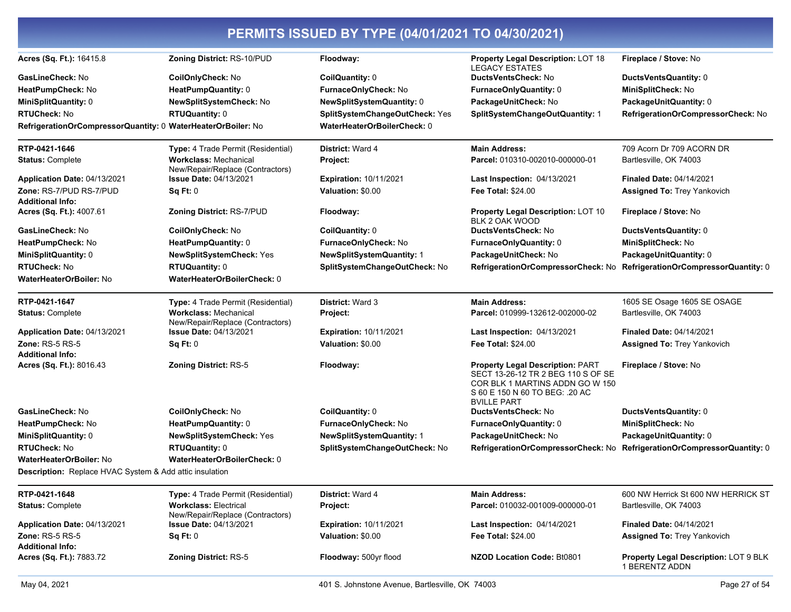| Acres (Sq. Ft.): 16415.8                                       | Zoning District: RS-10/PUD                                        | Floodway:                        | Property Legal Description: LOT 18                                                                                                                                       | Fireplace / Stove: No                                   |
|----------------------------------------------------------------|-------------------------------------------------------------------|----------------------------------|--------------------------------------------------------------------------------------------------------------------------------------------------------------------------|---------------------------------------------------------|
| GasLineCheck: No                                               | CoilOnlyCheck: No                                                 | <b>CoilQuantity: 0</b>           | <b>LEGACY ESTATES</b><br><b>DuctsVentsCheck: No</b>                                                                                                                      | DuctsVentsQuantity: 0                                   |
| HeatPumpCheck: No                                              | HeatPumpQuantity: 0                                               | FurnaceOnlyCheck: No             | <b>FurnaceOnlyQuantity: 0</b>                                                                                                                                            | MiniSplitCheck: No                                      |
| MiniSplitQuantity: 0                                           | NewSplitSystemCheck: No                                           | NewSplitSystemQuantity: 0        | PackageUnitCheck: No                                                                                                                                                     | PackageUnitQuantity: 0                                  |
| RTUCheck: No                                                   | <b>RTUQuantity: 0</b>                                             | SplitSystemChangeOutCheck: Yes   | SplitSystemChangeOutQuantity: 1                                                                                                                                          | RefrigerationOrCompressorCheck: No                      |
| RefrigerationOrCompressorQuantity: 0 WaterHeaterOrBoiler: No   |                                                                   | WaterHeaterOrBoilerCheck: 0      |                                                                                                                                                                          |                                                         |
| RTP-0421-1646                                                  | Type: 4 Trade Permit (Residential)                                | District: Ward 4                 | <b>Main Address:</b>                                                                                                                                                     | 709 Acorn Dr 709 ACORN DR                               |
| <b>Status: Complete</b>                                        | <b>Workclass: Mechanical</b>                                      | Project:                         | Parcel: 010310-002010-000000-01                                                                                                                                          | Bartlesville, OK 74003                                  |
| Application Date: 04/13/2021                                   | New/Repair/Replace (Contractors)<br><b>Issue Date: 04/13/2021</b> | <b>Expiration: 10/11/2021</b>    | Last Inspection: 04/13/2021                                                                                                                                              | <b>Finaled Date: 04/14/2021</b>                         |
| Zone: RS-7/PUD RS-7/PUD                                        | Sq Ft: 0                                                          | Valuation: \$0.00                | <b>Fee Total: \$24.00</b>                                                                                                                                                | <b>Assigned To: Trey Yankovich</b>                      |
| <b>Additional Info:</b>                                        |                                                                   |                                  |                                                                                                                                                                          |                                                         |
| Acres (Sq. Ft.): 4007.61                                       | Zoning District: RS-7/PUD                                         | Floodway:                        | <b>Property Legal Description: LOT 10</b><br>BLK 2 OAK WOOD                                                                                                              | Fireplace / Stove: No                                   |
| GasLineCheck: No                                               | CoilOnlyCheck: No                                                 | CoilQuantity: 0                  | DuctsVentsCheck: No                                                                                                                                                      | DuctsVentsQuantity: 0                                   |
| HeatPumpCheck: No                                              | HeatPumpQuantity: 0                                               | FurnaceOnlyCheck: No             | <b>FurnaceOnlyQuantity: 0</b>                                                                                                                                            | MiniSplitCheck: No                                      |
| <b>MiniSplitQuantity: 0</b>                                    | NewSplitSystemCheck: Yes                                          | <b>NewSplitSystemQuantity: 1</b> | PackageUnitCheck: No                                                                                                                                                     | PackageUnitQuantity: 0                                  |
| <b>RTUCheck: No</b>                                            | <b>RTUQuantity: 0</b>                                             | SplitSystemChangeOutCheck: No    | RefrigerationOrCompressorCheck: No                                                                                                                                       | RefrigerationOrCompressorQuantity: 0                    |
| WaterHeaterOrBoiler: No                                        | WaterHeaterOrBoilerCheck: 0                                       |                                  |                                                                                                                                                                          |                                                         |
| RTP-0421-1647                                                  | Type: 4 Trade Permit (Residential)                                | <b>District: Ward 3</b>          | <b>Main Address:</b>                                                                                                                                                     | 1605 SE Osage 1605 SE OSAGE                             |
| <b>Status: Complete</b>                                        | <b>Workclass: Mechanical</b><br>New/Repair/Replace (Contractors)  | Project:                         | Parcel: 010999-132612-002000-02                                                                                                                                          | Bartlesville, OK 74003                                  |
| Application Date: 04/13/2021                                   | <b>Issue Date: 04/13/2021</b>                                     | <b>Expiration: 10/11/2021</b>    | Last Inspection: 04/13/2021                                                                                                                                              | <b>Finaled Date: 04/14/2021</b>                         |
| <b>Zone: RS-5 RS-5</b><br><b>Additional Info:</b>              | Sq Ft: 0                                                          | Valuation: \$0.00                | <b>Fee Total: \$24.00</b>                                                                                                                                                | <b>Assigned To: Trey Yankovich</b>                      |
| Acres (Sq. Ft.): 8016.43                                       | <b>Zoning District: RS-5</b>                                      | Floodway:                        | <b>Property Legal Description: PART</b><br>SECT 13-26-12 TR 2 BEG 110 S OF SE<br>COR BLK 1 MARTINS ADDN GO W 150<br>S 60 E 150 N 60 TO BEG: .20 AC<br><b>BVILLE PART</b> | Fireplace / Stove: No                                   |
| GasLineCheck: No                                               | CoilOnlyCheck: No                                                 | CoilQuantity: 0                  | <b>DuctsVentsCheck: No</b>                                                                                                                                               | DuctsVentsQuantity: 0                                   |
| HeatPumpCheck: No                                              | HeatPumpQuantity: 0                                               | FurnaceOnlyCheck: No             | <b>FurnaceOnlyQuantity: 0</b>                                                                                                                                            | MiniSplitCheck: No                                      |
| <b>MiniSplitQuantity: 0</b>                                    | NewSplitSystemCheck: Yes                                          | <b>NewSplitSystemQuantity: 1</b> | PackageUnitCheck: No                                                                                                                                                     | PackageUnitQuantity: 0                                  |
| <b>RTUCheck: No</b>                                            | <b>RTUQuantity: 0</b>                                             | SplitSystemChangeOutCheck: No    | RefrigerationOrCompressorCheck: No                                                                                                                                       | RefrigerationOrCompressorQuantity: 0                    |
| WaterHeaterOrBoiler: No                                        | WaterHeaterOrBoilerCheck: 0                                       |                                  |                                                                                                                                                                          |                                                         |
| <b>Description:</b> Replace HVAC System & Add attic insulation |                                                                   |                                  |                                                                                                                                                                          |                                                         |
| RTP-0421-1648                                                  | Type: 4 Trade Permit (Residential)                                | District: Ward 4                 | <b>Main Address:</b>                                                                                                                                                     | 600 NW Herrick St 600 NW HERRICK ST                     |
| <b>Status: Complete</b>                                        | <b>Workclass: Electrical</b><br>New/Repair/Replace (Contractors)  | Project:                         | Parcel: 010032-001009-000000-01                                                                                                                                          | Bartlesville, OK 74003                                  |
| Application Date: 04/13/2021                                   | <b>Issue Date: 04/13/2021</b>                                     | <b>Expiration: 10/11/2021</b>    | Last Inspection: 04/14/2021                                                                                                                                              | <b>Finaled Date: 04/14/2021</b>                         |
| <b>Zone: RS-5 RS-5</b><br><b>Additional Info:</b>              | Sq Ft: 0                                                          | Valuation: \$0.00                | Fee Total: \$24.00                                                                                                                                                       | Assigned To: Trey Yankovich                             |
| Acres (Sq. Ft.): 7883.72                                       | <b>Zoning District: RS-5</b>                                      | Floodway: 500yr flood            | NZOD Location Code: Bt0801                                                                                                                                               | Property Legal Description: LOT 9 BLK<br>1 BERENTZ ADDN |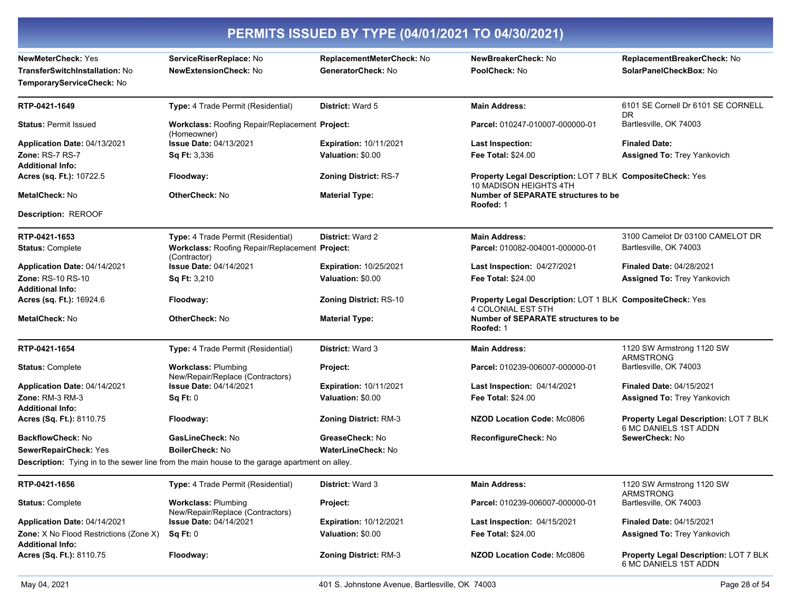| PERMITS ISSUED BY TYPE (04/01/2021 TO 04/30/2021)                                               |                                                                                                      |                                                 |                                                                                        |                                                                |
|-------------------------------------------------------------------------------------------------|------------------------------------------------------------------------------------------------------|-------------------------------------------------|----------------------------------------------------------------------------------------|----------------------------------------------------------------|
| <b>NewMeterCheck: Yes</b><br><b>TransferSwitchInstallation: No</b><br>TemporaryServiceCheck: No | ServiceRiserReplace: No<br><b>NewExtensionCheck: No</b>                                              | ReplacementMeterCheck: No<br>GeneratorCheck: No | NewBreakerCheck: No<br>PoolCheck: No                                                   | ReplacementBreakerCheck: No<br>SolarPanelCheckBox: No          |
| RTP-0421-1649                                                                                   | Type: 4 Trade Permit (Residential)                                                                   | District: Ward 5                                | <b>Main Address:</b>                                                                   | 6101 SE Cornell Dr 6101 SE CORNELL<br>DR.                      |
| <b>Status: Permit Issued</b>                                                                    | Workclass: Roofing Repair/Replacement Project:<br>(Homeowner)                                        |                                                 | Parcel: 010247-010007-000000-01                                                        | Bartlesville, OK 74003                                         |
| Application Date: 04/13/2021                                                                    | <b>Issue Date: 04/13/2021</b>                                                                        | <b>Expiration: 10/11/2021</b>                   | <b>Last Inspection:</b>                                                                | <b>Finaled Date:</b>                                           |
| <b>Zone: RS-7 RS-7</b><br><b>Additional Info:</b>                                               | <b>Sq Ft: 3,336</b>                                                                                  | Valuation: \$0.00                               | <b>Fee Total: \$24.00</b>                                                              | <b>Assigned To: Trey Yankovich</b>                             |
| Acres (sq. Ft.): 10722.5                                                                        | Floodway:                                                                                            | <b>Zoning District: RS-7</b>                    | Property Legal Description: LOT 7 BLK CompositeCheck: Yes                              |                                                                |
| <b>MetalCheck: No</b>                                                                           | <b>OtherCheck: No</b>                                                                                | <b>Material Type:</b>                           | 10 MADISON HEIGHTS 4TH<br><b>Number of SEPARATE structures to be</b><br>Roofed: 1      |                                                                |
| <b>Description: REROOF</b>                                                                      |                                                                                                      |                                                 |                                                                                        |                                                                |
| RTP-0421-1653                                                                                   | Type: 4 Trade Permit (Residential)                                                                   | District: Ward 2                                | <b>Main Address:</b>                                                                   | 3100 Camelot Dr 03100 CAMELOT DR                               |
| <b>Status: Complete</b>                                                                         | Workclass: Roofing Repair/Replacement Project:<br>(Contractor)                                       |                                                 | Parcel: 010082-004001-000000-01                                                        | Bartlesville, OK 74003                                         |
| Application Date: 04/14/2021                                                                    | <b>Issue Date: 04/14/2021</b>                                                                        | Expiration: 10/25/2021                          | <b>Last Inspection: 04/27/2021</b>                                                     | <b>Finaled Date: 04/28/2021</b>                                |
| <b>Zone: RS-10 RS-10</b><br><b>Additional Info:</b>                                             | <b>Sq Ft: 3,210</b>                                                                                  | Valuation: \$0.00                               | <b>Fee Total: \$24.00</b>                                                              | <b>Assigned To: Trey Yankovich</b>                             |
| Acres (sq. Ft.): 16924.6                                                                        | Floodway:                                                                                            | <b>Zoning District: RS-10</b>                   | Property Legal Description: LOT 1 BLK CompositeCheck: Yes<br><b>4 COLONIAL EST 5TH</b> |                                                                |
| <b>MetalCheck: No</b>                                                                           | <b>OtherCheck: No</b>                                                                                | <b>Material Type:</b>                           | <b>Number of SEPARATE structures to be</b><br>Roofed: 1                                |                                                                |
| RTP-0421-1654                                                                                   | Type: 4 Trade Permit (Residential)                                                                   | <b>District: Ward 3</b>                         | <b>Main Address:</b>                                                                   | 1120 SW Armstrong 1120 SW<br><b>ARMSTRONG</b>                  |
| <b>Status: Complete</b>                                                                         | <b>Workclass: Plumbing</b><br>New/Repair/Replace (Contractors)                                       | Project:                                        | Parcel: 010239-006007-000000-01                                                        | Bartlesville, OK 74003                                         |
| Application Date: 04/14/2021                                                                    | <b>Issue Date: 04/14/2021</b>                                                                        | <b>Expiration: 10/11/2021</b>                   | Last Inspection: 04/14/2021                                                            | <b>Finaled Date: 04/15/2021</b>                                |
| <b>Zone: RM-3 RM-3</b><br><b>Additional Info:</b>                                               | Sq Ft: 0                                                                                             | Valuation: \$0.00                               | <b>Fee Total: \$24.00</b>                                                              | <b>Assigned To: Trey Yankovich</b>                             |
| Acres (Sq. Ft.): 8110.75                                                                        | Floodway:                                                                                            | <b>Zoning District: RM-3</b>                    | NZOD Location Code: Mc0806                                                             | Property Legal Description: LOT 7 BLK<br>6 MC DANIELS 1ST ADDN |
| <b>BackflowCheck: No</b>                                                                        | GasLineCheck: No                                                                                     | GreaseCheck: No                                 | ReconfigureCheck: No                                                                   | SewerCheck: No                                                 |
| SewerRepairCheck: Yes                                                                           | <b>BoilerCheck: No</b>                                                                               | <b>WaterLineCheck: No</b>                       |                                                                                        |                                                                |
|                                                                                                 | <b>Description:</b> Tying in to the sewer line from the main house to the garage apartment on alley. |                                                 |                                                                                        |                                                                |
| RTP-0421-1656                                                                                   | Type: 4 Trade Permit (Residential)                                                                   | <b>District: Ward 3</b>                         | <b>Main Address:</b>                                                                   | 1120 SW Armstrong 1120 SW<br><b>ARMSTRONG</b>                  |
| <b>Status: Complete</b>                                                                         | <b>Workclass: Plumbing</b><br>New/Repair/Replace (Contractors)                                       | Project:                                        | Parcel: 010239-006007-000000-01                                                        | Bartlesville, OK 74003                                         |
| Application Date: 04/14/2021                                                                    | <b>Issue Date: 04/14/2021</b>                                                                        | <b>Expiration: 10/12/2021</b>                   | Last Inspection: 04/15/2021                                                            | <b>Finaled Date: 04/15/2021</b>                                |
| <b>Zone:</b> X No Flood Restrictions (Zone X)<br><b>Additional Info:</b>                        | Sq Ft: 0                                                                                             | Valuation: \$0.00                               | <b>Fee Total: \$24.00</b>                                                              | <b>Assigned To: Trey Yankovich</b>                             |
| Acres (Sq. Ft.): 8110.75                                                                        | Floodway:                                                                                            | Zoning District: RM-3                           | NZOD Location Code: Mc0806                                                             | Property Legal Description: LOT 7 BLK<br>6 MC DANIELS 1ST ADDN |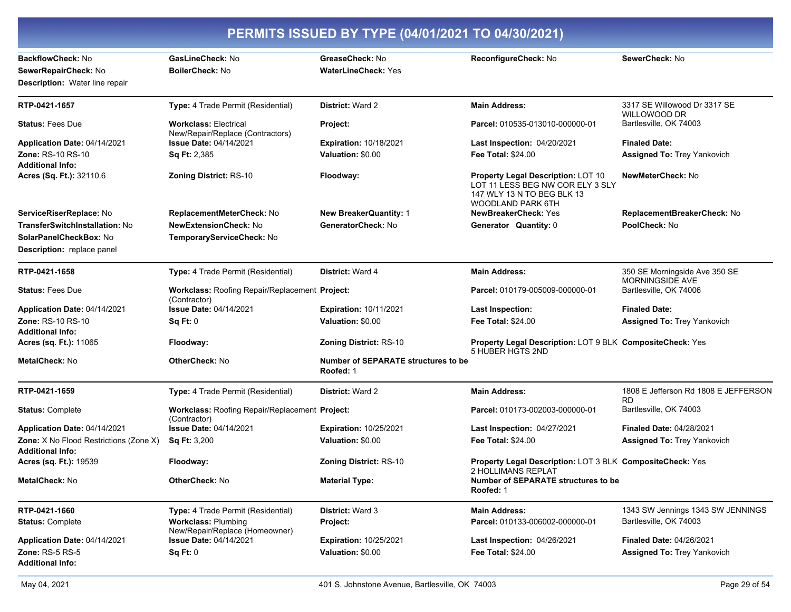| PERMITS ISSUED BY TYPE (04/01/2021 TO 04/30/2021)                           |                                                                  |                                                  |                                                                                                                                  |                                                     |
|-----------------------------------------------------------------------------|------------------------------------------------------------------|--------------------------------------------------|----------------------------------------------------------------------------------------------------------------------------------|-----------------------------------------------------|
| BackflowCheck: No<br>SewerRepairCheck: No<br>Description: Water line repair | GasLineCheck: No<br><b>BoilerCheck:</b> No                       | GreaseCheck: No<br><b>WaterLineCheck: Yes</b>    | ReconfigureCheck: No                                                                                                             | SewerCheck: No                                      |
| RTP-0421-1657                                                               | Type: 4 Trade Permit (Residential)                               | <b>District: Ward 2</b>                          | <b>Main Address:</b>                                                                                                             | 3317 SE Willowood Dr 3317 SE<br><b>WILLOWOOD DR</b> |
| <b>Status: Fees Due</b>                                                     | <b>Workclass: Electrical</b><br>New/Repair/Replace (Contractors) | Project:                                         | Parcel: 010535-013010-000000-01                                                                                                  | Bartlesville, OK 74003                              |
| Application Date: 04/14/2021                                                | <b>Issue Date: 04/14/2021</b>                                    | <b>Expiration: 10/18/2021</b>                    | Last Inspection: 04/20/2021                                                                                                      | <b>Finaled Date:</b>                                |
| Zone: RS-10 RS-10<br><b>Additional Info:</b>                                | Sq Ft: 2,385                                                     | Valuation: \$0.00                                | <b>Fee Total: \$24.00</b>                                                                                                        | <b>Assigned To: Trey Yankovich</b>                  |
| Acres (Sq. Ft.): 32110.6                                                    | <b>Zoning District: RS-10</b>                                    | Floodway:                                        | <b>Property Legal Description: LOT 10</b><br>LOT 11 LESS BEG NW COR ELY 3 SLY<br>147 WLY 13 N TO BEG BLK 13<br>WOODLAND PARK 6TH | NewMeterCheck: No                                   |
| ServiceRiserReplace: No                                                     | ReplacementMeterCheck: No                                        | <b>New BreakerQuantity: 1</b>                    | NewBreakerCheck: Yes                                                                                                             | ReplacementBreakerCheck: No                         |
| TransferSwitchInstallation: No                                              | <b>NewExtensionCheck: No</b>                                     | GeneratorCheck: No                               | Generator Quantity: 0                                                                                                            | PoolCheck: No                                       |
| SolarPanelCheckBox: No<br><b>Description:</b> replace panel                 | TemporaryServiceCheck: No                                        |                                                  |                                                                                                                                  |                                                     |
| RTP-0421-1658                                                               | Type: 4 Trade Permit (Residential)                               | District: Ward 4                                 | <b>Main Address:</b>                                                                                                             | 350 SE Morningside Ave 350 SE<br>MORNINGSIDE AVE    |
| <b>Status: Fees Due</b>                                                     | Workclass: Roofing Repair/Replacement Project:<br>(Contractor)   |                                                  | Parcel: 010179-005009-000000-01                                                                                                  | Bartlesville, OK 74006                              |
| Application Date: 04/14/2021                                                | <b>Issue Date: 04/14/2021</b>                                    | <b>Expiration: 10/11/2021</b>                    | <b>Last Inspection:</b>                                                                                                          | <b>Finaled Date:</b>                                |
| <b>Zone: RS-10 RS-10</b><br><b>Additional Info:</b>                         | Sq Ft: 0                                                         | Valuation: \$0.00                                | <b>Fee Total: \$24.00</b>                                                                                                        | Assigned To: Trey Yankovich                         |
| Acres (sq. Ft.): 11065                                                      | Floodway:                                                        | <b>Zoning District: RS-10</b>                    | Property Legal Description: LOT 9 BLK CompositeCheck: Yes<br>5 HUBER HGTS 2ND                                                    |                                                     |
| <b>MetalCheck: No</b>                                                       | <b>OtherCheck: No</b>                                            | Number of SEPARATE structures to be<br>Roofed: 1 |                                                                                                                                  |                                                     |
| RTP-0421-1659                                                               | Type: 4 Trade Permit (Residential)                               | <b>District: Ward 2</b>                          | <b>Main Address:</b>                                                                                                             | 1808 E Jefferson Rd 1808 E JEFFERSON<br><b>RD</b>   |
| <b>Status: Complete</b>                                                     | Workclass: Roofing Repair/Replacement Project:<br>(Contractor)   |                                                  | Parcel: 010173-002003-000000-01                                                                                                  | Bartlesville, OK 74003                              |
| Application Date: 04/14/2021                                                | <b>Issue Date: 04/14/2021</b>                                    | <b>Expiration: 10/25/2021</b>                    | Last Inspection: 04/27/2021                                                                                                      | <b>Finaled Date: 04/28/2021</b>                     |
| Zone: X No Flood Restrictions (Zone X)<br>Additional Info:                  | Sq Ft: 3,200                                                     | Valuation: \$0.00                                | <b>Fee Total: \$24.00</b>                                                                                                        | <b>Assigned To: Trey Yankovich</b>                  |
| Acres (sq. Ft.): 19539                                                      | Floodway:                                                        | <b>Zoning District: RS-10</b>                    | Property Legal Description: LOT 3 BLK CompositeCheck: Yes<br>2 HOLLIMANS REPLAT                                                  |                                                     |
| MetalCheck: No                                                              | <b>OtherCheck: No</b>                                            | <b>Material Type:</b>                            | Number of SEPARATE structures to be<br>Roofed: 1                                                                                 |                                                     |
| RTP-0421-1660                                                               | Type: 4 Trade Permit (Residential)                               | <b>District: Ward 3</b>                          | <b>Main Address:</b>                                                                                                             | 1343 SW Jennings 1343 SW JENNINGS                   |
| <b>Status: Complete</b>                                                     | <b>Workclass: Plumbing</b><br>New/Repair/Replace (Homeowner)     | Project:                                         | Parcel: 010133-006002-000000-01                                                                                                  | Bartlesville, OK 74003                              |
| Application Date: 04/14/2021                                                | <b>Issue Date: 04/14/2021</b>                                    | <b>Expiration: 10/25/2021</b>                    | Last Inspection: 04/26/2021                                                                                                      | <b>Finaled Date: 04/26/2021</b>                     |
| <b>Zone: RS-5 RS-5</b><br><b>Additional Info:</b>                           | Sq Ft: 0                                                         | Valuation: \$0.00                                | Fee Total: \$24.00                                                                                                               | <b>Assigned To: Trey Yankovich</b>                  |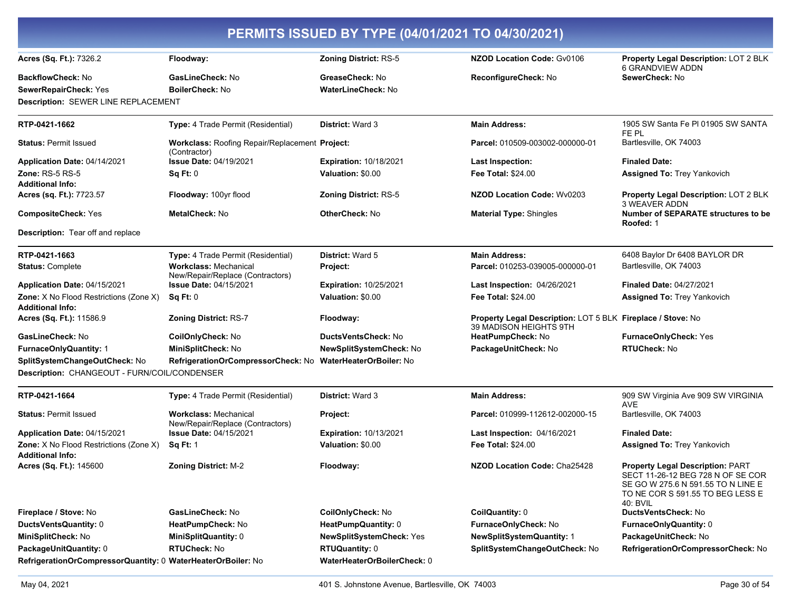| PERMITS ISSUED BY TYPE (04/01/2021 TO 04/30/2021)                        |                                                                  |                               |                                                                                       |                                                                                                                                                             |
|--------------------------------------------------------------------------|------------------------------------------------------------------|-------------------------------|---------------------------------------------------------------------------------------|-------------------------------------------------------------------------------------------------------------------------------------------------------------|
| Acres (Sq. Ft.): 7326.2                                                  | Floodway:                                                        | <b>Zoning District: RS-5</b>  | <b>NZOD Location Code: Gv0106</b>                                                     | Property Legal Description: LOT 2 BLK<br><b>6 GRANDVIEW ADDN</b>                                                                                            |
| <b>BackflowCheck: No</b>                                                 | GasLineCheck: No                                                 | GreaseCheck: No               | ReconfigureCheck: No                                                                  | SewerCheck: No                                                                                                                                              |
| <b>SewerRepairCheck: Yes</b>                                             | <b>BoilerCheck: No</b>                                           | <b>WaterLineCheck: No</b>     |                                                                                       |                                                                                                                                                             |
| <b>Description: SEWER LINE REPLACEMENT</b>                               |                                                                  |                               |                                                                                       |                                                                                                                                                             |
| RTP-0421-1662                                                            | Type: 4 Trade Permit (Residential)                               | <b>District: Ward 3</b>       | <b>Main Address:</b>                                                                  | 1905 SW Santa Fe PI 01905 SW SANTA<br>FE PL                                                                                                                 |
| <b>Status: Permit Issued</b>                                             | Workclass: Roofing Repair/Replacement Project:<br>(Contractor)   |                               | Parcel: 010509-003002-000000-01                                                       | Bartlesville, OK 74003                                                                                                                                      |
| Application Date: 04/14/2021                                             | <b>Issue Date: 04/19/2021</b>                                    | <b>Expiration: 10/18/2021</b> | <b>Last Inspection:</b>                                                               | <b>Finaled Date:</b>                                                                                                                                        |
| <b>Zone: RS-5 RS-5</b>                                                   | Sq Ft: 0                                                         | Valuation: \$0.00             | <b>Fee Total: \$24.00</b>                                                             | Assigned To: Trey Yankovich                                                                                                                                 |
| <b>Additional Info:</b>                                                  |                                                                  |                               |                                                                                       |                                                                                                                                                             |
| Acres (sq. Ft.): 7723.57                                                 | Floodway: 100yr flood                                            | <b>Zoning District: RS-5</b>  | <b>NZOD Location Code: Wv0203</b>                                                     | Property Legal Description: LOT 2 BLK<br><b>3 WEAVER ADDN</b>                                                                                               |
| <b>CompositeCheck: Yes</b>                                               | MetalCheck: No                                                   | <b>OtherCheck: No</b>         | <b>Material Type: Shingles</b>                                                        | <b>Number of SEPARATE structures to be</b><br>Roofed: 1                                                                                                     |
| <b>Description:</b> Tear off and replace                                 |                                                                  |                               |                                                                                       |                                                                                                                                                             |
| RTP-0421-1663                                                            | Type: 4 Trade Permit (Residential)                               | <b>District: Ward 5</b>       | <b>Main Address:</b>                                                                  | 6408 Baylor Dr 6408 BAYLOR DR                                                                                                                               |
| <b>Status: Complete</b>                                                  | <b>Workclass: Mechanical</b><br>New/Repair/Replace (Contractors) | Project:                      | Parcel: 010253-039005-000000-01                                                       | Bartlesville, OK 74003                                                                                                                                      |
| Application Date: 04/15/2021                                             | <b>Issue Date: 04/15/2021</b>                                    | Expiration: 10/25/2021        | Last Inspection: 04/26/2021                                                           | <b>Finaled Date: 04/27/2021</b>                                                                                                                             |
| <b>Zone:</b> X No Flood Restrictions (Zone X)<br><b>Additional Info:</b> | Sq Ft: 0                                                         | Valuation: \$0.00             | <b>Fee Total: \$24.00</b>                                                             | Assigned To: Trey Yankovich                                                                                                                                 |
| Acres (Sq. Ft.): 11586.9                                                 | <b>Zoning District: RS-7</b>                                     | Floodway:                     | Property Legal Description: LOT 5 BLK Fireplace / Stove: No<br>39 MADISON HEIGHTS 9TH |                                                                                                                                                             |
| GasLineCheck: No                                                         | CoilOnlyCheck: No                                                | <b>DuctsVentsCheck:</b> No    | HeatPumpCheck: No                                                                     | <b>FurnaceOnlyCheck: Yes</b>                                                                                                                                |
| <b>FurnaceOnlyQuantity: 1</b>                                            | MiniSplitCheck: No                                               | NewSplitSystemCheck: No       | PackageUnitCheck: No                                                                  | <b>RTUCheck: No</b>                                                                                                                                         |
| SplitSystemChangeOutCheck: No                                            | RefrigerationOrCompressorCheck: No WaterHeaterOrBoiler: No       |                               |                                                                                       |                                                                                                                                                             |
| Description: CHANGEOUT - FURN/COIL/CONDENSER                             |                                                                  |                               |                                                                                       |                                                                                                                                                             |
| RTP-0421-1664                                                            | Type: 4 Trade Permit (Residential)                               | <b>District: Ward 3</b>       | <b>Main Address:</b>                                                                  | 909 SW Virginia Ave 909 SW VIRGINIA<br><b>AVE</b>                                                                                                           |
| <b>Status: Permit Issued</b>                                             | <b>Workclass: Mechanical</b><br>New/Repair/Replace (Contractors) | Project:                      | Parcel: 010999-112612-002000-15                                                       | Bartlesville, OK 74003                                                                                                                                      |
| Application Date: 04/15/2021                                             | <b>Issue Date: 04/15/2021</b>                                    | <b>Expiration: 10/13/2021</b> | Last Inspection: 04/16/2021                                                           | <b>Finaled Date:</b>                                                                                                                                        |
| Zone: X No Flood Restrictions (Zone X)<br><b>Additional Info:</b>        | <b>Sq Ft: 1</b>                                                  | Valuation: \$0.00             | <b>Fee Total: \$24.00</b>                                                             | <b>Assigned To: Trey Yankovich</b>                                                                                                                          |
| Acres (Sq. Ft.): 145600                                                  | Zoning District: M-2                                             | Floodway:                     | NZOD Location Code: Cha25428                                                          | Property Legal Description: PART<br>SECT 11-26-12 BEG 728 N OF SE COR<br>SE GO W 275.6 N 591.55 TO N LINE E<br>TO NE COR S 591.55 TO BEG LESS E<br>40: BVIL |
| Fireplace / Stove: No                                                    | GasLineCheck: No                                                 | CoilOnlyCheck: No             | CoilQuantity: 0                                                                       | DuctsVentsCheck: No                                                                                                                                         |
| DuctsVentsQuantity: 0                                                    | HeatPumpCheck: No                                                | HeatPumpQuantity: 0           | FurnaceOnlyCheck: No                                                                  | FurnaceOnlyQuantity: 0                                                                                                                                      |
| MiniSplitCheck: No                                                       | MiniSplitQuantity: 0                                             | NewSplitSystemCheck: Yes      | <b>NewSplitSystemQuantity: 1</b>                                                      | PackageUnitCheck: No                                                                                                                                        |
| PackageUnitQuantity: 0                                                   | <b>RTUCheck: No</b>                                              | <b>RTUQuantity: 0</b>         | SplitSystemChangeOutCheck: No                                                         | RefrigerationOrCompressorCheck: No                                                                                                                          |
| RefrigerationOrCompressorQuantity: 0 WaterHeaterOrBoiler: No             |                                                                  | WaterHeaterOrBoilerCheck: 0   |                                                                                       |                                                                                                                                                             |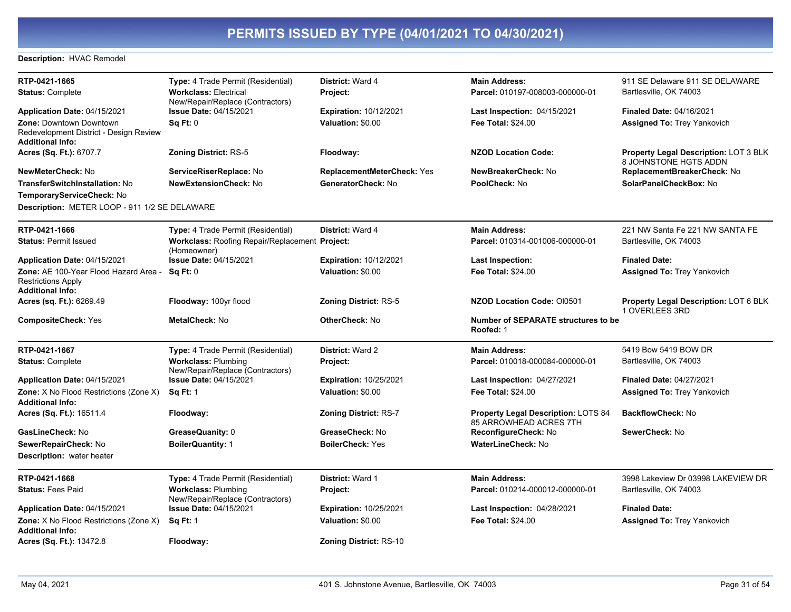#### Description: HVAC Remodel

| RTP-0421-1665                                                                                       | <b>Type:</b> 4 Trade Permit (Residential)                            | <b>District: Ward 4</b>           | <b>Main Address:</b>                                          | 911 SE Delaware 911 SE DELAWARE                                       |
|-----------------------------------------------------------------------------------------------------|----------------------------------------------------------------------|-----------------------------------|---------------------------------------------------------------|-----------------------------------------------------------------------|
| <b>Status: Complete</b>                                                                             | <b>Workclass: Electrical</b><br>New/Repair/Replace (Contractors)     | Project:                          | Parcel: 010197-008003-000000-01                               | Bartlesville, OK 74003                                                |
| Application Date: 04/15/2021                                                                        | Issue Date: 04/15/2021                                               | <b>Expiration: 10/12/2021</b>     | <b>Last Inspection: 04/15/2021</b>                            | <b>Finaled Date: 04/16/2021</b>                                       |
| <b>Zone: Downtown Downtown</b><br>Redevelopment District - Design Review<br><b>Additional Info:</b> | Sq Ft: 0                                                             | Valuation: \$0.00                 | <b>Fee Total: \$24.00</b>                                     | <b>Assigned To: Trey Yankovich</b>                                    |
| Acres (Sq. Ft.): 6707.7                                                                             | <b>Zoning District: RS-5</b>                                         | Floodway:                         | <b>NZOD Location Code:</b>                                    | <b>Property Legal Description: LOT 3 BLK</b><br>8 JOHNSTONE HGTS ADDN |
| <b>NewMeterCheck: No</b>                                                                            | ServiceRiserReplace: No                                              | <b>ReplacementMeterCheck: Yes</b> | NewBreakerCheck: No                                           | ReplacementBreakerCheck: No                                           |
| TransferSwitchInstallation: No                                                                      | <b>NewExtensionCheck: No</b>                                         | GeneratorCheck: No                | PoolCheck: No                                                 | SolarPanelCheckBox: No                                                |
| TemporaryServiceCheck: No                                                                           |                                                                      |                                   |                                                               |                                                                       |
| Description: METER LOOP - 911 1/2 SE DELAWARE                                                       |                                                                      |                                   |                                                               |                                                                       |
| RTP-0421-1666                                                                                       | Type: 4 Trade Permit (Residential)                                   | District: Ward 4                  | <b>Main Address:</b>                                          | 221 NW Santa Fe 221 NW SANTA FE                                       |
| <b>Status: Permit Issued</b>                                                                        | <b>Workclass: Roofing Repair/Replacement Project:</b><br>(Homeowner) |                                   | Parcel: 010314-001006-000000-01                               | Bartlesville, OK 74003                                                |
| Application Date: 04/15/2021                                                                        | <b>Issue Date: 04/15/2021</b>                                        | <b>Expiration: 10/12/2021</b>     | Last Inspection:                                              | <b>Finaled Date:</b>                                                  |
| Zone: AE 100-Year Flood Hazard Area -<br><b>Restrictions Apply</b><br><b>Additional Info:</b>       | Sq Ft: 0                                                             | Valuation: \$0.00                 | <b>Fee Total: \$24.00</b>                                     | <b>Assigned To: Trey Yankovich</b>                                    |
| Acres (sq. Ft.): 6269.49                                                                            | Floodway: 100yr flood                                                | <b>Zoning District: RS-5</b>      | <b>NZOD Location Code: OI0501</b>                             | <b>Property Legal Description: LOT 6 BLK</b><br>1 OVERLEES 3RD        |
| <b>CompositeCheck: Yes</b>                                                                          | <b>MetalCheck: No</b>                                                | <b>OtherCheck: No</b>             | <b>Number of SEPARATE structures to be</b><br>Roofed: 1       |                                                                       |
| RTP-0421-1667                                                                                       | Type: 4 Trade Permit (Residential)                                   | <b>District: Ward 2</b>           | <b>Main Address:</b>                                          | 5419 Bow 5419 BOW DR                                                  |
| <b>Status: Complete</b>                                                                             | <b>Workclass: Plumbing</b><br>New/Repair/Replace (Contractors)       | Project:                          | Parcel: 010018-000084-000000-01                               | Bartlesville, OK 74003                                                |
| Application Date: 04/15/2021                                                                        | Issue Date: 04/15/2021                                               | <b>Expiration: 10/25/2021</b>     | <b>Last Inspection: 04/27/2021</b>                            | <b>Finaled Date: 04/27/2021</b>                                       |
| <b>Zone:</b> X No Flood Restrictions (Zone X)<br><b>Additional Info:</b>                            | <b>Sq Ft: 1</b>                                                      | Valuation: \$0.00                 | Fee Total: \$24.00                                            | <b>Assigned To: Trey Yankovich</b>                                    |
| Acres (Sq. Ft.): 16511.4                                                                            | Floodway:                                                            | <b>Zoning District: RS-7</b>      | Property Legal Description: LOTS 84<br>85 ARROWHEAD ACRES 7TH | BackflowCheck: No                                                     |
| GasLineCheck: No                                                                                    | GreaseQuanity: 0                                                     | GreaseCheck: No                   | ReconfigureCheck: No                                          | SewerCheck: No                                                        |
| SewerRepairCheck: No                                                                                | <b>BoilerQuantity: 1</b>                                             | <b>BoilerCheck: Yes</b>           | WaterLineCheck: No                                            |                                                                       |
| <b>Description:</b> water heater                                                                    |                                                                      |                                   |                                                               |                                                                       |
| RTP-0421-1668                                                                                       | Type: 4 Trade Permit (Residential)                                   | District: Ward 1                  | <b>Main Address:</b>                                          | 3998 Lakeview Dr 03998 LAKEVIEW DR                                    |
| <b>Status: Fees Paid</b>                                                                            | <b>Workclass: Plumbing</b><br>New/Repair/Replace (Contractors)       | Project:                          | Parcel: 010214-000012-000000-01                               | Bartlesville, OK 74003                                                |
| Application Date: 04/15/2021                                                                        | Issue Date: 04/15/2021                                               | <b>Expiration: 10/25/2021</b>     | <b>Last Inspection: 04/28/2021</b>                            | <b>Finaled Date:</b>                                                  |
| Zone: X No Flood Restrictions (Zone X)<br><b>Additional Info:</b>                                   | <b>Sq Ft: 1</b>                                                      | Valuation: \$0.00                 | Fee Total: \$24.00                                            | <b>Assigned To: Trey Yankovich</b>                                    |
| Acres (Sq. Ft.): 13472.8                                                                            | Floodway:                                                            | <b>Zoning District: RS-10</b>     |                                                               |                                                                       |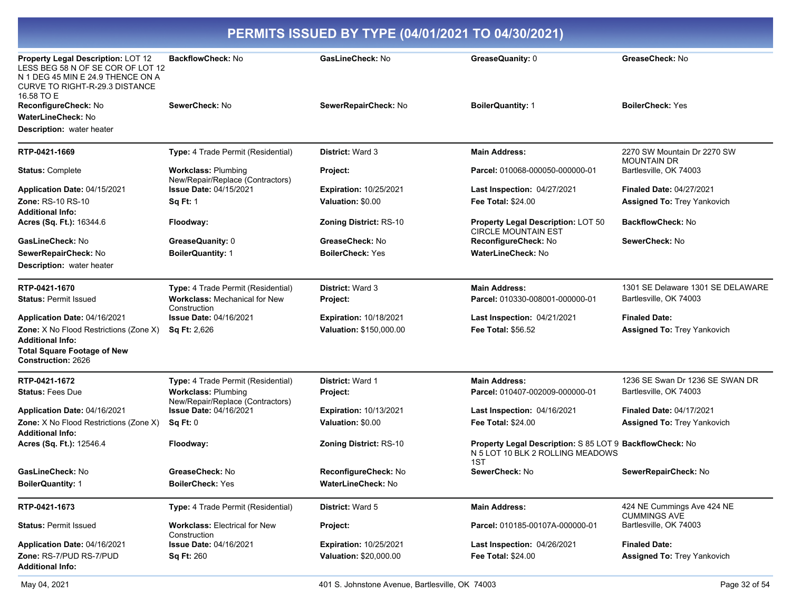| Property Legal Description: LOT 12<br>LESS BEG 58 N OF SE COR OF LOT 12<br>N 1 DEG 45 MIN E 24.9 THENCE ON A<br><b>CURVE TO RIGHT-R-29.3 DISTANCE</b> | <b>BackflowCheck: No</b>                                       | GasLineCheck: No              | GreaseQuanity: 0                                                                                    | GreaseCheck: No                                   |
|-------------------------------------------------------------------------------------------------------------------------------------------------------|----------------------------------------------------------------|-------------------------------|-----------------------------------------------------------------------------------------------------|---------------------------------------------------|
| 16.58 TO E                                                                                                                                            |                                                                |                               |                                                                                                     |                                                   |
| ReconfigureCheck: No                                                                                                                                  | SewerCheck: No                                                 | SewerRepairCheck: No          | <b>BoilerQuantity: 1</b>                                                                            | <b>BoilerCheck: Yes</b>                           |
| WaterLineCheck: No                                                                                                                                    |                                                                |                               |                                                                                                     |                                                   |
| <b>Description:</b> water heater                                                                                                                      |                                                                |                               |                                                                                                     |                                                   |
| RTP-0421-1669                                                                                                                                         | Type: 4 Trade Permit (Residential)                             | District: Ward 3              | <b>Main Address:</b>                                                                                | 2270 SW Mountain Dr 2270 SW<br><b>MOUNTAIN DR</b> |
| <b>Status: Complete</b>                                                                                                                               | <b>Workclass: Plumbing</b><br>New/Repair/Replace (Contractors) | Project:                      | Parcel: 010068-000050-000000-01                                                                     | Bartlesville, OK 74003                            |
| Application Date: 04/15/2021                                                                                                                          | <b>Issue Date: 04/15/2021</b>                                  | <b>Expiration: 10/25/2021</b> | Last Inspection: 04/27/2021                                                                         | <b>Finaled Date: 04/27/2021</b>                   |
| Zone: RS-10 RS-10                                                                                                                                     | <b>Sq Ft: 1</b>                                                | Valuation: \$0.00             | <b>Fee Total: \$24.00</b>                                                                           | <b>Assigned To: Trey Yankovich</b>                |
| Additional Info:                                                                                                                                      |                                                                |                               |                                                                                                     |                                                   |
| Acres (Sq. Ft.): 16344.6                                                                                                                              | Floodway:                                                      | <b>Zoning District: RS-10</b> | Property Legal Description: LOT 50<br><b>CIRCLE MOUNTAIN EST</b>                                    | <b>BackflowCheck: No</b>                          |
| GasLineCheck: No                                                                                                                                      | GreaseQuanity: 0                                               | GreaseCheck: No               | ReconfigureCheck: No                                                                                | SewerCheck: No                                    |
| SewerRepairCheck: No                                                                                                                                  | <b>BoilerQuantity: 1</b>                                       | <b>BoilerCheck: Yes</b>       | <b>WaterLineCheck: No</b>                                                                           |                                                   |
| <b>Description:</b> water heater                                                                                                                      |                                                                |                               |                                                                                                     |                                                   |
| RTP-0421-1670                                                                                                                                         | Type: 4 Trade Permit (Residential)                             | <b>District: Ward 3</b>       | <b>Main Address:</b>                                                                                | 1301 SE Delaware 1301 SE DELAWARE                 |
| <b>Status: Permit Issued</b>                                                                                                                          | <b>Workclass: Mechanical for New</b><br>Construction           | <b>Project:</b>               | Parcel: 010330-008001-000000-01                                                                     | Bartlesville, OK 74003                            |
| <b>Application Date: 04/16/2021</b>                                                                                                                   | <b>Issue Date: 04/16/2021</b>                                  | <b>Expiration: 10/18/2021</b> | Last Inspection: 04/21/2021                                                                         | <b>Finaled Date:</b>                              |
| Zone: X No Flood Restrictions (Zone X)                                                                                                                | <b>Sq Ft: 2,626</b>                                            | Valuation: \$150,000.00       | <b>Fee Total: \$56.52</b>                                                                           | Assigned To: Trey Yankovich                       |
| <b>Additional Info:</b>                                                                                                                               |                                                                |                               |                                                                                                     |                                                   |
| <b>Total Square Footage of New</b><br><b>Construction: 2626</b>                                                                                       |                                                                |                               |                                                                                                     |                                                   |
| RTP-0421-1672                                                                                                                                         | Type: 4 Trade Permit (Residential)                             | District: Ward 1              | <b>Main Address:</b>                                                                                | 1236 SE Swan Dr 1236 SE SWAN DR                   |
| <b>Status: Fees Due</b>                                                                                                                               | <b>Workclass: Plumbing</b><br>New/Repair/Replace (Contractors) | <b>Project:</b>               | Parcel: 010407-002009-000000-01                                                                     | Bartlesville, OK 74003                            |
| Application Date: 04/16/2021                                                                                                                          | <b>Issue Date: 04/16/2021</b>                                  | <b>Expiration: 10/13/2021</b> | Last Inspection: 04/16/2021                                                                         | <b>Finaled Date: 04/17/2021</b>                   |
| Zone: X No Flood Restrictions (Zone X)<br><b>Additional Info:</b>                                                                                     | Sq Ft: 0                                                       | Valuation: \$0.00             | <b>Fee Total: \$24.00</b>                                                                           | <b>Assigned To: Trey Yankovich</b>                |
| Acres (Sq. Ft.): 12546.4                                                                                                                              | Floodway:                                                      | <b>Zoning District: RS-10</b> | Property Legal Description: S 85 LOT 9 BackflowCheck: No<br>N 5 LOT 10 BLK 2 ROLLING MEADOWS<br>1ST |                                                   |
| GasLineCheck: No                                                                                                                                      | GreaseCheck: No                                                | ReconfigureCheck: No          | SewerCheck: No                                                                                      | SewerRepairCheck: No                              |
| <b>BoilerQuantity: 1</b>                                                                                                                              | <b>BoilerCheck: Yes</b>                                        | <b>WaterLineCheck: No</b>     |                                                                                                     |                                                   |
|                                                                                                                                                       |                                                                |                               |                                                                                                     |                                                   |
| RTP-0421-1673                                                                                                                                         | Type: 4 Trade Permit (Residential)                             | <b>District: Ward 5</b>       | <b>Main Address:</b>                                                                                | 424 NE Cummings Ave 424 NE<br><b>CUMMINGS AVE</b> |
| <b>Status: Permit Issued</b>                                                                                                                          | <b>Workclass: Electrical for New</b><br>Construction           | Project:                      | Parcel: 010185-00107A-000000-01                                                                     | Bartlesville, OK 74003                            |
| Application Date: 04/16/2021                                                                                                                          | <b>Issue Date: 04/16/2021</b>                                  | Expiration: 10/25/2021        | Last Inspection: 04/26/2021                                                                         | <b>Finaled Date:</b>                              |
| Zone: RS-7/PUD RS-7/PUD<br>Additional Info:                                                                                                           | <b>Sq Ft: 260</b>                                              | Valuation: \$20,000.00        | Fee Total: \$24.00                                                                                  | <b>Assigned To: Trey Yankovich</b>                |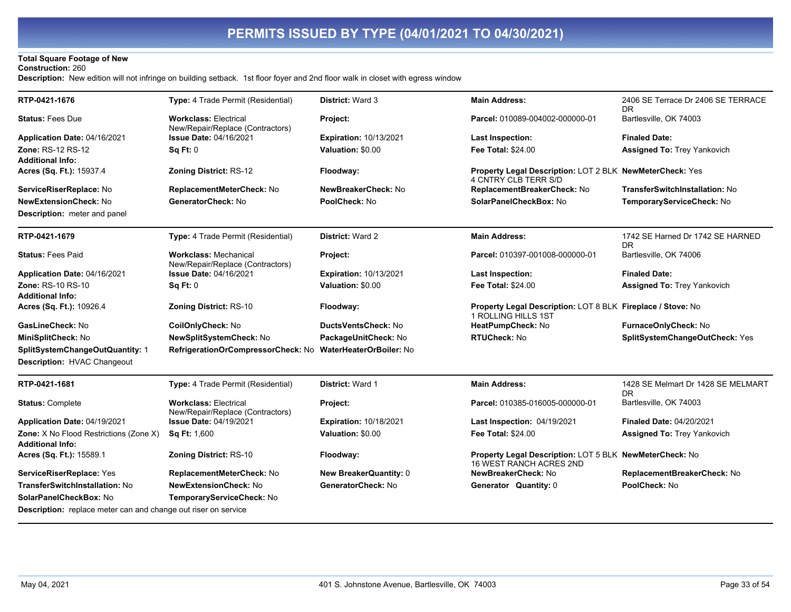### **Total Square Footage of New**

#### **Construction: 260**

Description: New edition will not infringe on building setback. 1st floor foyer and 2nd floor walk in closet with egress window

| RTP-0421-1676                                                         | Type: 4 Trade Permit (Residential)                               | <b>District: Ward 3</b>       | <b>Main Address:</b>                                                                      | 2406 SE Terrace Dr 2406 SE TERRACE<br>DR. |
|-----------------------------------------------------------------------|------------------------------------------------------------------|-------------------------------|-------------------------------------------------------------------------------------------|-------------------------------------------|
| <b>Status: Fees Due</b>                                               | <b>Workclass: Electrical</b><br>New/Repair/Replace (Contractors) | Project:                      | Parcel: 010089-004002-000000-01                                                           | Bartlesville, OK 74003                    |
| Application Date: 04/16/2021                                          | <b>Issue Date: 04/16/2021</b>                                    | <b>Expiration: 10/13/2021</b> | Last Inspection:                                                                          | <b>Finaled Date:</b>                      |
| Zone: RS-12 RS-12                                                     | Sq Ft: 0                                                         | Valuation: \$0.00             | Fee Total: \$24.00                                                                        | Assigned To: Trey Yankovich               |
| Additional Info:                                                      |                                                                  |                               |                                                                                           |                                           |
| Acres (Sq. Ft.): 15937.4                                              | Zoning District: RS-12                                           | Floodway:                     | Property Legal Description: LOT 2 BLK NewMeterCheck: Yes<br>4 CNTRY CLB TERR S/D          |                                           |
| ServiceRiserReplace: No                                               | ReplacementMeterCheck: No                                        | NewBreakerCheck: No           | ReplacementBreakerCheck: No                                                               | TransferSwitchInstallation: No            |
| <b>NewExtensionCheck: No</b>                                          | GeneratorCheck: No                                               | PoolCheck: No                 | SolarPanelCheckBox: No                                                                    | TemporaryServiceCheck: No                 |
| <b>Description:</b> meter and panel                                   |                                                                  |                               |                                                                                           |                                           |
| RTP-0421-1679                                                         | Type: 4 Trade Permit (Residential)                               | <b>District: Ward 2</b>       | <b>Main Address:</b>                                                                      | 1742 SE Harned Dr 1742 SE HARNED<br>DR.   |
| <b>Status: Fees Paid</b>                                              | <b>Workclass: Mechanical</b><br>New/Repair/Replace (Contractors) | Project:                      | Parcel: 010397-001008-000000-01                                                           | Bartlesville, OK 74006                    |
| Application Date: 04/16/2021                                          | <b>Issue Date: 04/16/2021</b>                                    | <b>Expiration: 10/13/2021</b> | <b>Last Inspection:</b>                                                                   | <b>Finaled Date:</b>                      |
| Zone: RS-10 RS-10                                                     | Sq Ft: 0                                                         | Valuation: \$0.00             | <b>Fee Total: \$24.00</b>                                                                 | <b>Assigned To: Trey Yankovich</b>        |
| <b>Additional Info:</b>                                               |                                                                  |                               |                                                                                           |                                           |
| Acres (Sq. Ft.): 10926.4                                              | Zoning District: RS-10                                           | Floodway:                     | Property Legal Description: LOT 8 BLK Fireplace / Stove: No<br>1 ROLLING HILLS 1ST        |                                           |
| GasLineCheck: No                                                      | CoilOnlyCheck: No                                                | DuctsVentsCheck: No           | HeatPumpCheck: No                                                                         | FurnaceOnlyCheck: No                      |
| MiniSplitCheck: No                                                    | NewSplitSystemCheck: No                                          | PackageUnitCheck: No          | <b>RTUCheck: No</b>                                                                       | SplitSystemChangeOutCheck: Yes            |
| SplitSystemChangeOutQuantity: 1<br><b>Description: HVAC Changeout</b> | RefrigerationOrCompressorCheck: No WaterHeaterOrBoiler: No       |                               |                                                                                           |                                           |
| RTP-0421-1681                                                         | Type: 4 Trade Permit (Residential)                               | District: Ward 1              | <b>Main Address:</b>                                                                      | 1428 SE Melmart Dr 1428 SE MELMART<br>DR. |
| <b>Status: Complete</b>                                               | <b>Workclass: Electrical</b><br>New/Repair/Replace (Contractors) | Project:                      | Parcel: 010385-016005-000000-01                                                           | Bartlesville, OK 74003                    |
| Application Date: 04/19/2021                                          | <b>Issue Date: 04/19/2021</b>                                    | <b>Expiration: 10/18/2021</b> | Last Inspection: 04/19/2021                                                               | <b>Finaled Date: 04/20/2021</b>           |
| Zone: X No Flood Restrictions (Zone X)                                | <b>Sq Ft: 1,600</b>                                              | Valuation: \$0.00             | <b>Fee Total: \$24.00</b>                                                                 | <b>Assigned To: Trey Yankovich</b>        |
| Additional Info:                                                      |                                                                  |                               |                                                                                           |                                           |
| Acres (Sq. Ft.): 15589.1                                              | <b>Zoning District: RS-10</b>                                    | Floodway:                     | Property Legal Description: LOT 5 BLK NewMeterCheck: No<br><b>16 WEST RANCH ACRES 2ND</b> |                                           |
| ServiceRiserReplace: Yes                                              | ReplacementMeterCheck: No                                        | New BreakerQuantity: 0        | NewBreakerCheck: No                                                                       | ReplacementBreakerCheck: No               |
| TransferSwitchInstallation: No                                        | <b>NewExtensionCheck: No</b>                                     | GeneratorCheck: No            | Generator Quantity: 0                                                                     | PoolCheck: No                             |
| SolarPanelCheckBox: No                                                | TemporaryServiceCheck: No                                        |                               |                                                                                           |                                           |
| Description: replace meter can and change out riser on service        |                                                                  |                               |                                                                                           |                                           |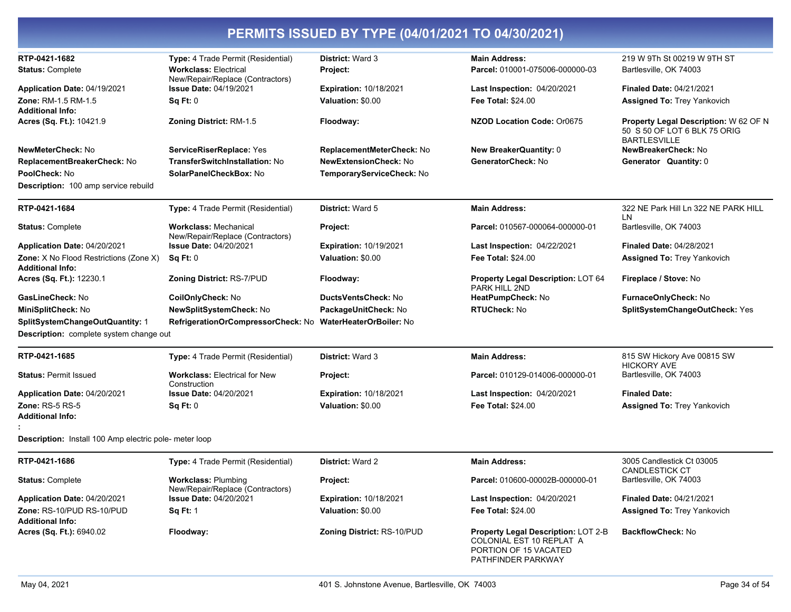| PERMITS ISSUED BY TYPE (04/01/2021 TO 04/30/2021)                        |                                                                               |                                                    |                                                                                                 |                                                                                              |  |
|--------------------------------------------------------------------------|-------------------------------------------------------------------------------|----------------------------------------------------|-------------------------------------------------------------------------------------------------|----------------------------------------------------------------------------------------------|--|
| RTP-0421-1682<br><b>Status: Complete</b>                                 | Type: 4 Trade Permit (Residential)<br><b>Workclass: Electrical</b>            | <b>District: Ward 3</b><br>Project:                | <b>Main Address:</b><br>Parcel: 010001-075006-000000-03                                         | 219 W 9Th St 00219 W 9TH ST<br>Bartlesville, OK 74003                                        |  |
| Application Date: 04/19/2021<br><b>Zone: RM-1.5 RM-1.5</b>               | New/Repair/Replace (Contractors)<br><b>Issue Date: 04/19/2021</b><br>Sq Ft: 0 | <b>Expiration: 10/18/2021</b><br>Valuation: \$0.00 | Last Inspection: 04/20/2021<br><b>Fee Total: \$24.00</b>                                        | <b>Finaled Date: 04/21/2021</b><br><b>Assigned To: Trey Yankovich</b>                        |  |
| <b>Additional Info:</b><br>Acres (Sq. Ft.): 10421.9                      | <b>Zoning District: RM-1.5</b>                                                | Floodway:                                          | NZOD Location Code: Or0675                                                                      | Property Legal Description: W 62 OF N<br>50 S 50 OF LOT 6 BLK 75 ORIG<br><b>BARTLESVILLE</b> |  |
| NewMeterCheck: No                                                        | ServiceRiserReplace: Yes                                                      | ReplacementMeterCheck: No                          | <b>New BreakerQuantity: 0</b>                                                                   | NewBreakerCheck: No                                                                          |  |
| ReplacementBreakerCheck: No                                              | TransferSwitchInstallation: No                                                | <b>NewExtensionCheck: No</b>                       | GeneratorCheck: No                                                                              | Generator Quantity: 0                                                                        |  |
| PoolCheck: No                                                            | SolarPanelCheckBox: No                                                        | TemporaryServiceCheck: No                          |                                                                                                 |                                                                                              |  |
| <b>Description: 100 amp service rebuild</b>                              |                                                                               |                                                    |                                                                                                 |                                                                                              |  |
| RTP-0421-1684                                                            | Type: 4 Trade Permit (Residential)                                            | <b>District: Ward 5</b>                            | <b>Main Address:</b>                                                                            | 322 NE Park Hill Ln 322 NE PARK HILL<br>LN                                                   |  |
| <b>Status: Complete</b>                                                  | <b>Workclass: Mechanical</b><br>New/Repair/Replace (Contractors)              | Project:                                           | Parcel: 010567-000064-000000-01                                                                 | Bartlesville, OK 74003                                                                       |  |
| Application Date: 04/20/2021                                             | <b>Issue Date: 04/20/2021</b>                                                 | Expiration: 10/19/2021                             | Last Inspection: 04/22/2021                                                                     | <b>Finaled Date: 04/28/2021</b>                                                              |  |
| <b>Zone:</b> X No Flood Restrictions (Zone X)<br><b>Additional Info:</b> | Sq Ft: 0                                                                      | Valuation: \$0.00                                  | <b>Fee Total: \$24.00</b>                                                                       | <b>Assigned To: Trey Yankovich</b>                                                           |  |
| Acres (Sq. Ft.): 12230.1                                                 | <b>Zoning District: RS-7/PUD</b>                                              | Floodway:                                          | Property Legal Description: LOT 64<br>PARK HILL 2ND                                             | Fireplace / Stove: No                                                                        |  |
| GasLineCheck: No                                                         | CoilOnlyCheck: No                                                             | DuctsVentsCheck: No                                | HeatPumpCheck: No                                                                               | FurnaceOnlyCheck: No                                                                         |  |
| MiniSplitCheck: No                                                       | NewSplitSystemCheck: No                                                       | PackageUnitCheck: No                               | <b>RTUCheck: No</b>                                                                             | SplitSystemChangeOutCheck: Yes                                                               |  |
| SplitSystemChangeOutQuantity: 1                                          | RefrigerationOrCompressorCheck: No                                            | <b>WaterHeaterOrBoiler: No</b>                     |                                                                                                 |                                                                                              |  |
| Description: complete system change out                                  |                                                                               |                                                    |                                                                                                 |                                                                                              |  |
| RTP-0421-1685                                                            | Type: 4 Trade Permit (Residential)                                            | <b>District: Ward 3</b>                            | <b>Main Address:</b>                                                                            | 815 SW Hickory Ave 00815 SW<br><b>HICKORY AVE</b>                                            |  |
| <b>Status: Permit Issued</b>                                             | <b>Workclass: Electrical for New</b><br>Construction                          | <b>Project:</b>                                    | Parcel: 010129-014006-000000-01                                                                 | Bartlesville, OK 74003                                                                       |  |
| <b>Application Date: 04/20/2021</b>                                      | <b>Issue Date: 04/20/2021</b>                                                 | <b>Expiration: 10/18/2021</b>                      | Last Inspection: 04/20/2021                                                                     | <b>Finaled Date:</b>                                                                         |  |
| Zone: RS-5 RS-5<br><b>Additional Info:</b>                               | Sq Ft: 0                                                                      | Valuation: \$0.00                                  | <b>Fee Total: \$24.00</b>                                                                       | <b>Assigned To: Trey Yankovich</b>                                                           |  |
| <b>Description:</b> Install 100 Amp electric pole- meter loop            |                                                                               |                                                    |                                                                                                 |                                                                                              |  |
| RTP-0421-1686                                                            | Type: 4 Trade Permit (Residential)                                            | <b>District: Ward 2</b>                            | <b>Main Address:</b>                                                                            | 3005 Candlestick Ct 03005                                                                    |  |
| <b>Status: Complete</b>                                                  | <b>Workclass: Plumbing</b><br>New/Repair/Replace (Contractors)                | Project:                                           | <b>Parcel: 010600-00002B-000000-01</b>                                                          | CANDLESTICK CT<br>Bartlesville, OK 74003                                                     |  |
| Application Date: 04/20/2021                                             | <b>Issue Date: 04/20/2021</b>                                                 | <b>Expiration: 10/18/2021</b>                      | Last Inspection: 04/20/2021                                                                     | <b>Finaled Date: 04/21/2021</b>                                                              |  |
| Zone: RS-10/PUD RS-10/PUD<br><b>Additional Info:</b>                     | <b>Sq Ft: 1</b>                                                               | Valuation: \$0.00                                  | Fee Total: \$24.00                                                                              | <b>Assigned To: Trey Yankovich</b>                                                           |  |
| Acres (Sq. Ft.): 6940.02                                                 | Floodway:                                                                     | <b>Zoning District: RS-10/PUD</b>                  | <b>Property Legal Description: LOT 2-B</b><br>COLONIAL EST 10 REPLAT A<br>PORTION OF 15 VACATED | <b>BackflowCheck: No</b>                                                                     |  |

PATHFINDER PARKWAY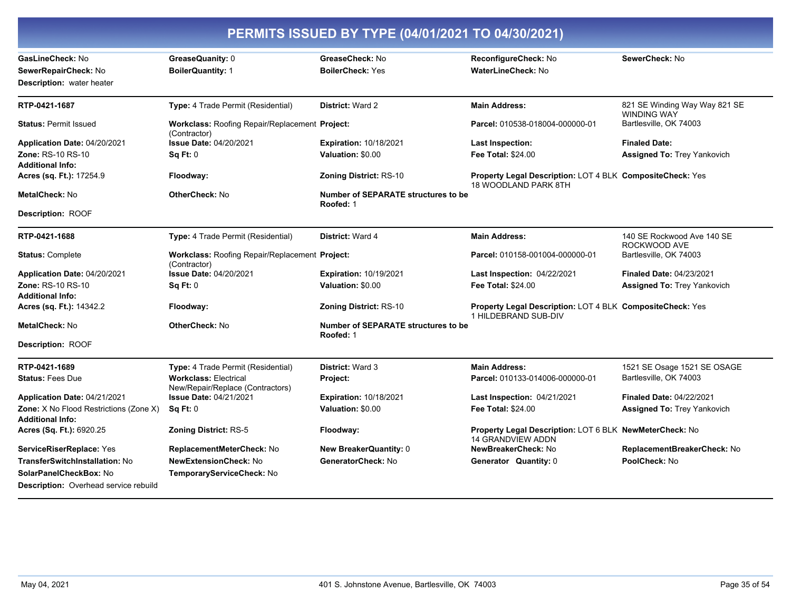| PERMITS ISSUED BY TYPE (04/01/2021 TO 04/30/2021)                        |                                                                  |                                                  |                                                                                     |                                                     |  |
|--------------------------------------------------------------------------|------------------------------------------------------------------|--------------------------------------------------|-------------------------------------------------------------------------------------|-----------------------------------------------------|--|
| GasLineCheck: No                                                         | GreaseQuanity: 0                                                 | GreaseCheck: No                                  | ReconfigureCheck: No                                                                | SewerCheck: No                                      |  |
| SewerRepairCheck: No                                                     | <b>BoilerQuantity: 1</b>                                         | <b>BoilerCheck: Yes</b>                          | <b>WaterLineCheck: No</b>                                                           |                                                     |  |
| <b>Description:</b> water heater                                         |                                                                  |                                                  |                                                                                     |                                                     |  |
| RTP-0421-1687                                                            | Type: 4 Trade Permit (Residential)                               | <b>District: Ward 2</b>                          | <b>Main Address:</b>                                                                | 821 SE Winding Way Way 821 SE<br><b>WINDING WAY</b> |  |
| <b>Status: Permit Issued</b>                                             | Workclass: Roofing Repair/Replacement Project:<br>(Contractor)   |                                                  | Parcel: 010538-018004-000000-01                                                     | Bartlesville, OK 74003                              |  |
| Application Date: 04/20/2021                                             | <b>Issue Date: 04/20/2021</b>                                    | <b>Expiration: 10/18/2021</b>                    | Last Inspection:                                                                    | <b>Finaled Date:</b>                                |  |
| <b>Zone: RS-10 RS-10</b>                                                 | Sq Ft: 0                                                         | Valuation: \$0.00                                | <b>Fee Total: \$24.00</b>                                                           | <b>Assigned To: Trey Yankovich</b>                  |  |
| <b>Additional Info:</b>                                                  |                                                                  |                                                  |                                                                                     |                                                     |  |
| Acres (sq. Ft.): 17254.9                                                 | Floodway:                                                        | <b>Zoning District: RS-10</b>                    | Property Legal Description: LOT 4 BLK CompositeCheck: Yes<br>18 WOODLAND PARK 8TH   |                                                     |  |
| MetalCheck: No                                                           | OtherCheck: No                                                   | Number of SEPARATE structures to be<br>Roofed: 1 |                                                                                     |                                                     |  |
| Description: ROOF                                                        |                                                                  |                                                  |                                                                                     |                                                     |  |
| RTP-0421-1688                                                            | Type: 4 Trade Permit (Residential)                               | District: Ward 4                                 | <b>Main Address:</b>                                                                | 140 SE Rockwood Ave 140 SE<br>ROCKWOOD AVE          |  |
| <b>Status: Complete</b>                                                  | Workclass: Roofing Repair/Replacement Project:<br>(Contractor)   |                                                  | Parcel: 010158-001004-000000-01                                                     | Bartlesville, OK 74003                              |  |
| Application Date: 04/20/2021                                             | <b>Issue Date: 04/20/2021</b>                                    | <b>Expiration: 10/19/2021</b>                    | Last Inspection: 04/22/2021                                                         | <b>Finaled Date: 04/23/2021</b>                     |  |
| <b>Zone: RS-10 RS-10</b><br><b>Additional Info:</b>                      | Sq Ft: 0                                                         | Valuation: \$0.00                                | <b>Fee Total: \$24.00</b>                                                           | <b>Assigned To: Trey Yankovich</b>                  |  |
| Acres (sq. Ft.): 14342.2                                                 | Floodway:                                                        | <b>Zoning District: RS-10</b>                    | Property Legal Description: LOT 4 BLK CompositeCheck: Yes<br>1 HILDEBRAND SUB-DIV   |                                                     |  |
| <b>MetalCheck: No</b>                                                    | <b>OtherCheck: No</b>                                            | Number of SEPARATE structures to be<br>Roofed: 1 |                                                                                     |                                                     |  |
| <b>Description: ROOF</b>                                                 |                                                                  |                                                  |                                                                                     |                                                     |  |
| RTP-0421-1689                                                            | Type: 4 Trade Permit (Residential)                               | District: Ward 3                                 | <b>Main Address:</b>                                                                | 1521 SE Osage 1521 SE OSAGE                         |  |
| <b>Status: Fees Due</b>                                                  | <b>Workclass: Electrical</b><br>New/Repair/Replace (Contractors) | Project:                                         | Parcel: 010133-014006-000000-01                                                     | Bartlesville, OK 74003                              |  |
| Application Date: 04/21/2021                                             | <b>Issue Date: 04/21/2021</b>                                    | <b>Expiration: 10/18/2021</b>                    | Last Inspection: 04/21/2021                                                         | <b>Finaled Date: 04/22/2021</b>                     |  |
| <b>Zone:</b> X No Flood Restrictions (Zone X)<br><b>Additional Info:</b> | Sq Ft: 0                                                         | Valuation: \$0.00                                | <b>Fee Total: \$24.00</b>                                                           | <b>Assigned To: Trey Yankovich</b>                  |  |
| Acres (Sq. Ft.): 6920.25                                                 | Zoning District: RS-5                                            | Floodway:                                        | Property Legal Description: LOT 6 BLK NewMeterCheck: No<br><b>14 GRANDVIEW ADDN</b> |                                                     |  |
| ServiceRiserReplace: Yes                                                 | ReplacementMeterCheck: No                                        | <b>New BreakerQuantity: 0</b>                    | NewBreakerCheck: No                                                                 | ReplacementBreakerCheck: No                         |  |
| <b>TransferSwitchInstallation: No</b>                                    | <b>NewExtensionCheck: No</b>                                     | GeneratorCheck: No                               | Generator Quantity: 0                                                               | PoolCheck: No                                       |  |
| SolarPanelCheckBox: No                                                   | TemporaryServiceCheck: No                                        |                                                  |                                                                                     |                                                     |  |
| <b>Description:</b> Overhead service rebuild                             |                                                                  |                                                  |                                                                                     |                                                     |  |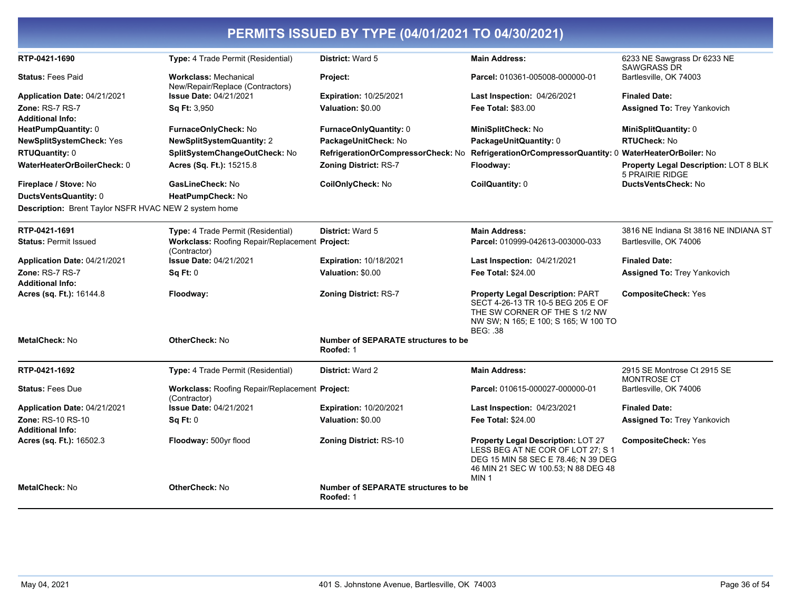| RTP-0421-1690                                         | Type: 4 Trade Permit (Residential)                                    | District: Ward 5                                 | <b>Main Address:</b>                                                                                                                                                      | 6233 NE Sawgrass Dr 6233 NE<br><b>SAWGRASS DR</b>                      |
|-------------------------------------------------------|-----------------------------------------------------------------------|--------------------------------------------------|---------------------------------------------------------------------------------------------------------------------------------------------------------------------------|------------------------------------------------------------------------|
| <b>Status: Fees Paid</b>                              | <b>Workclass: Mechanical</b><br>New/Repair/Replace (Contractors)      | Project:                                         | Parcel: 010361-005008-000000-01                                                                                                                                           | Bartlesville, OK 74003                                                 |
| Application Date: 04/21/2021                          | <b>Issue Date: 04/21/2021</b>                                         | <b>Expiration: 10/25/2021</b>                    | <b>Last Inspection: 04/26/2021</b>                                                                                                                                        | <b>Finaled Date:</b>                                                   |
| Zone: RS-7 RS-7                                       | <b>Sq Ft: 3,950</b>                                                   | Valuation: \$0.00                                | <b>Fee Total: \$83.00</b>                                                                                                                                                 | <b>Assigned To: Trey Yankovich</b>                                     |
| Additional Info:                                      |                                                                       |                                                  |                                                                                                                                                                           |                                                                        |
| HeatPumpQuantity: 0                                   | FurnaceOnlyCheck: No                                                  | FurnaceOnlyQuantity: 0                           | MiniSplitCheck: No                                                                                                                                                        | MiniSplitQuantity: 0                                                   |
| NewSplitSystemCheck: Yes                              | <b>NewSplitSystemQuantity: 2</b>                                      | PackageUnitCheck: No                             | PackageUnitQuantity: 0                                                                                                                                                    | <b>RTUCheck: No</b>                                                    |
| RTUQuantity: 0                                        | SplitSystemChangeOutCheck: No                                         | RefrigerationOrCompressorCheck: No               | RefrigerationOrCompressorQuantity: 0                                                                                                                                      | WaterHeaterOrBoiler: No                                                |
| WaterHeaterOrBoilerCheck: 0                           | Acres (Sq. Ft.): 15215.8                                              | <b>Zoning District: RS-7</b>                     | Floodway:                                                                                                                                                                 | <b>Property Legal Description: LOT 8 BLK</b><br><b>5 PRAIRIE RIDGE</b> |
| Fireplace / Stove: No                                 | GasLineCheck: No                                                      | CoilOnlyCheck: No                                | CoilQuantity: 0                                                                                                                                                           | <b>DuctsVentsCheck: No</b>                                             |
| DuctsVentsQuantity: 0                                 | HeatPumpCheck: No                                                     |                                                  |                                                                                                                                                                           |                                                                        |
| Description: Brent Taylor NSFR HVAC NEW 2 system home |                                                                       |                                                  |                                                                                                                                                                           |                                                                        |
| RTP-0421-1691                                         | Type: 4 Trade Permit (Residential)                                    | <b>District: Ward 5</b>                          | <b>Main Address:</b>                                                                                                                                                      | 3816 NE Indiana St 3816 NE INDIANA ST                                  |
| <b>Status: Permit Issued</b>                          | Workclass: Roofing Repair/Replacement Project:<br>(Contractor)        |                                                  | Parcel: 010999-042613-003000-033                                                                                                                                          | Bartlesville, OK 74006                                                 |
| Application Date: 04/21/2021                          | <b>Issue Date: 04/21/2021</b>                                         | <b>Expiration: 10/18/2021</b>                    | <b>Last Inspection: 04/21/2021</b>                                                                                                                                        | <b>Finaled Date:</b>                                                   |
| Zone: RS-7 RS-7<br>Additional Info:                   | Sq Ft: 0                                                              | Valuation: \$0.00                                | Fee Total: \$24.00                                                                                                                                                        | <b>Assigned To: Trey Yankovich</b>                                     |
| <b>Acres (sq. Ft.):</b> 16144.8                       | Floodway:                                                             | <b>Zoning District: RS-7</b>                     | <b>Property Legal Description: PART</b><br>SECT 4-26-13 TR 10-5 BEG 205 E OF<br>THE SW CORNER OF THE S 1/2 NW<br>NW SW; N 165; E 100; S 165; W 100 TO<br><b>BEG: .38</b>  | <b>CompositeCheck: Yes</b>                                             |
| MetalCheck: No                                        | <b>OtherCheck: No</b>                                                 | Number of SEPARATE structures to be<br>Roofed: 1 |                                                                                                                                                                           |                                                                        |
| RTP-0421-1692                                         | <b>Type:</b> 4 Trade Permit (Residential)                             | <b>District: Ward 2</b>                          | <b>Main Address:</b>                                                                                                                                                      | 2915 SE Montrose Ct 2915 SE<br><b>MONTROSE CT</b>                      |
| <b>Status: Fees Due</b>                               | <b>Workclass: Roofing Repair/Replacement Project:</b><br>(Contractor) |                                                  | Parcel: 010615-000027-000000-01                                                                                                                                           | Bartlesville, OK 74006                                                 |
| Application Date: 04/21/2021                          | <b>Issue Date: 04/21/2021</b>                                         | <b>Expiration: 10/20/2021</b>                    | Last Inspection: 04/23/2021                                                                                                                                               | <b>Finaled Date:</b>                                                   |
| Zone: RS-10 RS-10                                     | Sq Ft: 0                                                              | Valuation: \$0.00                                | Fee Total: \$24.00                                                                                                                                                        | <b>Assigned To: Trey Yankovich</b>                                     |
| Additional Info:                                      |                                                                       |                                                  |                                                                                                                                                                           |                                                                        |
| Acres (sq. Ft.): 16502.3                              | Floodway: 500yr flood                                                 | <b>Zoning District: RS-10</b>                    | Property Legal Description: LOT 27<br>LESS BEG AT NE COR OF LOT 27; S 1<br>DEG 15 MIN 58 SEC E 78.46; N 39 DEG<br>46 MIN 21 SEC W 100.53; N 88 DEG 48<br>MIN <sub>1</sub> | <b>CompositeCheck: Yes</b>                                             |
| MetalCheck: No                                        | <b>OtherCheck: No</b>                                                 | Number of SEPARATE structures to be<br>Roofed: 1 |                                                                                                                                                                           |                                                                        |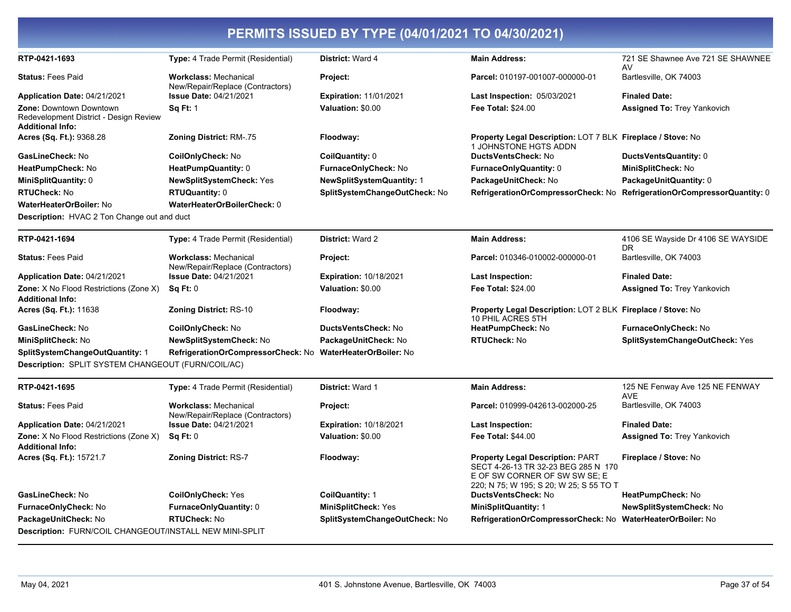| RTP-0421-1693                                                                                | Type: 4 Trade Permit (Residential)                               | District: Ward 4               | <b>Main Address:</b>                                                                                                                                       | 721 SE Shawnee Ave 721 SE SHAWNEE        |
|----------------------------------------------------------------------------------------------|------------------------------------------------------------------|--------------------------------|------------------------------------------------------------------------------------------------------------------------------------------------------------|------------------------------------------|
|                                                                                              |                                                                  |                                |                                                                                                                                                            | AV                                       |
| <b>Status: Fees Paid</b>                                                                     | <b>Workclass: Mechanical</b><br>New/Repair/Replace (Contractors) | Project:                       | Parcel: 010197-001007-000000-01                                                                                                                            | Bartlesville, OK 74003                   |
| Application Date: 04/21/2021                                                                 | <b>Issue Date: 04/21/2021</b>                                    | <b>Expiration: 11/01/2021</b>  | <b>Last Inspection: 05/03/2021</b>                                                                                                                         | <b>Finaled Date:</b>                     |
| <b>Zone: Downtown Downtown</b><br>Redevelopment District - Design Review<br>Additional Info: | <b>Sq Ft: 1</b>                                                  | Valuation: \$0.00              | <b>Fee Total: \$24.00</b>                                                                                                                                  | <b>Assigned To: Trey Yankovich</b>       |
| Acres (Sq. Ft.): 9368.28                                                                     | <b>Zoning District: RM-.75</b>                                   | Floodway:                      | Property Legal Description: LOT 7 BLK Fireplace / Stove: No<br>1 JOHNSTONE HGTS ADDN                                                                       |                                          |
| GasLineCheck: No                                                                             | CoilOnlyCheck: No                                                | CoilQuantity: 0                | <b>DuctsVentsCheck: No</b>                                                                                                                                 | DuctsVentsQuantity: 0                    |
| HeatPumpCheck: No                                                                            | HeatPumpQuantity: 0                                              | FurnaceOnlyCheck: No           | FurnaceOnlyQuantity: 0                                                                                                                                     | MiniSplitCheck: No                       |
| MiniSplitQuantity: 0                                                                         | NewSplitSystemCheck: Yes                                         | NewSplitSystemQuantity: 1      | PackageUnitCheck: No                                                                                                                                       | PackageUnitQuantity: 0                   |
| <b>RTUCheck:</b> No                                                                          | <b>RTUQuantity: 0</b>                                            | SplitSystemChangeOutCheck: No  | RefrigerationOrCompressorCheck: No                                                                                                                         | RefrigerationOrCompressorQuantity: 0     |
| WaterHeaterOrBoiler: No                                                                      | WaterHeaterOrBoilerCheck: 0                                      |                                |                                                                                                                                                            |                                          |
| <b>Description:</b> HVAC 2 Ton Change out and duct                                           |                                                                  |                                |                                                                                                                                                            |                                          |
| RTP-0421-1694                                                                                | Type: 4 Trade Permit (Residential)                               | District: Ward 2               | <b>Main Address:</b>                                                                                                                                       | 4106 SE Wayside Dr 4106 SE WAYSIDE<br>DR |
| <b>Status: Fees Paid</b>                                                                     | <b>Workclass: Mechanical</b><br>New/Repair/Replace (Contractors) | Project:                       | Parcel: 010346-010002-000000-01                                                                                                                            | Bartlesville, OK 74003                   |
| Application Date: 04/21/2021                                                                 | <b>Issue Date: 04/21/2021</b>                                    | <b>Expiration: 10/18/2021</b>  | <b>Last Inspection:</b>                                                                                                                                    | <b>Finaled Date:</b>                     |
| <b>Zone:</b> X No Flood Restrictions (Zone X)<br><b>Additional Info:</b>                     | Sq Ft: 0                                                         | Valuation: \$0.00              | <b>Fee Total: \$24.00</b>                                                                                                                                  | <b>Assigned To: Trey Yankovich</b>       |
| Acres (Sq. Ft.): 11638                                                                       | <b>Zoning District: RS-10</b>                                    | Floodway:                      | Property Legal Description: LOT 2 BLK Fireplace / Stove: No<br>10 PHIL ACRES 5TH                                                                           |                                          |
| <b>GasLineCheck: No</b>                                                                      | CoilOnlyCheck: No                                                | DuctsVentsCheck: No            | HeatPumpCheck: No                                                                                                                                          | FurnaceOnlyCheck: No                     |
| MiniSplitCheck: No                                                                           | NewSplitSystemCheck: No                                          | PackageUnitCheck: No           | <b>RTUCheck: No</b>                                                                                                                                        | SplitSystemChangeOutCheck: Yes           |
| SplitSystemChangeOutQuantity: 1<br>Description: SPLIT SYSTEM CHANGEOUT (FURN/COIL/AC)        | RefrigerationOrCompressorCheck: No                               | <b>WaterHeaterOrBoiler: No</b> |                                                                                                                                                            |                                          |
| RTP-0421-1695                                                                                | Type: 4 Trade Permit (Residential)                               | District: Ward 1               | <b>Main Address:</b>                                                                                                                                       | 125 NE Fenway Ave 125 NE FENWAY<br>AVE   |
| <b>Status: Fees Paid</b>                                                                     | <b>Workclass: Mechanical</b><br>New/Repair/Replace (Contractors) | Project:                       | Parcel: 010999-042613-002000-25                                                                                                                            | Bartlesville, OK 74003                   |
| Application Date: 04/21/2021                                                                 | <b>Issue Date: 04/21/2021</b>                                    | Expiration: 10/18/2021         | <b>Last Inspection:</b>                                                                                                                                    | <b>Finaled Date:</b>                     |
| Zone: X No Flood Restrictions (Zone X)<br>Additional Info:                                   | Sq Ft: 0                                                         | Valuation: \$0.00              | <b>Fee Total: \$44.00</b>                                                                                                                                  | <b>Assigned To: Trey Yankovich</b>       |
| Acres (Sq. Ft.): 15721.7                                                                     | <b>Zoning District: RS-7</b>                                     | Floodway:                      | <b>Property Legal Description: PART</b><br>SECT 4-26-13 TR 32-23 BEG 285 N 170<br>E OF SW CORNER OF SW SW SE: E<br>220: N 75: W 195: S 20: W 25: S 55 TO T | Fireplace / Stove: No                    |

May 04, 2021

DuctsVentsCheck: No

**MiniSplitQuantity: 1** 

CoilQuantity: 1

MiniSplitCheck: Yes

SplitSystemChangeOutCheck: No

HeatPumpCheck: No

RefrigerationOrCompressorCheck: No WaterHeaterOrBoiler: No

NewSplitSystemCheck: No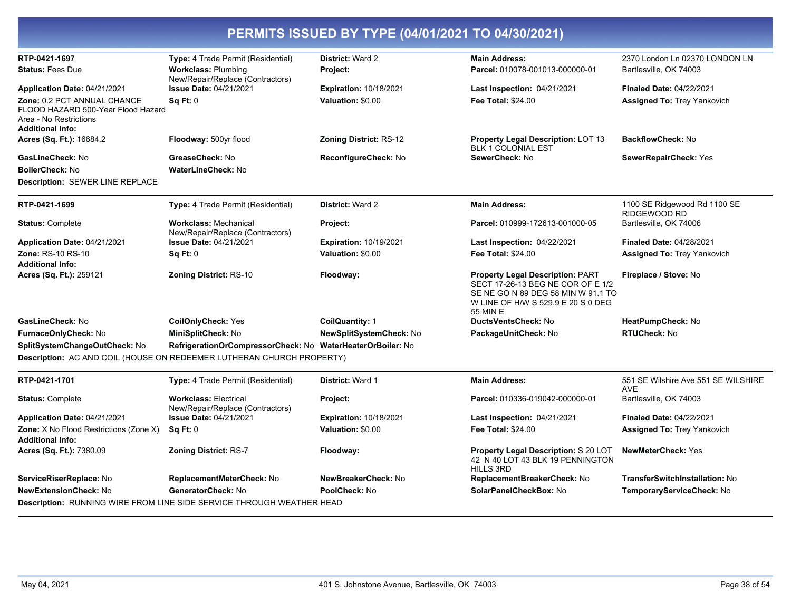| RTP-0421-1697                                                     | Type: 4 Trade Permit (Residential)                                    | District: Ward 2               | <b>Main Address:</b>                                                                                                                                                 | 2370 London Ln 02370 LONDON LN                    |
|-------------------------------------------------------------------|-----------------------------------------------------------------------|--------------------------------|----------------------------------------------------------------------------------------------------------------------------------------------------------------------|---------------------------------------------------|
| <b>Status: Fees Due</b>                                           | <b>Workclass: Plumbing</b><br>New/Repair/Replace (Contractors)        | Project:                       | Parcel: 010078-001013-000000-01                                                                                                                                      | Bartlesville, OK 74003                            |
| <b>Application Date: 04/21/2021</b>                               | <b>Issue Date: 04/21/2021</b>                                         | <b>Expiration: 10/18/2021</b>  | Last Inspection: 04/21/2021                                                                                                                                          | <b>Finaled Date: 04/22/2021</b>                   |
| Zone: 0.2 PCT ANNUAL CHANCE<br>FLOOD HAZARD 500-Year Flood Hazard | Sq Ft: 0                                                              | Valuation: \$0.00              | <b>Fee Total: \$24.00</b>                                                                                                                                            | Assigned To: Trey Yankovich                       |
| Area - No Restrictions<br>Additional Info:                        |                                                                       |                                |                                                                                                                                                                      |                                                   |
| Acres (Sq. Ft.): 16684.2                                          | Floodway: 500yr flood                                                 | <b>Zoning District: RS-12</b>  | Property Legal Description: LOT 13                                                                                                                                   | <b>BackflowCheck: No</b>                          |
|                                                                   |                                                                       |                                | <b>BLK 1 COLONIAL EST</b>                                                                                                                                            |                                                   |
| GasLineCheck: No                                                  | GreaseCheck: No                                                       | ReconfigureCheck: No           | SewerCheck: No                                                                                                                                                       | SewerRepairCheck: Yes                             |
| BoilerCheck: No                                                   | <b>WaterLineCheck: No</b>                                             |                                |                                                                                                                                                                      |                                                   |
| Description: SEWER LINE REPLACE                                   |                                                                       |                                |                                                                                                                                                                      |                                                   |
| RTP-0421-1699                                                     | Type: 4 Trade Permit (Residential)                                    | <b>District: Ward 2</b>        | <b>Main Address:</b>                                                                                                                                                 | 1100 SE Ridgewood Rd 1100 SE<br>RIDGEWOOD RD      |
| <b>Status: Complete</b>                                           | <b>Workclass: Mechanical</b><br>New/Repair/Replace (Contractors)      | Project:                       | Parcel: 010999-172613-001000-05                                                                                                                                      | Bartlesville, OK 74006                            |
| <b>Application Date: 04/21/2021</b>                               | <b>Issue Date: 04/21/2021</b>                                         | <b>Expiration: 10/19/2021</b>  | Last Inspection: 04/22/2021                                                                                                                                          | <b>Finaled Date: 04/28/2021</b>                   |
| <b>Zone: RS-10 RS-10</b><br>Additional Info:                      | Sq Ft: 0                                                              | Valuation: \$0.00              | <b>Fee Total: \$24.00</b>                                                                                                                                            | Assigned To: Trey Yankovich                       |
| <b>Acres (Sq. Ft.):</b> 259121                                    | <b>Zoning District: RS-10</b>                                         | Floodway:                      | <b>Property Legal Description: PART</b><br>SECT 17-26-13 BEG NE COR OF E 1/2<br>SE NE GO N 89 DEG 58 MIN W 91.1 TO<br>W LINE OF H/W S 529.9 E 20 S 0 DEG<br>55 MIN E | Fireplace / Stove: No                             |
| GasLineCheck: No                                                  | <b>CoilOnlyCheck: Yes</b>                                             | <b>CoilQuantity: 1</b>         | DuctsVentsCheck: No                                                                                                                                                  | HeatPumpCheck: No                                 |
| FurnaceOnlyCheck: No                                              | MiniSplitCheck: No                                                    | <b>NewSplitSystemCheck: No</b> | PackageUnitCheck: No                                                                                                                                                 | <b>RTUCheck: No</b>                               |
| SplitSystemChangeOutCheck: No                                     | RefrigerationOrCompressorCheck: No WaterHeaterOrBoiler: No            |                                |                                                                                                                                                                      |                                                   |
|                                                                   | Description: AC AND COIL (HOUSE ON REDEEMER LUTHERAN CHURCH PROPERTY) |                                |                                                                                                                                                                      |                                                   |
| RTP-0421-1701                                                     | <b>Type:</b> 4 Trade Permit (Residential)                             | District: Ward 1               | <b>Main Address:</b>                                                                                                                                                 | 551 SE Wilshire Ave 551 SE WILSHIRE<br><b>AVE</b> |
| <b>Status: Complete</b>                                           | <b>Workclass: Electrical</b><br>New/Repair/Replace (Contractors)      | Project:                       | Parcel: 010336-019042-000000-01                                                                                                                                      | Bartlesville, OK 74003                            |
| Application Date: 04/21/2021                                      | <b>Issue Date: 04/21/2021</b>                                         | <b>Expiration: 10/18/2021</b>  | Last Inspection: 04/21/2021                                                                                                                                          | <b>Finaled Date: 04/22/2021</b>                   |
| <b>Zone:</b> X No Flood Restrictions (Zone X)<br>Additional Info: | Sq Ft: 0                                                              | Valuation: \$0.00              | <b>Fee Total: \$24.00</b>                                                                                                                                            | <b>Assigned To: Trey Yankovich</b>                |
| Acres (Sq. Ft.): 7380.09                                          | <b>Zoning District: RS-7</b>                                          | Floodway:                      | <b>Property Legal Description: S 20 LOT</b><br>42 N 40 LOT 43 BLK 19 PENNINGTON<br><b>HILLS 3RD</b>                                                                  | <b>NewMeterCheck: Yes</b>                         |
| ServiceRiserReplace: No                                           | ReplacementMeterCheck: No                                             | NewBreakerCheck: No            | ReplacementBreakerCheck: No                                                                                                                                          | <b>TransferSwitchInstallation: No</b>             |
| <b>NewExtensionCheck: No</b>                                      | GeneratorCheck: No                                                    | PoolCheck: No                  | SolarPanelCheckBox: No                                                                                                                                               | TemporaryServiceCheck: No                         |
|                                                                   | Description: RUNNING WIRE FROM LINE SIDE SERVICE THROUGH WEATHER HEAD |                                |                                                                                                                                                                      |                                                   |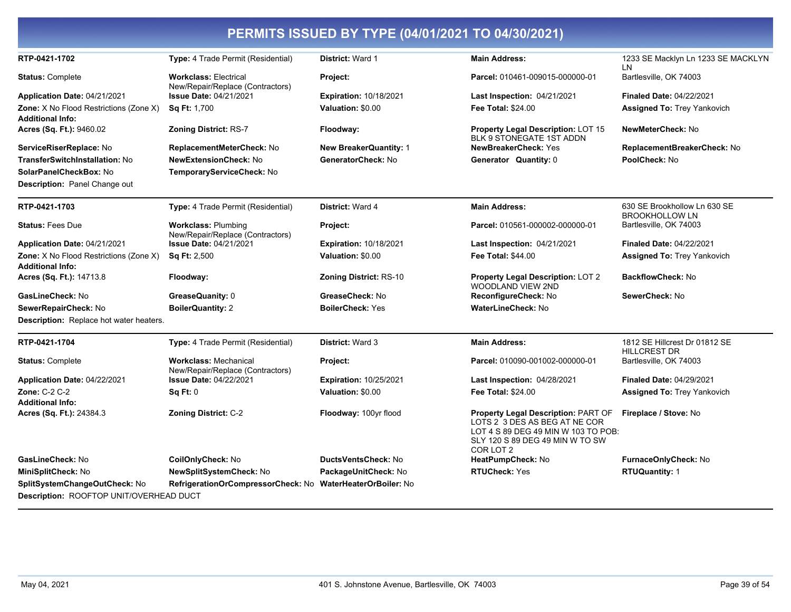|                                                                                           |                                                                  | PERMITS ISSUED BY TYPE (04/01/2021 TO 04/30/2021) |                                                                                                                                                             |                                                       |
|-------------------------------------------------------------------------------------------|------------------------------------------------------------------|---------------------------------------------------|-------------------------------------------------------------------------------------------------------------------------------------------------------------|-------------------------------------------------------|
| RTP-0421-1702                                                                             | Type: 4 Trade Permit (Residential)                               | District: Ward 1                                  | <b>Main Address:</b>                                                                                                                                        | 1233 SE Macklyn Ln 1233 SE MACKLYN<br>LN              |
| <b>Status: Complete</b>                                                                   | <b>Workclass: Electrical</b><br>New/Repair/Replace (Contractors) | Project:                                          | Parcel: 010461-009015-000000-01                                                                                                                             | Bartlesville, OK 74003                                |
| Application Date: 04/21/2021                                                              | <b>Issue Date: 04/21/2021</b>                                    | <b>Expiration: 10/18/2021</b>                     | Last Inspection: 04/21/2021                                                                                                                                 | Finaled Date: 04/22/2021                              |
| <b>Zone:</b> X No Flood Restrictions (Zone X)<br><b>Additional Info:</b>                  | Sq Ft: 1,700                                                     | Valuation: \$0.00                                 | <b>Fee Total: \$24.00</b>                                                                                                                                   | <b>Assigned To: Trey Yankovich</b>                    |
| Acres (Sq. Ft.): 9460.02                                                                  | <b>Zoning District: RS-7</b>                                     | Floodway:                                         | Property Legal Description: LOT 15<br>BLK 9 STONEGATE 1ST ADDN                                                                                              | NewMeterCheck: No                                     |
| ServiceRiserReplace: No                                                                   | ReplacementMeterCheck: No                                        | <b>New BreakerQuantity: 1</b>                     | <b>NewBreakerCheck: Yes</b>                                                                                                                                 | ReplacementBreakerCheck: No                           |
| TransferSwitchInstallation: No<br>SolarPanelCheckBox: No<br>Description: Panel Change out | <b>NewExtensionCheck: No</b><br>TemporaryServiceCheck: No        | GeneratorCheck: No                                | Generator Quantity: 0                                                                                                                                       | PoolCheck: No                                         |
| RTP-0421-1703                                                                             | <b>Type:</b> 4 Trade Permit (Residential)                        | <b>District: Ward 4</b>                           | <b>Main Address:</b>                                                                                                                                        | 630 SE Brookhollow Ln 630 SE<br><b>BROOKHOLLOW LN</b> |
| <b>Status: Fees Due</b>                                                                   | <b>Workclass: Plumbing</b><br>New/Repair/Replace (Contractors)   | Project:                                          | Parcel: 010561-000002-000000-01                                                                                                                             | Bartlesville, OK 74003                                |
| Application Date: 04/21/2021                                                              | <b>Issue Date: 04/21/2021</b>                                    | <b>Expiration: 10/18/2021</b>                     | Last Inspection: 04/21/2021                                                                                                                                 | <b>Finaled Date: 04/22/2021</b>                       |
| <b>Zone:</b> X No Flood Restrictions (Zone X)<br><b>Additional Info:</b>                  | <b>Sq Ft: 2,500</b>                                              | Valuation: \$0.00                                 | <b>Fee Total: \$44.00</b>                                                                                                                                   | <b>Assigned To: Trey Yankovich</b>                    |
| Acres (Sq. Ft.): 14713.8                                                                  | Floodway:                                                        | <b>Zoning District: RS-10</b>                     | Property Legal Description: LOT 2<br><b>WOODLAND VIEW 2ND</b>                                                                                               | <b>BackflowCheck: No</b>                              |
| GasLineCheck: No                                                                          | GreaseQuanity: 0                                                 | GreaseCheck: No                                   | ReconfigureCheck: No                                                                                                                                        | SewerCheck: No                                        |
| SewerRepairCheck: No                                                                      | <b>BoilerQuantity: 2</b>                                         | <b>BoilerCheck: Yes</b>                           | WaterLineCheck: No                                                                                                                                          |                                                       |
| Description: Replace hot water heaters.                                                   |                                                                  |                                                   |                                                                                                                                                             |                                                       |
| RTP-0421-1704                                                                             | <b>Type:</b> 4 Trade Permit (Residential)                        | <b>District: Ward 3</b>                           | <b>Main Address:</b>                                                                                                                                        | 1812 SE Hillcrest Dr 01812 SE<br><b>HILLCREST DR</b>  |
| <b>Status: Complete</b>                                                                   | <b>Workclass: Mechanical</b><br>New/Repair/Replace (Contractors) | Project:                                          | Parcel: 010090-001002-000000-01                                                                                                                             | Bartlesville, OK 74003                                |
| Application Date: 04/22/2021                                                              | <b>Issue Date: 04/22/2021</b>                                    | <b>Expiration: 10/25/2021</b>                     | Last Inspection: 04/28/2021                                                                                                                                 | <b>Finaled Date: 04/29/2021</b>                       |
| <b>Zone: C-2 C-2</b>                                                                      | Sq Ft: 0                                                         | Valuation: \$0.00                                 | <b>Fee Total: \$24.00</b>                                                                                                                                   | <b>Assigned To: Trey Yankovich</b>                    |
| <b>Additional Info:</b>                                                                   |                                                                  |                                                   |                                                                                                                                                             |                                                       |
| <b>Acres (Sq. Ft.):</b> 24384.3                                                           | <b>Zoning District: C-2</b>                                      | Floodway: 100yr flood                             | Property Legal Description: PART OF<br>LOTS 2 3 DES AS BEG AT NE COR<br>LOT 4 S 89 DEG 49 MIN W 103 TO POB:<br>SLY 120 S 89 DEG 49 MIN W TO SW<br>COR LOT 2 | Fireplace / Stove: No                                 |
| GasLineCheck: No                                                                          | CoilOnlyCheck: No                                                | <b>DuctsVentsCheck: No</b>                        | HeatPumpCheck: No                                                                                                                                           | FurnaceOnlyCheck: No                                  |
| MiniSplitCheck: No                                                                        | <b>NewSplitSystemCheck: No</b>                                   | PackageUnitCheck: No                              | <b>RTUCheck: Yes</b>                                                                                                                                        | <b>RTUQuantity: 1</b>                                 |
| SplitSystemChangeOutCheck: No                                                             | RefrigerationOrCompressorCheck: No                               | <b>WaterHeaterOrBoiler: No</b>                    |                                                                                                                                                             |                                                       |
| Description: ROOFTOP UNIT/OVERHEAD DUCT                                                   |                                                                  |                                                   |                                                                                                                                                             |                                                       |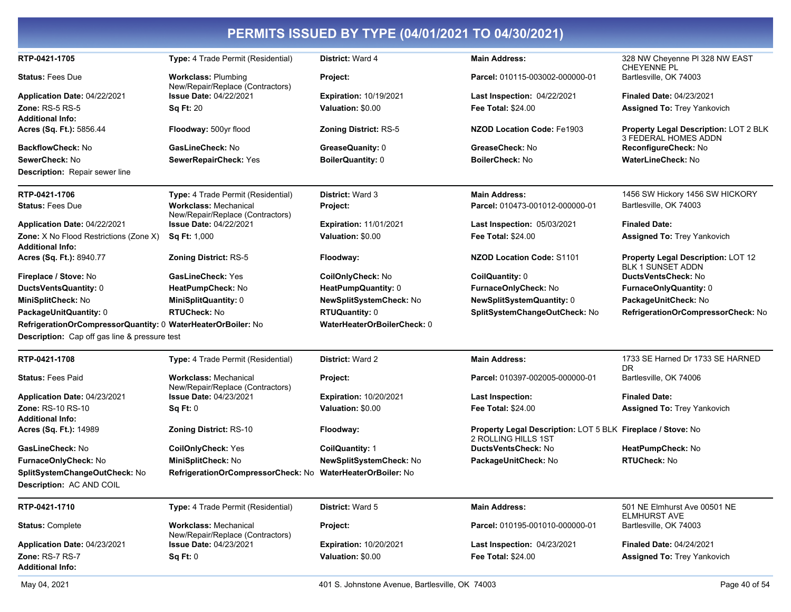| RTP-0421-1705                                                            | Type: 4 Trade Permit (Residential)                               | District: Ward 4              | <b>Main Address:</b>                                                               | 328 NW Cheyenne PI 328 NW EAST<br><b>CHEYENNE PL</b>           |
|--------------------------------------------------------------------------|------------------------------------------------------------------|-------------------------------|------------------------------------------------------------------------------------|----------------------------------------------------------------|
| <b>Status: Fees Due</b>                                                  | <b>Workclass: Plumbing</b><br>New/Repair/Replace (Contractors)   | Project:                      | Parcel: 010115-003002-000000-01                                                    | Bartlesville, OK 74003                                         |
| Application Date: 04/22/2021                                             | <b>Issue Date: 04/22/2021</b>                                    | <b>Expiration: 10/19/2021</b> | Last Inspection: 04/22/2021                                                        | <b>Finaled Date: 04/23/2021</b>                                |
| <b>Zone: RS-5 RS-5</b>                                                   | <b>Sq Ft: 20</b>                                                 | Valuation: \$0.00             | <b>Fee Total: \$24.00</b>                                                          | <b>Assigned To: Trey Yankovich</b>                             |
| <b>Additional Info:</b>                                                  |                                                                  |                               |                                                                                    |                                                                |
| Acres (Sq. Ft.): 5856.44                                                 | Floodway: 500yr flood                                            | <b>Zoning District: RS-5</b>  | <b>NZOD Location Code: Fe1903</b>                                                  | Property Legal Description: LOT 2 BLK<br>3 FEDERAL HOMES ADDN  |
| <b>BackflowCheck: No</b>                                                 | GasLineCheck: No                                                 | GreaseQuanity: 0              | GreaseCheck: No                                                                    | ReconfigureCheck: No                                           |
| SewerCheck: No                                                           | SewerRepairCheck: Yes                                            | <b>BoilerQuantity: 0</b>      | <b>BoilerCheck: No</b>                                                             | <b>WaterLineCheck: No</b>                                      |
| <b>Description:</b> Repair sewer line                                    |                                                                  |                               |                                                                                    |                                                                |
| RTP-0421-1706                                                            | Type: 4 Trade Permit (Residential)                               | <b>District: Ward 3</b>       | <b>Main Address:</b>                                                               | 1456 SW Hickory 1456 SW HICKORY                                |
| <b>Status: Fees Due</b>                                                  | <b>Workclass: Mechanical</b><br>New/Repair/Replace (Contractors) | Project:                      | Parcel: 010473-001012-000000-01                                                    | Bartlesville, OK 74003                                         |
| Application Date: 04/22/2021                                             | <b>Issue Date: 04/22/2021</b>                                    | <b>Expiration: 11/01/2021</b> | Last Inspection: 05/03/2021                                                        | <b>Finaled Date:</b>                                           |
| <b>Zone:</b> X No Flood Restrictions (Zone X)<br><b>Additional Info:</b> | <b>Sq Ft: 1,000</b>                                              | Valuation: \$0.00             | <b>Fee Total: \$24.00</b>                                                          | Assigned To: Trey Yankovich                                    |
| Acres (Sq. Ft.): 8940.77                                                 | <b>Zoning District: RS-5</b>                                     | Floodway:                     | NZOD Location Code: S1101                                                          | Property Legal Description: LOT 12<br><b>BLK 1 SUNSET ADDN</b> |
| Fireplace / Stove: No                                                    | <b>GasLineCheck: Yes</b>                                         | CoilOnlyCheck: No             | CoilQuantity: 0                                                                    | DuctsVentsCheck: No                                            |
| DuctsVentsQuantity: 0                                                    | HeatPumpCheck: No                                                | HeatPumpQuantity: 0           | FurnaceOnlyCheck: No                                                               | FurnaceOnlyQuantity: 0                                         |
| MiniSplitCheck: No                                                       | MiniSplitQuantity: 0                                             | NewSplitSystemCheck: No       | NewSplitSystemQuantity: 0                                                          | PackageUnitCheck: No                                           |
| PackageUnitQuantity: 0                                                   | <b>RTUCheck: No</b>                                              | <b>RTUQuantity: 0</b>         | SplitSystemChangeOutCheck: No                                                      | RefrigerationOrCompressorCheck: No                             |
| RefrigerationOrCompressorQuantity: 0 WaterHeaterOrBoiler: No             |                                                                  | WaterHeaterOrBoilerCheck: 0   |                                                                                    |                                                                |
| <b>Description:</b> Cap off gas line & pressure test                     |                                                                  |                               |                                                                                    |                                                                |
| RTP-0421-1708                                                            | Type: 4 Trade Permit (Residential)                               | <b>District: Ward 2</b>       | <b>Main Address:</b>                                                               | 1733 SE Harned Dr 1733 SE HARNED<br>DR                         |
| <b>Status: Fees Paid</b>                                                 | <b>Workclass: Mechanical</b><br>New/Repair/Replace (Contractors) | Project:                      | Parcel: 010397-002005-000000-01                                                    | Bartlesville, OK 74006                                         |
| Application Date: 04/23/2021                                             | <b>Issue Date: 04/23/2021</b>                                    | <b>Expiration: 10/20/2021</b> | <b>Last Inspection:</b>                                                            | <b>Finaled Date:</b>                                           |
| Zone: RS-10 RS-10                                                        | Sq Ft: 0                                                         | Valuation: \$0.00             | <b>Fee Total: \$24.00</b>                                                          | <b>Assigned To: Trey Yankovich</b>                             |
| <b>Additional Info:</b>                                                  |                                                                  |                               |                                                                                    |                                                                |
| Acres (Sq. Ft.): 14989                                                   | <b>Zoning District: RS-10</b>                                    | Floodway:                     | Property Legal Description: LOT 5 BLK Fireplace / Stove: No<br>2 ROLLING HILLS 1ST |                                                                |
| GasLineCheck: No                                                         | <b>CoilOnlyCheck: Yes</b>                                        | <b>CoilQuantity: 1</b>        | DuctsVentsCheck: No                                                                | HeatPumpCheck: No                                              |
| FurnaceOnlyCheck: No                                                     | MiniSplitCheck: No                                               | NewSplitSystemCheck: No       | PackageUnitCheck: No                                                               | RTUCheck: No                                                   |
| SplitSystemChangeOutCheck: No                                            | RefrigerationOrCompressorCheck: No WaterHeaterOrBoiler: No       |                               |                                                                                    |                                                                |
| Description: AC AND COIL                                                 |                                                                  |                               |                                                                                    |                                                                |
| RTP-0421-1710                                                            | Type: 4 Trade Permit (Residential)                               | <b>District: Ward 5</b>       | <b>Main Address:</b>                                                               | 501 NE Elmhurst Ave 00501 NE<br>ELMHURST AVE                   |
| <b>Status: Complete</b>                                                  | <b>Workclass: Mechanical</b><br>New/Repair/Replace (Contractors) | Project:                      | Parcel: 010195-001010-000000-01                                                    | Bartlesville, OK 74003                                         |
| Application Date: 04/23/2021                                             | <b>Issue Date: 04/23/2021</b>                                    | <b>Expiration: 10/20/2021</b> | Last Inspection: 04/23/2021                                                        | <b>Finaled Date: 04/24/2021</b>                                |
| Zone: RS-7 RS-7<br><b>Additional Info:</b>                               | Sq Ft: 0                                                         | Valuation: \$0.00             | <b>Fee Total: \$24.00</b>                                                          | <b>Assigned To: Trey Yankovich</b>                             |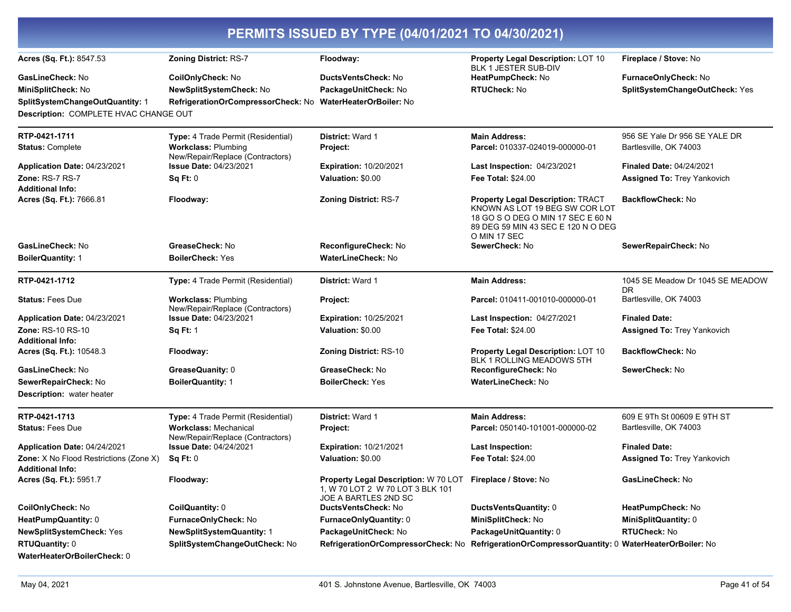| PERMITS ISSUED BY TYPE (04/01/2021 TO 04/30/2021)                        |                                                                  |                                                                                                                        |                                                                                                                                                                       |                                         |
|--------------------------------------------------------------------------|------------------------------------------------------------------|------------------------------------------------------------------------------------------------------------------------|-----------------------------------------------------------------------------------------------------------------------------------------------------------------------|-----------------------------------------|
| Acres (Sq. Ft.): 8547.53                                                 | <b>Zoning District: RS-7</b>                                     | Floodway:                                                                                                              | Property Legal Description: LOT 10<br><b>BLK 1 JESTER SUB-DIV</b>                                                                                                     | Fireplace / Stove: No                   |
| <b>GasLineCheck: No</b>                                                  | CoilOnlyCheck: No                                                | <b>DuctsVentsCheck: No</b>                                                                                             | HeatPumpCheck: No                                                                                                                                                     | FurnaceOnlyCheck: No                    |
| MiniSplitCheck: No                                                       | NewSplitSystemCheck: No                                          | PackageUnitCheck: No                                                                                                   | <b>RTUCheck: No</b>                                                                                                                                                   | SplitSystemChangeOutCheck: Yes          |
| SplitSystemChangeOutQuantity: 1                                          | RefrigerationOrCompressorCheck: No WaterHeaterOrBoiler: No       |                                                                                                                        |                                                                                                                                                                       |                                         |
| Description: COMPLETE HVAC CHANGE OUT                                    |                                                                  |                                                                                                                        |                                                                                                                                                                       |                                         |
| RTP-0421-1711                                                            | Type: 4 Trade Permit (Residential)                               | <b>District: Ward 1</b>                                                                                                | <b>Main Address:</b>                                                                                                                                                  | 956 SE Yale Dr 956 SE YALE DR           |
| <b>Status: Complete</b>                                                  | <b>Workclass: Plumbing</b><br>New/Repair/Replace (Contractors)   | Project:                                                                                                               | Parcel: 010337-024019-000000-01                                                                                                                                       | Bartlesville, OK 74003                  |
| Application Date: 04/23/2021                                             | <b>Issue Date: 04/23/2021</b>                                    | <b>Expiration: 10/20/2021</b>                                                                                          | Last Inspection: 04/23/2021                                                                                                                                           | Finaled Date: 04/24/2021                |
| Zone: RS-7 RS-7<br><b>Additional Info:</b>                               | Sq Ft: 0                                                         | Valuation: \$0.00                                                                                                      | <b>Fee Total: \$24.00</b>                                                                                                                                             | <b>Assigned To: Trey Yankovich</b>      |
| Acres (Sq. Ft.): 7666.81                                                 | Floodway:                                                        | Zoning District: RS-7                                                                                                  | <b>Property Legal Description: TRACT</b><br>KNOWN AS LOT 19 BEG SW COR LOT<br>18 GO S O DEG O MIN 17 SEC E 60 N<br>89 DEG 59 MIN 43 SEC E 120 N O DEG<br>O MIN 17 SEC | <b>BackflowCheck: No</b>                |
| GasLineCheck: No                                                         | GreaseCheck: No                                                  | ReconfigureCheck: No                                                                                                   | SewerCheck: No                                                                                                                                                        | SewerRepairCheck: No                    |
| <b>BoilerQuantity: 1</b>                                                 | <b>BoilerCheck: Yes</b>                                          | <b>WaterLineCheck: No</b>                                                                                              |                                                                                                                                                                       |                                         |
| RTP-0421-1712                                                            | Type: 4 Trade Permit (Residential)                               | District: Ward 1                                                                                                       | <b>Main Address:</b>                                                                                                                                                  | 1045 SE Meadow Dr 1045 SE MEADOW<br>DR. |
| <b>Status: Fees Due</b>                                                  | <b>Workclass: Plumbing</b><br>New/Repair/Replace (Contractors)   | Project:                                                                                                               | Parcel: 010411-001010-000000-01                                                                                                                                       | Bartlesville, OK 74003                  |
| Application Date: 04/23/2021                                             | <b>Issue Date: 04/23/2021</b>                                    | <b>Expiration: 10/25/2021</b>                                                                                          | Last Inspection: 04/27/2021                                                                                                                                           | <b>Finaled Date:</b>                    |
| Zone: RS-10 RS-10<br><b>Additional Info:</b>                             | <b>Sq Ft: 1</b>                                                  | Valuation: \$0.00                                                                                                      | <b>Fee Total: \$24.00</b>                                                                                                                                             | <b>Assigned To: Trey Yankovich</b>      |
| Acres (Sq. Ft.): 10548.3                                                 | Floodway:                                                        | <b>Zoning District: RS-10</b>                                                                                          | <b>Property Legal Description: LOT 10</b><br>BLK 1 ROLLING MEADOWS 5TH                                                                                                | <b>BackflowCheck: No</b>                |
| GasLineCheck: No                                                         | GreaseQuanity: 0                                                 | GreaseCheck: No                                                                                                        | ReconfigureCheck: No                                                                                                                                                  | SewerCheck: No                          |
| SewerRepairCheck: No                                                     | <b>BoilerQuantity: 1</b>                                         | <b>BoilerCheck: Yes</b>                                                                                                | <b>WaterLineCheck: No</b>                                                                                                                                             |                                         |
| Description: water heater                                                |                                                                  |                                                                                                                        |                                                                                                                                                                       |                                         |
| RTP-0421-1713                                                            | Type: 4 Trade Permit (Residential)                               | District: Ward 1                                                                                                       | <b>Main Address:</b>                                                                                                                                                  | 609 E 9Th St 00609 E 9TH ST             |
| <b>Status: Fees Due</b>                                                  | <b>Workclass: Mechanical</b><br>New/Repair/Replace (Contractors) | Project:                                                                                                               | Parcel: 050140-101001-000000-02                                                                                                                                       | Bartlesville, OK 74003                  |
| Application Date: 04/24/2021                                             | <b>Issue Date: 04/24/2021</b>                                    | <b>Expiration: 10/21/2021</b>                                                                                          | <b>Last Inspection:</b>                                                                                                                                               | <b>Finaled Date:</b>                    |
| <b>Zone:</b> X No Flood Restrictions (Zone X)<br><b>Additional Info:</b> | Sq Ft: 0                                                         | Valuation: \$0.00                                                                                                      | <b>Fee Total: \$24.00</b>                                                                                                                                             | Assigned To: Trey Yankovich             |
| Acres (Sq. Ft.): 5951.7                                                  | Floodway:                                                        | Property Legal Description: W 70 LOT Fireplace / Stove: No<br>1, W 70 LOT 2 W 70 LOT 3 BLK 101<br>JOE A BARTLES 2ND SC |                                                                                                                                                                       | GasLineCheck: No                        |
| CoilOnlyCheck: No                                                        | CoilQuantity: 0                                                  | DuctsVentsCheck: No                                                                                                    | DuctsVentsQuantity: 0                                                                                                                                                 | HeatPumpCheck: No                       |
| HeatPumpQuantity: 0                                                      | FurnaceOnlyCheck: No                                             | FurnaceOnlyQuantity: 0                                                                                                 | MiniSplitCheck: No                                                                                                                                                    | <b>MiniSplitQuantity: 0</b>             |
| <b>NewSplitSystemCheck: Yes</b>                                          | <b>NewSplitSystemQuantity: 1</b>                                 | PackageUnitCheck: No                                                                                                   | PackageUnitQuantity: 0                                                                                                                                                | <b>RTUCheck: No</b>                     |
| <b>RTUQuantity: 0</b>                                                    | SplitSystemChangeOutCheck: No                                    |                                                                                                                        | RefrigerationOrCompressorCheck: No RefrigerationOrCompressorQuantity: 0 WaterHeaterOrBoiler: No                                                                       |                                         |
| WaterHeaterOrBoilerCheck: 0                                              |                                                                  |                                                                                                                        |                                                                                                                                                                       |                                         |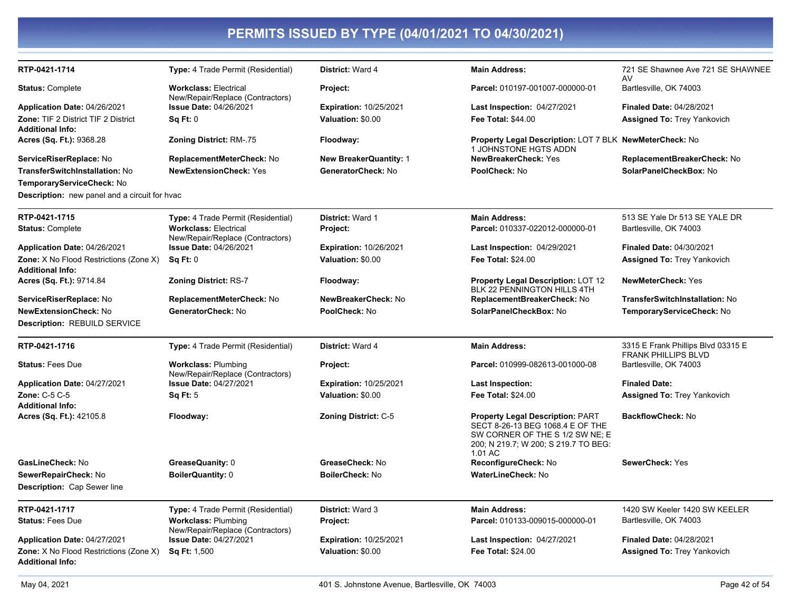| RTP-0421-1714                                                            | Type: 4 Trade Permit (Residential)                               | District: Ward 4              | <b>Main Address:</b>                                                                                                                                              | 721 SE Shawnee Ave 721 SE SHAWNEE<br>AV                          |
|--------------------------------------------------------------------------|------------------------------------------------------------------|-------------------------------|-------------------------------------------------------------------------------------------------------------------------------------------------------------------|------------------------------------------------------------------|
| <b>Status: Complete</b>                                                  | <b>Workclass: Electrical</b><br>New/Repair/Replace (Contractors) | Project:                      | Parcel: 010197-001007-000000-01                                                                                                                                   | Bartlesville, OK 74003                                           |
| Application Date: 04/26/2021                                             | Issue Date: 04/26/2021                                           | <b>Expiration: 10/25/2021</b> | Last Inspection: 04/27/2021                                                                                                                                       | <b>Finaled Date: 04/28/2021</b>                                  |
| <b>Zone: TIF 2 District TIF 2 District</b><br><b>Additional Info:</b>    | <b>Sq Ft: 0</b>                                                  | Valuation: \$0.00             | <b>Fee Total: \$44.00</b>                                                                                                                                         | <b>Assigned To: Trey Yankovich</b>                               |
| Acres (Sq. Ft.): 9368.28                                                 | Zoning District: RM-.75                                          | Floodway:                     | Property Legal Description: LOT 7 BLK NewMeterCheck: No<br>1 JOHNSTONE HGTS ADDN                                                                                  |                                                                  |
| ServiceRiserReplace: No                                                  | ReplacementMeterCheck: No                                        | <b>New BreakerQuantity: 1</b> | <b>NewBreakerCheck: Yes</b>                                                                                                                                       | ReplacementBreakerCheck: No                                      |
| TransferSwitchInstallation: No                                           | <b>NewExtensionCheck: Yes</b>                                    | GeneratorCheck: No            | PoolCheck: No                                                                                                                                                     | SolarPanelCheckBox: No                                           |
| TemporaryServiceCheck: No                                                |                                                                  |                               |                                                                                                                                                                   |                                                                  |
| <b>Description:</b> new panel and a circuit for hvac                     |                                                                  |                               |                                                                                                                                                                   |                                                                  |
| RTP-0421-1715                                                            | Type: 4 Trade Permit (Residential)                               | District: Ward 1              | <b>Main Address:</b>                                                                                                                                              | 513 SE Yale Dr 513 SE YALE DR                                    |
| <b>Status: Complete</b>                                                  | <b>Workclass: Electrical</b><br>New/Repair/Replace (Contractors) | Project:                      | Parcel: 010337-022012-000000-01                                                                                                                                   | Bartlesville, OK 74003                                           |
| Application Date: 04/26/2021                                             | <b>Issue Date: 04/26/2021</b>                                    | <b>Expiration: 10/26/2021</b> | <b>Last Inspection: 04/29/2021</b>                                                                                                                                | <b>Finaled Date: 04/30/2021</b>                                  |
| Zone: X No Flood Restrictions (Zone X)<br><b>Additional Info:</b>        | Sq Ft: 0                                                         | Valuation: \$0.00             | <b>Fee Total: \$24.00</b>                                                                                                                                         | <b>Assigned To: Trey Yankovich</b>                               |
| Acres (Sq. Ft.): 9714.84                                                 | <b>Zoning District: RS-7</b>                                     | Floodway:                     | <b>Property Legal Description: LOT 12</b><br>BLK 22 PENNINGTON HILLS 4TH                                                                                          | <b>NewMeterCheck: Yes</b>                                        |
| ServiceRiserReplace: No                                                  | ReplacementMeterCheck: No                                        | NewBreakerCheck: No           | ReplacementBreakerCheck: No                                                                                                                                       | <b>TransferSwitchInstallation: No</b>                            |
| <b>NewExtensionCheck: No</b>                                             | GeneratorCheck: No                                               | PoolCheck: No                 | SolarPanelCheckBox: No                                                                                                                                            | TemporaryServiceCheck: No                                        |
| <b>Description: REBUILD SERVICE</b>                                      |                                                                  |                               |                                                                                                                                                                   |                                                                  |
| RTP-0421-1716                                                            | Type: 4 Trade Permit (Residential)                               | District: Ward 4              | <b>Main Address:</b>                                                                                                                                              | 3315 E Frank Phillips Blvd 03315 E<br><b>FRANK PHILLIPS BLVD</b> |
| <b>Status: Fees Due</b>                                                  | <b>Workclass: Plumbing</b><br>New/Repair/Replace (Contractors)   | Project:                      | Parcel: 010999-082613-001000-08                                                                                                                                   | Bartlesville, OK 74003                                           |
| Application Date: 04/27/2021                                             | <b>Issue Date: 04/27/2021</b>                                    | Expiration: 10/25/2021        | <b>Last Inspection:</b>                                                                                                                                           | <b>Finaled Date:</b>                                             |
| <b>Zone: C-5 C-5</b><br><b>Additional Info:</b>                          | <b>Sq Ft: 5</b>                                                  | Valuation: \$0.00             | <b>Fee Total: \$24.00</b>                                                                                                                                         | <b>Assigned To: Trey Yankovich</b>                               |
| Acres (Sq. Ft.): 42105.8                                                 | Floodway:                                                        | <b>Zoning District: C-5</b>   | <b>Property Legal Description: PART</b><br>SECT 8-26-13 BEG 1068.4 E OF THE<br>SW CORNER OF THE S 1/2 SW NE; E<br>200; N 219.7; W 200; S 219.7 TO BEG:<br>1.01 AC | <b>BackflowCheck: No</b>                                         |
| GasLineCheck: No                                                         | GreaseQuanity: 0                                                 | GreaseCheck: No               | ReconfigureCheck: No                                                                                                                                              | SewerCheck: Yes                                                  |
| SewerRepairCheck: No                                                     | <b>BoilerQuantity: 0</b>                                         | <b>BoilerCheck: No</b>        | <b>WaterLineCheck: No</b>                                                                                                                                         |                                                                  |
| <b>Description: Cap Sewer line</b>                                       |                                                                  |                               |                                                                                                                                                                   |                                                                  |
| RTP-0421-1717                                                            | Type: 4 Trade Permit (Residential)                               | District: Ward 3              | <b>Main Address:</b>                                                                                                                                              | 1420 SW Keeler 1420 SW KEELER                                    |
| <b>Status: Fees Due</b>                                                  | <b>Workclass: Plumbing</b><br>New/Repair/Replace (Contractors)   | Project:                      | Parcel: 010133-009015-000000-01                                                                                                                                   | Bartlesville, OK 74003                                           |
| Application Date: 04/27/2021                                             | <b>Issue Date: 04/27/2021</b>                                    | <b>Expiration: 10/25/2021</b> | <b>Last Inspection: 04/27/2021</b>                                                                                                                                | <b>Finaled Date: 04/28/2021</b>                                  |
| <b>Zone:</b> X No Flood Restrictions (Zone X)<br><b>Additional Info:</b> | <b>Sq Ft: 1,500</b>                                              | Valuation: \$0.00             | <b>Fee Total: \$24.00</b>                                                                                                                                         | <b>Assigned To: Trey Yankovich</b>                               |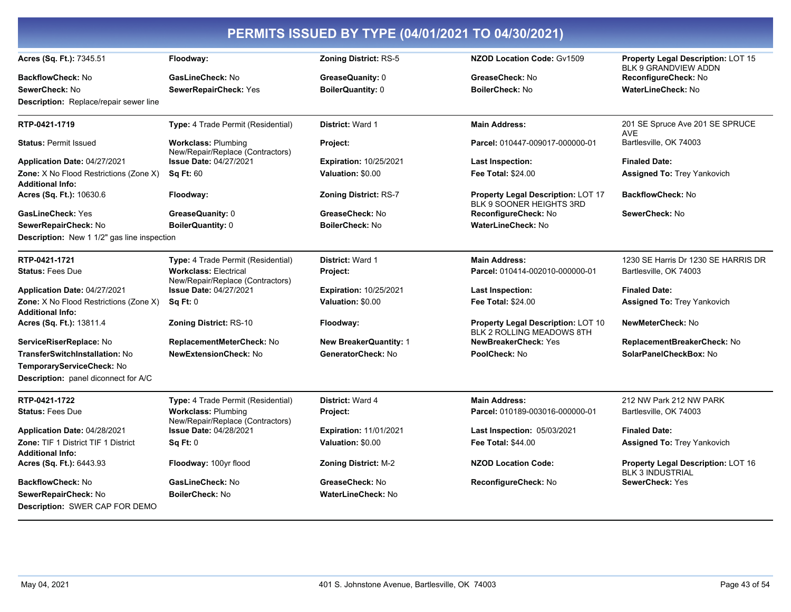| PERMITS ISSUED BY TYPE (04/01/2021 TO 04/30/2021)                        |                                                                  |                               |                                                                 |                                                               |
|--------------------------------------------------------------------------|------------------------------------------------------------------|-------------------------------|-----------------------------------------------------------------|---------------------------------------------------------------|
| Acres (Sq. Ft.): 7345.51                                                 | Floodway:                                                        | <b>Zoning District: RS-5</b>  | <b>NZOD Location Code: Gv1509</b>                               | Property Legal Description: LOT 15<br>BLK 9 GRANDVIEW ADDN    |
| <b>BackflowCheck: No</b>                                                 | GasLineCheck: No                                                 | GreaseQuanity: 0              | GreaseCheck: No                                                 | ReconfigureCheck: No                                          |
| SewerCheck: No                                                           | SewerRepairCheck: Yes                                            | <b>BoilerQuantity: 0</b>      | <b>BoilerCheck: No</b>                                          | <b>WaterLineCheck: No</b>                                     |
| <b>Description:</b> Replace/repair sewer line                            |                                                                  |                               |                                                                 |                                                               |
| RTP-0421-1719                                                            | Type: 4 Trade Permit (Residential)                               | District: Ward 1              | Main Address:                                                   | 201 SE Spruce Ave 201 SE SPRUCE<br><b>AVE</b>                 |
| <b>Status: Permit Issued</b>                                             | <b>Workclass: Plumbing</b><br>New/Repair/Replace (Contractors)   | Project:                      | Parcel: 010447-009017-000000-01                                 | Bartlesville, OK 74003                                        |
| Application Date: 04/27/2021                                             | <b>Issue Date: 04/27/2021</b>                                    | <b>Expiration: 10/25/2021</b> | Last Inspection:                                                | <b>Finaled Date:</b>                                          |
| <b>Zone:</b> X No Flood Restrictions (Zone X)<br><b>Additional Info:</b> | <b>Sq Ft: 60</b>                                                 | Valuation: \$0.00             | Fee Total: \$24.00                                              | <b>Assigned To: Trey Yankovich</b>                            |
| Acres (Sq. Ft.): 10630.6                                                 | Floodway:                                                        | <b>Zoning District: RS-7</b>  | Property Legal Description: LOT 17<br>BLK 9 SOONER HEIGHTS 3RD  | <b>BackflowCheck: No</b>                                      |
| GasLineCheck: Yes                                                        | GreaseQuanity: 0                                                 | GreaseCheck: No               | ReconfigureCheck: No                                            | SewerCheck: No                                                |
| SewerRepairCheck: No                                                     | <b>BoilerQuantity: 0</b>                                         | <b>BoilerCheck: No</b>        | <b>WaterLineCheck: No</b>                                       |                                                               |
| Description: New 1 1/2" gas line inspection                              |                                                                  |                               |                                                                 |                                                               |
| RTP-0421-1721                                                            | Type: 4 Trade Permit (Residential)                               | District: Ward 1              | <b>Main Address:</b>                                            | 1230 SE Harris Dr 1230 SE HARRIS DR                           |
| <b>Status: Fees Due</b>                                                  | <b>Workclass: Electrical</b><br>New/Repair/Replace (Contractors) | Project:                      | Parcel: 010414-002010-000000-01                                 | Bartlesville, OK 74003                                        |
| Application Date: 04/27/2021                                             | <b>Issue Date: 04/27/2021</b>                                    | <b>Expiration: 10/25/2021</b> | Last Inspection:                                                | <b>Finaled Date:</b>                                          |
| <b>Zone:</b> X No Flood Restrictions (Zone X)<br><b>Additional Info:</b> | $Sa$ Ft: $0$                                                     | Valuation: \$0.00             | <b>Fee Total: \$24.00</b>                                       | <b>Assigned To: Trey Yankovich</b>                            |
| Acres (Sq. Ft.): 13811.4                                                 | <b>Zoning District: RS-10</b>                                    | Floodway:                     | Property Legal Description: LOT 10<br>BLK 2 ROLLING MEADOWS 8TH | NewMeterCheck: No                                             |
| ServiceRiserReplace: No                                                  | ReplacementMeterCheck: No                                        | <b>New BreakerQuantity: 1</b> | NewBreakerCheck: Yes                                            | ReplacementBreakerCheck: No                                   |
| <b>TransferSwitchInstallation: No</b>                                    | <b>NewExtensionCheck: No</b>                                     | GeneratorCheck: No            | PoolCheck: No                                                   | SolarPanelCheckBox: No                                        |
| TemporaryServiceCheck: No                                                |                                                                  |                               |                                                                 |                                                               |
| <b>Description:</b> panel diconnect for A/C                              |                                                                  |                               |                                                                 |                                                               |
| RTP-0421-1722                                                            | Type: 4 Trade Permit (Residential)                               | District: Ward 4              | <b>Main Address:</b>                                            | 212 NW Park 212 NW PARK                                       |
| <b>Status: Fees Due</b>                                                  | <b>Workclass: Plumbing</b><br>New/Repair/Replace (Contractors)   | Project:                      | Parcel: 010189-003016-000000-01                                 | Bartlesville, OK 74003                                        |
| Application Date: 04/28/2021                                             | <b>Issue Date: 04/28/2021</b>                                    | <b>Expiration: 11/01/2021</b> | Last Inspection: 05/03/2021                                     | <b>Finaled Date:</b>                                          |
| Zone: TIF 1 District TIF 1 District<br><b>Additional Info:</b>           | Sq Ft: 0                                                         | Valuation: \$0.00             | <b>Fee Total: \$44.00</b>                                       | <b>Assigned To: Trey Yankovich</b>                            |
| Acres (Sq. Ft.): 6443.93                                                 | Floodway: 100yr flood                                            | <b>Zoning District: M-2</b>   | <b>NZOD Location Code:</b>                                      | Property Legal Description: LOT 16<br><b>BLK 3 INDUSTRIAL</b> |
| <b>BackflowCheck: No</b>                                                 | GasLineCheck: No                                                 | GreaseCheck: No               | ReconfigureCheck: No                                            | SewerCheck: Yes                                               |
| SewerRepairCheck: No<br><b>Description: SWER CAP FOR DEMO</b>            | <b>BoilerCheck: No</b>                                           | WaterLineCheck: No            |                                                                 |                                                               |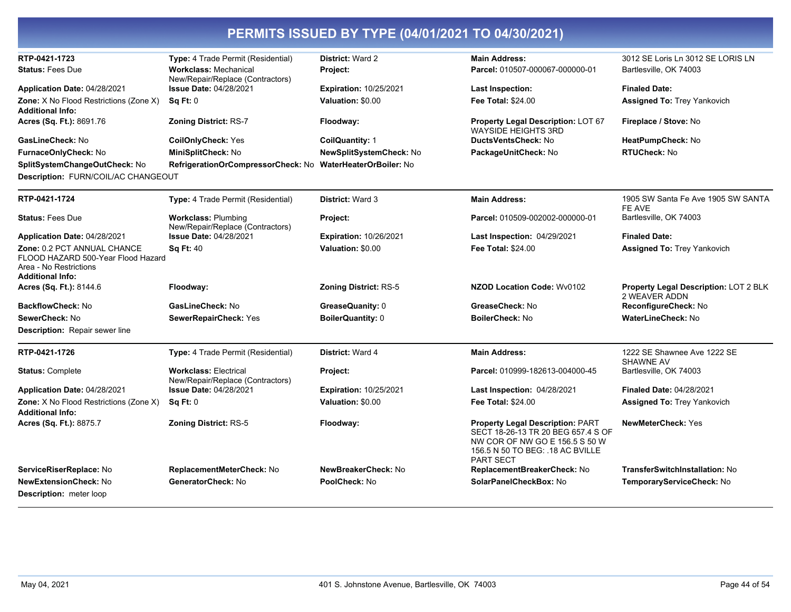| RTP-0421-1723                                                                                                          | Type: 4 Trade Permit (Residential)                                | <b>District: Ward 2</b>       | <b>Main Address:</b>                                                                                                                                                    | 3012 SE Loris Ln 3012 SE LORIS LN                      |
|------------------------------------------------------------------------------------------------------------------------|-------------------------------------------------------------------|-------------------------------|-------------------------------------------------------------------------------------------------------------------------------------------------------------------------|--------------------------------------------------------|
| <b>Status: Fees Due</b>                                                                                                | <b>Workclass: Mechanical</b>                                      | Project:                      | Parcel: 010507-000067-000000-01                                                                                                                                         | Bartlesville, OK 74003                                 |
| Application Date: 04/28/2021                                                                                           | New/Repair/Replace (Contractors)<br><b>Issue Date: 04/28/2021</b> | <b>Expiration: 10/25/2021</b> | <b>Last Inspection:</b>                                                                                                                                                 | <b>Finaled Date:</b>                                   |
| Zone: X No Flood Restrictions (Zone X)                                                                                 | $Sa$ Ft: $0$                                                      | Valuation: \$0.00             | Fee Total: \$24.00                                                                                                                                                      | <b>Assigned To: Trey Yankovich</b>                     |
| <b>Additional Info:</b>                                                                                                |                                                                   |                               |                                                                                                                                                                         |                                                        |
| Acres (Sq. Ft.): 8691.76                                                                                               | <b>Zoning District: RS-7</b>                                      | Floodway:                     | <b>Property Legal Description: LOT 67</b><br><b>WAYSIDE HEIGHTS 3RD</b>                                                                                                 | Fireplace / Stove: No                                  |
| GasLineCheck: No                                                                                                       | <b>CoilOnlyCheck: Yes</b>                                         | CoilQuantity: 1               | DuctsVentsCheck: No                                                                                                                                                     | HeatPumpCheck: No                                      |
| FurnaceOnlyCheck: No                                                                                                   | MiniSplitCheck: No                                                | NewSplitSystemCheck: No       | PackageUnitCheck: No                                                                                                                                                    | <b>RTUCheck: No</b>                                    |
| SplitSystemChangeOutCheck: No                                                                                          | RefrigerationOrCompressorCheck: No WaterHeaterOrBoiler: No        |                               |                                                                                                                                                                         |                                                        |
| Description: FURN/COIL/AC CHANGEOUT                                                                                    |                                                                   |                               |                                                                                                                                                                         |                                                        |
| RTP-0421-1724                                                                                                          | Type: 4 Trade Permit (Residential)                                | District: Ward 3              | <b>Main Address:</b>                                                                                                                                                    | 1905 SW Santa Fe Ave 1905 SW SANTA<br>FE AVE           |
| <b>Status: Fees Due</b>                                                                                                | <b>Workclass: Plumbing</b><br>New/Repair/Replace (Contractors)    | Project:                      | Parcel: 010509-002002-000000-01                                                                                                                                         | Bartlesville, OK 74003                                 |
| Application Date: 04/28/2021                                                                                           | <b>Issue Date: 04/28/2021</b>                                     | <b>Expiration: 10/26/2021</b> | Last Inspection: 04/29/2021                                                                                                                                             | <b>Finaled Date:</b>                                   |
| Zone: 0.2 PCT ANNUAL CHANCE<br>FLOOD HAZARD 500-Year Flood Hazard<br>Area - No Restrictions<br><b>Additional Info:</b> | <b>Sq Ft: 40</b>                                                  | Valuation: \$0.00             | <b>Fee Total: \$24.00</b>                                                                                                                                               | <b>Assigned To: Trey Yankovich</b>                     |
| Acres (Sq. Ft.): 8144.6                                                                                                | Floodway:                                                         | <b>Zoning District: RS-5</b>  | <b>NZOD Location Code: Wv0102</b>                                                                                                                                       | Property Legal Description: LOT 2 BLK<br>2 WEAVER ADDN |
| BackflowCheck: No                                                                                                      | GasLineCheck: No                                                  | GreaseQuanity: 0              | GreaseCheck: No                                                                                                                                                         | ReconfigureCheck: No                                   |
| SewerCheck: No                                                                                                         | SewerRepairCheck: Yes                                             | <b>BoilerQuantity: 0</b>      | <b>BoilerCheck: No</b>                                                                                                                                                  | <b>WaterLineCheck: No</b>                              |
| <b>Description: Repair sewer line</b>                                                                                  |                                                                   |                               |                                                                                                                                                                         |                                                        |
| RTP-0421-1726                                                                                                          | Type: 4 Trade Permit (Residential)                                | District: Ward 4              | <b>Main Address:</b>                                                                                                                                                    | 1222 SE Shawnee Ave 1222 SE<br>SHAWNE AV               |
| <b>Status: Complete</b>                                                                                                | <b>Workclass: Electrical</b><br>New/Repair/Replace (Contractors)  | Project:                      | Parcel: 010999-182613-004000-45                                                                                                                                         | Bartlesville, OK 74003                                 |
| Application Date: 04/28/2021                                                                                           | <b>Issue Date: 04/28/2021</b>                                     | <b>Expiration: 10/25/2021</b> | Last Inspection: 04/28/2021                                                                                                                                             | <b>Finaled Date: 04/28/2021</b>                        |
| Zone: X No Flood Restrictions (Zone X)<br><b>Additional Info:</b>                                                      | <b>Sq Ft: 0</b>                                                   | Valuation: \$0.00             | <b>Fee Total: \$24.00</b>                                                                                                                                               | <b>Assigned To: Trey Yankovich</b>                     |
| Acres (Sq. Ft.): 8875.7                                                                                                | Zoning District: RS-5                                             | Floodway:                     | <b>Property Legal Description: PART</b><br>SECT 18-26-13 TR 20 BEG 657.4 S OF<br>NW COR OF NW GO E 156.5 S 50 W<br>156.5 N 50 TO BEG: .18 AC BVILLE<br><b>PART SECT</b> | <b>NewMeterCheck: Yes</b>                              |
| ServiceRiserReplace: No                                                                                                | ReplacementMeterCheck: No                                         | NewBreakerCheck: No           | ReplacementBreakerCheck: No                                                                                                                                             | <b>TransferSwitchInstallation: No</b>                  |
| <b>NewExtensionCheck: No</b>                                                                                           | GeneratorCheck: No                                                | PoolCheck: No                 | SolarPanelCheckBox: No                                                                                                                                                  | TemporaryServiceCheck: No                              |
| <b>Description:</b> meter loop                                                                                         |                                                                   |                               |                                                                                                                                                                         |                                                        |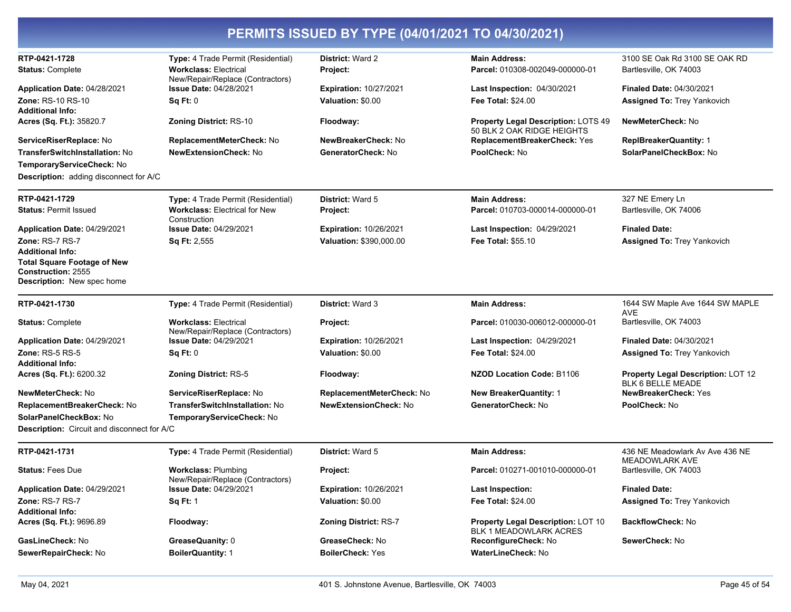| RTP-0421-1728<br><b>Type:</b> 4 Trade Permit (Residential)<br><b>District: Ward 2</b><br><b>Main Address:</b><br>3100 SE Oak Rd 3100 SE OAK RD<br><b>Workclass: Electrical</b><br>Bartlesville, OK 74003<br><b>Status: Complete</b><br>Parcel: 010308-002049-000000-01<br><b>Project:</b><br>New/Repair/Replace (Contractors)<br><b>Issue Date: 04/28/2021</b><br><b>Expiration: 10/27/2021</b><br>Finaled Date: 04/30/2021<br>Application Date: 04/28/2021<br>Last Inspection: 04/30/2021<br><b>Zone: RS-10 RS-10</b><br>Sq Ft: 0<br>Valuation: \$0.00<br><b>Fee Total: \$24.00</b><br><b>Assigned To: Trey Yankovich</b><br><b>Additional Info:</b><br>NewMeterCheck: No<br>Acres (Sq. Ft.): 35820.7<br><b>Zoning District: RS-10</b><br><b>Property Legal Description: LOTS 49</b><br>Floodway:<br>50 BLK 2 OAK RIDGE HEIGHTS<br>NewBreakerCheck: No<br>ReplacementBreakerCheck: Yes<br>ServiceRiserReplace: No<br>ReplacementMeterCheck: No<br><b>ReplBreakerQuantity: 1</b><br>PoolCheck: No<br>SolarPanelCheckBox: No<br><b>TransferSwitchInstallation: No</b><br><b>NewExtensionCheck: No</b><br>GeneratorCheck: No<br>TemporaryServiceCheck: No<br><b>Description:</b> adding disconnect for A/C<br>RTP-0421-1729<br>Type: 4 Trade Permit (Residential)<br>District: Ward 5<br>327 NE Emery Ln<br><b>Main Address:</b><br><b>Workclass: Electrical for New</b><br>Parcel: 010703-000014-000000-01<br>Bartlesville, OK 74006<br><b>Status: Permit Issued</b><br><b>Project:</b><br>Construction<br><b>Finaled Date:</b><br><b>Issue Date: 04/29/2021</b><br><b>Expiration: 10/26/2021</b><br><b>Last Inspection: 04/29/2021</b><br>Application Date: 04/29/2021<br>Zone: RS-7 RS-7<br>Valuation: \$390,000.00<br><b>Fee Total: \$55.10</b><br>Sq Ft: 2,555<br><b>Assigned To: Trey Yankovich</b><br><b>Additional Info:</b><br><b>Total Square Footage of New</b><br>Construction: 2555<br><b>Description:</b> New spec home<br>RTP-0421-1730<br><b>Main Address:</b><br>Type: 4 Trade Permit (Residential)<br><b>District: Ward 3</b><br>1644 SW Maple Ave 1644 SW MAPLE<br>AVE<br>Parcel: 010030-006012-000000-01<br>Bartlesville, OK 74003<br><b>Workclass: Electrical</b><br>Project:<br><b>Status: Complete</b><br>New/Repair/Replace (Contractors) |                              |                               |                               |                                    |                                 |
|-----------------------------------------------------------------------------------------------------------------------------------------------------------------------------------------------------------------------------------------------------------------------------------------------------------------------------------------------------------------------------------------------------------------------------------------------------------------------------------------------------------------------------------------------------------------------------------------------------------------------------------------------------------------------------------------------------------------------------------------------------------------------------------------------------------------------------------------------------------------------------------------------------------------------------------------------------------------------------------------------------------------------------------------------------------------------------------------------------------------------------------------------------------------------------------------------------------------------------------------------------------------------------------------------------------------------------------------------------------------------------------------------------------------------------------------------------------------------------------------------------------------------------------------------------------------------------------------------------------------------------------------------------------------------------------------------------------------------------------------------------------------------------------------------------------------------------------------------------------------------------------------------------------------------------------------------------------------------------------------------------------------------------------------------------------------------------------------------------------------------------------------------------------------------------------------------------------------------------------------------------------------|------------------------------|-------------------------------|-------------------------------|------------------------------------|---------------------------------|
|                                                                                                                                                                                                                                                                                                                                                                                                                                                                                                                                                                                                                                                                                                                                                                                                                                                                                                                                                                                                                                                                                                                                                                                                                                                                                                                                                                                                                                                                                                                                                                                                                                                                                                                                                                                                                                                                                                                                                                                                                                                                                                                                                                                                                                                                 |                              |                               |                               |                                    |                                 |
|                                                                                                                                                                                                                                                                                                                                                                                                                                                                                                                                                                                                                                                                                                                                                                                                                                                                                                                                                                                                                                                                                                                                                                                                                                                                                                                                                                                                                                                                                                                                                                                                                                                                                                                                                                                                                                                                                                                                                                                                                                                                                                                                                                                                                                                                 |                              |                               |                               |                                    |                                 |
|                                                                                                                                                                                                                                                                                                                                                                                                                                                                                                                                                                                                                                                                                                                                                                                                                                                                                                                                                                                                                                                                                                                                                                                                                                                                                                                                                                                                                                                                                                                                                                                                                                                                                                                                                                                                                                                                                                                                                                                                                                                                                                                                                                                                                                                                 |                              |                               |                               |                                    |                                 |
|                                                                                                                                                                                                                                                                                                                                                                                                                                                                                                                                                                                                                                                                                                                                                                                                                                                                                                                                                                                                                                                                                                                                                                                                                                                                                                                                                                                                                                                                                                                                                                                                                                                                                                                                                                                                                                                                                                                                                                                                                                                                                                                                                                                                                                                                 |                              |                               |                               |                                    |                                 |
|                                                                                                                                                                                                                                                                                                                                                                                                                                                                                                                                                                                                                                                                                                                                                                                                                                                                                                                                                                                                                                                                                                                                                                                                                                                                                                                                                                                                                                                                                                                                                                                                                                                                                                                                                                                                                                                                                                                                                                                                                                                                                                                                                                                                                                                                 |                              |                               |                               |                                    |                                 |
|                                                                                                                                                                                                                                                                                                                                                                                                                                                                                                                                                                                                                                                                                                                                                                                                                                                                                                                                                                                                                                                                                                                                                                                                                                                                                                                                                                                                                                                                                                                                                                                                                                                                                                                                                                                                                                                                                                                                                                                                                                                                                                                                                                                                                                                                 |                              |                               |                               |                                    |                                 |
|                                                                                                                                                                                                                                                                                                                                                                                                                                                                                                                                                                                                                                                                                                                                                                                                                                                                                                                                                                                                                                                                                                                                                                                                                                                                                                                                                                                                                                                                                                                                                                                                                                                                                                                                                                                                                                                                                                                                                                                                                                                                                                                                                                                                                                                                 |                              |                               |                               |                                    |                                 |
|                                                                                                                                                                                                                                                                                                                                                                                                                                                                                                                                                                                                                                                                                                                                                                                                                                                                                                                                                                                                                                                                                                                                                                                                                                                                                                                                                                                                                                                                                                                                                                                                                                                                                                                                                                                                                                                                                                                                                                                                                                                                                                                                                                                                                                                                 |                              |                               |                               |                                    |                                 |
|                                                                                                                                                                                                                                                                                                                                                                                                                                                                                                                                                                                                                                                                                                                                                                                                                                                                                                                                                                                                                                                                                                                                                                                                                                                                                                                                                                                                                                                                                                                                                                                                                                                                                                                                                                                                                                                                                                                                                                                                                                                                                                                                                                                                                                                                 |                              |                               |                               |                                    |                                 |
|                                                                                                                                                                                                                                                                                                                                                                                                                                                                                                                                                                                                                                                                                                                                                                                                                                                                                                                                                                                                                                                                                                                                                                                                                                                                                                                                                                                                                                                                                                                                                                                                                                                                                                                                                                                                                                                                                                                                                                                                                                                                                                                                                                                                                                                                 |                              |                               |                               |                                    |                                 |
|                                                                                                                                                                                                                                                                                                                                                                                                                                                                                                                                                                                                                                                                                                                                                                                                                                                                                                                                                                                                                                                                                                                                                                                                                                                                                                                                                                                                                                                                                                                                                                                                                                                                                                                                                                                                                                                                                                                                                                                                                                                                                                                                                                                                                                                                 |                              |                               |                               |                                    |                                 |
|                                                                                                                                                                                                                                                                                                                                                                                                                                                                                                                                                                                                                                                                                                                                                                                                                                                                                                                                                                                                                                                                                                                                                                                                                                                                                                                                                                                                                                                                                                                                                                                                                                                                                                                                                                                                                                                                                                                                                                                                                                                                                                                                                                                                                                                                 |                              |                               |                               |                                    |                                 |
|                                                                                                                                                                                                                                                                                                                                                                                                                                                                                                                                                                                                                                                                                                                                                                                                                                                                                                                                                                                                                                                                                                                                                                                                                                                                                                                                                                                                                                                                                                                                                                                                                                                                                                                                                                                                                                                                                                                                                                                                                                                                                                                                                                                                                                                                 |                              |                               |                               |                                    |                                 |
|                                                                                                                                                                                                                                                                                                                                                                                                                                                                                                                                                                                                                                                                                                                                                                                                                                                                                                                                                                                                                                                                                                                                                                                                                                                                                                                                                                                                                                                                                                                                                                                                                                                                                                                                                                                                                                                                                                                                                                                                                                                                                                                                                                                                                                                                 |                              |                               |                               |                                    |                                 |
|                                                                                                                                                                                                                                                                                                                                                                                                                                                                                                                                                                                                                                                                                                                                                                                                                                                                                                                                                                                                                                                                                                                                                                                                                                                                                                                                                                                                                                                                                                                                                                                                                                                                                                                                                                                                                                                                                                                                                                                                                                                                                                                                                                                                                                                                 |                              |                               |                               |                                    |                                 |
|                                                                                                                                                                                                                                                                                                                                                                                                                                                                                                                                                                                                                                                                                                                                                                                                                                                                                                                                                                                                                                                                                                                                                                                                                                                                                                                                                                                                                                                                                                                                                                                                                                                                                                                                                                                                                                                                                                                                                                                                                                                                                                                                                                                                                                                                 |                              |                               |                               |                                    |                                 |
|                                                                                                                                                                                                                                                                                                                                                                                                                                                                                                                                                                                                                                                                                                                                                                                                                                                                                                                                                                                                                                                                                                                                                                                                                                                                                                                                                                                                                                                                                                                                                                                                                                                                                                                                                                                                                                                                                                                                                                                                                                                                                                                                                                                                                                                                 |                              |                               |                               |                                    |                                 |
|                                                                                                                                                                                                                                                                                                                                                                                                                                                                                                                                                                                                                                                                                                                                                                                                                                                                                                                                                                                                                                                                                                                                                                                                                                                                                                                                                                                                                                                                                                                                                                                                                                                                                                                                                                                                                                                                                                                                                                                                                                                                                                                                                                                                                                                                 |                              |                               |                               |                                    |                                 |
|                                                                                                                                                                                                                                                                                                                                                                                                                                                                                                                                                                                                                                                                                                                                                                                                                                                                                                                                                                                                                                                                                                                                                                                                                                                                                                                                                                                                                                                                                                                                                                                                                                                                                                                                                                                                                                                                                                                                                                                                                                                                                                                                                                                                                                                                 | Application Date: 04/29/2021 | <b>Issue Date: 04/29/2021</b> | <b>Expiration: 10/26/2021</b> | <b>Last Inspection: 04/29/2021</b> | <b>Finaled Date: 04/30/2021</b> |
| Zone: RS-5 RS-5<br>Sq Ft: 0<br>Valuation: \$0.00<br><b>Fee Total: \$24.00</b><br><b>Assigned To: Trey Yankovich</b>                                                                                                                                                                                                                                                                                                                                                                                                                                                                                                                                                                                                                                                                                                                                                                                                                                                                                                                                                                                                                                                                                                                                                                                                                                                                                                                                                                                                                                                                                                                                                                                                                                                                                                                                                                                                                                                                                                                                                                                                                                                                                                                                             |                              |                               |                               |                                    |                                 |
| <b>Additional Info:</b><br>Property Legal Description: LOT 12<br>Acres (Sq. Ft.): 6200.32<br><b>Zoning District: RS-5</b><br>NZOD Location Code: B1106<br>Floodway:                                                                                                                                                                                                                                                                                                                                                                                                                                                                                                                                                                                                                                                                                                                                                                                                                                                                                                                                                                                                                                                                                                                                                                                                                                                                                                                                                                                                                                                                                                                                                                                                                                                                                                                                                                                                                                                                                                                                                                                                                                                                                             |                              |                               |                               |                                    |                                 |
| <b>BLK 6 BELLE MEADE</b>                                                                                                                                                                                                                                                                                                                                                                                                                                                                                                                                                                                                                                                                                                                                                                                                                                                                                                                                                                                                                                                                                                                                                                                                                                                                                                                                                                                                                                                                                                                                                                                                                                                                                                                                                                                                                                                                                                                                                                                                                                                                                                                                                                                                                                        |                              |                               |                               |                                    |                                 |
| NewMeterCheck: No<br>ReplacementMeterCheck: No<br><b>New BreakerQuantity: 1</b><br>NewBreakerCheck: Yes<br>ServiceRiserReplace: No                                                                                                                                                                                                                                                                                                                                                                                                                                                                                                                                                                                                                                                                                                                                                                                                                                                                                                                                                                                                                                                                                                                                                                                                                                                                                                                                                                                                                                                                                                                                                                                                                                                                                                                                                                                                                                                                                                                                                                                                                                                                                                                              |                              |                               |                               |                                    |                                 |
| <b>NewExtensionCheck: No</b><br>GeneratorCheck: No<br>PoolCheck: No<br>ReplacementBreakerCheck: No<br>TransferSwitchInstallation: No<br>SolarPanelCheckBox: No                                                                                                                                                                                                                                                                                                                                                                                                                                                                                                                                                                                                                                                                                                                                                                                                                                                                                                                                                                                                                                                                                                                                                                                                                                                                                                                                                                                                                                                                                                                                                                                                                                                                                                                                                                                                                                                                                                                                                                                                                                                                                                  |                              |                               |                               |                                    |                                 |
| TemporaryServiceCheck: No<br><b>Description:</b> Circuit and disconnect for A/C                                                                                                                                                                                                                                                                                                                                                                                                                                                                                                                                                                                                                                                                                                                                                                                                                                                                                                                                                                                                                                                                                                                                                                                                                                                                                                                                                                                                                                                                                                                                                                                                                                                                                                                                                                                                                                                                                                                                                                                                                                                                                                                                                                                 |                              |                               |                               |                                    |                                 |
|                                                                                                                                                                                                                                                                                                                                                                                                                                                                                                                                                                                                                                                                                                                                                                                                                                                                                                                                                                                                                                                                                                                                                                                                                                                                                                                                                                                                                                                                                                                                                                                                                                                                                                                                                                                                                                                                                                                                                                                                                                                                                                                                                                                                                                                                 |                              |                               |                               |                                    |                                 |
| RTP-0421-1731<br>Type: 4 Trade Permit (Residential)<br>District: Ward 5<br><b>Main Address:</b><br>436 NE Meadowlark Av Ave 436 NE<br><b>MEADOWLARK AVE</b>                                                                                                                                                                                                                                                                                                                                                                                                                                                                                                                                                                                                                                                                                                                                                                                                                                                                                                                                                                                                                                                                                                                                                                                                                                                                                                                                                                                                                                                                                                                                                                                                                                                                                                                                                                                                                                                                                                                                                                                                                                                                                                     |                              |                               |                               |                                    |                                 |
| Bartlesville, OK 74003<br><b>Status: Fees Due</b><br><b>Workclass: Plumbing</b><br>Project:<br>Parcel: 010271-001010-000000-01                                                                                                                                                                                                                                                                                                                                                                                                                                                                                                                                                                                                                                                                                                                                                                                                                                                                                                                                                                                                                                                                                                                                                                                                                                                                                                                                                                                                                                                                                                                                                                                                                                                                                                                                                                                                                                                                                                                                                                                                                                                                                                                                  |                              |                               |                               |                                    |                                 |
| New/Repair/Replace (Contractors)<br><b>Issue Date: 04/29/2021</b><br><b>Finaled Date:</b><br><b>Expiration: 10/26/2021</b><br>Last Inspection:<br>Application Date: 04/29/2021                                                                                                                                                                                                                                                                                                                                                                                                                                                                                                                                                                                                                                                                                                                                                                                                                                                                                                                                                                                                                                                                                                                                                                                                                                                                                                                                                                                                                                                                                                                                                                                                                                                                                                                                                                                                                                                                                                                                                                                                                                                                                  |                              |                               |                               |                                    |                                 |
| Zone: RS-7 RS-7<br><b>Sq Ft: 1</b><br>Valuation: \$0.00<br><b>Fee Total: \$24.00</b><br><b>Assigned To: Trey Yankovich</b>                                                                                                                                                                                                                                                                                                                                                                                                                                                                                                                                                                                                                                                                                                                                                                                                                                                                                                                                                                                                                                                                                                                                                                                                                                                                                                                                                                                                                                                                                                                                                                                                                                                                                                                                                                                                                                                                                                                                                                                                                                                                                                                                      |                              |                               |                               |                                    |                                 |
| <b>Additional Info:</b>                                                                                                                                                                                                                                                                                                                                                                                                                                                                                                                                                                                                                                                                                                                                                                                                                                                                                                                                                                                                                                                                                                                                                                                                                                                                                                                                                                                                                                                                                                                                                                                                                                                                                                                                                                                                                                                                                                                                                                                                                                                                                                                                                                                                                                         |                              |                               |                               |                                    |                                 |
| Acres (Sq. Ft.): 9696.89<br><b>Zoning District: RS-7</b><br><b>Property Legal Description: LOT 10</b><br><b>BackflowCheck: No</b><br>Floodway:<br><b>BLK 1 MEADOWLARK ACRES</b>                                                                                                                                                                                                                                                                                                                                                                                                                                                                                                                                                                                                                                                                                                                                                                                                                                                                                                                                                                                                                                                                                                                                                                                                                                                                                                                                                                                                                                                                                                                                                                                                                                                                                                                                                                                                                                                                                                                                                                                                                                                                                 |                              |                               |                               |                                    |                                 |
| SewerCheck: No<br>GreaseQuanity: 0<br>GreaseCheck: No<br>ReconfigureCheck: No<br>GasLineCheck: No                                                                                                                                                                                                                                                                                                                                                                                                                                                                                                                                                                                                                                                                                                                                                                                                                                                                                                                                                                                                                                                                                                                                                                                                                                                                                                                                                                                                                                                                                                                                                                                                                                                                                                                                                                                                                                                                                                                                                                                                                                                                                                                                                               |                              |                               |                               |                                    |                                 |
| <b>BoilerCheck: Yes</b><br><b>WaterLineCheck: No</b><br>SewerRepairCheck: No<br><b>BoilerQuantity: 1</b>                                                                                                                                                                                                                                                                                                                                                                                                                                                                                                                                                                                                                                                                                                                                                                                                                                                                                                                                                                                                                                                                                                                                                                                                                                                                                                                                                                                                                                                                                                                                                                                                                                                                                                                                                                                                                                                                                                                                                                                                                                                                                                                                                        |                              |                               |                               |                                    |                                 |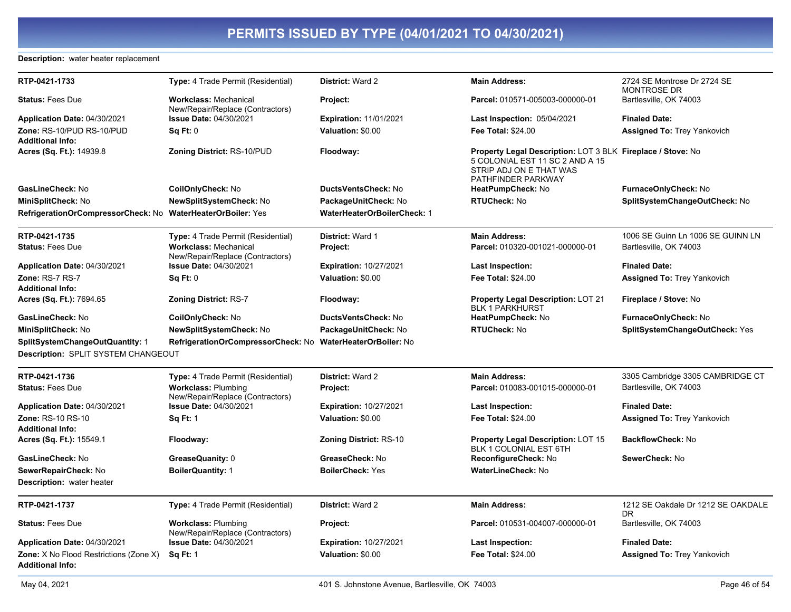#### **Description:** water heater replacement

| RTP-0421-1733                                                            | <b>Type:</b> 4 Trade Permit (Residential)                        | <b>District: Ward 2</b>        | <b>Main Address:</b>                                                                                                                            | 2724 SE Montrose Dr 2724 SE<br><b>MONTROSE DR</b> |
|--------------------------------------------------------------------------|------------------------------------------------------------------|--------------------------------|-------------------------------------------------------------------------------------------------------------------------------------------------|---------------------------------------------------|
| <b>Status: Fees Due</b>                                                  | <b>Workclass: Mechanical</b><br>New/Repair/Replace (Contractors) | Project:                       | Parcel: 010571-005003-000000-01                                                                                                                 | Bartlesville, OK 74003                            |
| Application Date: 04/30/2021                                             | <b>Issue Date: 04/30/2021</b>                                    | <b>Expiration: 11/01/2021</b>  | <b>Last Inspection: 05/04/2021</b>                                                                                                              | <b>Finaled Date:</b>                              |
| Zone: RS-10/PUD RS-10/PUD                                                | Sq Ft: 0                                                         | Valuation: \$0.00              | <b>Fee Total: \$24.00</b>                                                                                                                       | <b>Assigned To: Trey Yankovich</b>                |
| <b>Additional Info:</b>                                                  |                                                                  |                                |                                                                                                                                                 |                                                   |
| Acres (Sq. Ft.): 14939.8                                                 | <b>Zoning District: RS-10/PUD</b>                                | Floodway:                      | Property Legal Description: LOT 3 BLK Fireplace / Stove: No<br>5 COLONIAL EST 11 SC 2 AND A 15<br>STRIP ADJ ON E THAT WAS<br>PATHFINDER PARKWAY |                                                   |
| GasLineCheck: No                                                         | CoilOnlyCheck: No                                                | DuctsVentsCheck: No            | HeatPumpCheck: No                                                                                                                               | FurnaceOnlyCheck: No                              |
| MiniSplitCheck: No                                                       | NewSplitSystemCheck: No                                          | PackageUnitCheck: No           | <b>RTUCheck: No</b>                                                                                                                             | SplitSystemChangeOutCheck: No                     |
| RefrigerationOrCompressorCheck: No WaterHeaterOrBoiler: Yes              |                                                                  | WaterHeaterOrBoilerCheck: 1    |                                                                                                                                                 |                                                   |
| RTP-0421-1735                                                            | Type: 4 Trade Permit (Residential)                               | <b>District: Ward 1</b>        | <b>Main Address:</b>                                                                                                                            | 1006 SE Guinn Ln 1006 SE GUINN LN                 |
| <b>Status: Fees Due</b>                                                  | <b>Workclass: Mechanical</b><br>New/Repair/Replace (Contractors) | Project:                       | Parcel: 010320-001021-000000-01                                                                                                                 | Bartlesville, OK 74003                            |
| Application Date: 04/30/2021                                             | <b>Issue Date: 04/30/2021</b>                                    | <b>Expiration: 10/27/2021</b>  | <b>Last Inspection:</b>                                                                                                                         | <b>Finaled Date:</b>                              |
| Zone: RS-7 RS-7<br><b>Additional Info:</b>                               | Sq Ft: 0                                                         | Valuation: \$0.00              | <b>Fee Total: \$24.00</b>                                                                                                                       | <b>Assigned To: Trey Yankovich</b>                |
| Acres (Sq. Ft.): 7694.65                                                 | <b>Zoning District: RS-7</b>                                     | Floodway:                      | <b>Property Legal Description: LOT 21</b><br><b>BLK 1 PARKHURST</b>                                                                             | Fireplace / Stove: No                             |
| GasLineCheck: No                                                         | CoilOnlyCheck: No                                                | DuctsVentsCheck: No            | HeatPumpCheck: No                                                                                                                               | FurnaceOnlyCheck: No                              |
| <b>MiniSplitCheck: No</b>                                                | <b>NewSplitSystemCheck: No</b>                                   | PackageUnitCheck: No           | <b>RTUCheck: No</b>                                                                                                                             | SplitSystemChangeOutCheck: Yes                    |
| SplitSystemChangeOutQuantity: 1                                          | RefrigerationOrCompressorCheck: No                               | <b>WaterHeaterOrBoiler: No</b> |                                                                                                                                                 |                                                   |
| Description: SPLIT SYSTEM CHANGEOUT                                      |                                                                  |                                |                                                                                                                                                 |                                                   |
| RTP-0421-1736                                                            | Type: 4 Trade Permit (Residential)                               | District: Ward 2               | <b>Main Address:</b>                                                                                                                            | 3305 Cambridge 3305 CAMBRIDGE CT                  |
| <b>Status: Fees Due</b>                                                  | <b>Workclass: Plumbing</b><br>New/Repair/Replace (Contractors)   | Project:                       | Parcel: 010083-001015-000000-01                                                                                                                 | Bartlesville, OK 74003                            |
| Application Date: 04/30/2021                                             | <b>Issue Date: 04/30/2021</b>                                    | <b>Expiration: 10/27/2021</b>  | <b>Last Inspection:</b>                                                                                                                         | <b>Finaled Date:</b>                              |
| Zone: RS-10 RS-10<br><b>Additional Info:</b>                             | <b>Sq Ft: 1</b>                                                  | Valuation: \$0.00              | <b>Fee Total: \$24.00</b>                                                                                                                       | <b>Assigned To: Trey Yankovich</b>                |
| Acres (Sq. Ft.): 15549.1                                                 | Floodway:                                                        | <b>Zoning District: RS-10</b>  | <b>Property Legal Description: LOT 15</b><br>BLK 1 COLONIAL EST 6TH                                                                             | <b>BackflowCheck: No</b>                          |
| GasLineCheck: No                                                         | GreaseQuanity: 0                                                 | GreaseCheck: No                | ReconfigureCheck: No                                                                                                                            | SewerCheck: No                                    |
| SewerRepairCheck: No                                                     | <b>BoilerQuantity: 1</b>                                         | <b>BoilerCheck: Yes</b>        | <b>WaterLineCheck: No</b>                                                                                                                       |                                                   |
| <b>Description:</b> water heater                                         |                                                                  |                                |                                                                                                                                                 |                                                   |
| RTP-0421-1737                                                            | Type: 4 Trade Permit (Residential)                               | District: Ward 2               | <b>Main Address:</b>                                                                                                                            | 1212 SE Oakdale Dr 1212 SE OAKDALE<br><b>DR</b>   |
| <b>Status: Fees Due</b>                                                  | <b>Workclass: Plumbing</b><br>New/Repair/Replace (Contractors)   | Project:                       | Parcel: 010531-004007-000000-01                                                                                                                 | Bartlesville, OK 74003                            |
| Application Date: 04/30/2021                                             | Issue Date: 04/30/2021                                           | <b>Expiration: 10/27/2021</b>  | <b>Last Inspection:</b>                                                                                                                         | <b>Finaled Date:</b>                              |
| <b>Zone:</b> X No Flood Restrictions (Zone X)<br><b>Additional Info:</b> | <b>Sq Ft: 1</b>                                                  | Valuation: \$0.00              | <b>Fee Total: \$24.00</b>                                                                                                                       | <b>Assigned To: Trey Yankovich</b>                |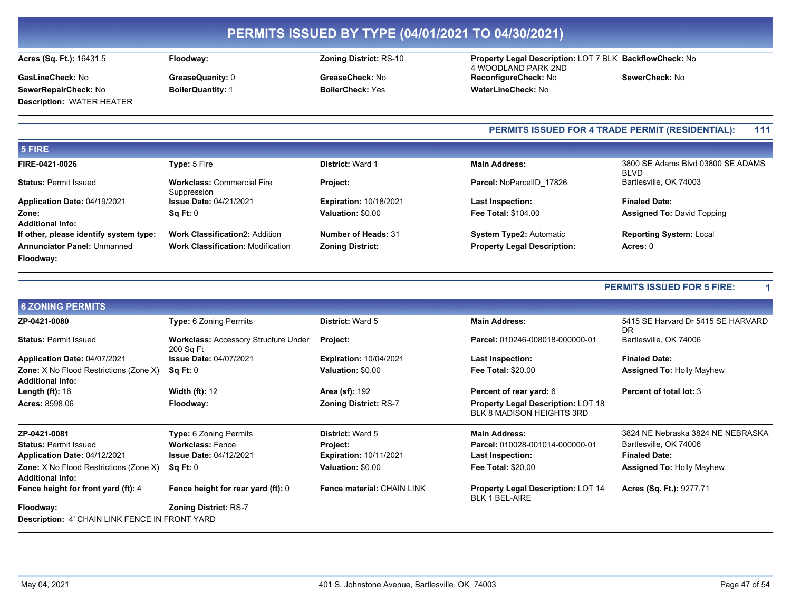Floodway:

Acres (Sq. Ft.): 16431.5

SewerRepairCheck: No

**Description: WATER HEATER** 

GasLineCheck: No

GreaseQuanity: 0 **BoilerQuantity: 1** 

### **Zoning District: RS-10**

GreaseCheck: No **BoilerCheck: Yes** 

#### Property Legal Description: LOT 7 BLK BackflowCheck: No 4 WOODLAND PARK 2ND ReconfigureCheck: No SewerCheck: No WaterLineCheck: No

#### PERMITS ISSUED FOR 4 TRADE PERMIT (RESIDENTIAL): 111

| 5 FIRE                                 |                                                  |                               |                                    |                                                  |
|----------------------------------------|--------------------------------------------------|-------------------------------|------------------------------------|--------------------------------------------------|
| FIRE-0421-0026                         | Type: 5 Fire                                     | <b>District: Ward 1</b>       | <b>Main Address:</b>               | 3800 SE Adams Blvd 03800 SE ADAMS<br><b>BLVD</b> |
| <b>Status: Permit Issued</b>           | <b>Workclass: Commercial Fire</b><br>Suppression | <b>Project:</b>               | Parcel: NoParcelID 17826           | Bartlesville, OK 74003                           |
| Application Date: 04/19/2021           | <b>Issue Date: 04/21/2021</b>                    | <b>Expiration: 10/18/2021</b> | <b>Last Inspection:</b>            | <b>Finaled Date:</b>                             |
| Zone:<br><b>Additional Info:</b>       | Sq Ft: 0                                         | Valuation: \$0.00             | <b>Fee Total: \$104.00</b>         | <b>Assigned To: David Topping</b>                |
| If other, please identify system type: | <b>Work Classification2: Addition</b>            | <b>Number of Heads: 31</b>    | <b>System Type2: Automatic</b>     | <b>Reporting System: Local</b>                   |
| <b>Annunciator Panel: Unmanned</b>     | <b>Work Classification: Modification</b>         | <b>Zoning District:</b>       | <b>Property Legal Description:</b> | Acres: 0                                         |
| Floodway:                              |                                                  |                               |                                    |                                                  |

#### **PERMITS ISSUED FOR 5 FIRE:**

| <b>6 ZONING PERMITS</b>                                                  |                                                          |                               |                                                                               |                                           |
|--------------------------------------------------------------------------|----------------------------------------------------------|-------------------------------|-------------------------------------------------------------------------------|-------------------------------------------|
| ZP-0421-0080                                                             | <b>Type: 6 Zoning Permits</b>                            | <b>District: Ward 5</b>       | <b>Main Address:</b>                                                          | 5415 SE Harvard Dr 5415 SE HARVARD<br>DR. |
| <b>Status: Permit Issued</b>                                             | <b>Workclass: Accessory Structure Under</b><br>200 Sq Ft | Project:                      | Parcel: 010246-008018-000000-01                                               | Bartlesville, OK 74006                    |
| Application Date: 04/07/2021                                             | <b>Issue Date: 04/07/2021</b>                            | <b>Expiration: 10/04/2021</b> | Last Inspection:                                                              | <b>Finaled Date:</b>                      |
| <b>Zone:</b> X No Flood Restrictions (Zone X)<br><b>Additional Info:</b> | Sq Ft: 0                                                 | Valuation: \$0.00             | <b>Fee Total: \$20.00</b>                                                     | <b>Assigned To: Holly Mayhew</b>          |
| Length $(ft)$ : 16                                                       | <b>Width (ft): 12</b>                                    | <b>Area (sf): 192</b>         | Percent of rear yard: 6                                                       | <b>Percent of total lot: 3</b>            |
| <b>Acres: 8598.06</b>                                                    | Floodway:                                                | <b>Zoning District: RS-7</b>  | <b>Property Legal Description: LOT 18</b><br><b>BLK 8 MADISON HEIGHTS 3RD</b> |                                           |
| ZP-0421-0081                                                             | <b>Type: 6 Zoning Permits</b>                            | <b>District: Ward 5</b>       | <b>Main Address:</b>                                                          | 3824 NE Nebraska 3824 NE NEBRASKA         |
| <b>Status: Permit Issued</b>                                             | <b>Workclass: Fence</b>                                  | Project:                      | Parcel: 010028-001014-000000-01                                               | Bartlesville, OK 74006                    |
| Application Date: 04/12/2021                                             | <b>Issue Date: 04/12/2021</b>                            | <b>Expiration: 10/11/2021</b> | Last Inspection:                                                              | <b>Finaled Date:</b>                      |
| <b>Zone:</b> X No Flood Restrictions (Zone X)                            | Sq Ft: 0                                                 | Valuation: \$0.00             | <b>Fee Total: \$20.00</b>                                                     | <b>Assigned To: Holly Mayhew</b>          |
| <b>Additional Info:</b>                                                  |                                                          |                               |                                                                               |                                           |
| Fence height for front yard (ft): 4                                      | Fence height for rear yard (ft): 0                       | Fence material: CHAIN LINK    | <b>Property Legal Description: LOT 14</b><br><b>BLK 1 BEL-AIRE</b>            | Acres (Sq. Ft.): 9277.71                  |
| Floodway:                                                                | <b>Zoning District: RS-7</b>                             |                               |                                                                               |                                           |
| <b>Description: 4' CHAIN LINK FENCE IN FRONT YARD</b>                    |                                                          |                               |                                                                               |                                           |

 $\mathbf 1$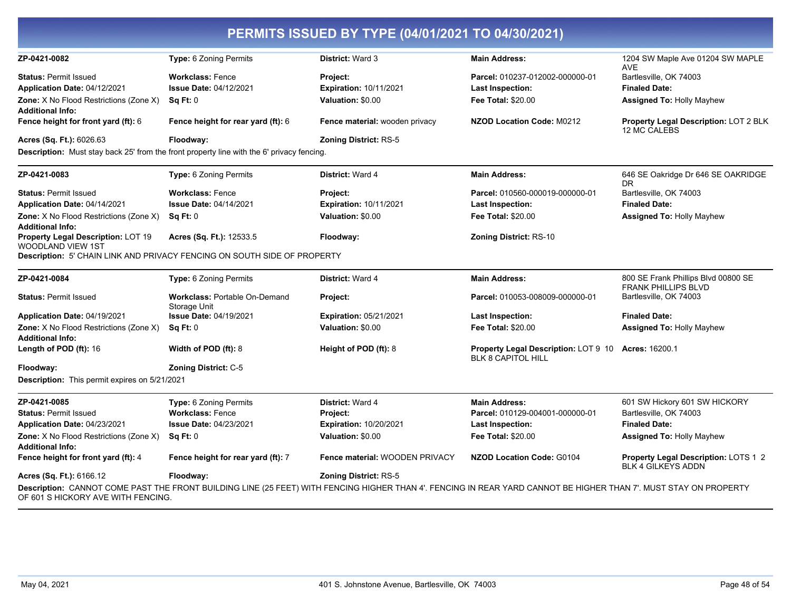| ZP-0421-0082                                                      | Type: 6 Zoning Permits                                                                    | <b>District: Ward 3</b>        | <b>Main Address:</b>                                                                                                                                              | 1204 SW Maple Ave 01204 SW MAPLE<br><b>AVE</b>                    |
|-------------------------------------------------------------------|-------------------------------------------------------------------------------------------|--------------------------------|-------------------------------------------------------------------------------------------------------------------------------------------------------------------|-------------------------------------------------------------------|
| <b>Status: Permit Issued</b>                                      | <b>Workclass: Fence</b>                                                                   | <b>Project:</b>                | Parcel: 010237-012002-000000-01                                                                                                                                   | Bartlesville, OK 74003                                            |
| Application Date: 04/12/2021                                      | <b>Issue Date: 04/12/2021</b>                                                             | Expiration: 10/11/2021         | <b>Last Inspection:</b>                                                                                                                                           | <b>Finaled Date:</b>                                              |
| Zone: X No Flood Restrictions (Zone X)                            | Sq Ft: 0                                                                                  | Valuation: \$0.00              | Fee Total: \$20.00                                                                                                                                                | <b>Assigned To: Holly Mayhew</b>                                  |
| <b>Additional Info:</b>                                           |                                                                                           |                                |                                                                                                                                                                   |                                                                   |
| Fence height for front yard (ft): 6                               | <b>Fence height for rear yard (ft): 6</b>                                                 | Fence material: wooden privacy | <b>NZOD Location Code: M0212</b>                                                                                                                                  | Property Legal Description: LOT 2 BLK<br>12 MC CALEBS             |
| Acres (Sq. Ft.): 6026.63                                          | Floodway:                                                                                 | <b>Zoning District: RS-5</b>   |                                                                                                                                                                   |                                                                   |
|                                                                   | Description: Must stay back 25' from the front property line with the 6' privacy fencing. |                                |                                                                                                                                                                   |                                                                   |
| ZP-0421-0083                                                      | Type: 6 Zoning Permits                                                                    | <b>District: Ward 4</b>        | <b>Main Address:</b>                                                                                                                                              | 646 SE Oakridge Dr 646 SE OAKRIDGE<br><b>DR</b>                   |
| <b>Status: Permit Issued</b>                                      | <b>Workclass: Fence</b>                                                                   | Project:                       | Parcel: 010560-000019-000000-01                                                                                                                                   | Bartlesville, OK 74003                                            |
| Application Date: 04/14/2021                                      | <b>Issue Date: 04/14/2021</b>                                                             | Expiration: 10/11/2021         | Last Inspection:                                                                                                                                                  | <b>Finaled Date:</b>                                              |
| Zone: X No Flood Restrictions (Zone X)<br><b>Additional Info:</b> | Sq Ft: 0                                                                                  | Valuation: \$0.00              | <b>Fee Total: \$20.00</b>                                                                                                                                         | Assigned To: Holly Mayhew                                         |
| Property Legal Description: LOT 19<br>WOODLAND VIEW 1ST           | Acres (Sq. Ft.): 12533.5                                                                  | Floodway:                      | <b>Zoning District: RS-10</b>                                                                                                                                     |                                                                   |
|                                                                   | Description: 5' CHAIN LINK AND PRIVACY FENCING ON SOUTH SIDE OF PROPERTY                  |                                |                                                                                                                                                                   |                                                                   |
| ZP-0421-0084                                                      | <b>Type: 6 Zoning Permits</b>                                                             | District: Ward 4               | <b>Main Address:</b>                                                                                                                                              | 800 SE Frank Phillips Blvd 00800 SE                               |
|                                                                   |                                                                                           |                                |                                                                                                                                                                   | <b>FRANK PHILLIPS BLVD</b>                                        |
| <b>Status: Permit Issued</b>                                      | Workclass: Portable On-Demand<br>Storage Unit                                             | Project:                       | Parcel: 010053-008009-000000-01                                                                                                                                   | Bartlesville, OK 74003                                            |
| <b>Application Date: 04/19/2021</b>                               | <b>Issue Date: 04/19/2021</b>                                                             | <b>Expiration: 05/21/2021</b>  | Last Inspection:                                                                                                                                                  | <b>Finaled Date:</b>                                              |
| Zone: X No Flood Restrictions (Zone X)<br><b>Additional Info:</b> | Sq Ft: 0                                                                                  | Valuation: \$0.00              | <b>Fee Total: \$20.00</b>                                                                                                                                         | <b>Assigned To: Holly Mayhew</b>                                  |
| Length of POD (ft): 16                                            | Width of POD $(ft)$ : 8                                                                   | Height of POD (ft): 8          | <b>Property Legal Description: LOT 9 10</b><br>BLK 8 CAPITOL HILL                                                                                                 | <b>Acres: 16200.1</b>                                             |
| Floodway:                                                         | <b>Zoning District: C-5</b>                                                               |                                |                                                                                                                                                                   |                                                                   |
| Description: This permit expires on 5/21/2021                     |                                                                                           |                                |                                                                                                                                                                   |                                                                   |
| ZP-0421-0085                                                      | Type: 6 Zoning Permits                                                                    | District: Ward 4               | <b>Main Address:</b>                                                                                                                                              | 601 SW Hickory 601 SW HICKORY                                     |
| <b>Status: Permit Issued</b>                                      | <b>Workclass: Fence</b>                                                                   | <b>Project:</b>                | Parcel: 010129-004001-000000-01                                                                                                                                   | Bartlesville, OK 74003                                            |
| Application Date: 04/23/2021                                      | <b>Issue Date: 04/23/2021</b>                                                             | <b>Expiration: 10/20/2021</b>  | <b>Last Inspection:</b>                                                                                                                                           | <b>Finaled Date:</b>                                              |
| Zone: X No Flood Restrictions (Zone X)<br><b>Additional Info:</b> | Sq Ft: 0                                                                                  | Valuation: \$0.00              | <b>Fee Total: \$20.00</b>                                                                                                                                         | <b>Assigned To: Holly Mayhew</b>                                  |
| Fence height for front yard (ft): 4                               | Fence height for rear yard (ft): 7                                                        | Fence material: WOODEN PRIVACY | <b>NZOD Location Code: G0104</b>                                                                                                                                  | Property Legal Description: LOTS 1 2<br><b>BLK 4 GILKEYS ADDN</b> |
| Acres (Sq. Ft.): 6166.12                                          | Floodway:                                                                                 | <b>Zoning District: RS-5</b>   |                                                                                                                                                                   |                                                                   |
| OF 601 S HICKORY AVE WITH FENCING.                                |                                                                                           |                                | Description: CANNOT COME PAST THE FRONT BUILDING LINE (25 FEET) WITH FENCING HIGHER THAN 4'. FENCING IN REAR YARD CANNOT BE HIGHER THAN 7'. MUST STAY ON PROPERTY |                                                                   |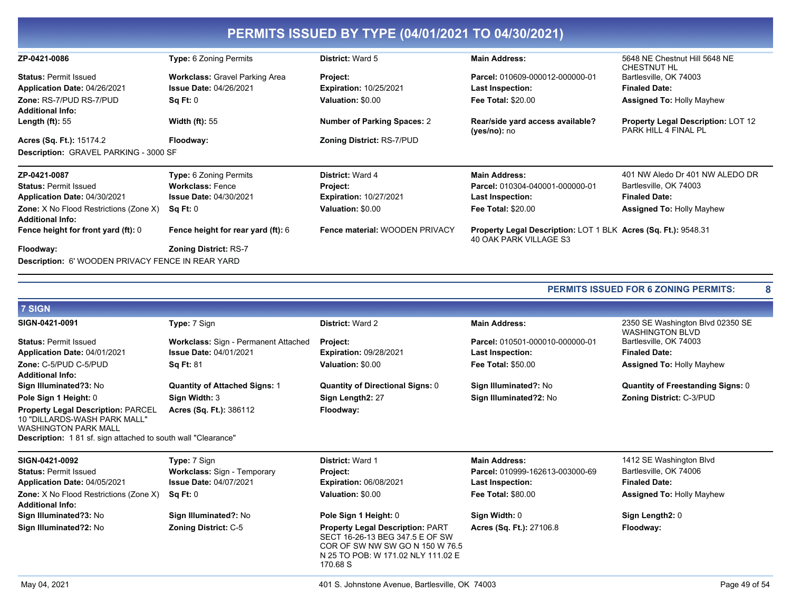|                                                                          |                                       | PERMITS ISSUED BY TYPE (04/01/2021 TO 04/30/2021) |                                                                                          |                                                                   |
|--------------------------------------------------------------------------|---------------------------------------|---------------------------------------------------|------------------------------------------------------------------------------------------|-------------------------------------------------------------------|
| ZP-0421-0086                                                             | <b>Type: 6 Zoning Permits</b>         | District: Ward 5                                  | <b>Main Address:</b>                                                                     | 5648 NE Chestnut Hill 5648 NE<br>CHESTNUT HL                      |
| <b>Status: Permit Issued</b>                                             | <b>Workclass: Gravel Parking Area</b> | Project:                                          | Parcel: 010609-000012-000000-01                                                          | Bartlesville, OK 74003                                            |
| Application Date: 04/26/2021                                             | <b>Issue Date: 04/26/2021</b>         | <b>Expiration: 10/25/2021</b>                     | <b>Last Inspection:</b>                                                                  | <b>Finaled Date:</b>                                              |
| Zone: RS-7/PUD RS-7/PUD<br><b>Additional Info:</b>                       | Sq Ft: 0                              | Valuation: \$0.00                                 | <b>Fee Total: \$20.00</b>                                                                | <b>Assigned To: Holly Mayhew</b>                                  |
| Length $(ft)$ : 55                                                       | Width $(ft)$ : 55                     | <b>Number of Parking Spaces: 2</b>                | Rear/side yard access available?<br>(yes/no): no                                         | <b>Property Legal Description: LOT 12</b><br>PARK HILL 4 FINAL PL |
| Acres (Sq. Ft.): 15174.2                                                 | Floodway:                             | <b>Zoning District: RS-7/PUD</b>                  |                                                                                          |                                                                   |
| Description: GRAVEL PARKING - 3000 SF                                    |                                       |                                                   |                                                                                          |                                                                   |
| ZP-0421-0087                                                             | <b>Type: 6 Zoning Permits</b>         | <b>District: Ward 4</b>                           | <b>Main Address:</b>                                                                     | 401 NW Aledo Dr 401 NW ALEDO DR                                   |
| <b>Status: Permit Issued</b>                                             | <b>Workclass: Fence</b>               | Project:                                          | Parcel: 010304-040001-000000-01                                                          | Bartlesville, OK 74003                                            |
| Application Date: 04/30/2021                                             | <b>Issue Date: 04/30/2021</b>         | <b>Expiration: 10/27/2021</b>                     | Last Inspection:                                                                         | <b>Finaled Date:</b>                                              |
| <b>Zone:</b> X No Flood Restrictions (Zone X)<br><b>Additional Info:</b> | Sq Ft: 0                              | Valuation: \$0.00                                 | <b>Fee Total: \$20.00</b>                                                                | <b>Assigned To: Holly Mayhew</b>                                  |
| Fence height for front yard (ft): 0                                      | Fence height for rear yard (ft): 6    | Fence material: WOODEN PRIVACY                    | Property Legal Description: LOT 1 BLK Acres (Sq. Ft.): 9548.31<br>40 OAK PARK VILLAGE S3 |                                                                   |
| Floodway:                                                                | <b>Zoning District: RS-7</b>          |                                                   |                                                                                          |                                                                   |
| <b>Description:</b> 6' WOODEN PRIVACY FENCE IN REAR YARD                 |                                       |                                                   |                                                                                          |                                                                   |

| 7 SIGN                                                                                                                                                                          |                                      |                                                                                                                                                                 |                                 |                                                            |
|---------------------------------------------------------------------------------------------------------------------------------------------------------------------------------|--------------------------------------|-----------------------------------------------------------------------------------------------------------------------------------------------------------------|---------------------------------|------------------------------------------------------------|
| SIGN-0421-0091                                                                                                                                                                  | Type: 7 Sign                         | <b>District: Ward 2</b>                                                                                                                                         | <b>Main Address:</b>            | 2350 SE Washington Blvd 02350 SE<br><b>WASHINGTON BLVD</b> |
| <b>Status: Permit Issued</b>                                                                                                                                                    | Workclass: Sign - Permanent Attached | Project:                                                                                                                                                        | Parcel: 010501-000010-000000-01 | Bartlesville, OK 74003                                     |
| Application Date: 04/01/2021                                                                                                                                                    | <b>Issue Date: 04/01/2021</b>        | <b>Expiration: 09/28/2021</b>                                                                                                                                   | Last Inspection:                | <b>Finaled Date:</b>                                       |
| Zone: C-5/PUD C-5/PUD                                                                                                                                                           | <b>Sq Ft: 81</b>                     | Valuation: \$0.00                                                                                                                                               | <b>Fee Total: \$50.00</b>       | <b>Assigned To: Holly Mayhew</b>                           |
| <b>Additional Info:</b>                                                                                                                                                         |                                      |                                                                                                                                                                 |                                 |                                                            |
| Sign Illuminated?3: No                                                                                                                                                          | <b>Quantity of Attached Signs: 1</b> | <b>Quantity of Directional Signs: 0</b>                                                                                                                         | Sign Illuminated?: No           | <b>Quantity of Freestanding Signs: 0</b>                   |
| Pole Sign 1 Height: 0                                                                                                                                                           | Sign Width: 3                        | Sign Length2: 27                                                                                                                                                | Sign Illuminated?2: No          | <b>Zoning District: C-3/PUD</b>                            |
| <b>Property Legal Description: PARCEL</b><br>10 "DILLARDS-WASH PARK MALL"<br><b>WASHINGTON PARK MALL</b><br><b>Description:</b> 181 sf. sign attached to south wall "Clearance" | Acres (Sq. Ft.): 386112              | Floodway:                                                                                                                                                       |                                 |                                                            |
| SIGN-0421-0092                                                                                                                                                                  | Type: 7 Sign                         | <b>District: Ward 1</b>                                                                                                                                         | <b>Main Address:</b>            | 1412 SE Washington Blvd                                    |
| <b>Status: Permit Issued</b>                                                                                                                                                    | <b>Workclass: Sign - Temporary</b>   | <b>Project:</b>                                                                                                                                                 | Parcel: 010999-162613-003000-69 | Bartlesville, OK 74006                                     |
| Application Date: 04/05/2021                                                                                                                                                    | <b>Issue Date: 04/07/2021</b>        | <b>Expiration: 06/08/2021</b>                                                                                                                                   | Last Inspection:                | <b>Finaled Date:</b>                                       |
| Zone: X No Flood Restrictions (Zone X)<br><b>Additional Info:</b>                                                                                                               | Sq Ft: 0                             | Valuation: \$0.00                                                                                                                                               | <b>Fee Total: \$80.00</b>       | <b>Assigned To: Holly Mayhew</b>                           |
| Sign Illuminated?3: No                                                                                                                                                          | Sign Illuminated?: No                | Pole Sign 1 Height: 0                                                                                                                                           | Sign Width: 0                   | Sign Length2: 0                                            |
| Sign Illuminated?2: No                                                                                                                                                          | <b>Zoning District: C-5</b>          | <b>Property Legal Description: PART</b><br>SECT 16-26-13 BEG 347.5 E OF SW<br>COR OF SW NW SW GO N 150 W 76.5<br>N 25 TO POB: W 171.02 NLY 111.02 E<br>170.68 S | Acres (Sq. Ft.): 27106.8        | Floodway:                                                  |

 $\bf{8}$ 

PERMITS ISSUED FOR 6 ZONING PERMITS: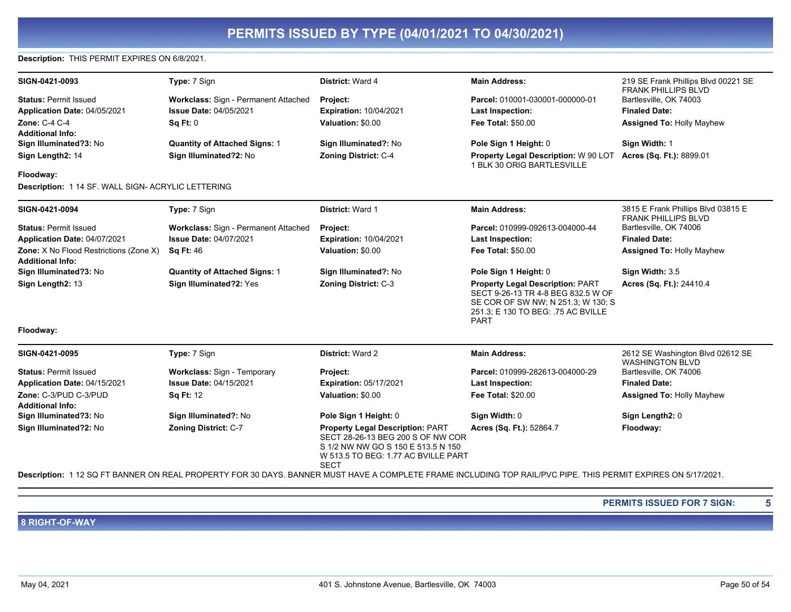#### Description: THIS PERMIT EXPIRES ON 6/8/2021.

| SIGN-0421-0093                                                           | Type: 7 Sign                         | District: Ward 4                                                             | <b>Main Address:</b>                                                                                                                                                     | 219 SE Frank Phillips Blvd 00221 SE<br><b>FRANK PHILLIPS BLVD</b> |
|--------------------------------------------------------------------------|--------------------------------------|------------------------------------------------------------------------------|--------------------------------------------------------------------------------------------------------------------------------------------------------------------------|-------------------------------------------------------------------|
| <b>Status: Permit Issued</b>                                             | Workclass: Sign - Permanent Attached | Project:                                                                     | Parcel: 010001-030001-000000-01                                                                                                                                          | Bartlesville, OK 74003                                            |
| Application Date: 04/05/2021                                             | <b>Issue Date: 04/05/2021</b>        | <b>Expiration: 10/04/2021</b>                                                | <b>Last Inspection:</b>                                                                                                                                                  | <b>Finaled Date:</b>                                              |
| Zone: C-4 C-4                                                            | SqFt:0                               | Valuation: \$0.00                                                            | <b>Fee Total: \$50.00</b>                                                                                                                                                | <b>Assigned To: Holly Mayhew</b>                                  |
| <b>Additional Info:</b>                                                  |                                      |                                                                              |                                                                                                                                                                          |                                                                   |
| Sign Illuminated?3: No                                                   | <b>Quantity of Attached Signs: 1</b> | Sign Illuminated?: No                                                        | Pole Sign 1 Height: 0                                                                                                                                                    | Sign Width: 1                                                     |
| Sign Length2: 14                                                         | Sign Illuminated?2: No               | <b>Zoning District: C-4</b>                                                  | Property Legal Description: W 90 LOT<br>1 BLK 30 ORIG BARTLESVILLE                                                                                                       | Acres (Sq. Ft.): 8899.01                                          |
| Floodway:                                                                |                                      |                                                                              |                                                                                                                                                                          |                                                                   |
| Description: 1 14 SF. WALL SIGN- ACRYLIC LETTERING                       |                                      |                                                                              |                                                                                                                                                                          |                                                                   |
| SIGN-0421-0094                                                           | Type: 7 Sign                         | District: Ward 1                                                             | <b>Main Address:</b>                                                                                                                                                     | 3815 E Frank Phillips Blvd 03815 E<br><b>FRANK PHILLIPS BLVD</b>  |
| <b>Status: Permit Issued</b>                                             | Workclass: Sign - Permanent Attached | Project:                                                                     | Parcel: 010999-092613-004000-44                                                                                                                                          | Bartlesville, OK 74006                                            |
| Application Date: 04/07/2021                                             | <b>Issue Date: 04/07/2021</b>        | <b>Expiration: 10/04/2021</b>                                                | <b>Last Inspection:</b>                                                                                                                                                  | <b>Finaled Date:</b>                                              |
| <b>Zone:</b> X No Flood Restrictions (Zone X)<br><b>Additional Info:</b> | <b>Sq Ft: 46</b>                     | Valuation: \$0.00                                                            | <b>Fee Total: \$50.00</b>                                                                                                                                                | <b>Assigned To: Holly Mayhew</b>                                  |
| Sign Illuminated?3: No                                                   | <b>Quantity of Attached Signs: 1</b> | Sign Illuminated?: No                                                        | Pole Sign 1 Height: 0                                                                                                                                                    | Sign Width: 3.5                                                   |
| Sign Length2: 13                                                         | Sign Illuminated?2: Yes              | <b>Zoning District: C-3</b>                                                  | <b>Property Legal Description: PART</b><br>SECT 9-26-13 TR 4-8 BEG 832.5 W OF<br>SE COR OF SW NW; N 251.3; W 130; S<br>251.3: E 130 TO BEG: .75 AC BVILLE<br><b>PART</b> | Acres (Sq. Ft.): 24410.4                                          |
| Floodway:                                                                |                                      |                                                                              |                                                                                                                                                                          |                                                                   |
| SIGN-0421-0095                                                           | Type: 7 Sign                         | District: Ward 2                                                             | <b>Main Address:</b>                                                                                                                                                     | 2612 SE Washington Blvd 02612 SE<br><b>WASHINGTON BLVD</b>        |
| <b>Status: Permit Issued</b>                                             | Workclass: Sign - Temporary          | Project:                                                                     | Parcel: 010999-282613-004000-29                                                                                                                                          | Bartlesville, OK 74006                                            |
| Application Date: 04/15/2021                                             | <b>Issue Date: 04/15/2021</b>        | <b>Expiration: 05/17/2021</b>                                                | <b>Last Inspection:</b>                                                                                                                                                  | <b>Finaled Date:</b>                                              |
| Zone: C-3/PUD C-3/PUD<br><b>Additional Info:</b>                         | <b>Sq Ft: 12</b>                     | Valuation: \$0.00                                                            | <b>Fee Total: \$20.00</b>                                                                                                                                                | <b>Assigned To: Holly Mayhew</b>                                  |
| Sign Illuminated?3: No                                                   | Sign Illuminated?: No                | Pole Sign 1 Height: 0                                                        | Sign Width: 0                                                                                                                                                            | Sign Length2: 0                                                   |
| Sign Illuminated?2: No                                                   | <b>Zoning District: C-7</b>          | <b>Property Legal Description: PART</b><br>SECT 28-26-13 BEG 200 S OF NW COR | Acres (Sq. Ft.): 52864.7                                                                                                                                                 | Floodway:                                                         |

Description: 1 12 SQ FT BANNER ON REAL PROPERTY FOR 30 DAYS. BANNER MUST HAVE A COMPLETE FRAME INCLUDING TOP RAIL/PVC PIPE. THIS PERMIT EXPIRES ON 5/17/2021.

**SECT** 

S 1/2 NW NW GO S 150 E 513.5 N 150 W 513.5 TO BEG: 1.77 AC BVILLE PART

> **PERMITS ISSUED FOR 7 SIGN:**  $5^{\circ}$

### 8 RIGHT-OF-WAY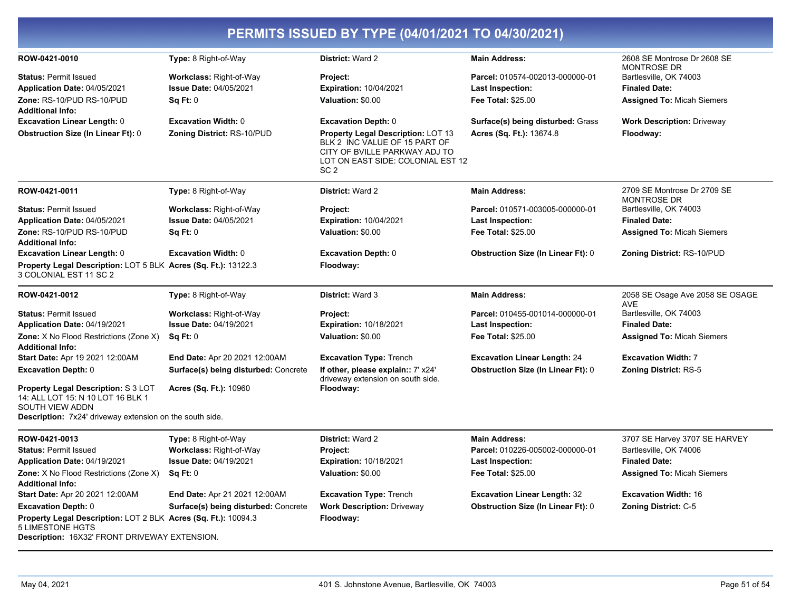| PERMITS ISSUED BY TYPE (04/01/2021 TO 04/30/2021)                                                                                   |                                      |                                                                                                                                                                     |                                           |                                                   |  |
|-------------------------------------------------------------------------------------------------------------------------------------|--------------------------------------|---------------------------------------------------------------------------------------------------------------------------------------------------------------------|-------------------------------------------|---------------------------------------------------|--|
| ROW-0421-0010                                                                                                                       | Type: 8 Right-of-Way                 | District: Ward 2                                                                                                                                                    | <b>Main Address:</b>                      | 2608 SE Montrose Dr 2608 SE<br><b>MONTROSE DR</b> |  |
| <b>Status: Permit Issued</b>                                                                                                        | <b>Workclass: Right-of-Way</b>       | <b>Project:</b>                                                                                                                                                     | Parcel: 010574-002013-000000-01           | Bartlesville, OK 74003                            |  |
| Application Date: 04/05/2021                                                                                                        | <b>Issue Date: 04/05/2021</b>        | <b>Expiration: 10/04/2021</b>                                                                                                                                       | Last Inspection:                          | <b>Finaled Date:</b>                              |  |
| Zone: RS-10/PUD RS-10/PUD<br><b>Additional Info:</b>                                                                                | SqFt:0                               | Valuation: \$0.00                                                                                                                                                   | <b>Fee Total: \$25.00</b>                 | <b>Assigned To: Micah Siemers</b>                 |  |
| <b>Excavation Linear Length: 0</b>                                                                                                  | <b>Excavation Width: 0</b>           | <b>Excavation Depth: 0</b>                                                                                                                                          | Surface(s) being disturbed: Grass         | <b>Work Description: Driveway</b>                 |  |
| <b>Obstruction Size (In Linear Ft): 0</b>                                                                                           | <b>Zoning District: RS-10/PUD</b>    | <b>Property Legal Description: LOT 13</b><br>BLK 2 INC VALUE OF 15 PART OF<br>CITY OF BVILLE PARKWAY ADJ TO<br>LOT ON EAST SIDE: COLONIAL EST 12<br>SC <sub>2</sub> | Acres (Sq. Ft.): 13674.8                  | Floodway:                                         |  |
| ROW-0421-0011                                                                                                                       | Type: 8 Right-of-Way                 | District: Ward 2                                                                                                                                                    | <b>Main Address:</b>                      | 2709 SE Montrose Dr 2709 SE<br><b>MONTROSE DR</b> |  |
| <b>Status: Permit Issued</b>                                                                                                        | <b>Workclass: Right-of-Way</b>       | Project:                                                                                                                                                            | Parcel: 010571-003005-000000-01           | Bartlesville, OK 74003                            |  |
| Application Date: 04/05/2021                                                                                                        | <b>Issue Date: 04/05/2021</b>        | <b>Expiration: 10/04/2021</b>                                                                                                                                       | <b>Last Inspection:</b>                   | <b>Finaled Date:</b>                              |  |
| Zone: RS-10/PUD RS-10/PUD<br><b>Additional Info:</b>                                                                                | Sq Ft: 0                             | Valuation: \$0.00                                                                                                                                                   | <b>Fee Total: \$25.00</b>                 | <b>Assigned To: Micah Siemers</b>                 |  |
| <b>Excavation Linear Length: 0</b>                                                                                                  | <b>Excavation Width: 0</b>           | <b>Excavation Depth: 0</b>                                                                                                                                          | <b>Obstruction Size (In Linear Ft): 0</b> | Zoning District: RS-10/PUD                        |  |
| Property Legal Description: LOT 5 BLK Acres (Sq. Ft.): 13122.3<br>3 COLONIAL EST 11 SC 2                                            |                                      | Floodway:                                                                                                                                                           |                                           |                                                   |  |
| ROW-0421-0012                                                                                                                       | Type: 8 Right-of-Way                 | District: Ward 3                                                                                                                                                    | <b>Main Address:</b>                      | 2058 SE Osage Ave 2058 SE OSAGE<br><b>AVE</b>     |  |
| <b>Status: Permit Issued</b>                                                                                                        | <b>Workclass: Right-of-Way</b>       | Project:                                                                                                                                                            | Parcel: 010455-001014-000000-01           | Bartlesville, OK 74003                            |  |
| Application Date: 04/19/2021                                                                                                        | <b>Issue Date: 04/19/2021</b>        | <b>Expiration: 10/18/2021</b>                                                                                                                                       | Last Inspection:                          | <b>Finaled Date:</b>                              |  |
| Zone: X No Flood Restrictions (Zone X)<br><b>Additional Info:</b>                                                                   | Sq Ft: 0                             | Valuation: \$0.00                                                                                                                                                   | Fee Total: \$25.00                        | <b>Assigned To: Micah Siemers</b>                 |  |
| Start Date: Apr 19 2021 12:00AM                                                                                                     | End Date: Apr 20 2021 12:00AM        | <b>Excavation Type: Trench</b>                                                                                                                                      | <b>Excavation Linear Length: 24</b>       | <b>Excavation Width: 7</b>                        |  |
| <b>Excavation Depth: 0</b>                                                                                                          | Surface(s) being disturbed: Concrete | If other, please explain:: 7' x24'<br>driveway extension on south side.                                                                                             | <b>Obstruction Size (In Linear Ft): 0</b> | <b>Zoning District: RS-5</b>                      |  |
| <b>Property Legal Description: S 3 LOT</b><br>14: ALL LOT 15: N 10 LOT 16 BLK 1<br>SOUTH VIEW ADDN                                  | Acres (Sq. Ft.): 10960               | Floodway:                                                                                                                                                           |                                           |                                                   |  |
| Description: 7x24' driveway extension on the south side.                                                                            |                                      |                                                                                                                                                                     |                                           |                                                   |  |
| ROW-0421-0013                                                                                                                       | Type: 8 Right-of-Way                 | District: Ward 2                                                                                                                                                    | <b>Main Address:</b>                      | 3707 SE Harvey 3707 SE HARVEY                     |  |
| <b>Status: Permit Issued</b>                                                                                                        | Workclass: Right-of-Way              | Project:                                                                                                                                                            | Parcel: 010226-005002-000000-01           | Bartlesville, OK 74006                            |  |
| Application Date: 04/19/2021                                                                                                        | <b>Issue Date: 04/19/2021</b>        | <b>Expiration: 10/18/2021</b>                                                                                                                                       | Last Inspection:                          | <b>Finaled Date:</b>                              |  |
| <b>Zone:</b> X No Flood Restrictions (Zone X)<br><b>Additional Info:</b>                                                            | Sq Ft: 0                             | Valuation: \$0.00                                                                                                                                                   | <b>Fee Total: \$25.00</b>                 | <b>Assigned To: Micah Siemers</b>                 |  |
| Start Date: Apr 20 2021 12:00AM                                                                                                     | End Date: Apr 21 2021 12:00AM        | <b>Excavation Type: Trench</b>                                                                                                                                      | <b>Excavation Linear Length: 32</b>       | <b>Excavation Width: 16</b>                       |  |
| <b>Excavation Depth: 0</b>                                                                                                          | Surface(s) being disturbed: Concrete | <b>Work Description: Driveway</b>                                                                                                                                   | <b>Obstruction Size (In Linear Ft): 0</b> | <b>Zoning District: C-5</b>                       |  |
| Property Legal Description: LOT 2 BLK Acres (Sq. Ft.): 10094.3<br>5 LIMESTONE HGTS<br>Description: 16X32' FRONT DRIVEWAY EXTENSION. |                                      | Floodway:                                                                                                                                                           |                                           |                                                   |  |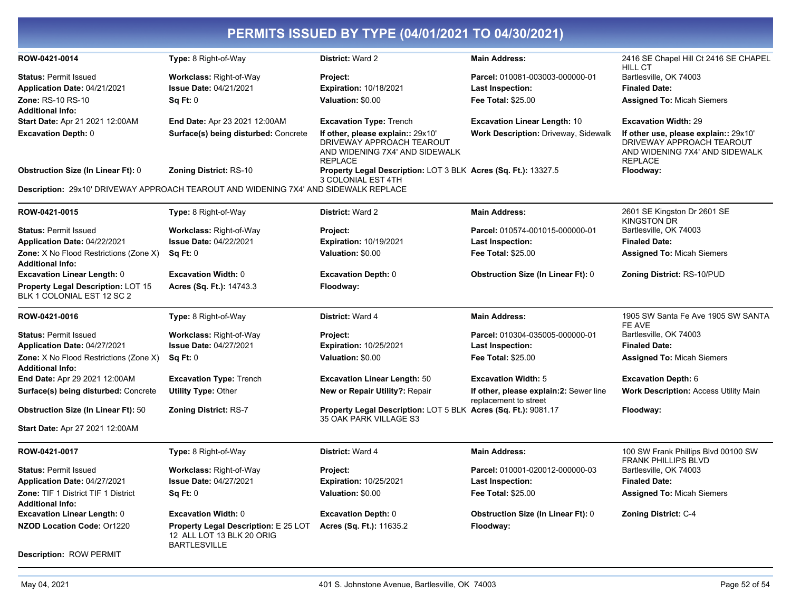| PERMITS ISSUED BY TYPE (04/01/2021 TO 04/30/2021)                     |                                                                                          |                                                                                                                    |                                                                 |                                                                                                                        |  |
|-----------------------------------------------------------------------|------------------------------------------------------------------------------------------|--------------------------------------------------------------------------------------------------------------------|-----------------------------------------------------------------|------------------------------------------------------------------------------------------------------------------------|--|
| ROW-0421-0014                                                         | Type: 8 Right-of-Way                                                                     | District: Ward 2                                                                                                   | <b>Main Address:</b>                                            | 2416 SE Chapel Hill Ct 2416 SE CHAPEL<br><b>HILL CT</b>                                                                |  |
| <b>Status: Permit Issued</b>                                          | Workclass: Right-of-Way                                                                  | Project:                                                                                                           | Parcel: 010081-003003-000000-01                                 | Bartlesville, OK 74003                                                                                                 |  |
| <b>Application Date: 04/21/2021</b>                                   | <b>Issue Date: 04/21/2021</b>                                                            | <b>Expiration: 10/18/2021</b>                                                                                      | <b>Last Inspection:</b>                                         | <b>Finaled Date:</b>                                                                                                   |  |
| <b>Zone: RS-10 RS-10</b>                                              | Sq Ft: 0                                                                                 | Valuation: \$0.00                                                                                                  | Fee Total: \$25.00                                              | <b>Assigned To: Micah Siemers</b>                                                                                      |  |
| <b>Additional Info:</b><br>Start Date: Apr 21 2021 12:00AM            | End Date: Apr 23 2021 12:00AM                                                            | <b>Excavation Type: Trench</b>                                                                                     | <b>Excavation Linear Length: 10</b>                             | <b>Excavation Width: 29</b>                                                                                            |  |
| <b>Excavation Depth: 0</b>                                            | Surface(s) being disturbed: Concrete                                                     | If other, please explain:: 29x10'<br>DRIVEWAY APPROACH TEAROUT<br>AND WIDENING 7X4' AND SIDEWALK<br><b>REPLACE</b> | <b>Work Description: Driveway, Sidewalk</b>                     | If other use, please explain:: 29x10'<br>DRIVEWAY APPROACH TEAROUT<br>AND WIDENING 7X4' AND SIDEWALK<br><b>REPLACE</b> |  |
| <b>Obstruction Size (In Linear Ft): 0</b>                             | <b>Zoning District: RS-10</b>                                                            | Property Legal Description: LOT 3 BLK Acres (Sq. Ft.): 13327.5<br>3 COLONIAL EST 4TH                               |                                                                 | Floodway:                                                                                                              |  |
|                                                                       | Description: 29x10' DRIVEWAY APPROACH TEAROUT AND WIDENING 7X4' AND SIDEWALK REPLACE     |                                                                                                                    |                                                                 |                                                                                                                        |  |
| ROW-0421-0015                                                         | Type: 8 Right-of-Way                                                                     | <b>District: Ward 2</b>                                                                                            | <b>Main Address:</b>                                            | 2601 SE Kingston Dr 2601 SE<br><b>KINGSTON DR</b>                                                                      |  |
| <b>Status: Permit Issued</b>                                          | <b>Workclass: Right-of-Way</b>                                                           | Project:                                                                                                           | Parcel: 010574-001015-000000-01                                 | Bartlesville, OK 74003                                                                                                 |  |
| Application Date: 04/22/2021                                          | <b>Issue Date: 04/22/2021</b>                                                            | <b>Expiration: 10/19/2021</b>                                                                                      | <b>Last Inspection:</b>                                         | <b>Finaled Date:</b>                                                                                                   |  |
| Zone: X No Flood Restrictions (Zone X)<br><b>Additional Info:</b>     | Sq Ft: 0                                                                                 | Valuation: \$0.00                                                                                                  | <b>Fee Total: \$25.00</b>                                       | <b>Assigned To: Micah Siemers</b>                                                                                      |  |
| <b>Excavation Linear Length: 0</b>                                    | <b>Excavation Width: 0</b>                                                               | <b>Excavation Depth: 0</b>                                                                                         | <b>Obstruction Size (In Linear Ft): 0</b>                       | Zoning District: RS-10/PUD                                                                                             |  |
| Property Legal Description: LOT 15<br>BLK 1 COLONIAL EST 12 SC 2      | Acres (Sq. Ft.): 14743.3                                                                 | Floodway:                                                                                                          |                                                                 |                                                                                                                        |  |
| ROW-0421-0016                                                         | Type: 8 Right-of-Way                                                                     | <b>District: Ward 4</b>                                                                                            | <b>Main Address:</b>                                            | 1905 SW Santa Fe Ave 1905 SW SANTA<br>FE AVE                                                                           |  |
| <b>Status: Permit Issued</b>                                          | <b>Workclass: Right-of-Way</b>                                                           | Project:                                                                                                           | Parcel: 010304-035005-000000-01                                 | Bartlesville, OK 74003                                                                                                 |  |
| Application Date: 04/27/2021                                          | <b>Issue Date: 04/27/2021</b>                                                            | <b>Expiration: 10/25/2021</b>                                                                                      | <b>Last Inspection:</b>                                         | <b>Finaled Date:</b>                                                                                                   |  |
| Zone: X No Flood Restrictions (Zone X)<br><b>Additional Info:</b>     | Sq Ft: 0                                                                                 | Valuation: \$0.00                                                                                                  | <b>Fee Total: \$25.00</b>                                       | <b>Assigned To: Micah Siemers</b>                                                                                      |  |
| End Date: Apr 29 2021 12:00AM                                         | <b>Excavation Type: Trench</b>                                                           | <b>Excavation Linear Length: 50</b>                                                                                | <b>Excavation Width: 5</b>                                      | <b>Excavation Depth: 6</b>                                                                                             |  |
| Surface(s) being disturbed: Concrete                                  | <b>Utility Type: Other</b>                                                               | New or Repair Utility?: Repair                                                                                     | If other, please explain:2: Sewer line<br>replacement to street | <b>Work Description: Access Utility Main</b>                                                                           |  |
| <b>Obstruction Size (In Linear Ft): 50</b>                            | <b>Zoning District: RS-7</b>                                                             | Property Legal Description: LOT 5 BLK Acres (Sq. Ft.): 9081.17<br>35 OAK PARK VILLAGE S3                           |                                                                 | Floodway:                                                                                                              |  |
| Start Date: Apr 27 2021 12:00AM                                       |                                                                                          |                                                                                                                    |                                                                 |                                                                                                                        |  |
| ROW-0421-0017                                                         | Type: 8 Right-of-Way                                                                     | District: Ward 4                                                                                                   | <b>Main Address:</b>                                            | 100 SW Frank Phillips Blvd 00100 SW<br><b>FRANK PHILLIPS BLVD</b>                                                      |  |
| <b>Status: Permit Issued</b>                                          | Workclass: Right-of-Way                                                                  | Project:                                                                                                           | Parcel: 010001-020012-000000-03                                 | Bartlesville, OK 74003                                                                                                 |  |
| <b>Application Date: 04/27/2021</b>                                   | <b>Issue Date: 04/27/2021</b>                                                            | <b>Expiration: 10/25/2021</b>                                                                                      | <b>Last Inspection:</b>                                         | <b>Finaled Date:</b>                                                                                                   |  |
| <b>Zone: TIF 1 District TIF 1 District</b><br><b>Additional Info:</b> | Sq Ft: 0                                                                                 | Valuation: \$0.00                                                                                                  | <b>Fee Total: \$25.00</b>                                       | <b>Assigned To: Micah Siemers</b>                                                                                      |  |
| <b>Excavation Linear Length: 0</b>                                    | <b>Excavation Width: 0</b>                                                               | <b>Excavation Depth: 0</b>                                                                                         | <b>Obstruction Size (In Linear Ft): 0</b>                       | Zoning District: C-4                                                                                                   |  |
| <b>NZOD Location Code: Or1220</b>                                     | Property Legal Description: E 25 LOT<br>12 ALL LOT 13 BLK 20 ORIG<br><b>BARTLESVILLE</b> | Acres (Sq. Ft.): 11635.2                                                                                           | Floodway:                                                       |                                                                                                                        |  |
| <b>Description: ROW PERMIT</b>                                        |                                                                                          |                                                                                                                    |                                                                 |                                                                                                                        |  |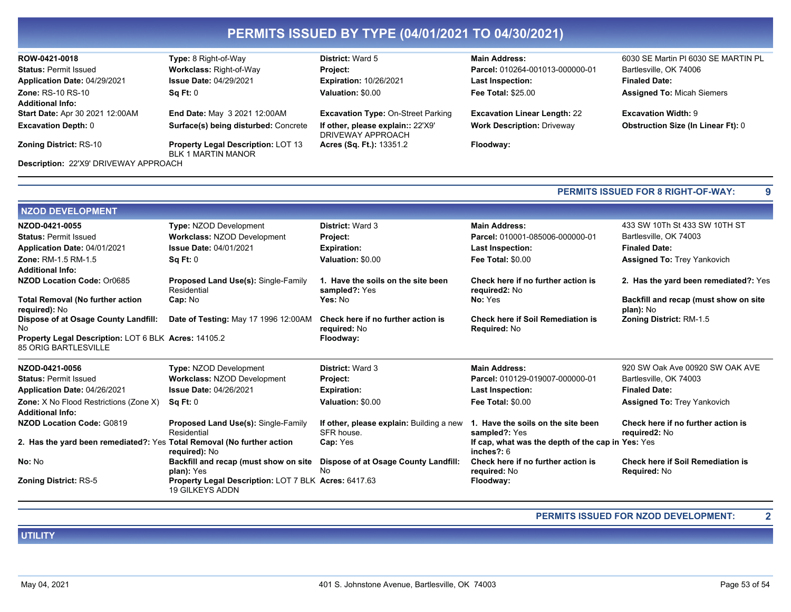| ROW-0421-0018                                | <b>Type:</b> 8 Right-of-Way                                            | <b>District: Ward 5</b>                                | <b>Main Address:</b>                | 6030 SE Martin PI 6030 SE MARTIN PL       |
|----------------------------------------------|------------------------------------------------------------------------|--------------------------------------------------------|-------------------------------------|-------------------------------------------|
| <b>Status: Permit Issued</b>                 | <b>Workclass: Right-of-Way</b>                                         | <b>Project:</b>                                        | Parcel: 010264-001013-000000-01     | Bartlesville, OK 74006                    |
| Application Date: 04/29/2021                 | <b>Issue Date: 04/29/2021</b>                                          | <b>Expiration: 10/26/2021</b>                          | <b>Last Inspection:</b>             | <b>Finaled Date:</b>                      |
| <b>Zone: RS-10 RS-10</b>                     | Sq Ft: 0                                                               | Valuation: \$0.00                                      | <b>Fee Total: \$25.00</b>           | <b>Assigned To: Micah Siemers</b>         |
| <b>Additional Info:</b>                      |                                                                        |                                                        |                                     |                                           |
| <b>Start Date: Apr 30 2021 12:00AM</b>       | End Date: May 3 2021 12:00AM                                           | <b>Excavation Type: On-Street Parking</b>              | <b>Excavation Linear Length: 22</b> | <b>Excavation Width: 9</b>                |
| <b>Excavation Depth: 0</b>                   | Surface(s) being disturbed: Concrete                                   | If other, please explain:: 22'X9'<br>DRIVEWAY APPROACH | <b>Work Description: Driveway</b>   | <b>Obstruction Size (In Linear Ft): 0</b> |
| <b>Zoning District: RS-10</b>                | <b>Property Legal Description: LOT 13</b><br><b>BLK 1 MARTIN MANOR</b> | <b>Acres (Sq. Ft.): 13351.2</b>                        | Floodway:                           |                                           |
| <b>Description: 22'X9' DRIVEWAY APPROACH</b> |                                                                        |                                                        |                                     |                                           |

|                                                                                     |                                                                                |                                                        | <b>PERMITS ISSUED FOR 8 RIGHT-OF-WAY:</b>                          |                                                          |
|-------------------------------------------------------------------------------------|--------------------------------------------------------------------------------|--------------------------------------------------------|--------------------------------------------------------------------|----------------------------------------------------------|
| <b>NZOD DEVELOPMENT</b>                                                             |                                                                                |                                                        |                                                                    |                                                          |
| NZOD-0421-0055                                                                      | <b>Type: NZOD Development</b>                                                  | <b>District: Ward 3</b>                                | <b>Main Address:</b>                                               | 433 SW 10Th St 433 SW 10TH ST                            |
| <b>Status: Permit Issued</b>                                                        | <b>Workclass: NZOD Development</b>                                             | Project:                                               | Parcel: 010001-085006-000000-01                                    | Bartlesville, OK 74003                                   |
| Application Date: 04/01/2021                                                        | <b>Issue Date: 04/01/2021</b>                                                  | <b>Expiration:</b>                                     | <b>Last Inspection:</b>                                            | <b>Finaled Date:</b>                                     |
| <b>Zone:</b> RM-1.5 RM-1.5                                                          | SqFt:0                                                                         | Valuation: \$0.00                                      | <b>Fee Total: \$0.00</b>                                           | <b>Assigned To: Trey Yankovich</b>                       |
| Additional Info:                                                                    |                                                                                |                                                        |                                                                    |                                                          |
| NZOD Location Code: Or0685                                                          | Proposed Land Use(s): Single-Family<br>Residential                             | 1. Have the soils on the site been<br>sampled?: Yes    | Check here if no further action is<br>required2: No                | 2. Has the yard been remediated?: Yes                    |
| <b>Total Removal (No further action</b><br><b>required): No</b>                     | Cap: No                                                                        | Yes: No                                                | No: Yes                                                            | Backfill and recap (must show on site<br>plan): No       |
| Dispose of at Osage County Landfill:<br>No                                          | Date of Testing: May 17 1996 12:00AM                                           | Check here if no further action is<br>required: No     | <b>Check here if Soil Remediation is</b><br>Required: No           | <b>Zoning District: RM-1.5</b>                           |
| Property Legal Description: LOT 6 BLK Acres: 14105.2<br><b>85 ORIG BARTLESVILLE</b> |                                                                                | Floodway:                                              |                                                                    |                                                          |
| NZOD-0421-0056                                                                      | <b>Type: NZOD Development</b>                                                  | <b>District: Ward 3</b>                                | <b>Main Address:</b>                                               | 920 SW Oak Ave 00920 SW OAK AVE                          |
| <b>Status: Permit Issued</b>                                                        | <b>Workclass: NZOD Development</b>                                             | Project:                                               | Parcel: 010129-019007-000000-01                                    | Bartlesville, OK 74003                                   |
| Application Date: 04/26/2021                                                        | <b>Issue Date: 04/26/2021</b>                                                  | <b>Expiration:</b>                                     | Last Inspection:                                                   | <b>Finaled Date:</b>                                     |
| Zone: X No Flood Restrictions (Zone X)                                              | Sq Ft: 0                                                                       | Valuation: \$0.00                                      | <b>Fee Total: \$0.00</b>                                           | <b>Assigned To: Trey Yankovich</b>                       |
| <b>Additional Info:</b>                                                             |                                                                                |                                                        |                                                                    |                                                          |
| <b>NZOD Location Code: G0819</b>                                                    | <b>Proposed Land Use(s): Single-Family</b><br>Residential                      | If other, please explain: Building a new<br>SFR house. | 1. Have the soils on the site been<br>sampled?: Yes                | Check here if no further action is<br>required2: No      |
| 2. Has the yard been remediated?: Yes Total Removal (No further action              | required): No                                                                  | Cap: Yes                                               | If cap, what was the depth of the cap in Yes: Yes<br>inches $?: 6$ |                                                          |
| No: No                                                                              | Backfill and recap (must show on site<br>plan): Yes                            | Dispose of at Osage County Landfill:<br>No             | Check here if no further action is<br>required: No                 | <b>Check here if Soil Remediation is</b><br>Required: No |
| <b>Zoning District: RS-5</b>                                                        | Property Legal Description: LOT 7 BLK Acres: 6417.63<br><b>19 GILKEYS ADDN</b> |                                                        | Floodway:                                                          |                                                          |

PERMITS ISSUED FOR NZOD DEVELOPMENT:

**UTILITY** 

 $\overline{2}$